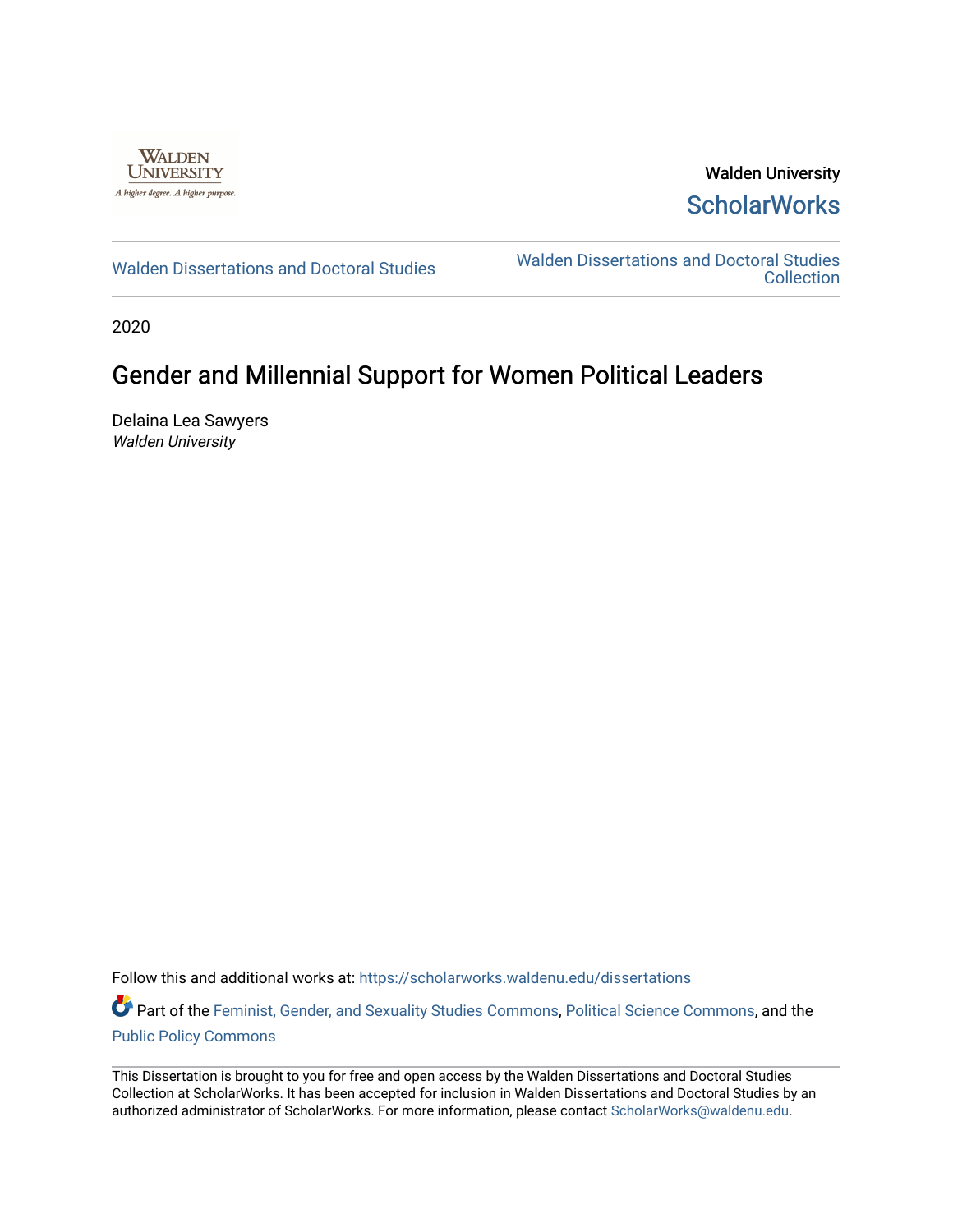

Walden University **ScholarWorks** 

[Walden Dissertations and Doctoral Studies](https://scholarworks.waldenu.edu/dissertations) Walden Dissertations and Doctoral Studies **Collection** 

2020

## Gender and Millennial Support for Women Political Leaders

Delaina Lea Sawyers Walden University

Follow this and additional works at: [https://scholarworks.waldenu.edu/dissertations](https://scholarworks.waldenu.edu/dissertations?utm_source=scholarworks.waldenu.edu%2Fdissertations%2F8138&utm_medium=PDF&utm_campaign=PDFCoverPages)

Part of the [Feminist, Gender, and Sexuality Studies Commons](http://network.bepress.com/hgg/discipline/559?utm_source=scholarworks.waldenu.edu%2Fdissertations%2F8138&utm_medium=PDF&utm_campaign=PDFCoverPages), [Political Science Commons](http://network.bepress.com/hgg/discipline/386?utm_source=scholarworks.waldenu.edu%2Fdissertations%2F8138&utm_medium=PDF&utm_campaign=PDFCoverPages), and the [Public Policy Commons](http://network.bepress.com/hgg/discipline/400?utm_source=scholarworks.waldenu.edu%2Fdissertations%2F8138&utm_medium=PDF&utm_campaign=PDFCoverPages)

This Dissertation is brought to you for free and open access by the Walden Dissertations and Doctoral Studies Collection at ScholarWorks. It has been accepted for inclusion in Walden Dissertations and Doctoral Studies by an authorized administrator of ScholarWorks. For more information, please contact [ScholarWorks@waldenu.edu](mailto:ScholarWorks@waldenu.edu).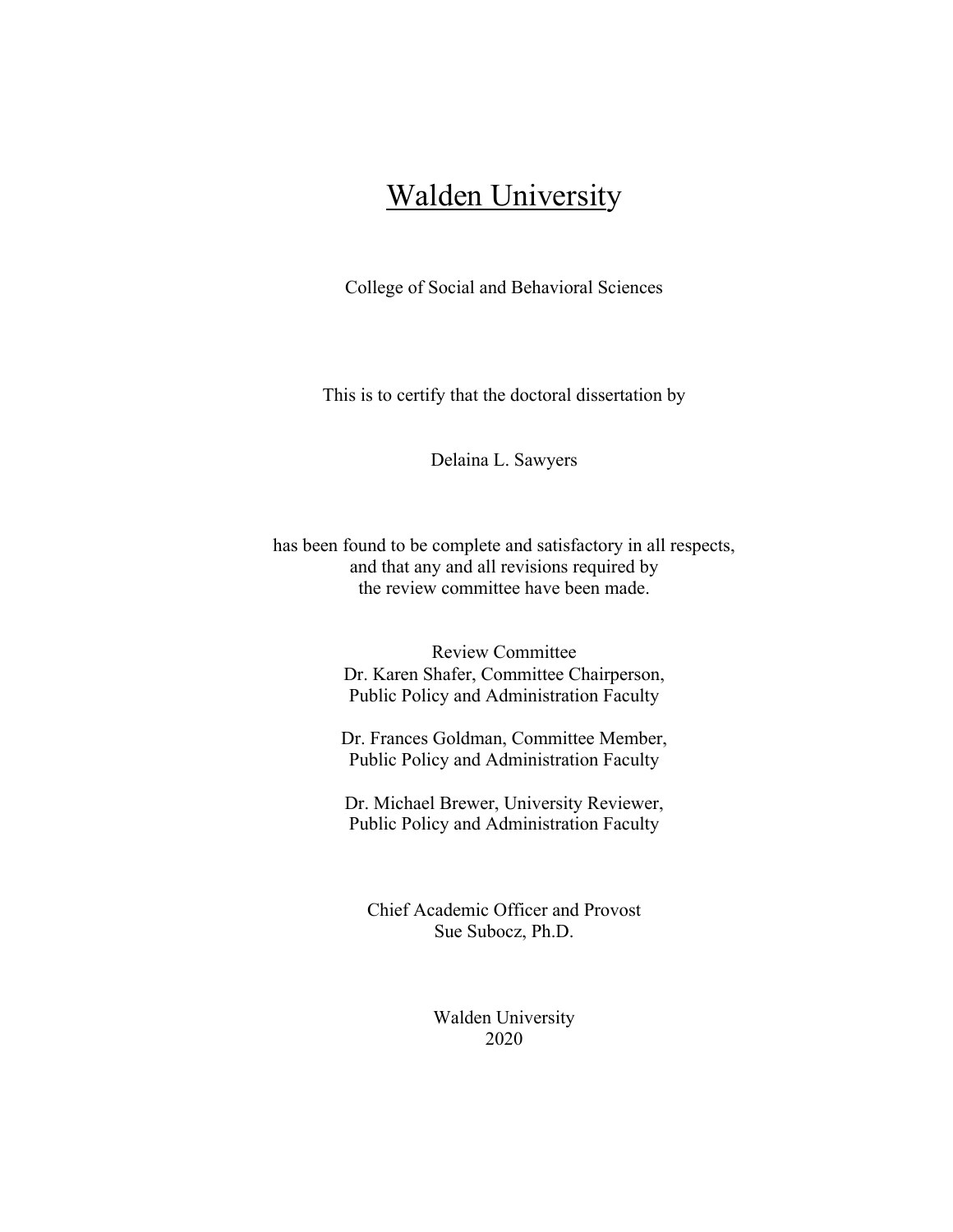# Walden University

College of Social and Behavioral Sciences

This is to certify that the doctoral dissertation by

Delaina L. Sawyers

has been found to be complete and satisfactory in all respects, and that any and all revisions required by the review committee have been made.

> Review Committee Dr. Karen Shafer, Committee Chairperson, Public Policy and Administration Faculty

Dr. Frances Goldman, Committee Member, Public Policy and Administration Faculty

Dr. Michael Brewer, University Reviewer, Public Policy and Administration Faculty

Chief Academic Officer and Provost Sue Subocz, Ph.D.

> Walden University 2020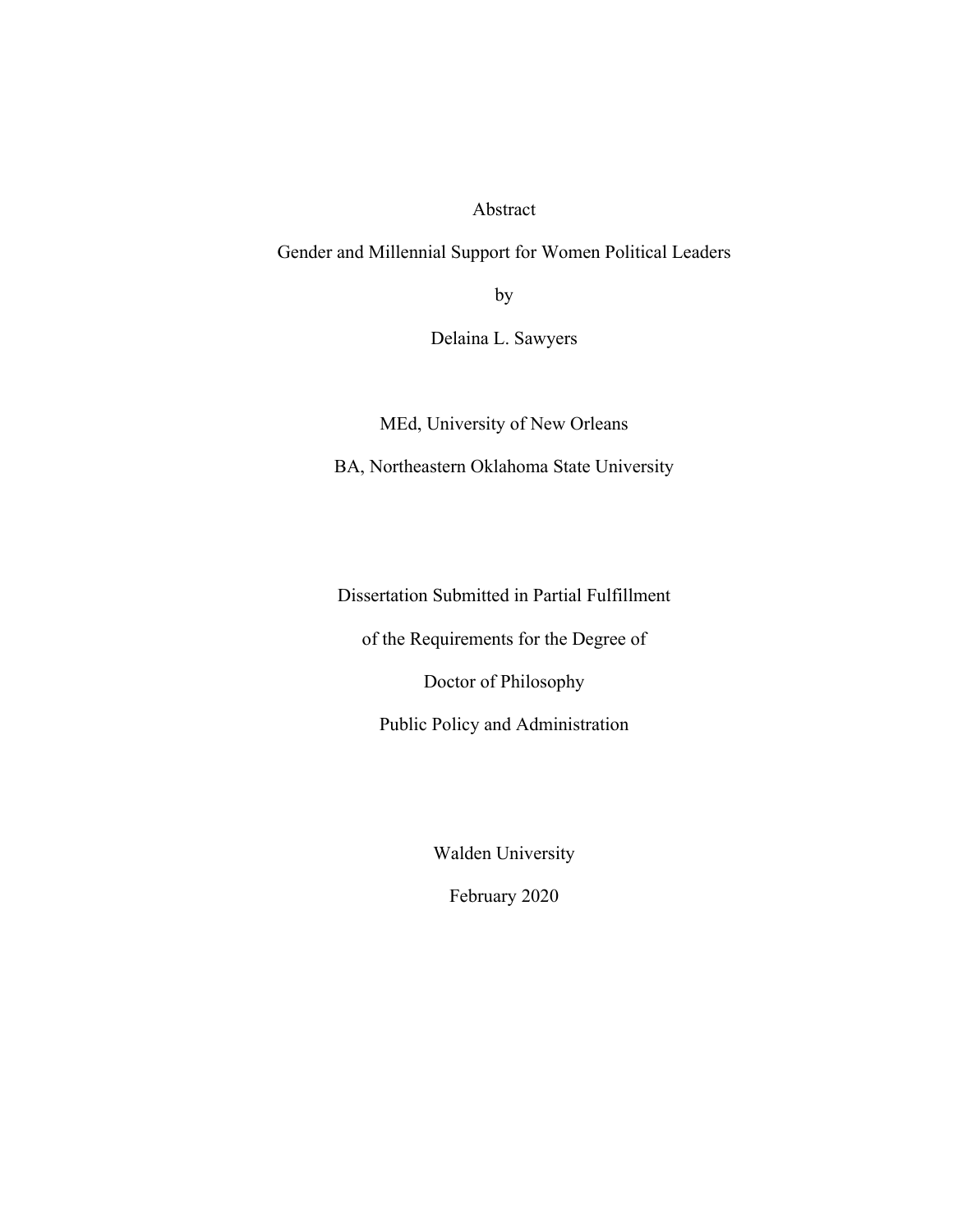Abstract

Gender and Millennial Support for Women Political Leaders

by

Delaina L. Sawyers

MEd, University of New Orleans

BA, Northeastern Oklahoma State University

Dissertation Submitted in Partial Fulfillment

of the Requirements for the Degree of

Doctor of Philosophy

Public Policy and Administration

Walden University

February 2020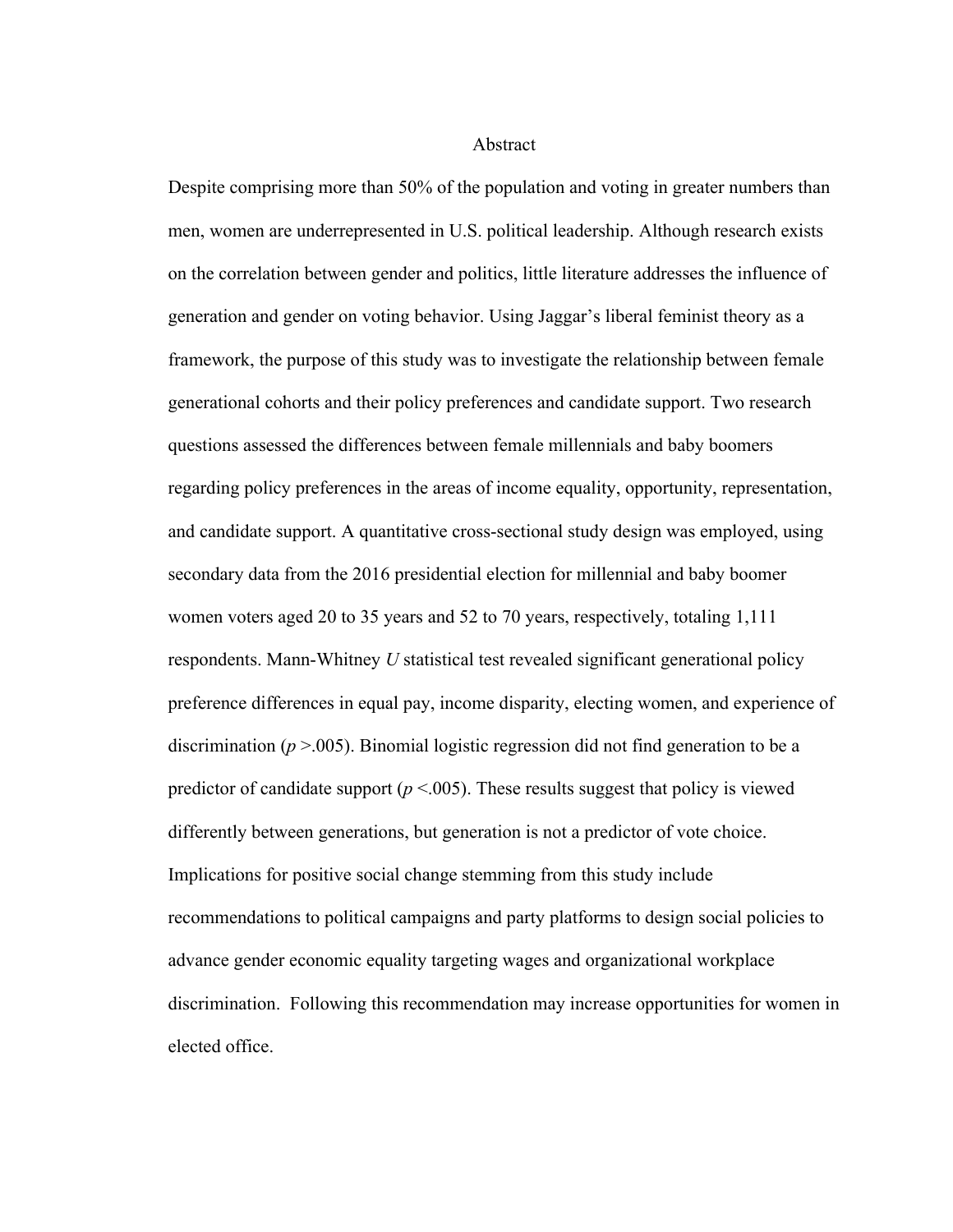Abstract

Despite comprising more than 50% of the population and voting in greater numbers than men, women are underrepresented in U.S. political leadership. Although research exists on the correlation between gender and politics, little literature addresses the influence of generation and gender on voting behavior. Using Jaggar's liberal feminist theory as a framework, the purpose of this study was to investigate the relationship between female generational cohorts and their policy preferences and candidate support. Two research questions assessed the differences between female millennials and baby boomers regarding policy preferences in the areas of income equality, opportunity, representation, and candidate support. A quantitative cross-sectional study design was employed, using secondary data from the 2016 presidential election for millennial and baby boomer women voters aged 20 to 35 years and 52 to 70 years, respectively, totaling 1,111 respondents. Mann-Whitney *U* statistical test revealed significant generational policy preference differences in equal pay, income disparity, electing women, and experience of discrimination ( $p > 0.005$ ). Binomial logistic regression did not find generation to be a predictor of candidate support ( $p < .005$ ). These results suggest that policy is viewed differently between generations, but generation is not a predictor of vote choice. Implications for positive social change stemming from this study include recommendations to political campaigns and party platforms to design social policies to advance gender economic equality targeting wages and organizational workplace discrimination. Following this recommendation may increase opportunities for women in elected office.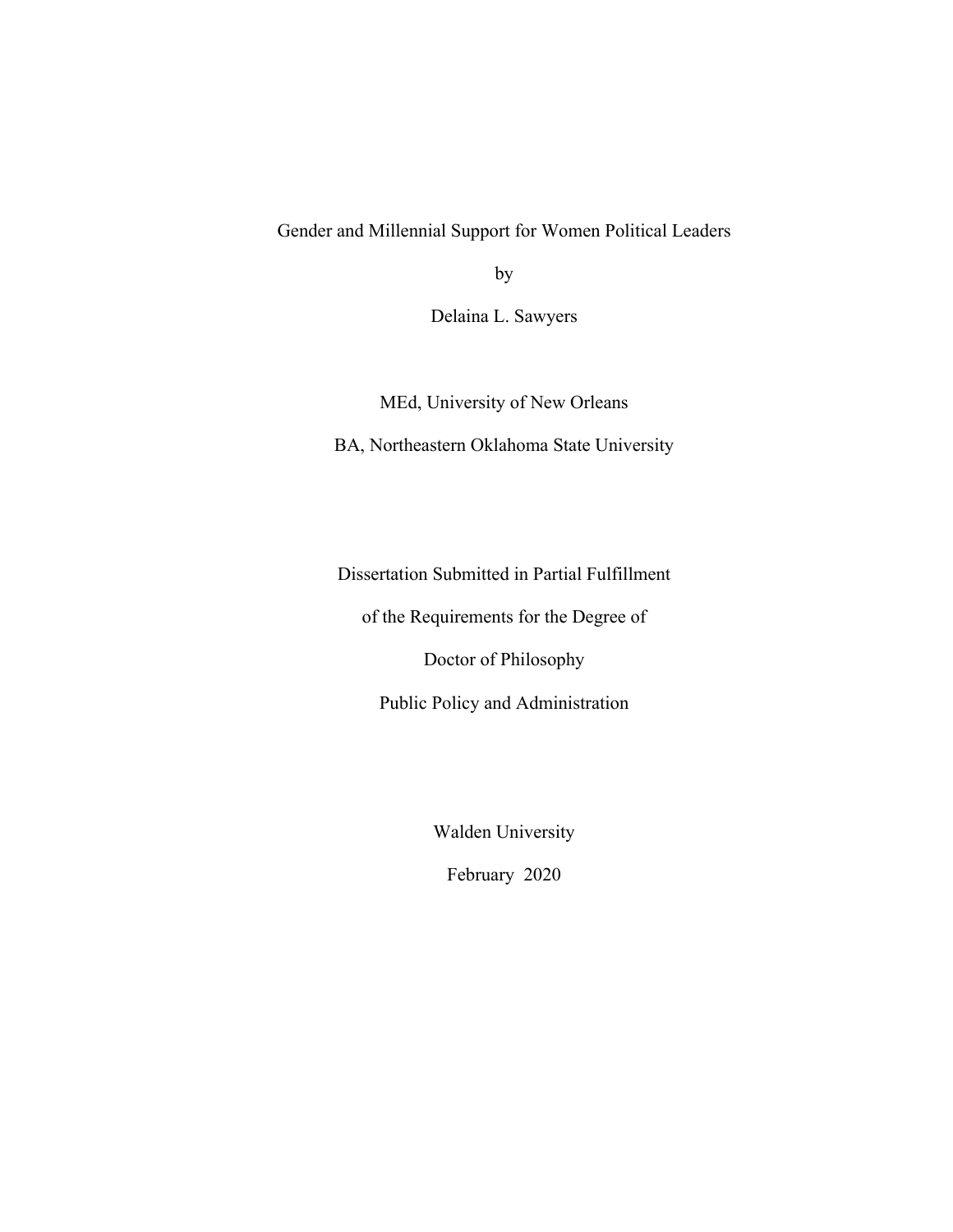Gender and Millennial Support for Women Political Leaders

by

Delaina L. Sawyers

MEd, University of New Orleans

BA, Northeastern Oklahoma State University

Dissertation Submitted in Partial Fulfillment

of the Requirements for the Degree of

Doctor of Philosophy

Public Policy and Administration

Walden University

February 2020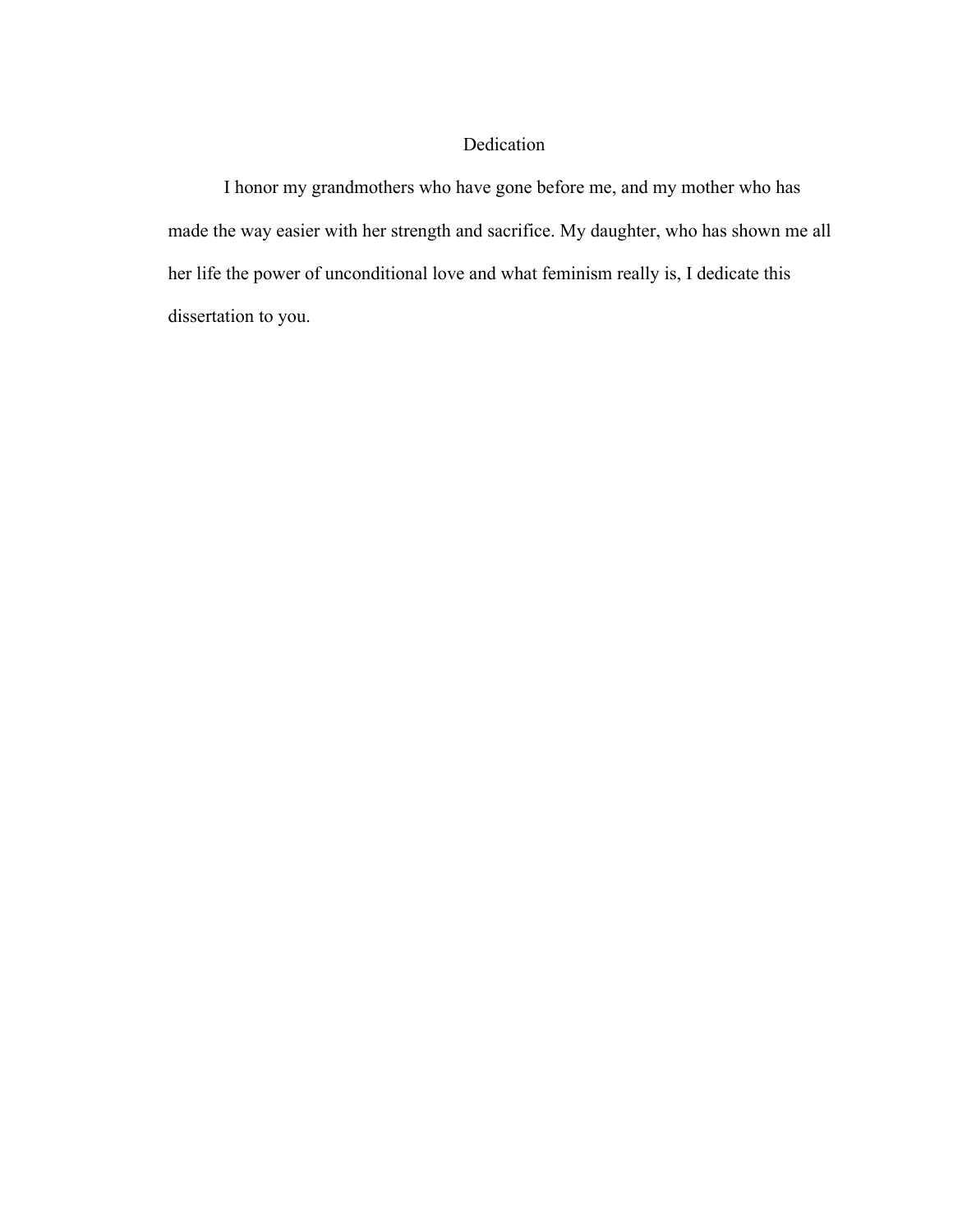### Dedication

I honor my grandmothers who have gone before me, and my mother who has made the way easier with her strength and sacrifice. My daughter, who has shown me all her life the power of unconditional love and what feminism really is, I dedicate this dissertation to you.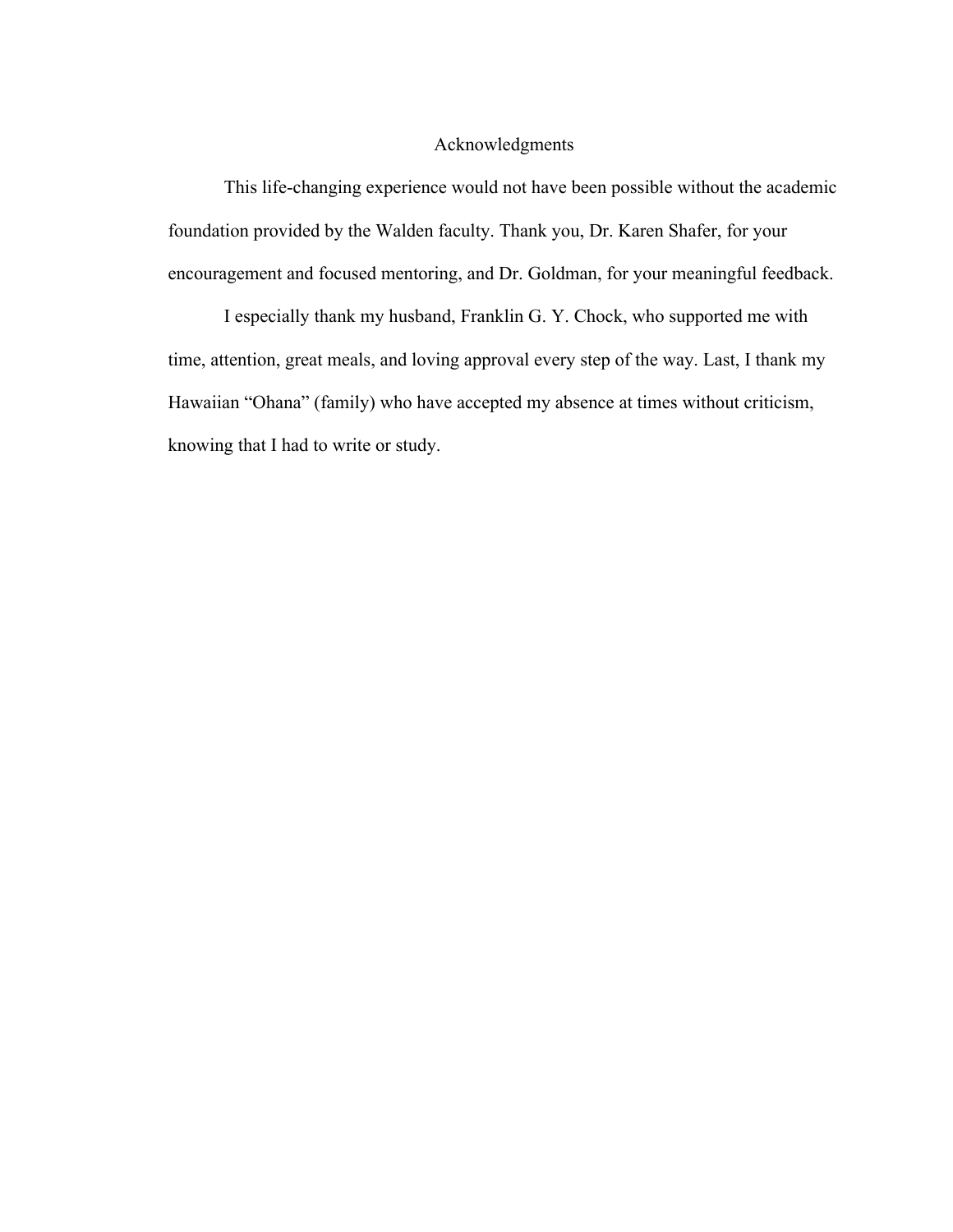#### Acknowledgments

This life-changing experience would not have been possible without the academic foundation provided by the Walden faculty. Thank you, Dr. Karen Shafer, for your encouragement and focused mentoring, and Dr. Goldman, for your meaningful feedback.

I especially thank my husband, Franklin G. Y. Chock, who supported me with time, attention, great meals, and loving approval every step of the way. Last, I thank my Hawaiian "Ohana" (family) who have accepted my absence at times without criticism, knowing that I had to write or study.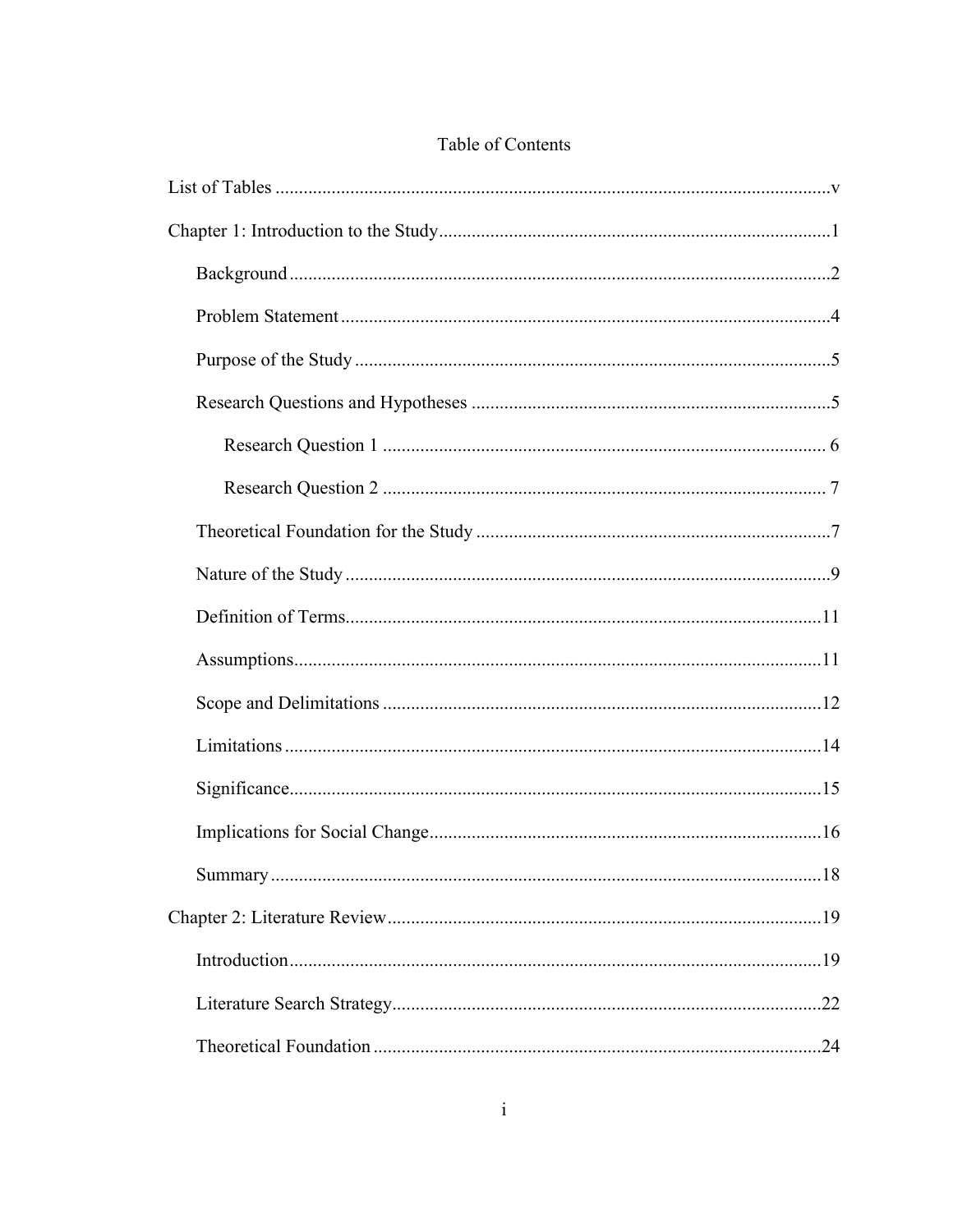| $\sim$ $\sim$ $\sim$ |
|----------------------|
|                      |
|                      |
|                      |
|                      |

## Table of Contents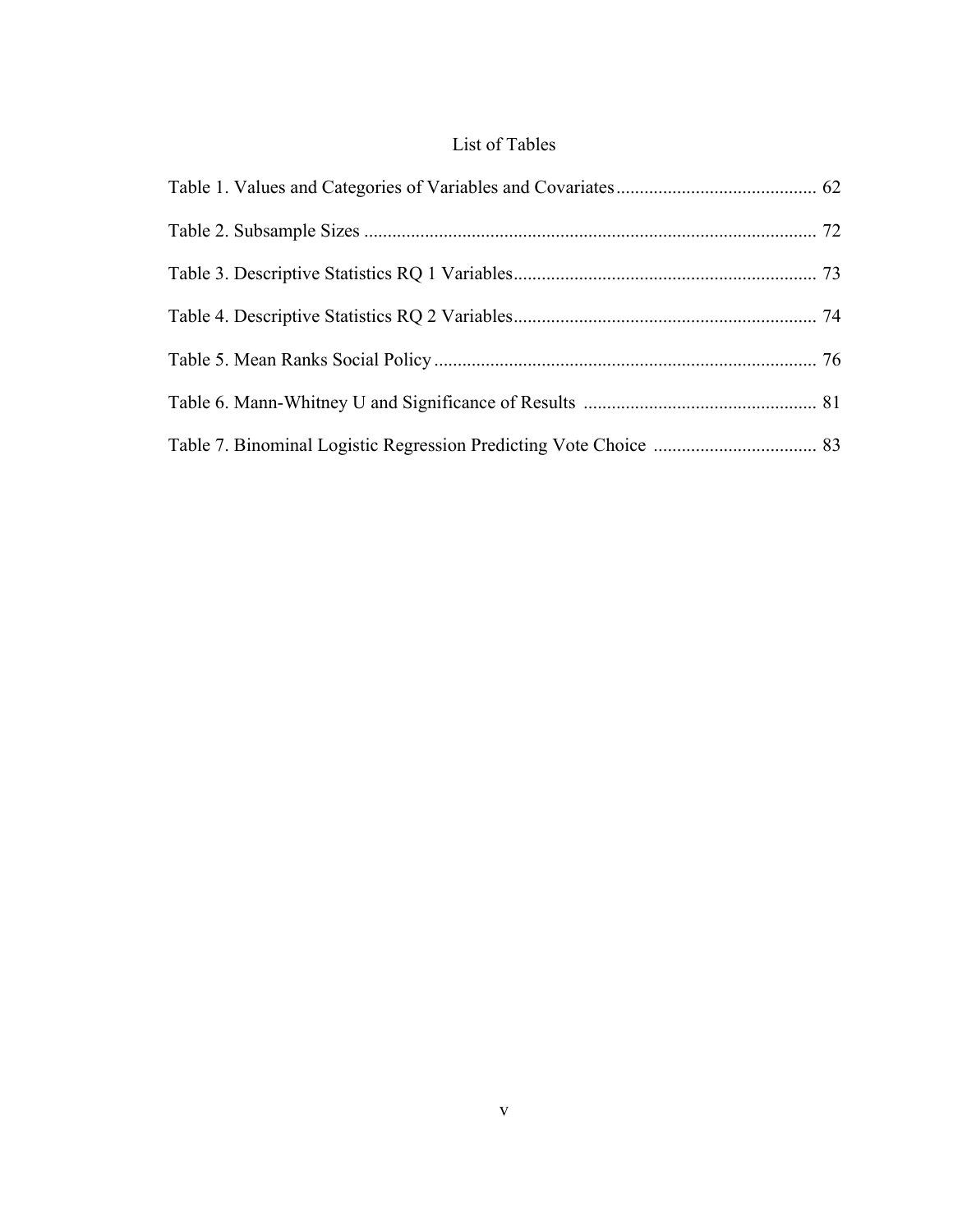## List of Tables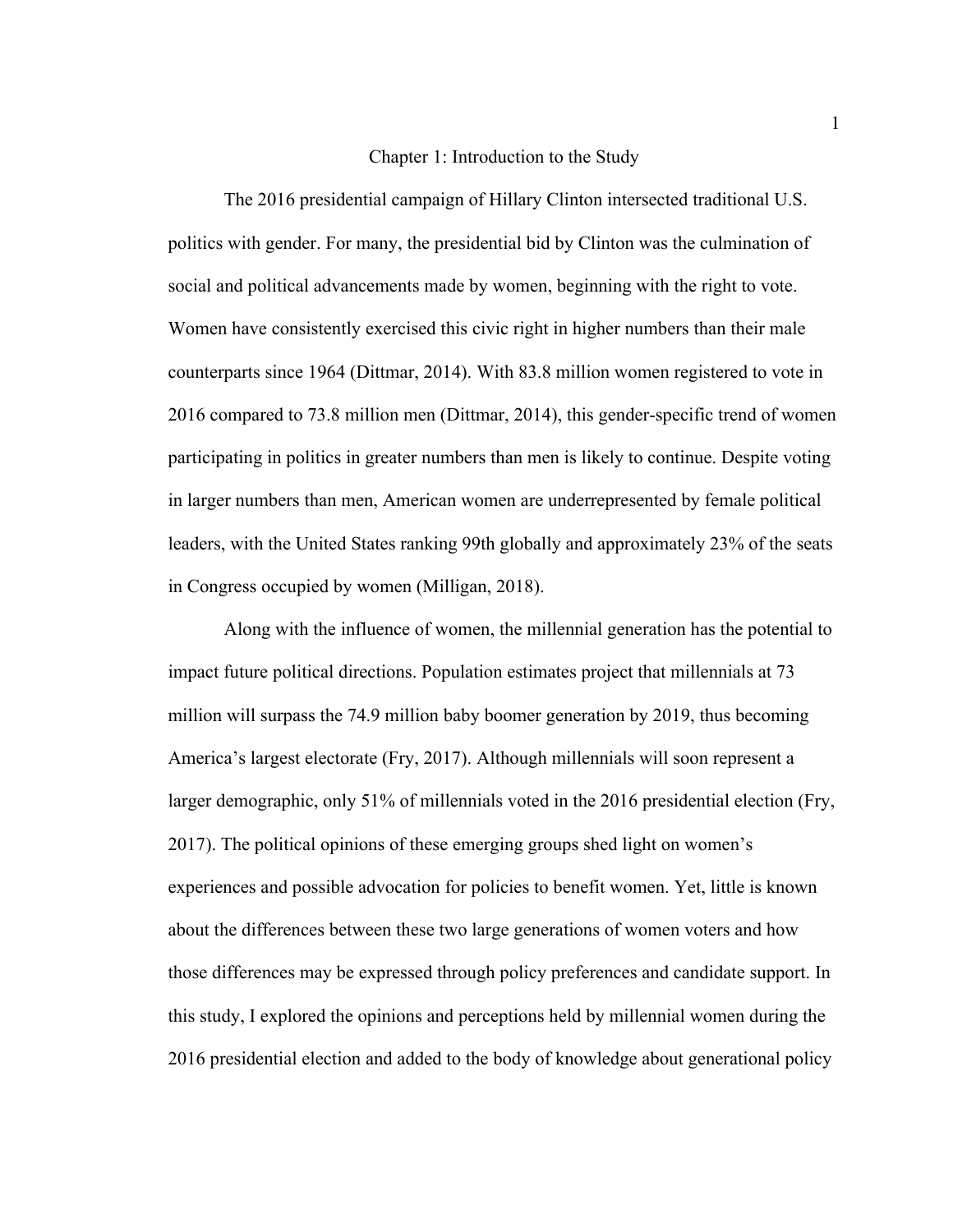#### Chapter 1: Introduction to the Study

The 2016 presidential campaign of Hillary Clinton intersected traditional U.S. politics with gender. For many, the presidential bid by Clinton was the culmination of social and political advancements made by women, beginning with the right to vote. Women have consistently exercised this civic right in higher numbers than their male counterparts since 1964 (Dittmar, 2014). With 83.8 million women registered to vote in 2016 compared to 73.8 million men (Dittmar, 2014), this gender-specific trend of women participating in politics in greater numbers than men is likely to continue. Despite voting in larger numbers than men, American women are underrepresented by female political leaders, with the United States ranking 99th globally and approximately 23% of the seats in Congress occupied by women (Milligan, 2018).

Along with the influence of women, the millennial generation has the potential to impact future political directions. Population estimates project that millennials at 73 million will surpass the 74.9 million baby boomer generation by 2019, thus becoming America's largest electorate (Fry, 2017). Although millennials will soon represent a larger demographic, only 51% of millennials voted in the 2016 presidential election (Fry, 2017). The political opinions of these emerging groups shed light on women's experiences and possible advocation for policies to benefit women. Yet, little is known about the differences between these two large generations of women voters and how those differences may be expressed through policy preferences and candidate support. In this study, I explored the opinions and perceptions held by millennial women during the 2016 presidential election and added to the body of knowledge about generational policy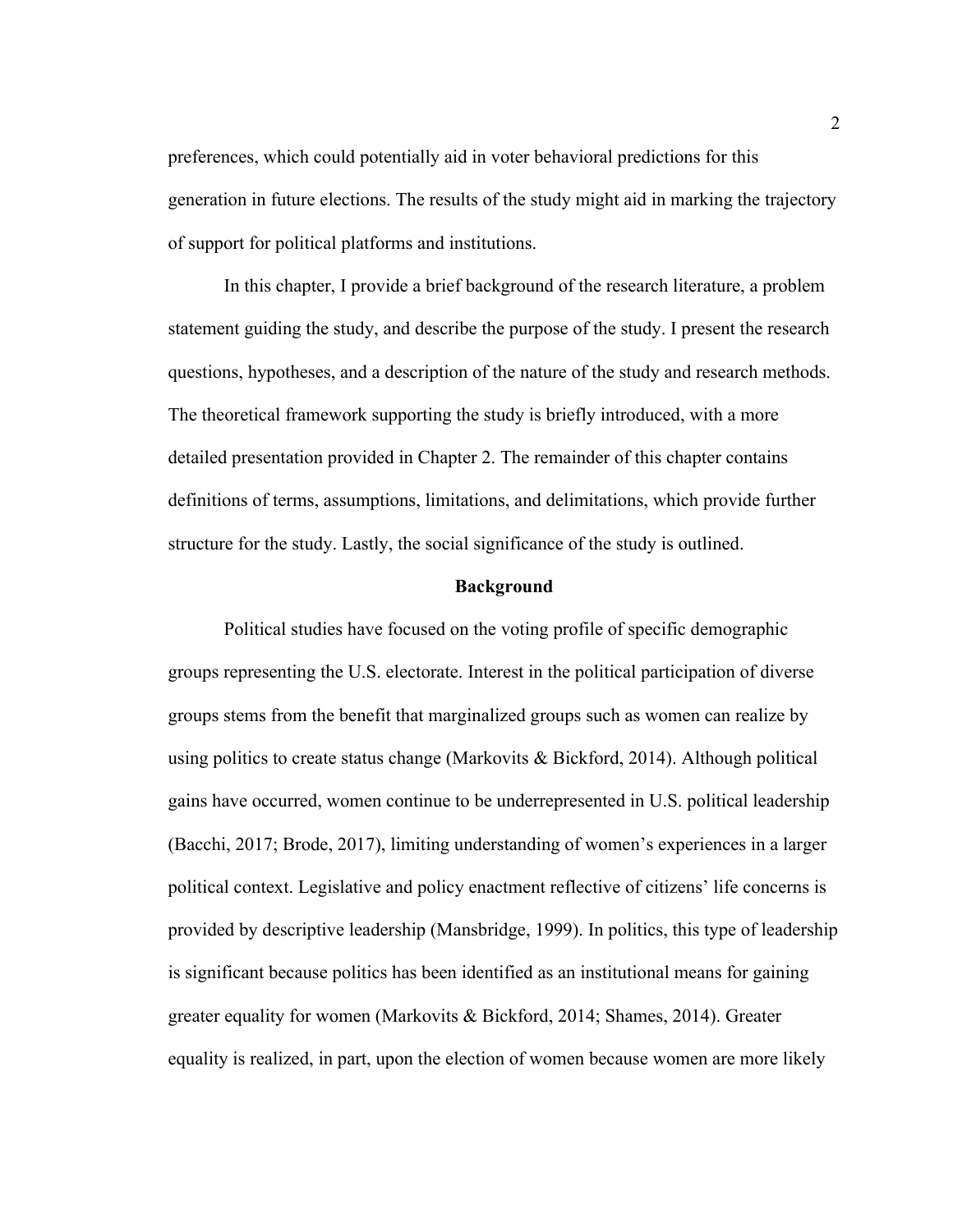preferences, which could potentially aid in voter behavioral predictions for this generation in future elections. The results of the study might aid in marking the trajectory of support for political platforms and institutions.

In this chapter, I provide a brief background of the research literature, a problem statement guiding the study, and describe the purpose of the study. I present the research questions, hypotheses, and a description of the nature of the study and research methods. The theoretical framework supporting the study is briefly introduced, with a more detailed presentation provided in Chapter 2. The remainder of this chapter contains definitions of terms, assumptions, limitations, and delimitations, which provide further structure for the study. Lastly, the social significance of the study is outlined.

#### **Background**

Political studies have focused on the voting profile of specific demographic groups representing the U.S. electorate. Interest in the political participation of diverse groups stems from the benefit that marginalized groups such as women can realize by using politics to create status change (Markovits & Bickford, 2014). Although political gains have occurred, women continue to be underrepresented in U.S. political leadership (Bacchi, 2017; Brode, 2017), limiting understanding of women's experiences in a larger political context. Legislative and policy enactment reflective of citizens' life concerns is provided by descriptive leadership (Mansbridge, 1999). In politics, this type of leadership is significant because politics has been identified as an institutional means for gaining greater equality for women (Markovits & Bickford, 2014; Shames, 2014). Greater equality is realized, in part, upon the election of women because women are more likely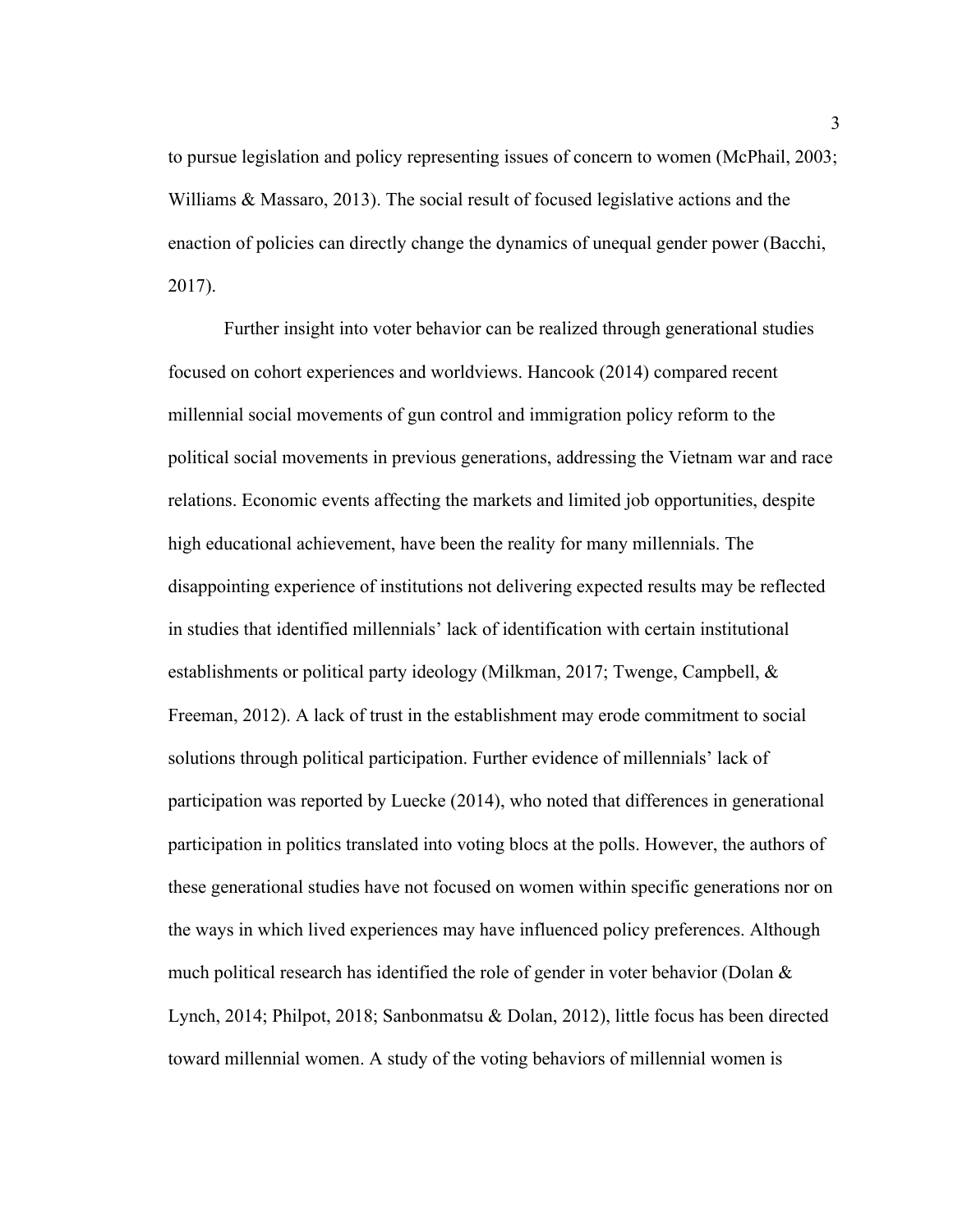to pursue legislation and policy representing issues of concern to women (McPhail, 2003; Williams & Massaro, 2013). The social result of focused legislative actions and the enaction of policies can directly change the dynamics of unequal gender power (Bacchi, 2017).

Further insight into voter behavior can be realized through generational studies focused on cohort experiences and worldviews. Hancook (2014) compared recent millennial social movements of gun control and immigration policy reform to the political social movements in previous generations, addressing the Vietnam war and race relations. Economic events affecting the markets and limited job opportunities, despite high educational achievement, have been the reality for many millennials. The disappointing experience of institutions not delivering expected results may be reflected in studies that identified millennials' lack of identification with certain institutional establishments or political party ideology (Milkman, 2017; Twenge, Campbell, & Freeman, 2012). A lack of trust in the establishment may erode commitment to social solutions through political participation. Further evidence of millennials' lack of participation was reported by Luecke (2014), who noted that differences in generational participation in politics translated into voting blocs at the polls. However, the authors of these generational studies have not focused on women within specific generations nor on the ways in which lived experiences may have influenced policy preferences. Although much political research has identified the role of gender in voter behavior (Dolan  $\&$ Lynch, 2014; Philpot, 2018; Sanbonmatsu & Dolan, 2012), little focus has been directed toward millennial women. A study of the voting behaviors of millennial women is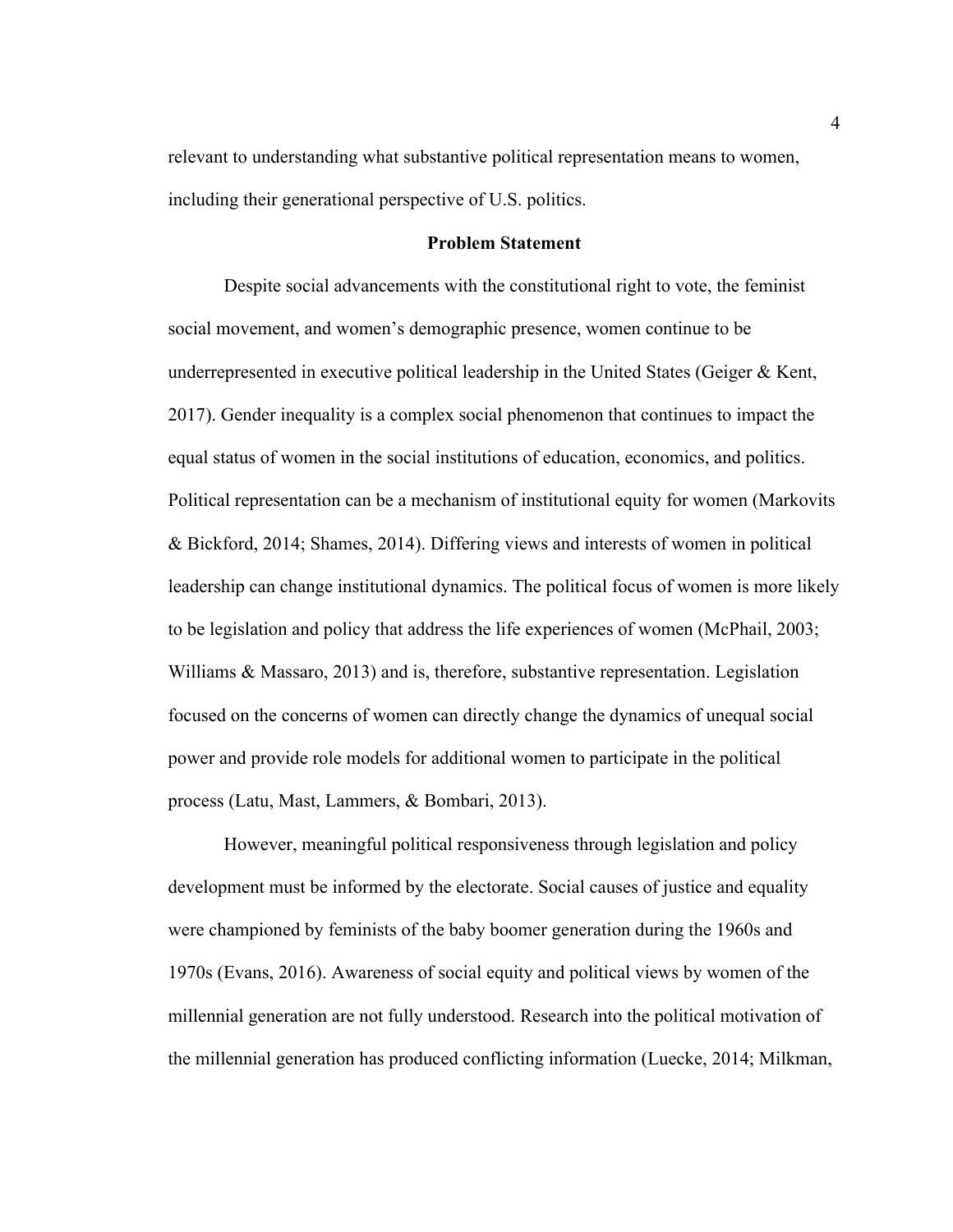relevant to understanding what substantive political representation means to women, including their generational perspective of U.S. politics.

#### **Problem Statement**

Despite social advancements with the constitutional right to vote, the feminist social movement, and women's demographic presence, women continue to be underrepresented in executive political leadership in the United States (Geiger & Kent, 2017). Gender inequality is a complex social phenomenon that continues to impact the equal status of women in the social institutions of education, economics, and politics. Political representation can be a mechanism of institutional equity for women (Markovits & Bickford, 2014; Shames, 2014). Differing views and interests of women in political leadership can change institutional dynamics. The political focus of women is more likely to be legislation and policy that address the life experiences of women (McPhail, 2003; Williams & Massaro, 2013) and is, therefore, substantive representation. Legislation focused on the concerns of women can directly change the dynamics of unequal social power and provide role models for additional women to participate in the political process (Latu, Mast, Lammers, & Bombari, 2013).

However, meaningful political responsiveness through legislation and policy development must be informed by the electorate. Social causes of justice and equality were championed by feminists of the baby boomer generation during the 1960s and 1970s (Evans, 2016). Awareness of social equity and political views by women of the millennial generation are not fully understood. Research into the political motivation of the millennial generation has produced conflicting information (Luecke, 2014; Milkman,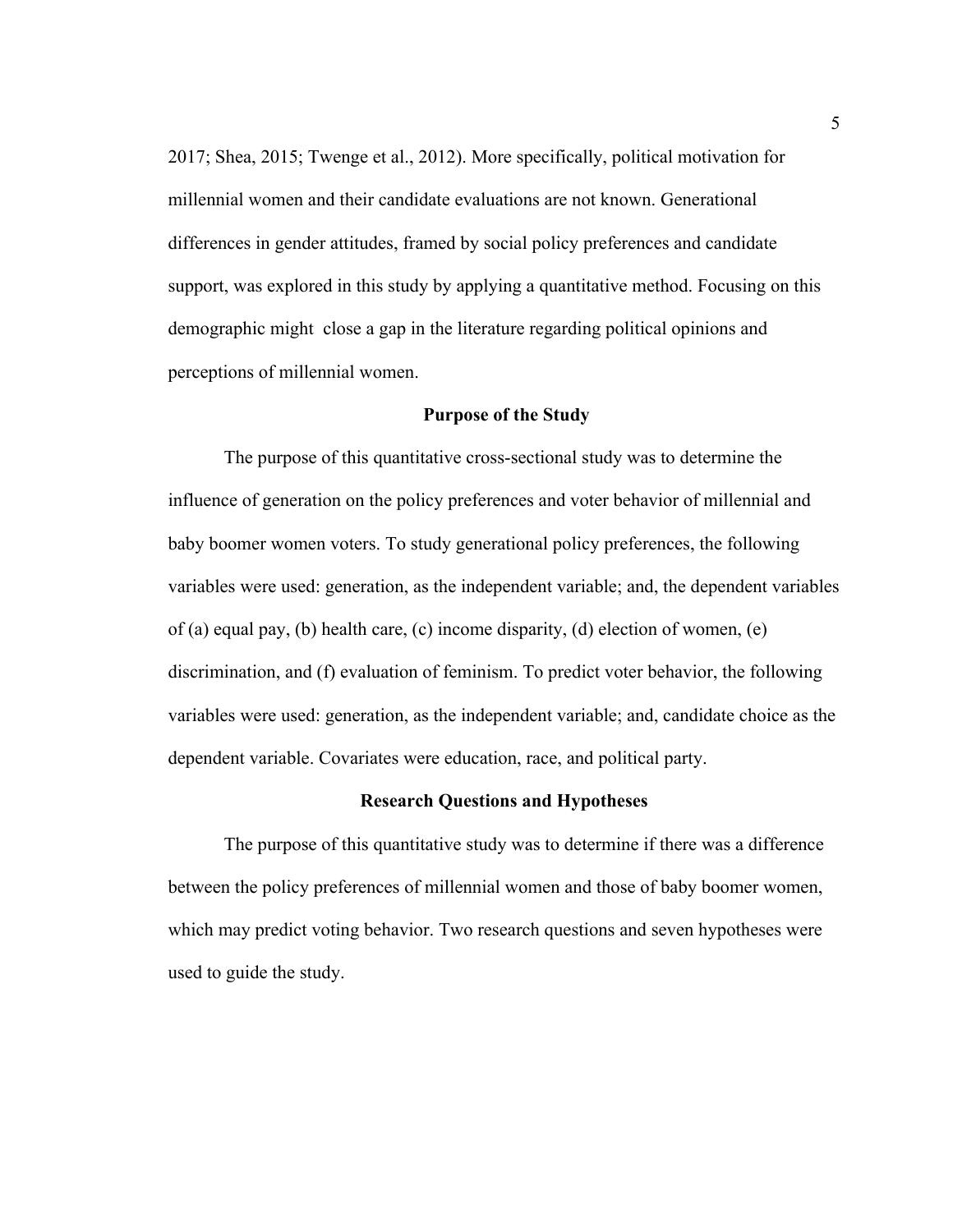2017; Shea, 2015; Twenge et al., 2012). More specifically, political motivation for millennial women and their candidate evaluations are not known. Generational differences in gender attitudes, framed by social policy preferences and candidate support, was explored in this study by applying a quantitative method. Focusing on this demographic might close a gap in the literature regarding political opinions and perceptions of millennial women.

#### **Purpose of the Study**

The purpose of this quantitative cross-sectional study was to determine the influence of generation on the policy preferences and voter behavior of millennial and baby boomer women voters. To study generational policy preferences, the following variables were used: generation, as the independent variable; and, the dependent variables of (a) equal pay, (b) health care, (c) income disparity, (d) election of women, (e) discrimination, and (f) evaluation of feminism. To predict voter behavior, the following variables were used: generation, as the independent variable; and, candidate choice as the dependent variable. Covariates were education, race, and political party.

#### **Research Questions and Hypotheses**

The purpose of this quantitative study was to determine if there was a difference between the policy preferences of millennial women and those of baby boomer women, which may predict voting behavior. Two research questions and seven hypotheses were used to guide the study.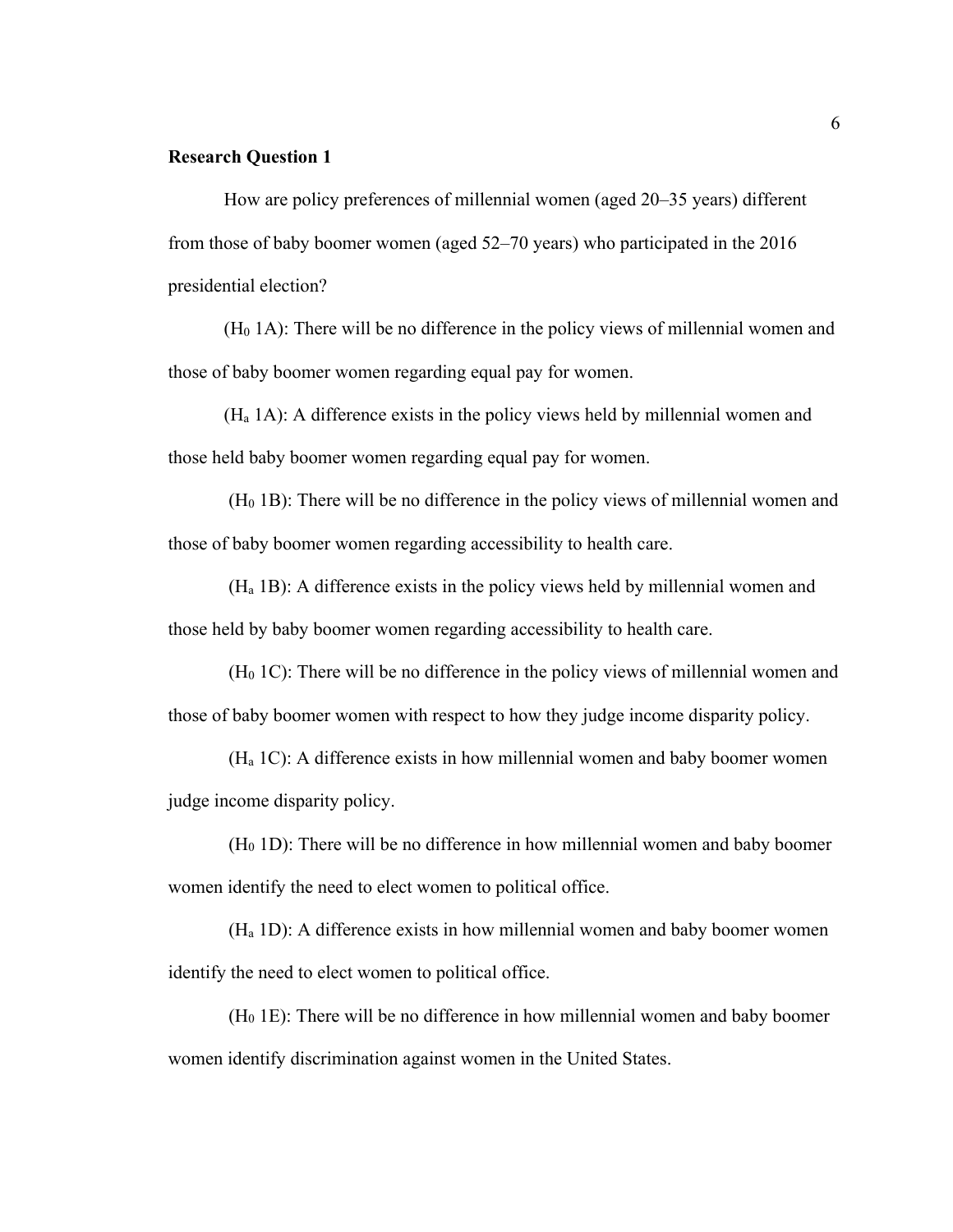#### **Research Question 1**

How are policy preferences of millennial women (aged 20–35 years) different from those of baby boomer women (aged 52–70 years) who participated in the 2016 presidential election?

 $(H<sub>0</sub> 1A)$ : There will be no difference in the policy views of millennial women and those of baby boomer women regarding equal pay for women.

(Ha 1A): A difference exists in the policy views held by millennial women and those held baby boomer women regarding equal pay for women.

 $(H<sub>0</sub> 1B)$ : There will be no difference in the policy views of millennial women and those of baby boomer women regarding accessibility to health care.

(Ha 1B): A difference exists in the policy views held by millennial women and those held by baby boomer women regarding accessibility to health care.

 $(H<sub>0</sub> 1C)$ : There will be no difference in the policy views of millennial women and those of baby boomer women with respect to how they judge income disparity policy.

 $(H<sub>a</sub> 1C)$ : A difference exists in how millennial women and baby boomer women judge income disparity policy.

 $(H<sub>0</sub> 1D)$ : There will be no difference in how millennial women and baby boomer women identify the need to elect women to political office.

(Ha 1D): A difference exists in how millennial women and baby boomer women identify the need to elect women to political office.

 $(H<sub>0</sub> 1E)$ : There will be no difference in how millennial women and baby boomer women identify discrimination against women in the United States.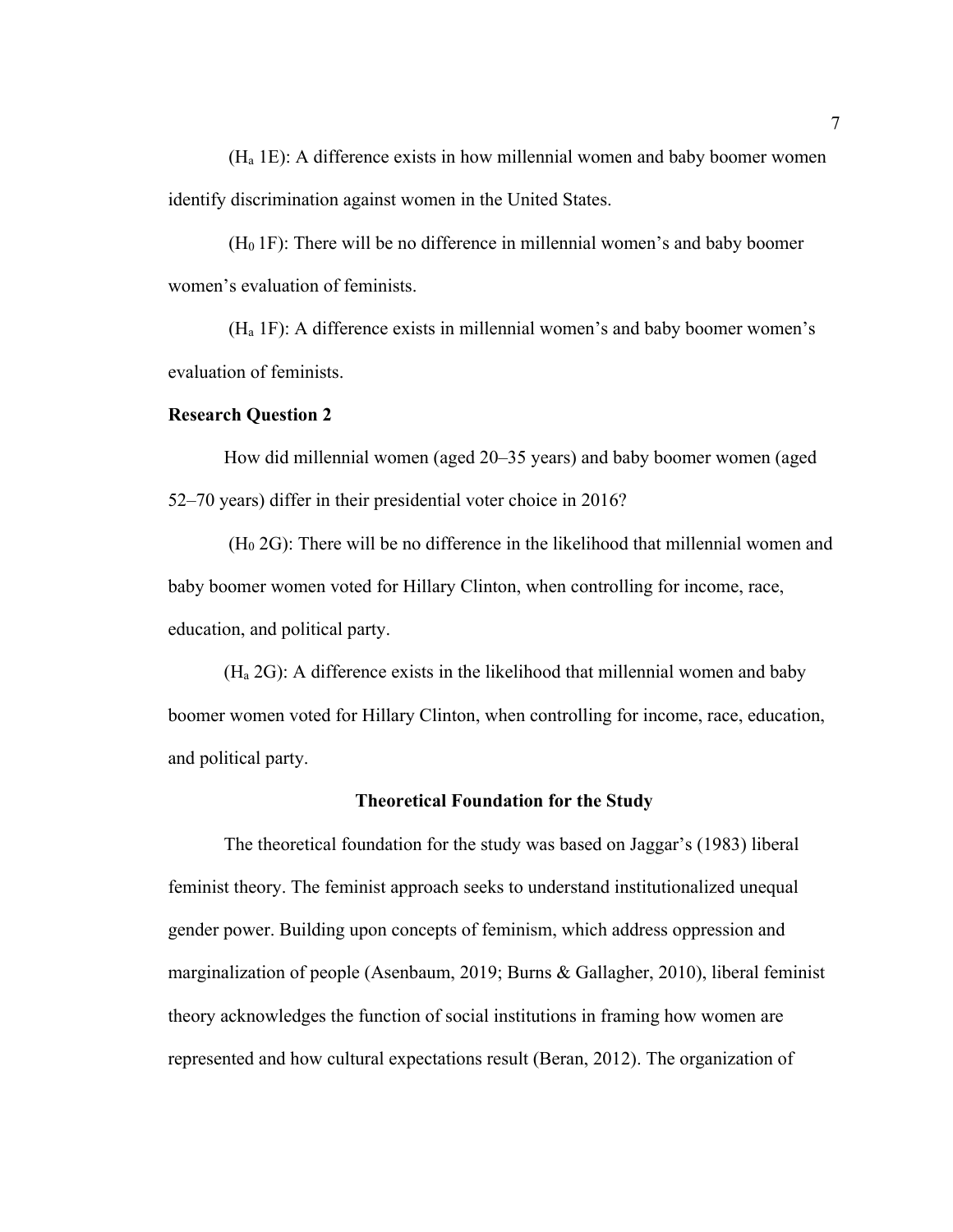(Ha 1E): A difference exists in how millennial women and baby boomer women identify discrimination against women in the United States.

(H0 1F): There will be no difference in millennial women's and baby boomer women's evaluation of feminists.

 $(H<sub>a</sub> 1F)$ : A difference exists in millennial women's and baby boomer women's evaluation of feminists.

#### **Research Question 2**

How did millennial women (aged 20–35 years) and baby boomer women (aged 52–70 years) differ in their presidential voter choice in 2016?

 $(H<sub>0</sub> 2G)$ : There will be no difference in the likelihood that millennial women and baby boomer women voted for Hillary Clinton, when controlling for income, race, education, and political party.

(Ha 2G): A difference exists in the likelihood that millennial women and baby boomer women voted for Hillary Clinton, when controlling for income, race, education, and political party.

#### **Theoretical Foundation for the Study**

The theoretical foundation for the study was based on Jaggar's (1983) liberal feminist theory. The feminist approach seeks to understand institutionalized unequal gender power. Building upon concepts of feminism, which address oppression and marginalization of people (Asenbaum, 2019; Burns & Gallagher, 2010), liberal feminist theory acknowledges the function of social institutions in framing how women are represented and how cultural expectations result (Beran, 2012). The organization of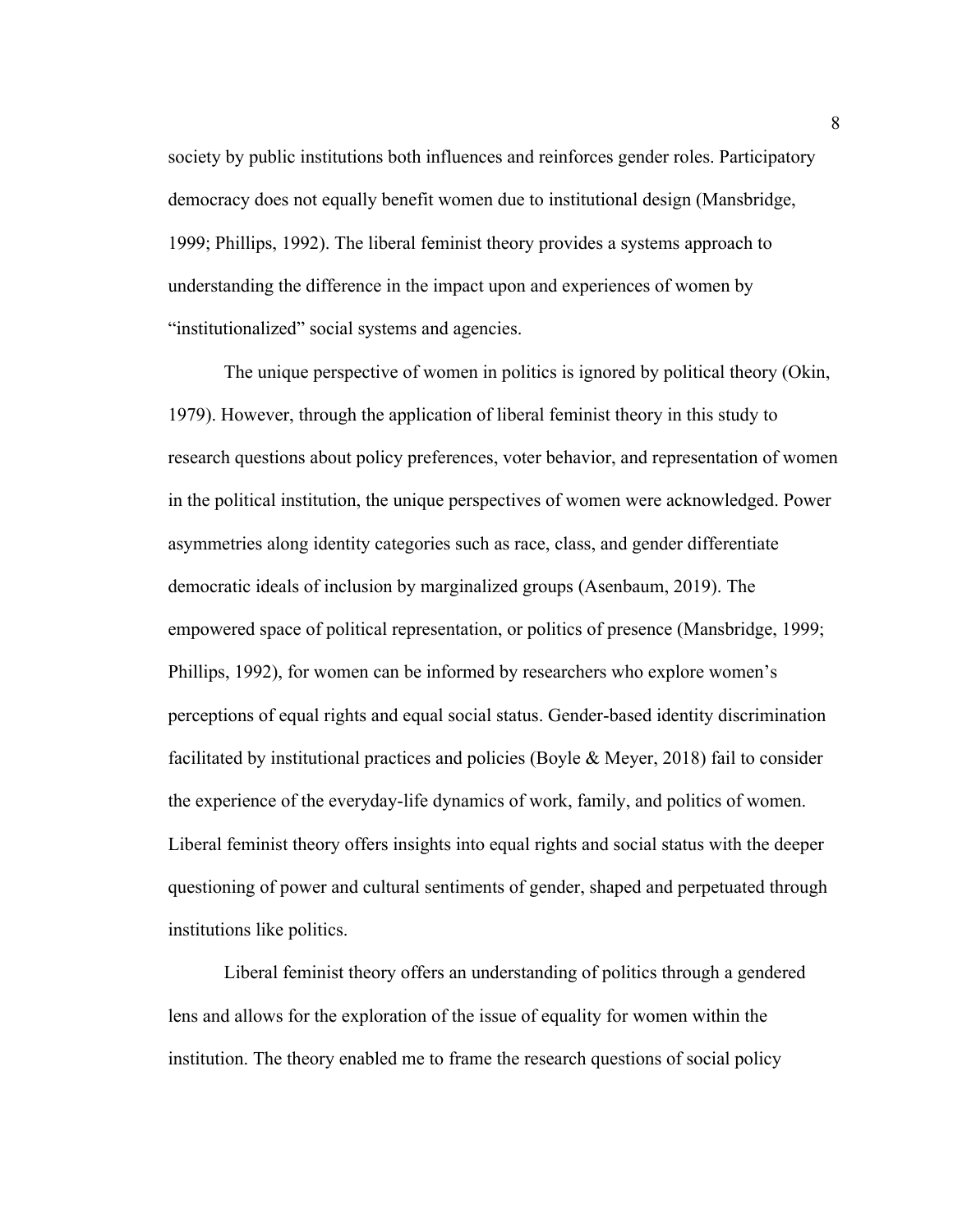society by public institutions both influences and reinforces gender roles. Participatory democracy does not equally benefit women due to institutional design (Mansbridge, 1999; Phillips, 1992). The liberal feminist theory provides a systems approach to understanding the difference in the impact upon and experiences of women by "institutionalized" social systems and agencies.

The unique perspective of women in politics is ignored by political theory (Okin, 1979). However, through the application of liberal feminist theory in this study to research questions about policy preferences, voter behavior, and representation of women in the political institution, the unique perspectives of women were acknowledged. Power asymmetries along identity categories such as race, class, and gender differentiate democratic ideals of inclusion by marginalized groups (Asenbaum, 2019). The empowered space of political representation, or politics of presence (Mansbridge, 1999; Phillips, 1992), for women can be informed by researchers who explore women's perceptions of equal rights and equal social status. Gender-based identity discrimination facilitated by institutional practices and policies (Boyle & Meyer, 2018) fail to consider the experience of the everyday-life dynamics of work, family, and politics of women. Liberal feminist theory offers insights into equal rights and social status with the deeper questioning of power and cultural sentiments of gender, shaped and perpetuated through institutions like politics.

Liberal feminist theory offers an understanding of politics through a gendered lens and allows for the exploration of the issue of equality for women within the institution. The theory enabled me to frame the research questions of social policy

8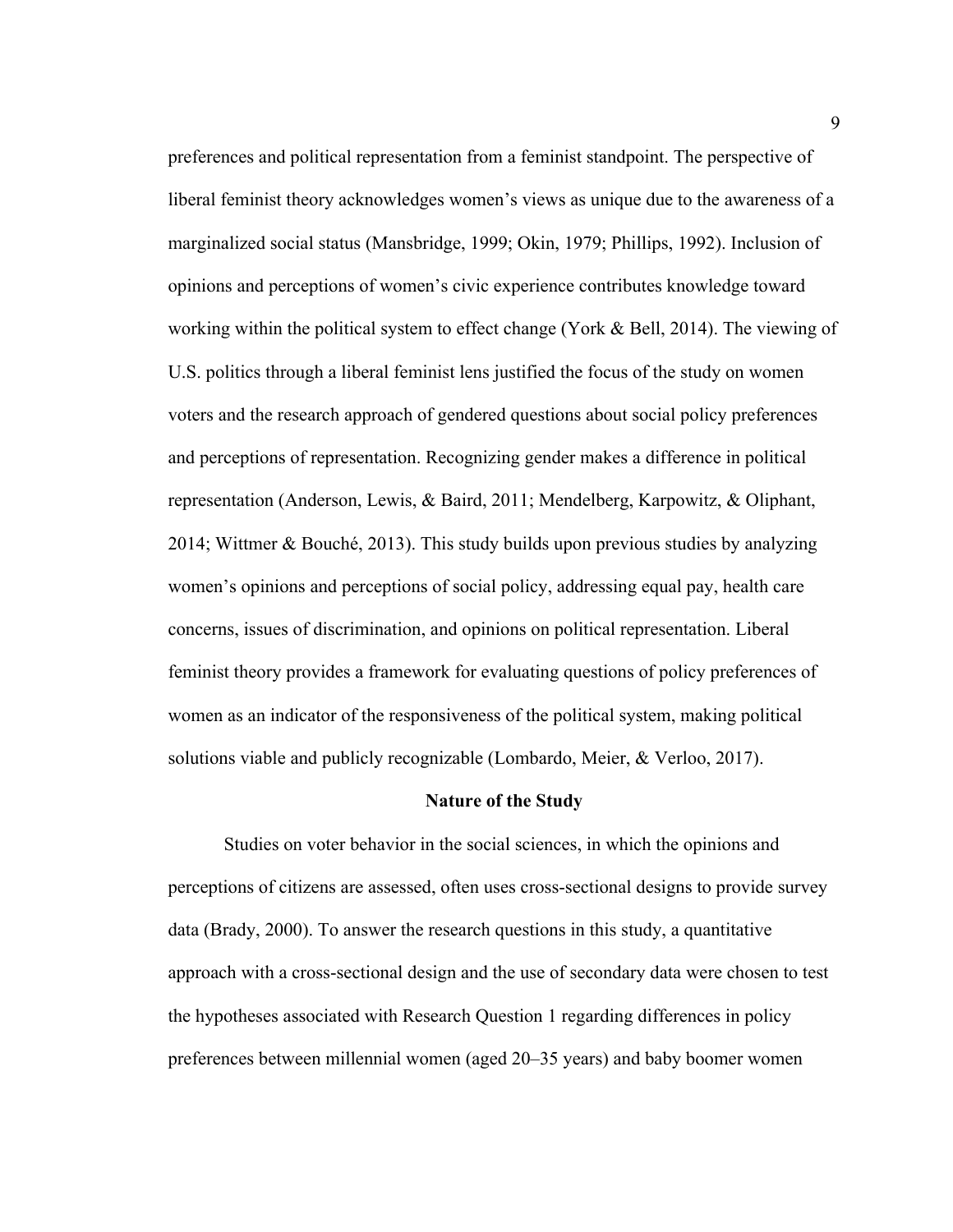preferences and political representation from a feminist standpoint. The perspective of liberal feminist theory acknowledges women's views as unique due to the awareness of a marginalized social status (Mansbridge, 1999; Okin, 1979; Phillips, 1992). Inclusion of opinions and perceptions of women's civic experience contributes knowledge toward working within the political system to effect change (York & Bell, 2014). The viewing of U.S. politics through a liberal feminist lens justified the focus of the study on women voters and the research approach of gendered questions about social policy preferences and perceptions of representation. Recognizing gender makes a difference in political representation (Anderson, Lewis, & Baird, 2011; Mendelberg, Karpowitz, & Oliphant, 2014; Wittmer & Bouché, 2013). This study builds upon previous studies by analyzing women's opinions and perceptions of social policy, addressing equal pay, health care concerns, issues of discrimination, and opinions on political representation. Liberal feminist theory provides a framework for evaluating questions of policy preferences of women as an indicator of the responsiveness of the political system, making political solutions viable and publicly recognizable (Lombardo, Meier, & Verloo, 2017).

#### **Nature of the Study**

Studies on voter behavior in the social sciences, in which the opinions and perceptions of citizens are assessed, often uses cross-sectional designs to provide survey data (Brady, 2000). To answer the research questions in this study, a quantitative approach with a cross-sectional design and the use of secondary data were chosen to test the hypotheses associated with Research Question 1 regarding differences in policy preferences between millennial women (aged 20–35 years) and baby boomer women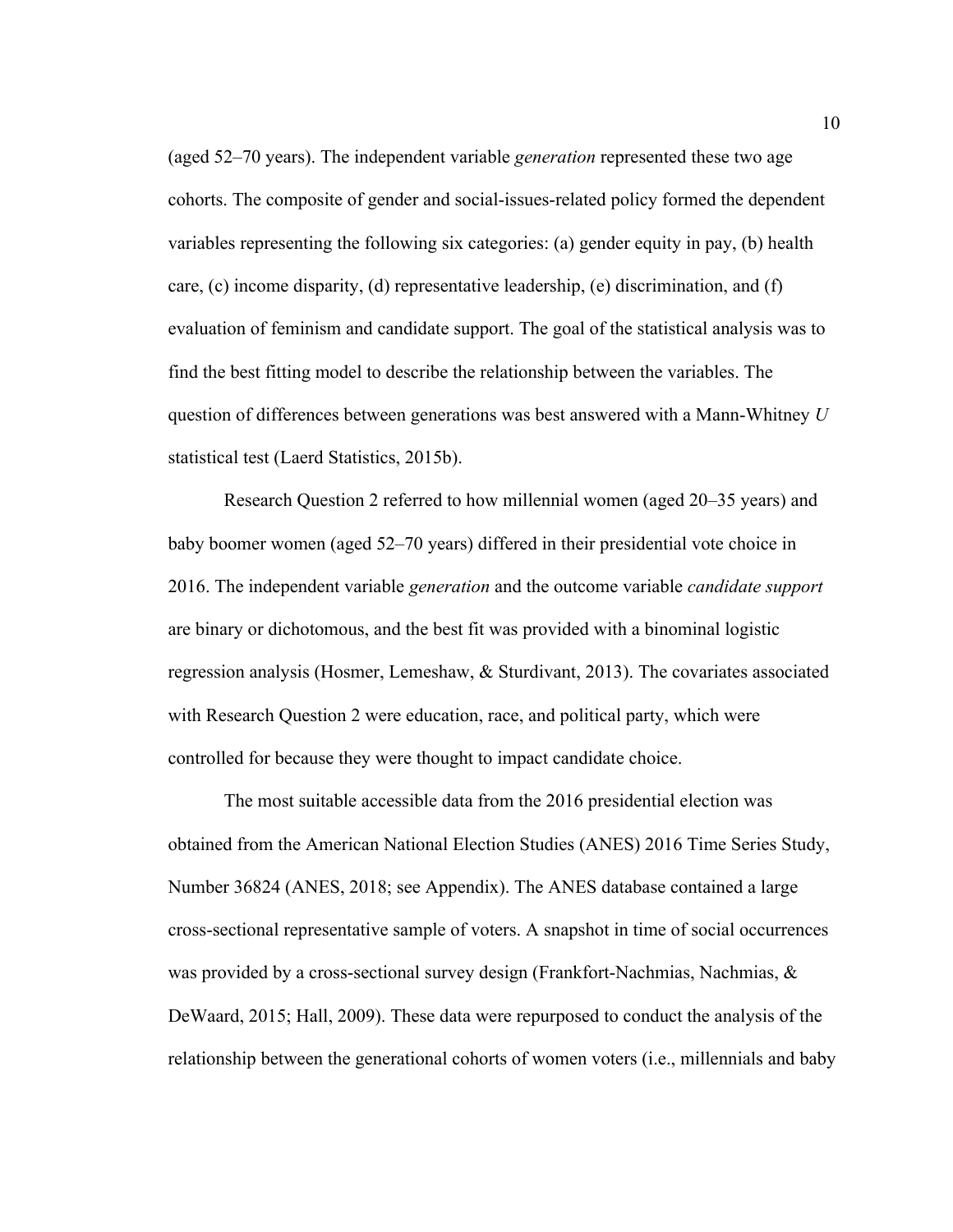(aged 52–70 years). The independent variable *generation* represented these two age cohorts. The composite of gender and social-issues-related policy formed the dependent variables representing the following six categories: (a) gender equity in pay, (b) health care, (c) income disparity, (d) representative leadership, (e) discrimination, and (f) evaluation of feminism and candidate support. The goal of the statistical analysis was to find the best fitting model to describe the relationship between the variables. The question of differences between generations was best answered with a Mann-Whitney *U* statistical test (Laerd Statistics, 2015b).

Research Question 2 referred to how millennial women (aged 20–35 years) and baby boomer women (aged 52–70 years) differed in their presidential vote choice in 2016. The independent variable *generation* and the outcome variable *candidate support* are binary or dichotomous, and the best fit was provided with a binominal logistic regression analysis (Hosmer, Lemeshaw, & Sturdivant, 2013). The covariates associated with Research Question 2 were education, race, and political party, which were controlled for because they were thought to impact candidate choice.

The most suitable accessible data from the 2016 presidential election was obtained from the American National Election Studies (ANES) 2016 Time Series Study, Number 36824 (ANES, 2018; see Appendix). The ANES database contained a large cross-sectional representative sample of voters. A snapshot in time of social occurrences was provided by a cross-sectional survey design (Frankfort-Nachmias, Nachmias,  $\&$ DeWaard, 2015; Hall, 2009). These data were repurposed to conduct the analysis of the relationship between the generational cohorts of women voters (i.e., millennials and baby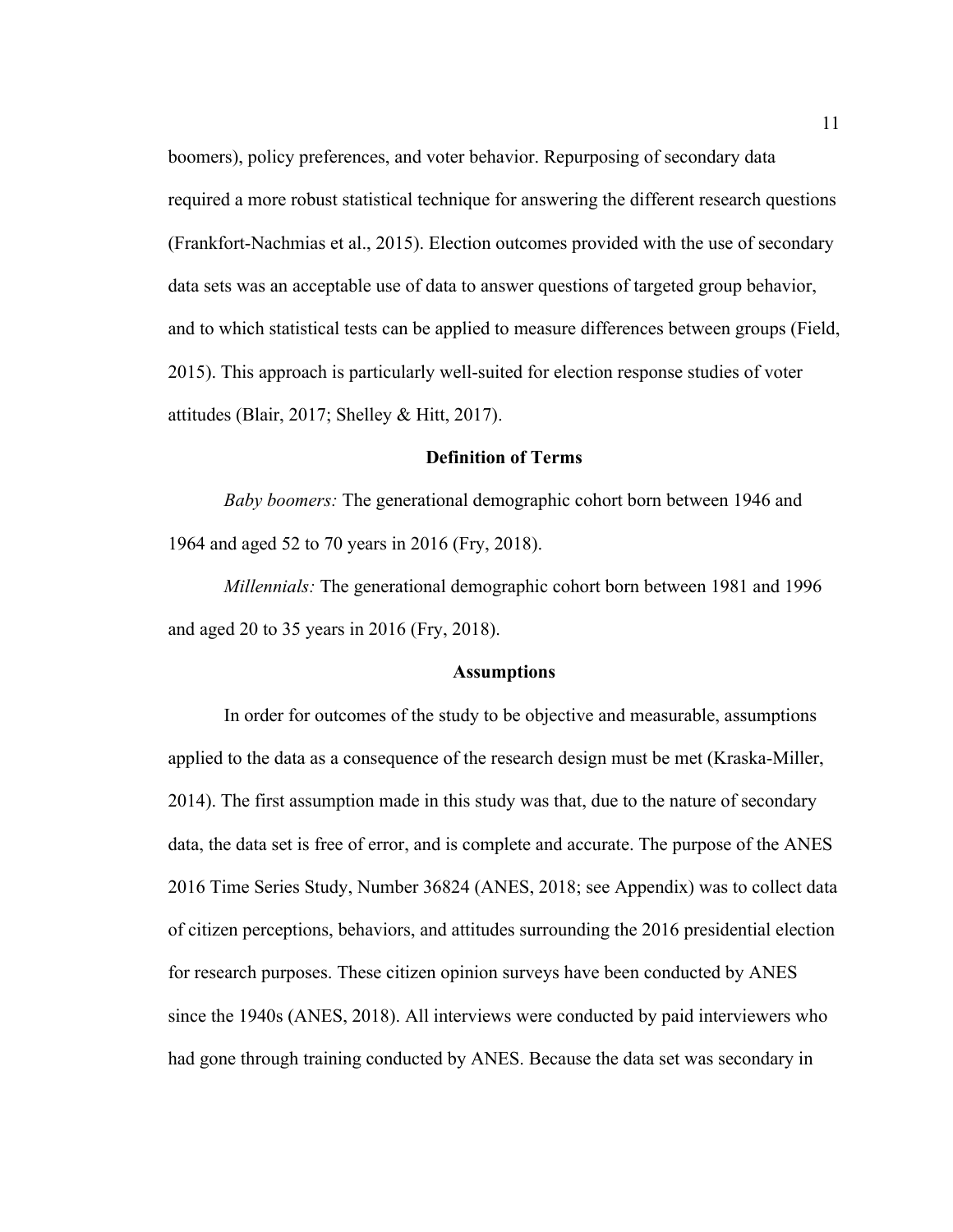boomers), policy preferences, and voter behavior. Repurposing of secondary data required a more robust statistical technique for answering the different research questions (Frankfort-Nachmias et al., 2015). Election outcomes provided with the use of secondary data sets was an acceptable use of data to answer questions of targeted group behavior, and to which statistical tests can be applied to measure differences between groups (Field, 2015). This approach is particularly well-suited for election response studies of voter attitudes (Blair, 2017; Shelley & Hitt, 2017).

#### **Definition of Terms**

*Baby boomers:* The generational demographic cohort born between 1946 and 1964 and aged 52 to 70 years in 2016 (Fry, 2018).

*Millennials:* The generational demographic cohort born between 1981 and 1996 and aged 20 to 35 years in 2016 (Fry, 2018).

#### **Assumptions**

In order for outcomes of the study to be objective and measurable, assumptions applied to the data as a consequence of the research design must be met (Kraska-Miller, 2014). The first assumption made in this study was that, due to the nature of secondary data, the data set is free of error, and is complete and accurate. The purpose of the ANES 2016 Time Series Study, Number 36824 (ANES, 2018; see Appendix) was to collect data of citizen perceptions, behaviors, and attitudes surrounding the 2016 presidential election for research purposes. These citizen opinion surveys have been conducted by ANES since the 1940s (ANES, 2018). All interviews were conducted by paid interviewers who had gone through training conducted by ANES. Because the data set was secondary in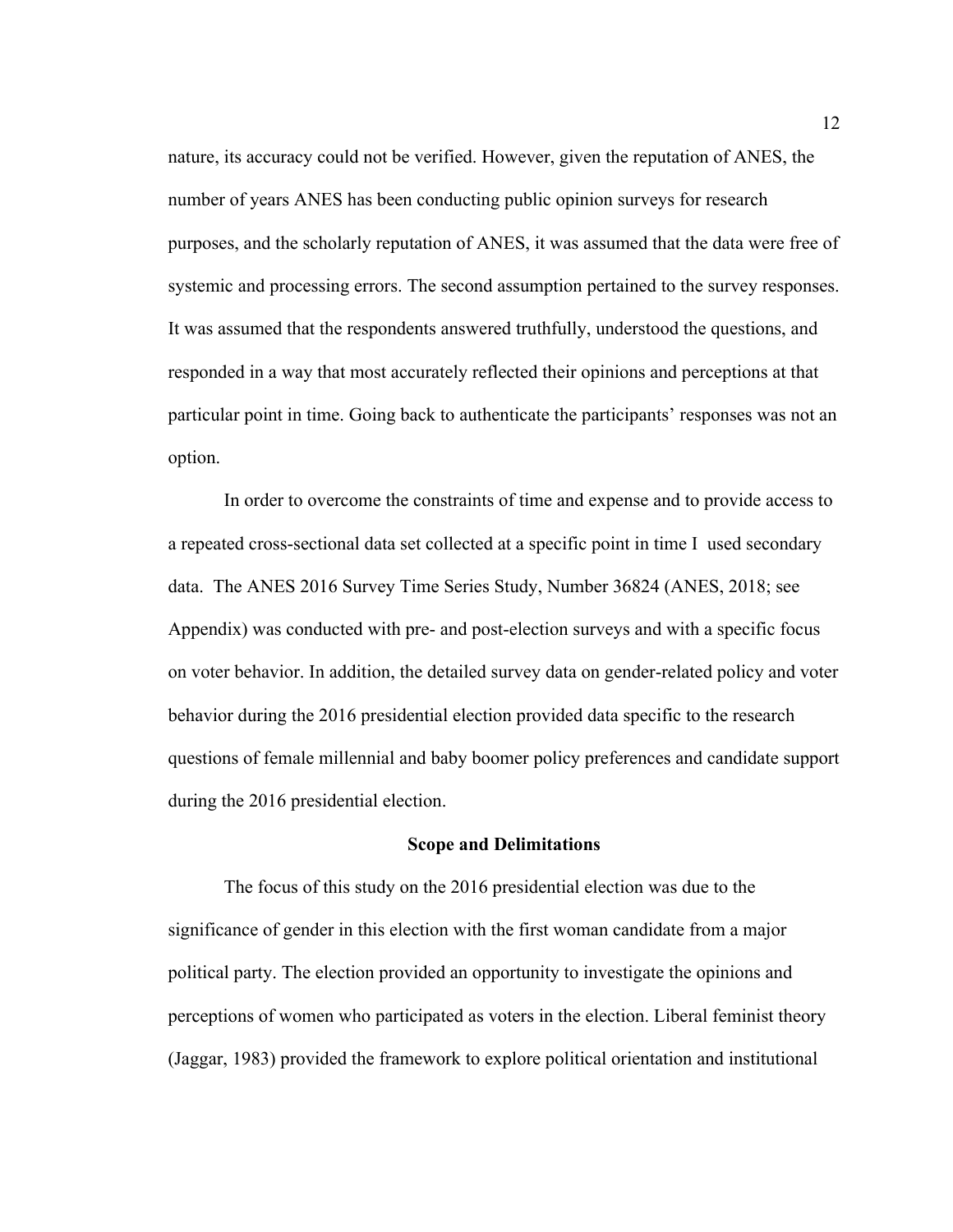nature, its accuracy could not be verified. However, given the reputation of ANES, the number of years ANES has been conducting public opinion surveys for research purposes, and the scholarly reputation of ANES, it was assumed that the data were free of systemic and processing errors. The second assumption pertained to the survey responses. It was assumed that the respondents answered truthfully, understood the questions, and responded in a way that most accurately reflected their opinions and perceptions at that particular point in time. Going back to authenticate the participants' responses was not an option.

In order to overcome the constraints of time and expense and to provide access to a repeated cross-sectional data set collected at a specific point in time I used secondary data. The ANES 2016 Survey Time Series Study, Number 36824 (ANES, 2018; see Appendix) was conducted with pre- and post-election surveys and with a specific focus on voter behavior. In addition, the detailed survey data on gender-related policy and voter behavior during the 2016 presidential election provided data specific to the research questions of female millennial and baby boomer policy preferences and candidate support during the 2016 presidential election.

#### **Scope and Delimitations**

The focus of this study on the 2016 presidential election was due to the significance of gender in this election with the first woman candidate from a major political party. The election provided an opportunity to investigate the opinions and perceptions of women who participated as voters in the election. Liberal feminist theory (Jaggar, 1983) provided the framework to explore political orientation and institutional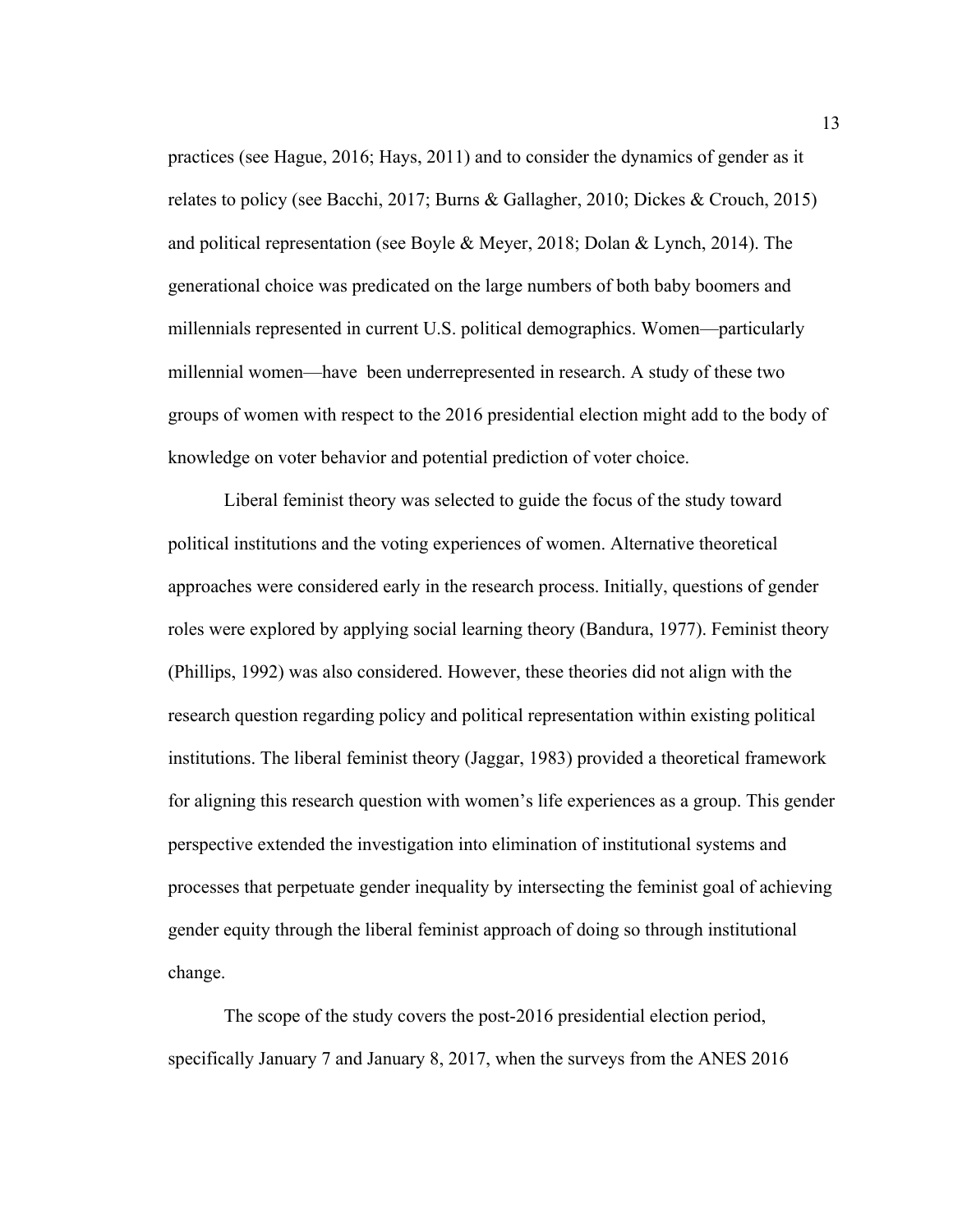practices (see Hague, 2016; Hays, 2011) and to consider the dynamics of gender as it relates to policy (see Bacchi, 2017; Burns & Gallagher, 2010; Dickes & Crouch, 2015) and political representation (see Boyle & Meyer, 2018; Dolan & Lynch, 2014). The generational choice was predicated on the large numbers of both baby boomers and millennials represented in current U.S. political demographics. Women—particularly millennial women—have been underrepresented in research. A study of these two groups of women with respect to the 2016 presidential election might add to the body of knowledge on voter behavior and potential prediction of voter choice.

Liberal feminist theory was selected to guide the focus of the study toward political institutions and the voting experiences of women. Alternative theoretical approaches were considered early in the research process. Initially, questions of gender roles were explored by applying social learning theory (Bandura, 1977). Feminist theory (Phillips, 1992) was also considered. However, these theories did not align with the research question regarding policy and political representation within existing political institutions. The liberal feminist theory (Jaggar, 1983) provided a theoretical framework for aligning this research question with women's life experiences as a group. This gender perspective extended the investigation into elimination of institutional systems and processes that perpetuate gender inequality by intersecting the feminist goal of achieving gender equity through the liberal feminist approach of doing so through institutional change.

The scope of the study covers the post-2016 presidential election period, specifically January 7 and January 8, 2017, when the surveys from the ANES 2016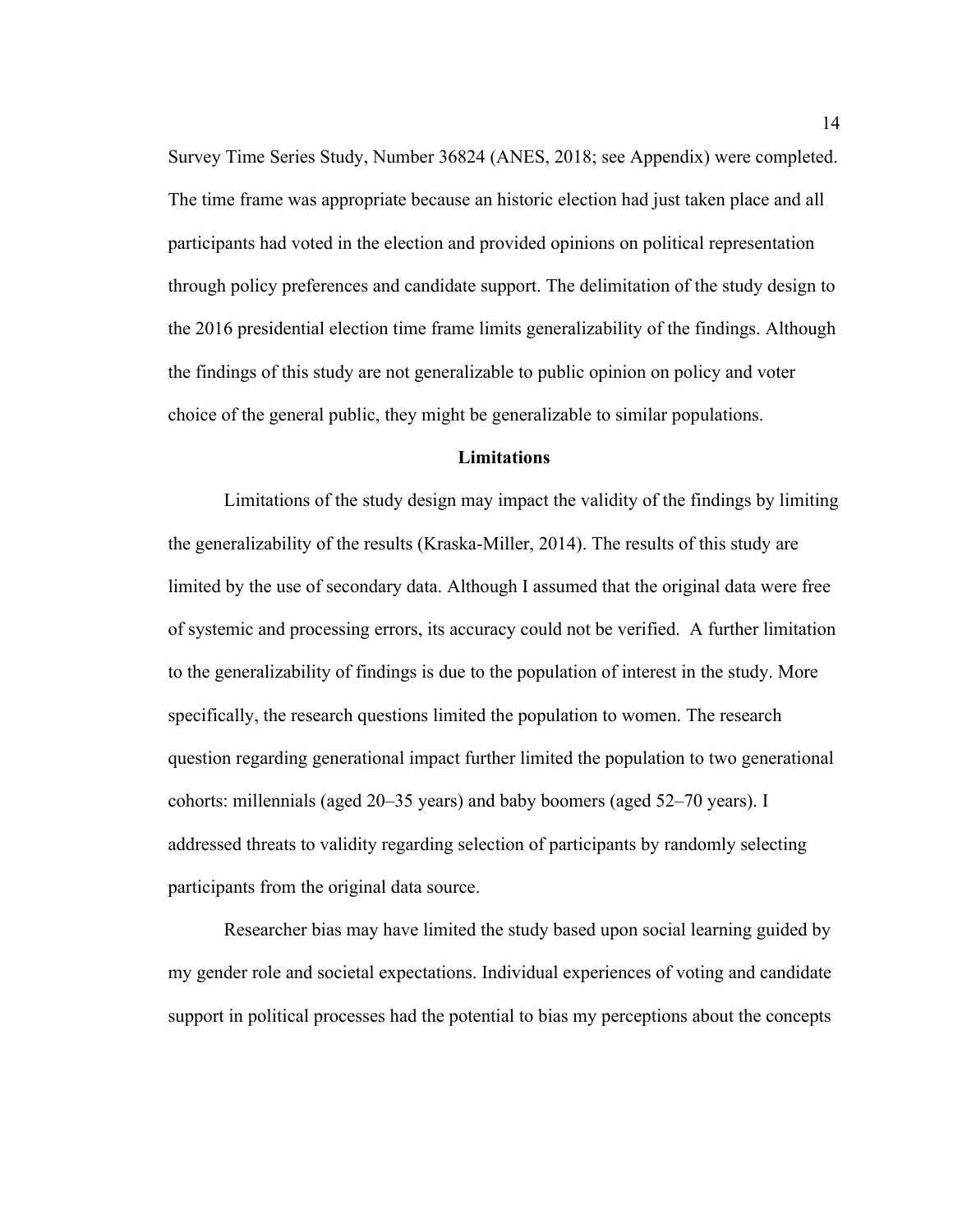Survey Time Series Study, Number 36824 (ANES, 2018; see Appendix) were completed. The time frame was appropriate because an historic election had just taken place and all participants had voted in the election and provided opinions on political representation through policy preferences and candidate support. The delimitation of the study design to the 2016 presidential election time frame limits generalizability of the findings. Although the findings of this study are not generalizable to public opinion on policy and voter choice of the general public, they might be generalizable to similar populations.

#### **Limitations**

Limitations of the study design may impact the validity of the findings by limiting the generalizability of the results (Kraska-Miller, 2014). The results of this study are limited by the use of secondary data. Although I assumed that the original data were free of systemic and processing errors, its accuracy could not be verified. A further limitation to the generalizability of findings is due to the population of interest in the study. More specifically, the research questions limited the population to women. The research question regarding generational impact further limited the population to two generational cohorts: millennials (aged 20–35 years) and baby boomers (aged 52–70 years). I addressed threats to validity regarding selection of participants by randomly selecting participants from the original data source.

Researcher bias may have limited the study based upon social learning guided by my gender role and societal expectations. Individual experiences of voting and candidate support in political processes had the potential to bias my perceptions about the concepts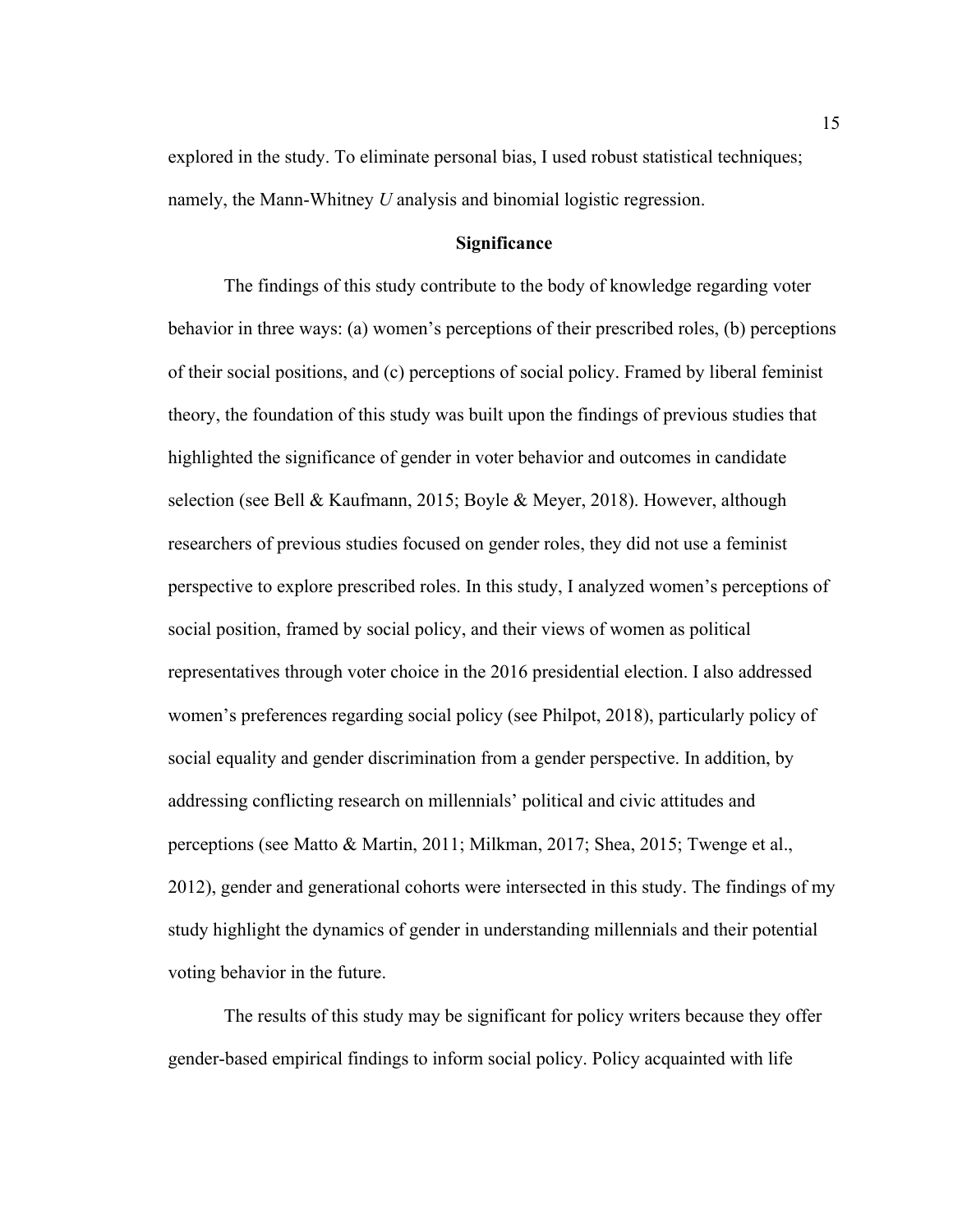explored in the study. To eliminate personal bias, I used robust statistical techniques; namely, the Mann-Whitney *U* analysis and binomial logistic regression.

#### **Significance**

The findings of this study contribute to the body of knowledge regarding voter behavior in three ways: (a) women's perceptions of their prescribed roles, (b) perceptions of their social positions, and (c) perceptions of social policy. Framed by liberal feminist theory, the foundation of this study was built upon the findings of previous studies that highlighted the significance of gender in voter behavior and outcomes in candidate selection (see Bell & Kaufmann, 2015; Boyle & Meyer, 2018). However, although researchers of previous studies focused on gender roles, they did not use a feminist perspective to explore prescribed roles. In this study, I analyzed women's perceptions of social position, framed by social policy, and their views of women as political representatives through voter choice in the 2016 presidential election. I also addressed women's preferences regarding social policy (see Philpot, 2018), particularly policy of social equality and gender discrimination from a gender perspective. In addition, by addressing conflicting research on millennials' political and civic attitudes and perceptions (see Matto & Martin, 2011; Milkman, 2017; Shea, 2015; Twenge et al., 2012), gender and generational cohorts were intersected in this study. The findings of my study highlight the dynamics of gender in understanding millennials and their potential voting behavior in the future.

The results of this study may be significant for policy writers because they offer gender-based empirical findings to inform social policy. Policy acquainted with life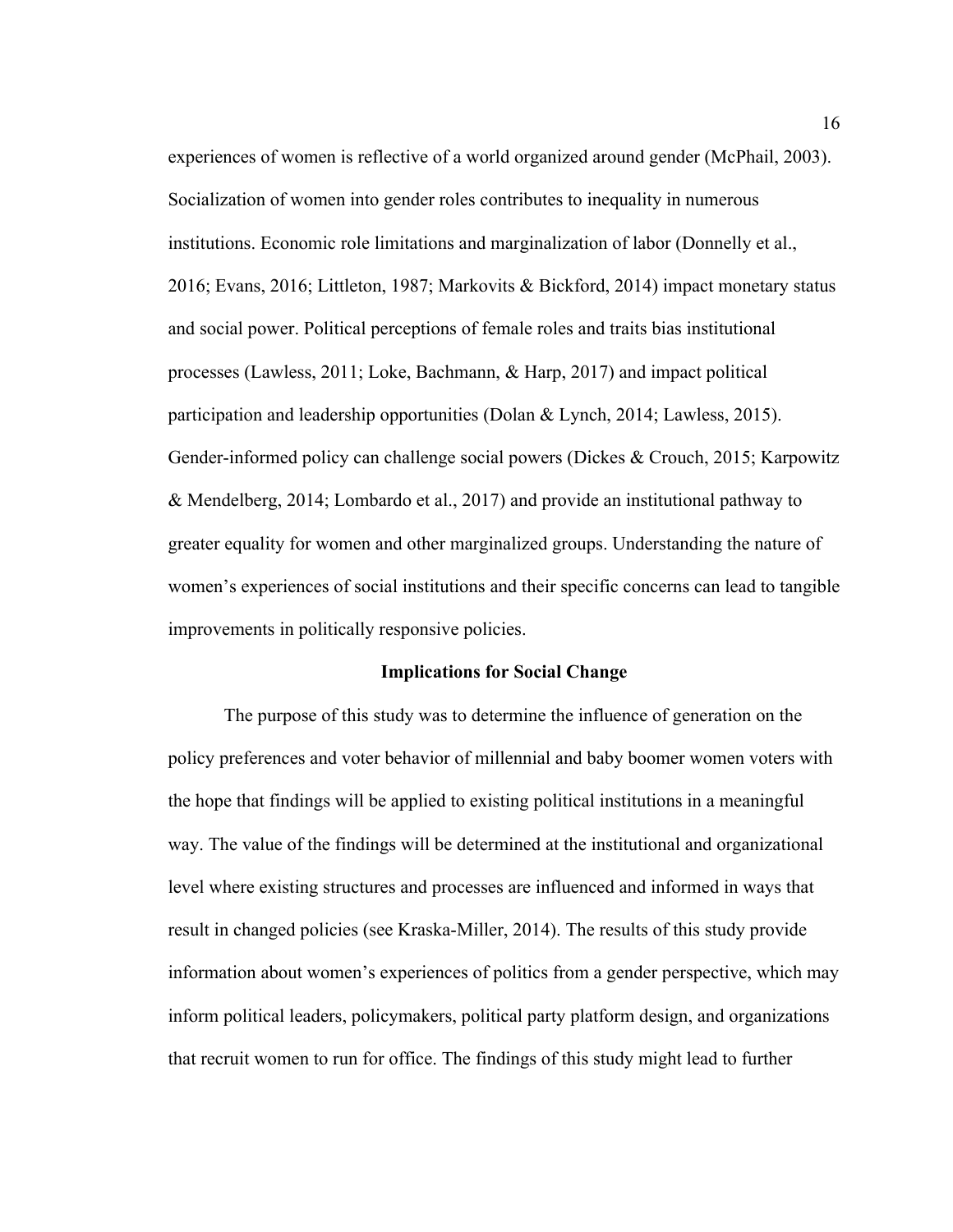experiences of women is reflective of a world organized around gender (McPhail, 2003). Socialization of women into gender roles contributes to inequality in numerous institutions. Economic role limitations and marginalization of labor (Donnelly et al., 2016; Evans, 2016; Littleton, 1987; Markovits & Bickford, 2014) impact monetary status and social power. Political perceptions of female roles and traits bias institutional processes (Lawless, 2011; Loke, Bachmann, & Harp, 2017) and impact political participation and leadership opportunities (Dolan & Lynch, 2014; Lawless, 2015). Gender-informed policy can challenge social powers (Dickes & Crouch, 2015; Karpowitz & Mendelberg, 2014; Lombardo et al., 2017) and provide an institutional pathway to greater equality for women and other marginalized groups. Understanding the nature of women's experiences of social institutions and their specific concerns can lead to tangible improvements in politically responsive policies.

#### **Implications for Social Change**

The purpose of this study was to determine the influence of generation on the policy preferences and voter behavior of millennial and baby boomer women voters with the hope that findings will be applied to existing political institutions in a meaningful way. The value of the findings will be determined at the institutional and organizational level where existing structures and processes are influenced and informed in ways that result in changed policies (see Kraska-Miller, 2014). The results of this study provide information about women's experiences of politics from a gender perspective, which may inform political leaders, policymakers, political party platform design, and organizations that recruit women to run for office. The findings of this study might lead to further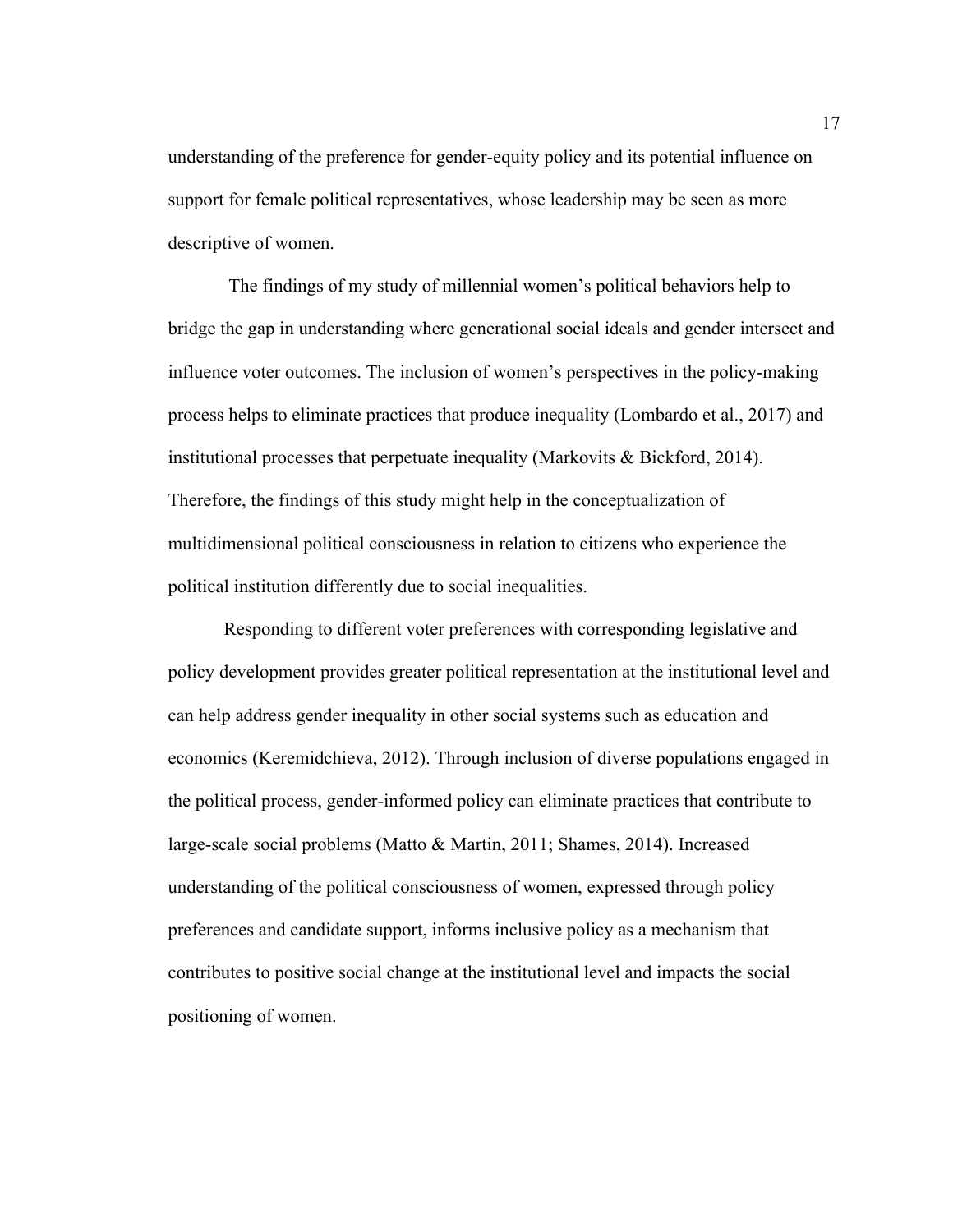understanding of the preference for gender-equity policy and its potential influence on support for female political representatives, whose leadership may be seen as more descriptive of women.

The findings of my study of millennial women's political behaviors help to bridge the gap in understanding where generational social ideals and gender intersect and influence voter outcomes. The inclusion of women's perspectives in the policy-making process helps to eliminate practices that produce inequality (Lombardo et al., 2017) and institutional processes that perpetuate inequality (Markovits & Bickford, 2014). Therefore, the findings of this study might help in the conceptualization of multidimensional political consciousness in relation to citizens who experience the political institution differently due to social inequalities.

Responding to different voter preferences with corresponding legislative and policy development provides greater political representation at the institutional level and can help address gender inequality in other social systems such as education and economics (Keremidchieva, 2012). Through inclusion of diverse populations engaged in the political process, gender-informed policy can eliminate practices that contribute to large-scale social problems (Matto & Martin, 2011; Shames, 2014). Increased understanding of the political consciousness of women, expressed through policy preferences and candidate support, informs inclusive policy as a mechanism that contributes to positive social change at the institutional level and impacts the social positioning of women.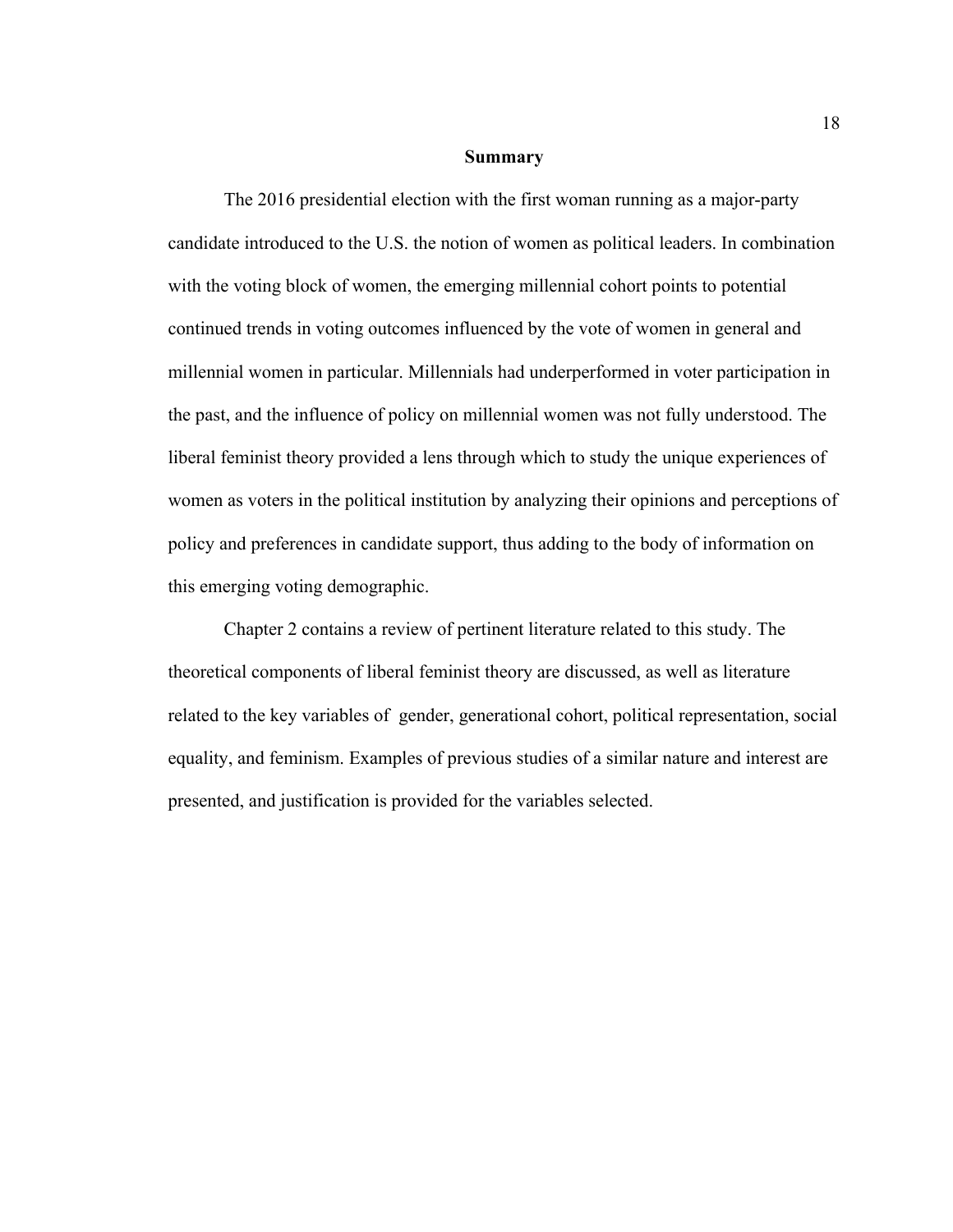#### **Summary**

The 2016 presidential election with the first woman running as a major-party candidate introduced to the U.S. the notion of women as political leaders. In combination with the voting block of women, the emerging millennial cohort points to potential continued trends in voting outcomes influenced by the vote of women in general and millennial women in particular. Millennials had underperformed in voter participation in the past, and the influence of policy on millennial women was not fully understood. The liberal feminist theory provided a lens through which to study the unique experiences of women as voters in the political institution by analyzing their opinions and perceptions of policy and preferences in candidate support, thus adding to the body of information on this emerging voting demographic.

Chapter 2 contains a review of pertinent literature related to this study. The theoretical components of liberal feminist theory are discussed, as well as literature related to the key variables of gender, generational cohort, political representation, social equality, and feminism. Examples of previous studies of a similar nature and interest are presented, and justification is provided for the variables selected.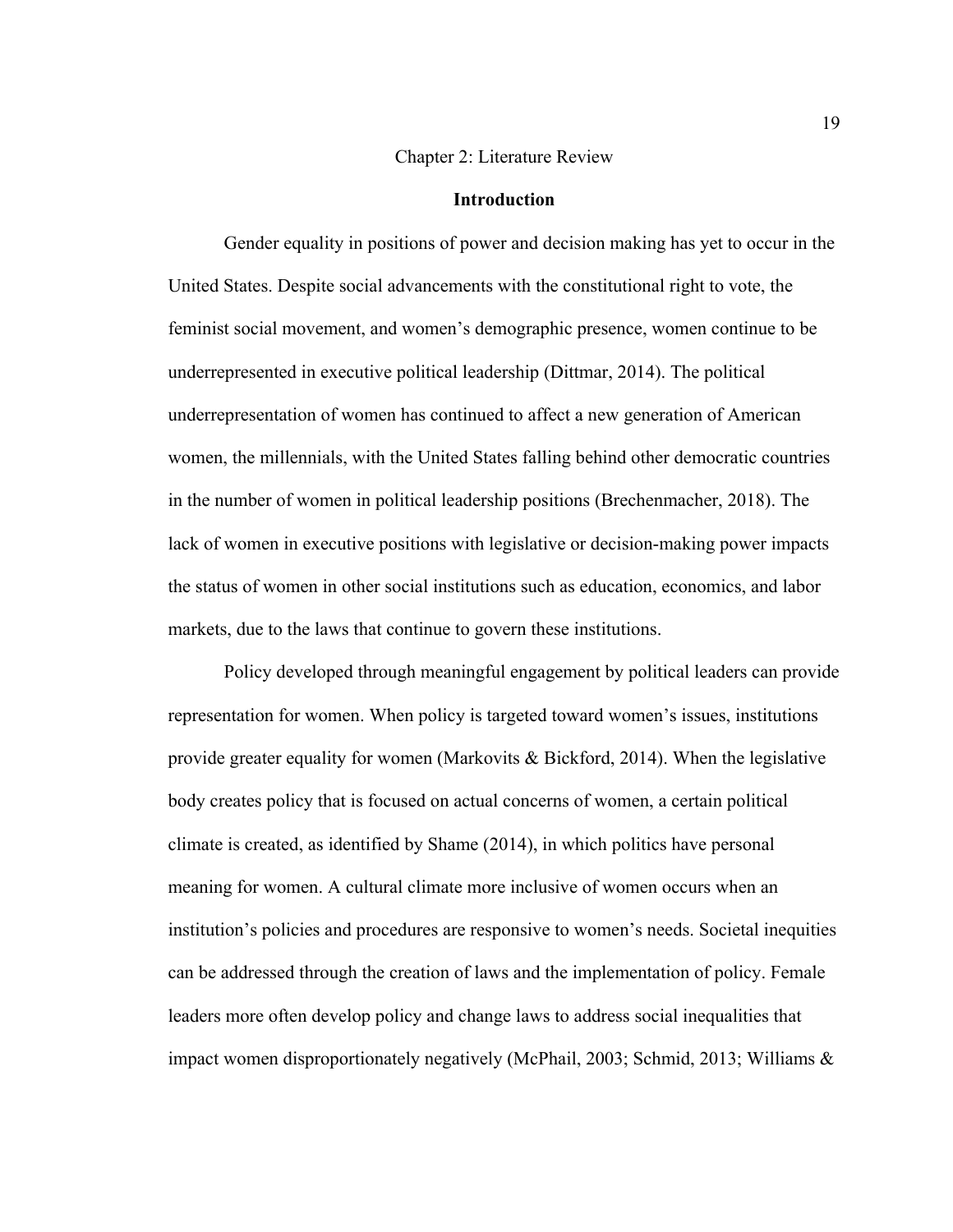#### Chapter 2: Literature Review

#### **Introduction**

Gender equality in positions of power and decision making has yet to occur in the United States. Despite social advancements with the constitutional right to vote, the feminist social movement, and women's demographic presence, women continue to be underrepresented in executive political leadership (Dittmar, 2014). The political underrepresentation of women has continued to affect a new generation of American women, the millennials, with the United States falling behind other democratic countries in the number of women in political leadership positions (Brechenmacher, 2018). The lack of women in executive positions with legislative or decision-making power impacts the status of women in other social institutions such as education, economics, and labor markets, due to the laws that continue to govern these institutions.

Policy developed through meaningful engagement by political leaders can provide representation for women. When policy is targeted toward women's issues, institutions provide greater equality for women (Markovits & Bickford, 2014). When the legislative body creates policy that is focused on actual concerns of women, a certain political climate is created, as identified by Shame (2014), in which politics have personal meaning for women. A cultural climate more inclusive of women occurs when an institution's policies and procedures are responsive to women's needs. Societal inequities can be addressed through the creation of laws and the implementation of policy. Female leaders more often develop policy and change laws to address social inequalities that impact women disproportionately negatively (McPhail, 2003; Schmid, 2013; Williams &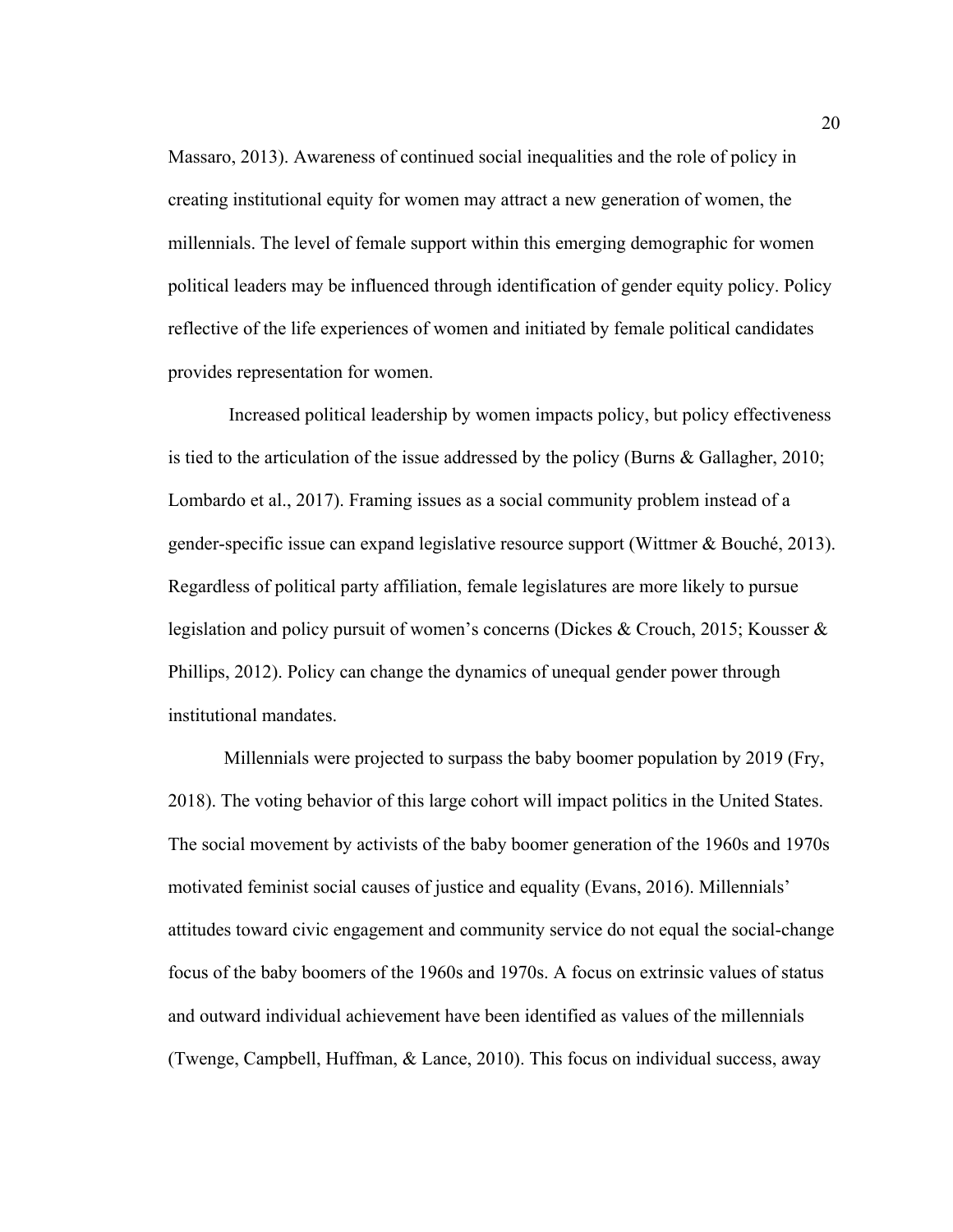Massaro, 2013). Awareness of continued social inequalities and the role of policy in creating institutional equity for women may attract a new generation of women, the millennials. The level of female support within this emerging demographic for women political leaders may be influenced through identification of gender equity policy. Policy reflective of the life experiences of women and initiated by female political candidates provides representation for women.

Increased political leadership by women impacts policy, but policy effectiveness is tied to the articulation of the issue addressed by the policy (Burns & Gallagher, 2010; Lombardo et al., 2017). Framing issues as a social community problem instead of a gender-specific issue can expand legislative resource support (Wittmer & Bouché, 2013). Regardless of political party affiliation, female legislatures are more likely to pursue legislation and policy pursuit of women's concerns (Dickes & Crouch, 2015; Kousser & Phillips, 2012). Policy can change the dynamics of unequal gender power through institutional mandates.

Millennials were projected to surpass the baby boomer population by 2019 (Fry, 2018). The voting behavior of this large cohort will impact politics in the United States. The social movement by activists of the baby boomer generation of the 1960s and 1970s motivated feminist social causes of justice and equality (Evans, 2016). Millennials' attitudes toward civic engagement and community service do not equal the social-change focus of the baby boomers of the 1960s and 1970s. A focus on extrinsic values of status and outward individual achievement have been identified as values of the millennials (Twenge, Campbell, Huffman, & Lance, 2010). This focus on individual success, away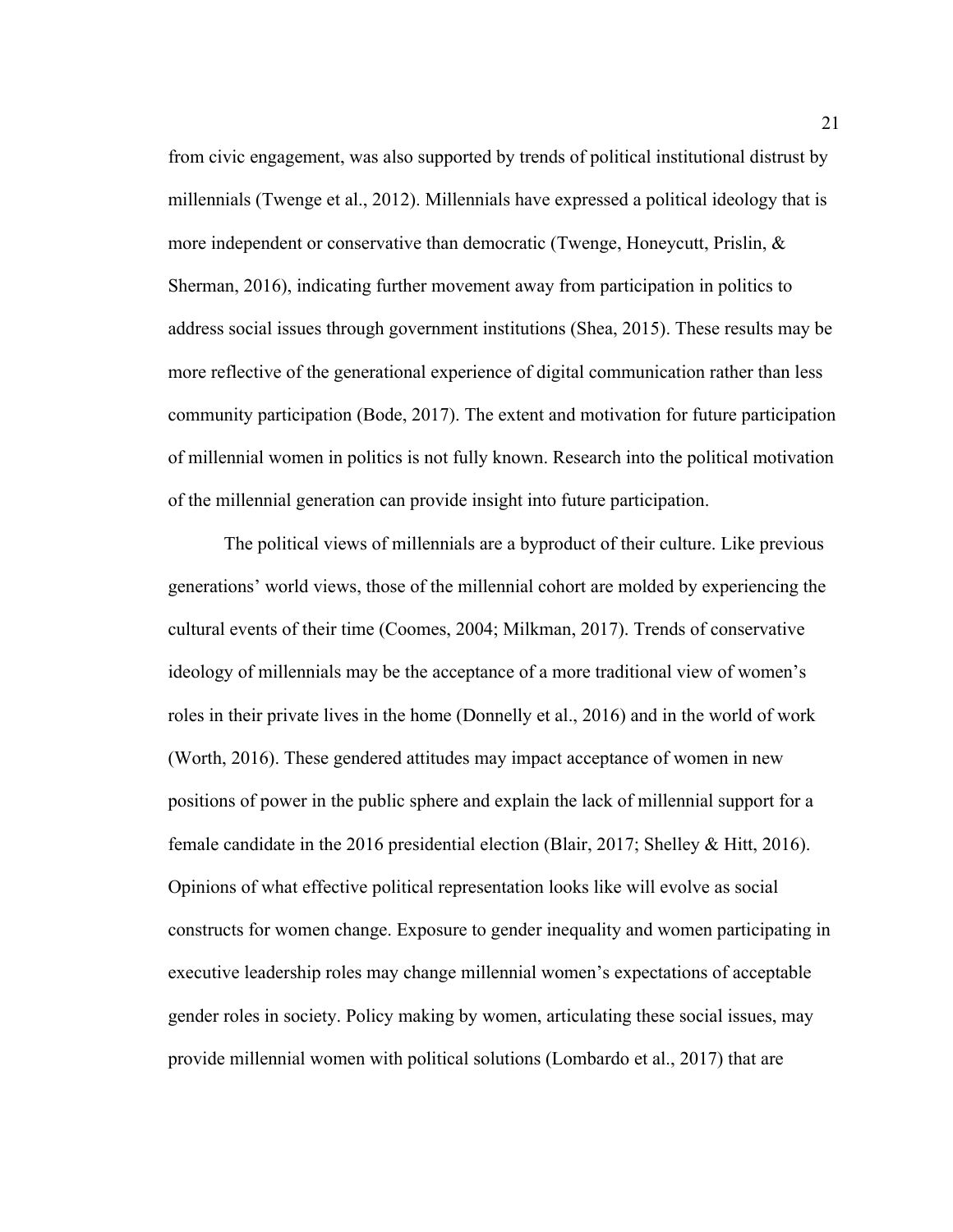from civic engagement, was also supported by trends of political institutional distrust by millennials (Twenge et al., 2012). Millennials have expressed a political ideology that is more independent or conservative than democratic (Twenge, Honeycutt, Prislin,  $\&$ Sherman, 2016), indicating further movement away from participation in politics to address social issues through government institutions (Shea, 2015). These results may be more reflective of the generational experience of digital communication rather than less community participation (Bode, 2017). The extent and motivation for future participation of millennial women in politics is not fully known. Research into the political motivation of the millennial generation can provide insight into future participation.

The political views of millennials are a byproduct of their culture. Like previous generations' world views, those of the millennial cohort are molded by experiencing the cultural events of their time (Coomes, 2004; Milkman, 2017). Trends of conservative ideology of millennials may be the acceptance of a more traditional view of women's roles in their private lives in the home (Donnelly et al., 2016) and in the world of work (Worth, 2016). These gendered attitudes may impact acceptance of women in new positions of power in the public sphere and explain the lack of millennial support for a female candidate in the 2016 presidential election (Blair, 2017; Shelley & Hitt, 2016). Opinions of what effective political representation looks like will evolve as social constructs for women change. Exposure to gender inequality and women participating in executive leadership roles may change millennial women's expectations of acceptable gender roles in society. Policy making by women, articulating these social issues, may provide millennial women with political solutions (Lombardo et al., 2017) that are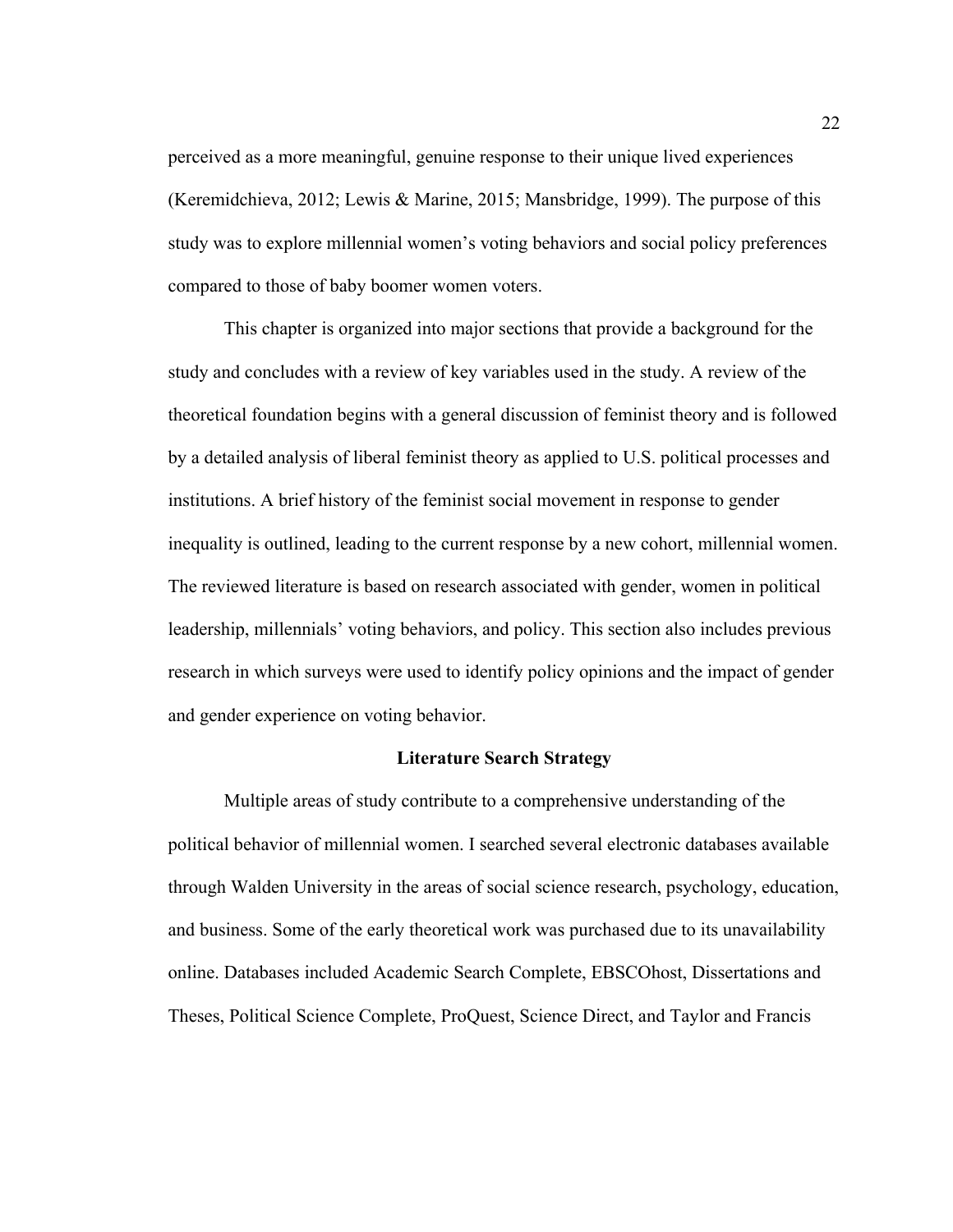perceived as a more meaningful, genuine response to their unique lived experiences (Keremidchieva, 2012; Lewis & Marine, 2015; Mansbridge, 1999). The purpose of this study was to explore millennial women's voting behaviors and social policy preferences compared to those of baby boomer women voters.

This chapter is organized into major sections that provide a background for the study and concludes with a review of key variables used in the study. A review of the theoretical foundation begins with a general discussion of feminist theory and is followed by a detailed analysis of liberal feminist theory as applied to U.S. political processes and institutions. A brief history of the feminist social movement in response to gender inequality is outlined, leading to the current response by a new cohort, millennial women. The reviewed literature is based on research associated with gender, women in political leadership, millennials' voting behaviors, and policy. This section also includes previous research in which surveys were used to identify policy opinions and the impact of gender and gender experience on voting behavior.

#### **Literature Search Strategy**

Multiple areas of study contribute to a comprehensive understanding of the political behavior of millennial women. I searched several electronic databases available through Walden University in the areas of social science research, psychology, education, and business. Some of the early theoretical work was purchased due to its unavailability online. Databases included Academic Search Complete, EBSCOhost, Dissertations and Theses, Political Science Complete, ProQuest, Science Direct, and Taylor and Francis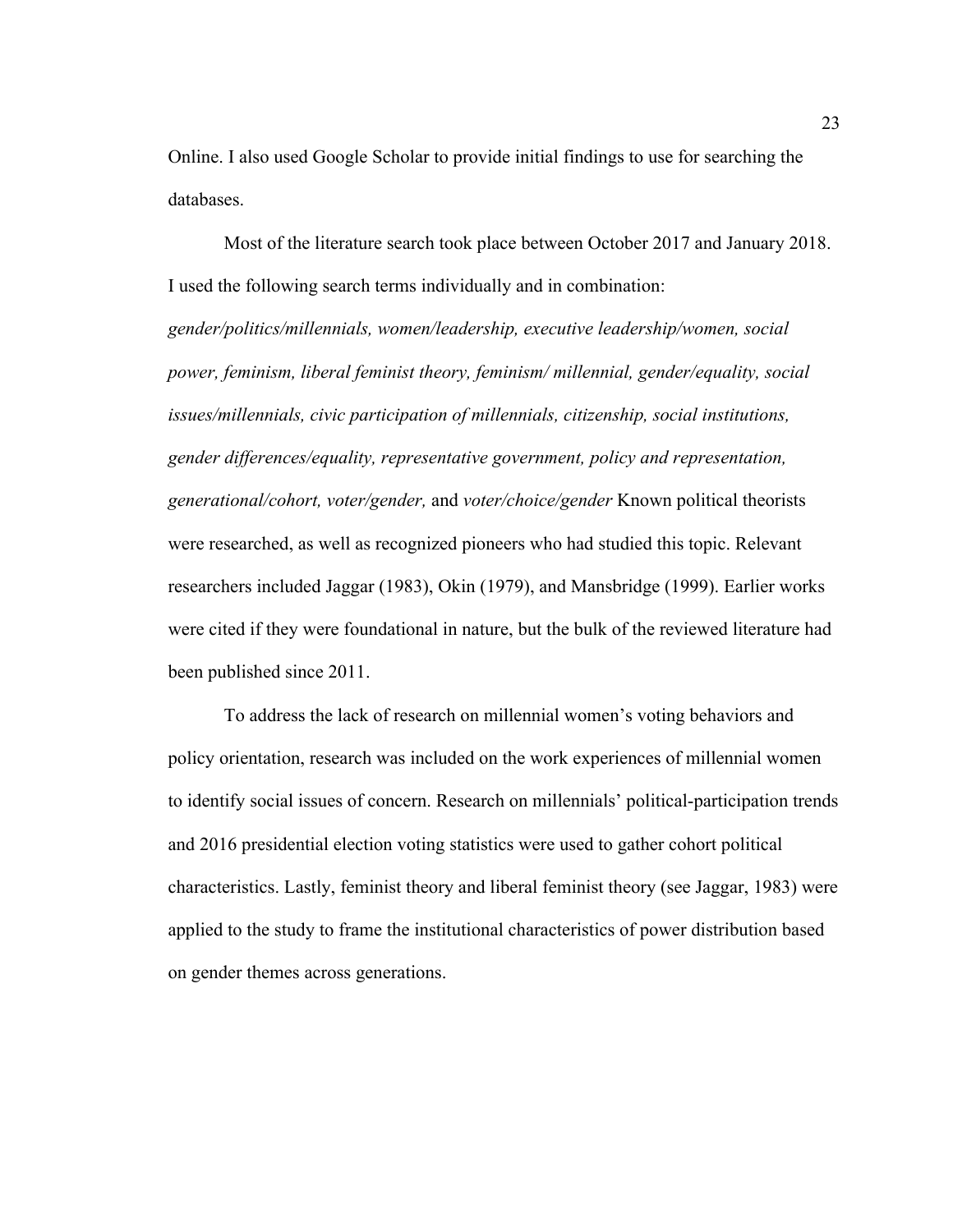Online. I also used Google Scholar to provide initial findings to use for searching the databases.

Most of the literature search took place between October 2017 and January 2018. I used the following search terms individually and in combination: *gender/politics/millennials, women/leadership, executive leadership/women, social power, feminism, liberal feminist theory, feminism/ millennial, gender/equality, social issues/millennials, civic participation of millennials, citizenship, social institutions, gender differences/equality, representative government, policy and representation, generational/cohort, voter/gender,* and *voter/choice/gender* Known political theorists were researched, as well as recognized pioneers who had studied this topic. Relevant researchers included Jaggar (1983), Okin (1979), and Mansbridge (1999). Earlier works were cited if they were foundational in nature, but the bulk of the reviewed literature had been published since 2011.

To address the lack of research on millennial women's voting behaviors and policy orientation, research was included on the work experiences of millennial women to identify social issues of concern. Research on millennials' political-participation trends and 2016 presidential election voting statistics were used to gather cohort political characteristics. Lastly, feminist theory and liberal feminist theory (see Jaggar, 1983) were applied to the study to frame the institutional characteristics of power distribution based on gender themes across generations.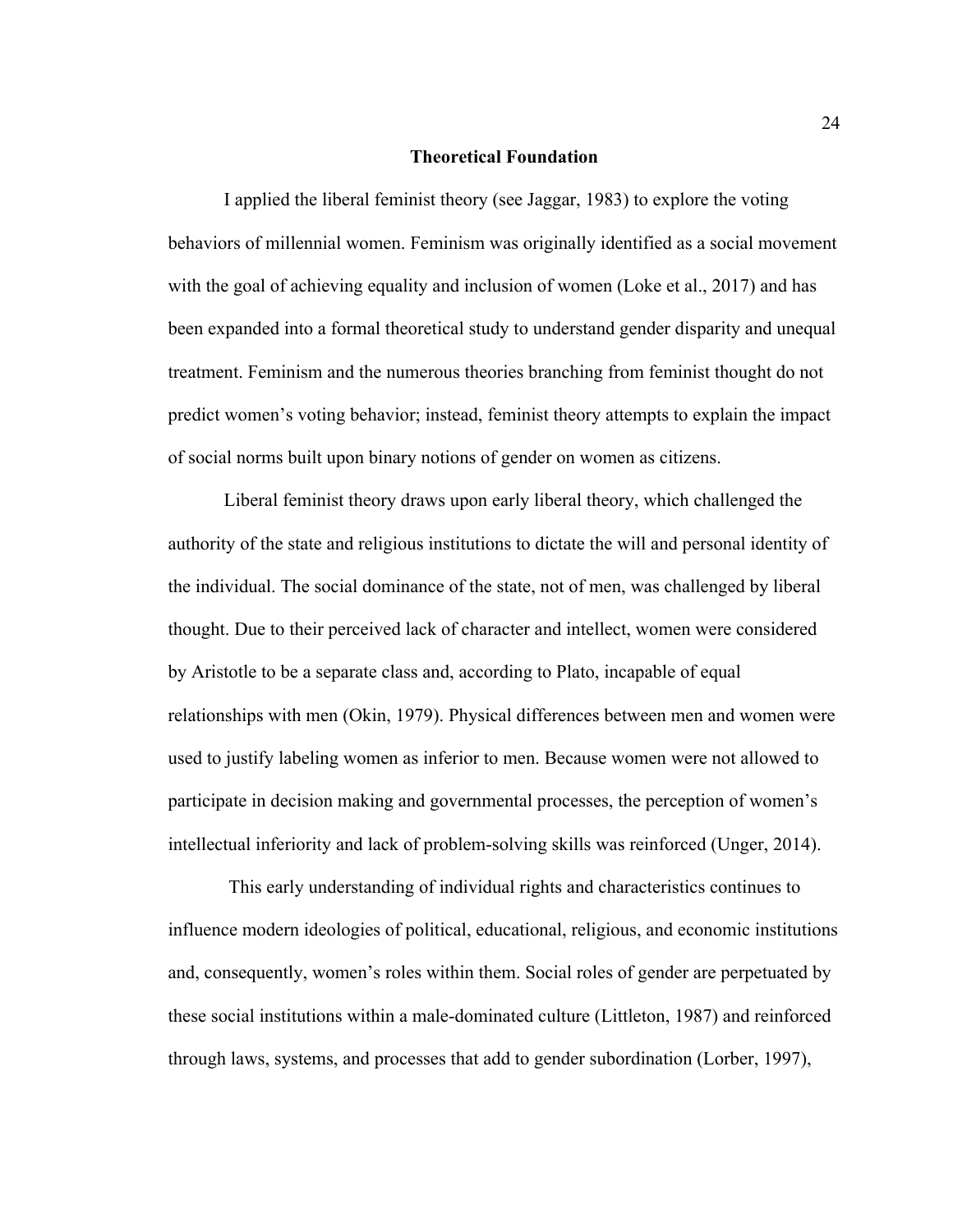#### **Theoretical Foundation**

I applied the liberal feminist theory (see Jaggar, 1983) to explore the voting behaviors of millennial women. Feminism was originally identified as a social movement with the goal of achieving equality and inclusion of women (Loke et al., 2017) and has been expanded into a formal theoretical study to understand gender disparity and unequal treatment. Feminism and the numerous theories branching from feminist thought do not predict women's voting behavior; instead, feminist theory attempts to explain the impact of social norms built upon binary notions of gender on women as citizens.

Liberal feminist theory draws upon early liberal theory, which challenged the authority of the state and religious institutions to dictate the will and personal identity of the individual. The social dominance of the state, not of men, was challenged by liberal thought. Due to their perceived lack of character and intellect, women were considered by Aristotle to be a separate class and, according to Plato, incapable of equal relationships with men (Okin, 1979). Physical differences between men and women were used to justify labeling women as inferior to men. Because women were not allowed to participate in decision making and governmental processes, the perception of women's intellectual inferiority and lack of problem-solving skills was reinforced (Unger, 2014).

This early understanding of individual rights and characteristics continues to influence modern ideologies of political, educational, religious, and economic institutions and, consequently, women's roles within them. Social roles of gender are perpetuated by these social institutions within a male-dominated culture (Littleton, 1987) and reinforced through laws, systems, and processes that add to gender subordination (Lorber, 1997),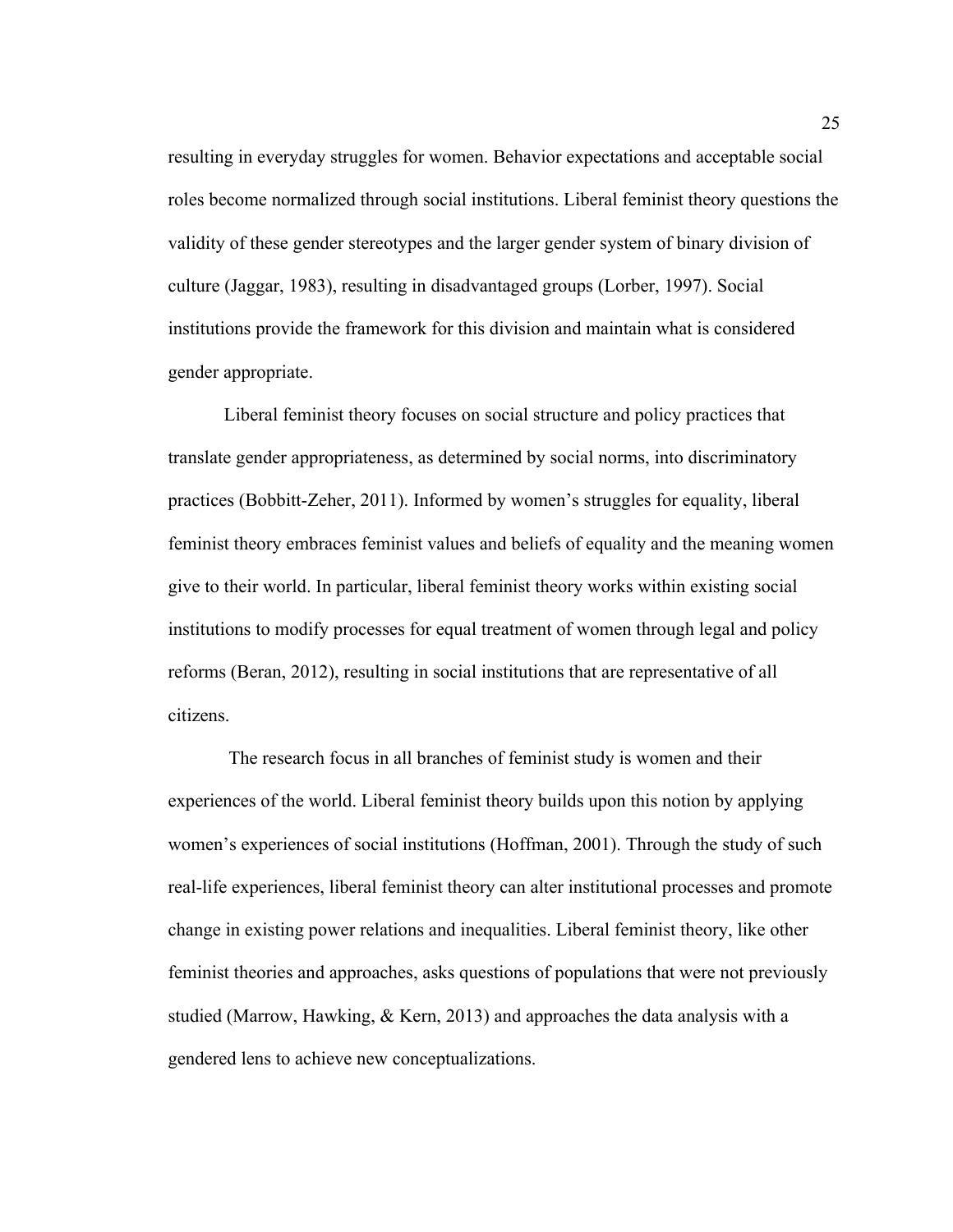resulting in everyday struggles for women. Behavior expectations and acceptable social roles become normalized through social institutions. Liberal feminist theory questions the validity of these gender stereotypes and the larger gender system of binary division of culture (Jaggar, 1983), resulting in disadvantaged groups (Lorber, 1997). Social institutions provide the framework for this division and maintain what is considered gender appropriate.

Liberal feminist theory focuses on social structure and policy practices that translate gender appropriateness, as determined by social norms, into discriminatory practices (Bobbitt-Zeher, 2011). Informed by women's struggles for equality, liberal feminist theory embraces feminist values and beliefs of equality and the meaning women give to their world. In particular, liberal feminist theory works within existing social institutions to modify processes for equal treatment of women through legal and policy reforms (Beran, 2012), resulting in social institutions that are representative of all citizens.

The research focus in all branches of feminist study is women and their experiences of the world. Liberal feminist theory builds upon this notion by applying women's experiences of social institutions (Hoffman, 2001). Through the study of such real-life experiences, liberal feminist theory can alter institutional processes and promote change in existing power relations and inequalities. Liberal feminist theory, like other feminist theories and approaches, asks questions of populations that were not previously studied (Marrow, Hawking, & Kern, 2013) and approaches the data analysis with a gendered lens to achieve new conceptualizations.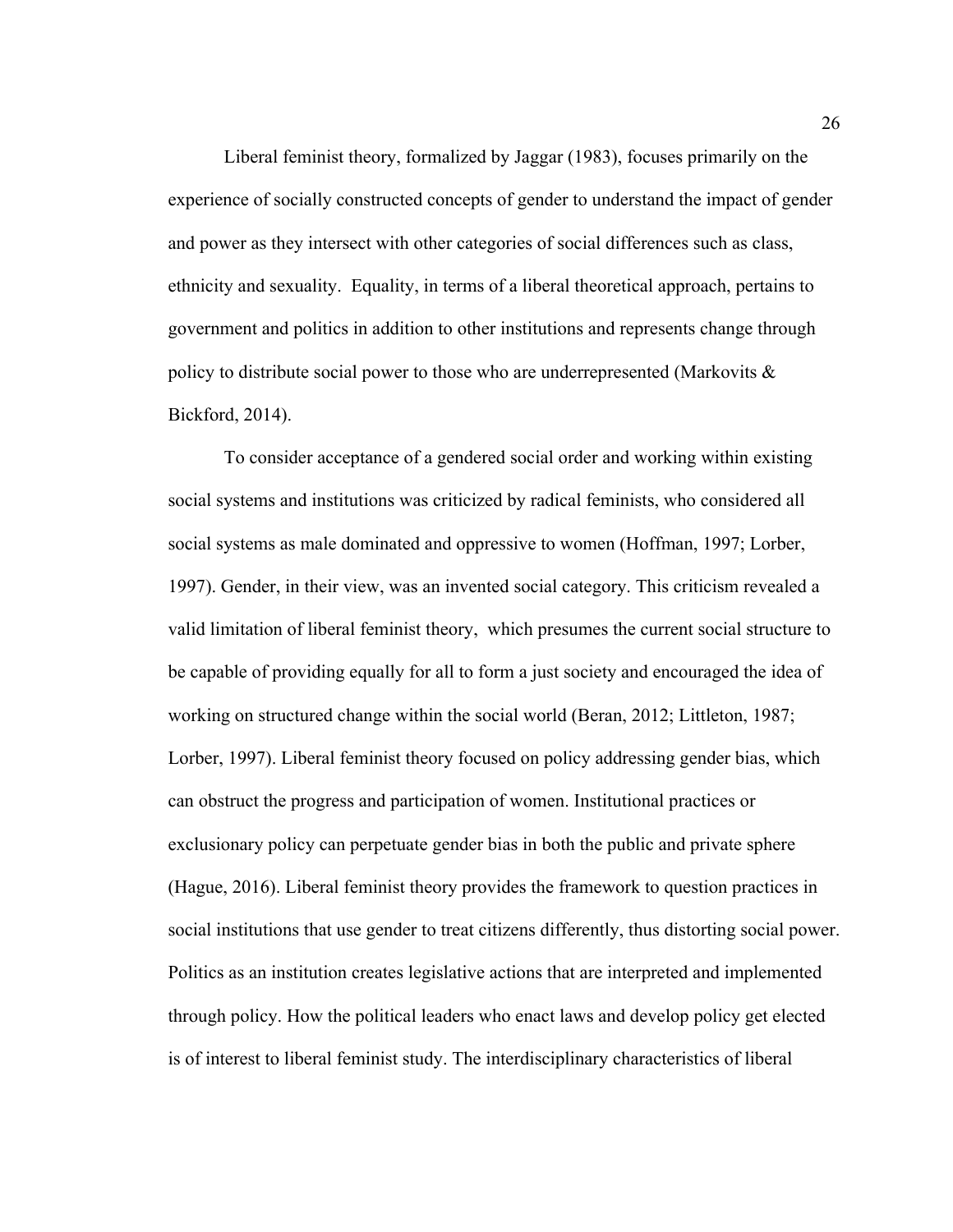Liberal feminist theory, formalized by Jaggar (1983), focuses primarily on the experience of socially constructed concepts of gender to understand the impact of gender and power as they intersect with other categories of social differences such as class, ethnicity and sexuality. Equality, in terms of a liberal theoretical approach, pertains to government and politics in addition to other institutions and represents change through policy to distribute social power to those who are underrepresented (Markovits  $\&$ Bickford, 2014).

To consider acceptance of a gendered social order and working within existing social systems and institutions was criticized by radical feminists, who considered all social systems as male dominated and oppressive to women (Hoffman, 1997; Lorber, 1997). Gender, in their view, was an invented social category. This criticism revealed a valid limitation of liberal feminist theory, which presumes the current social structure to be capable of providing equally for all to form a just society and encouraged the idea of working on structured change within the social world (Beran, 2012; Littleton, 1987; Lorber, 1997). Liberal feminist theory focused on policy addressing gender bias, which can obstruct the progress and participation of women. Institutional practices or exclusionary policy can perpetuate gender bias in both the public and private sphere (Hague, 2016). Liberal feminist theory provides the framework to question practices in social institutions that use gender to treat citizens differently, thus distorting social power. Politics as an institution creates legislative actions that are interpreted and implemented through policy. How the political leaders who enact laws and develop policy get elected is of interest to liberal feminist study. The interdisciplinary characteristics of liberal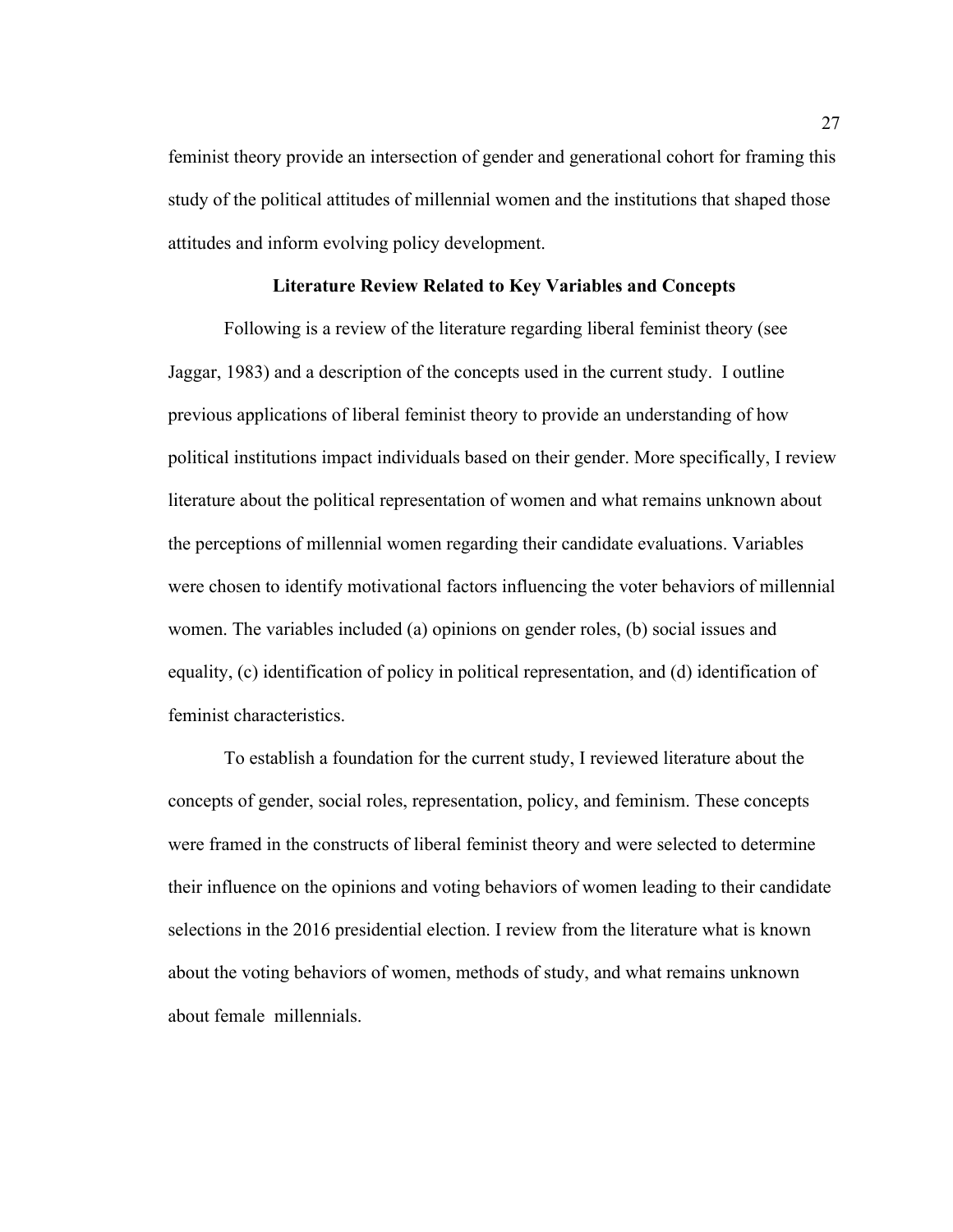feminist theory provide an intersection of gender and generational cohort for framing this study of the political attitudes of millennial women and the institutions that shaped those attitudes and inform evolving policy development.

## **Literature Review Related to Key Variables and Concepts**

Following is a review of the literature regarding liberal feminist theory (see Jaggar, 1983) and a description of the concepts used in the current study. I outline previous applications of liberal feminist theory to provide an understanding of how political institutions impact individuals based on their gender. More specifically, I review literature about the political representation of women and what remains unknown about the perceptions of millennial women regarding their candidate evaluations. Variables were chosen to identify motivational factors influencing the voter behaviors of millennial women. The variables included (a) opinions on gender roles, (b) social issues and equality, (c) identification of policy in political representation, and (d) identification of feminist characteristics.

To establish a foundation for the current study, I reviewed literature about the concepts of gender, social roles, representation, policy, and feminism. These concepts were framed in the constructs of liberal feminist theory and were selected to determine their influence on the opinions and voting behaviors of women leading to their candidate selections in the 2016 presidential election. I review from the literature what is known about the voting behaviors of women, methods of study, and what remains unknown about female millennials.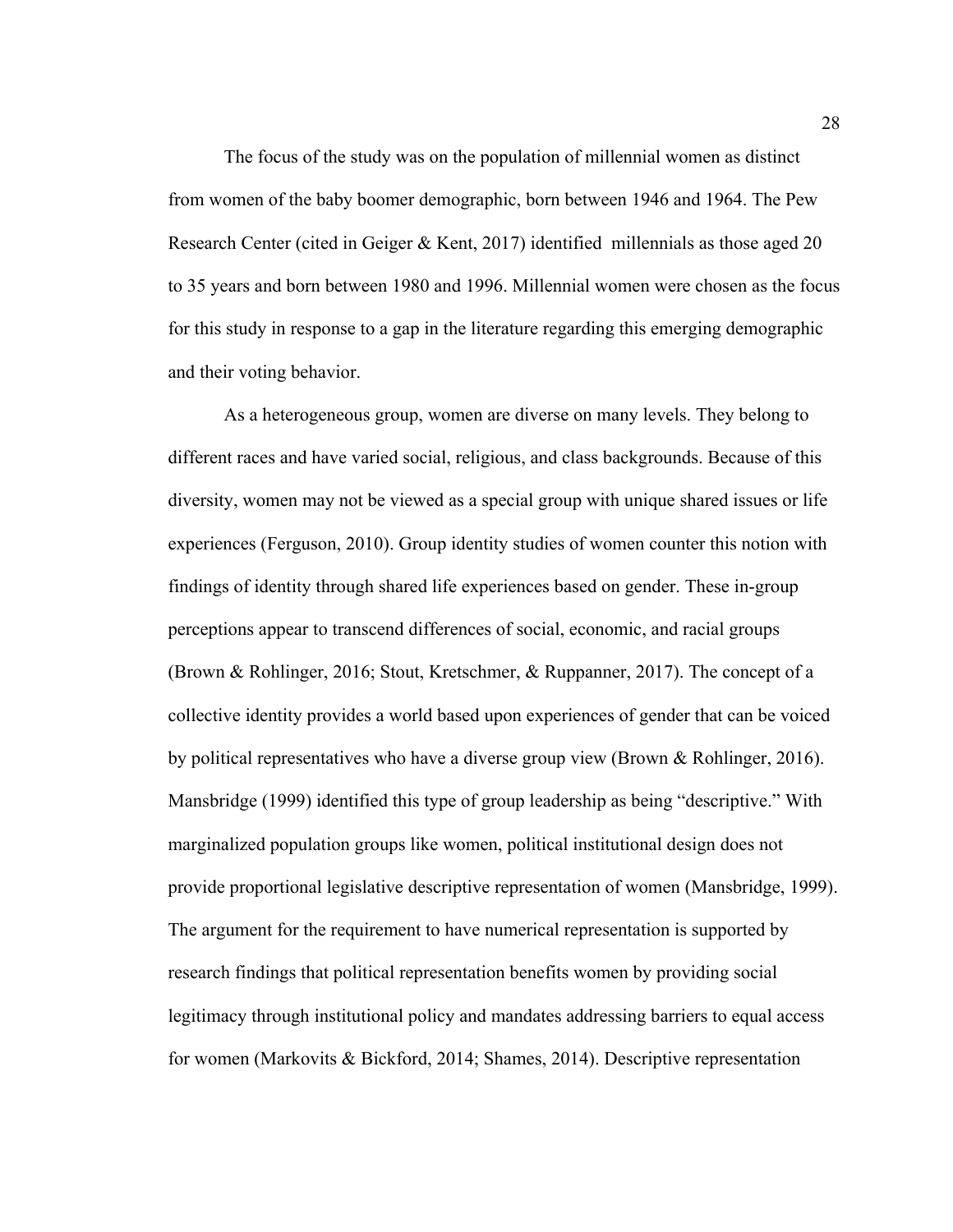The focus of the study was on the population of millennial women as distinct from women of the baby boomer demographic, born between 1946 and 1964. The Pew Research Center (cited in Geiger & Kent, 2017) identified millennials as those aged 20 to 35 years and born between 1980 and 1996. Millennial women were chosen as the focus for this study in response to a gap in the literature regarding this emerging demographic and their voting behavior.

As a heterogeneous group, women are diverse on many levels. They belong to different races and have varied social, religious, and class backgrounds. Because of this diversity, women may not be viewed as a special group with unique shared issues or life experiences (Ferguson, 2010). Group identity studies of women counter this notion with findings of identity through shared life experiences based on gender. These in-group perceptions appear to transcend differences of social, economic, and racial groups (Brown & Rohlinger, 2016; Stout, Kretschmer, & Ruppanner, 2017). The concept of a collective identity provides a world based upon experiences of gender that can be voiced by political representatives who have a diverse group view (Brown & Rohlinger, 2016). Mansbridge (1999) identified this type of group leadership as being "descriptive." With marginalized population groups like women, political institutional design does not provide proportional legislative descriptive representation of women (Mansbridge, 1999). The argument for the requirement to have numerical representation is supported by research findings that political representation benefits women by providing social legitimacy through institutional policy and mandates addressing barriers to equal access for women (Markovits & Bickford, 2014; Shames, 2014). Descriptive representation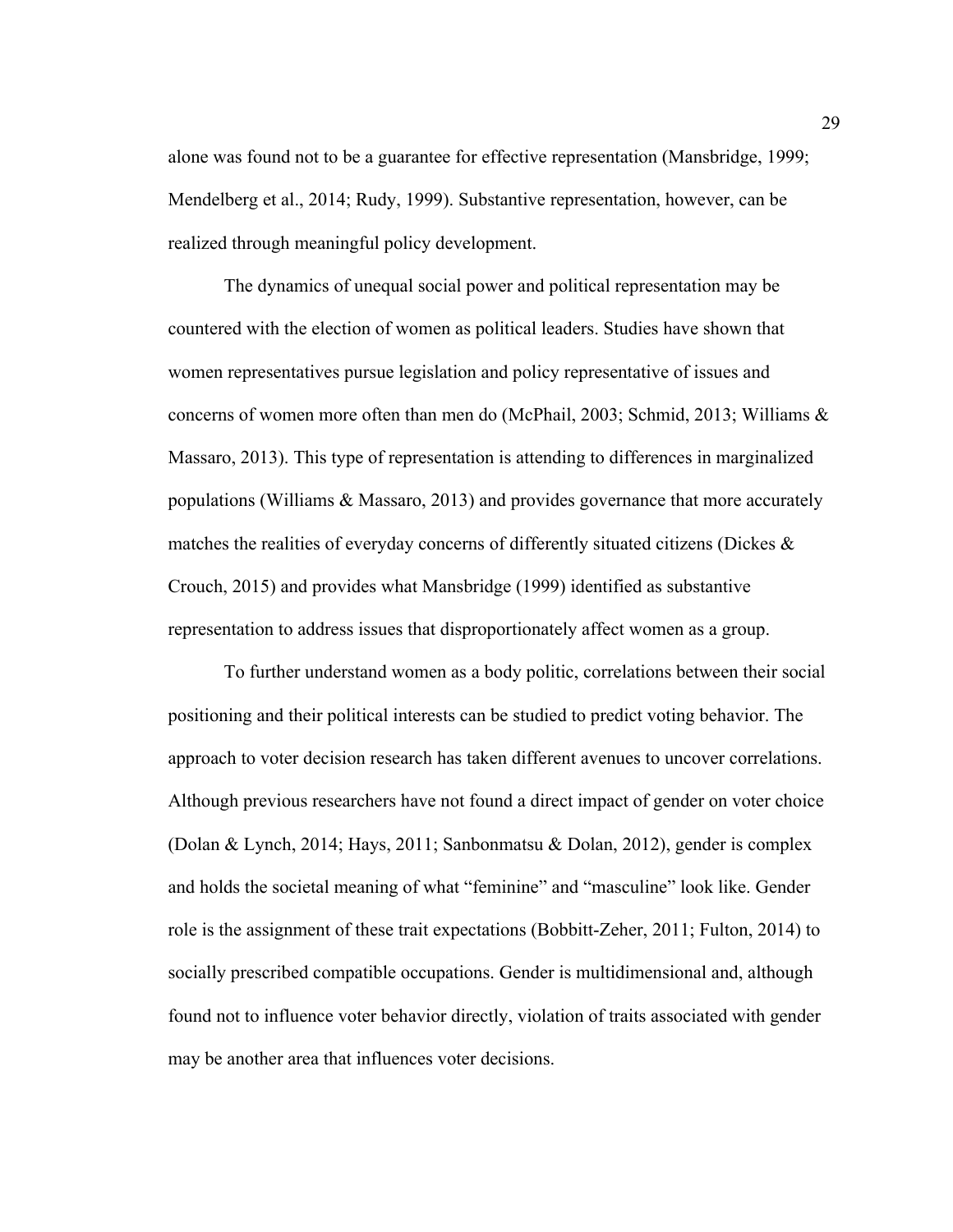alone was found not to be a guarantee for effective representation (Mansbridge, 1999; Mendelberg et al., 2014; Rudy, 1999). Substantive representation, however, can be realized through meaningful policy development.

The dynamics of unequal social power and political representation may be countered with the election of women as political leaders. Studies have shown that women representatives pursue legislation and policy representative of issues and concerns of women more often than men do (McPhail, 2003; Schmid, 2013; Williams & Massaro, 2013). This type of representation is attending to differences in marginalized populations (Williams & Massaro, 2013) and provides governance that more accurately matches the realities of everyday concerns of differently situated citizens (Dickes & Crouch, 2015) and provides what Mansbridge (1999) identified as substantive representation to address issues that disproportionately affect women as a group.

To further understand women as a body politic, correlations between their social positioning and their political interests can be studied to predict voting behavior. The approach to voter decision research has taken different avenues to uncover correlations. Although previous researchers have not found a direct impact of gender on voter choice (Dolan & Lynch, 2014; Hays, 2011; Sanbonmatsu & Dolan, 2012), gender is complex and holds the societal meaning of what "feminine" and "masculine" look like. Gender role is the assignment of these trait expectations (Bobbitt-Zeher, 2011; Fulton, 2014) to socially prescribed compatible occupations. Gender is multidimensional and, although found not to influence voter behavior directly, violation of traits associated with gender may be another area that influences voter decisions.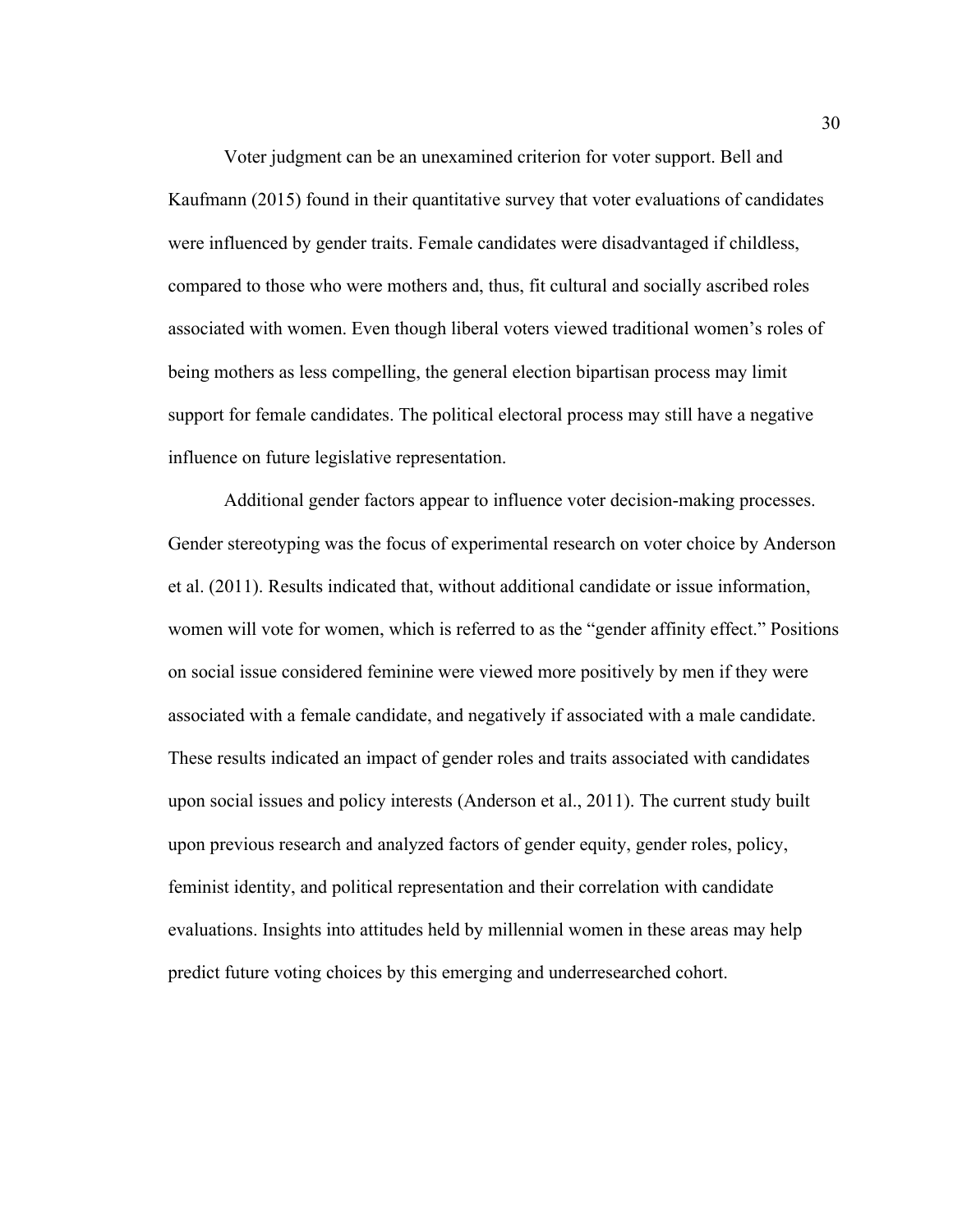Voter judgment can be an unexamined criterion for voter support. Bell and Kaufmann (2015) found in their quantitative survey that voter evaluations of candidates were influenced by gender traits. Female candidates were disadvantaged if childless, compared to those who were mothers and, thus, fit cultural and socially ascribed roles associated with women. Even though liberal voters viewed traditional women's roles of being mothers as less compelling, the general election bipartisan process may limit support for female candidates. The political electoral process may still have a negative influence on future legislative representation.

Additional gender factors appear to influence voter decision-making processes. Gender stereotyping was the focus of experimental research on voter choice by Anderson et al. (2011). Results indicated that, without additional candidate or issue information, women will vote for women, which is referred to as the "gender affinity effect." Positions on social issue considered feminine were viewed more positively by men if they were associated with a female candidate, and negatively if associated with a male candidate. These results indicated an impact of gender roles and traits associated with candidates upon social issues and policy interests (Anderson et al., 2011). The current study built upon previous research and analyzed factors of gender equity, gender roles, policy, feminist identity, and political representation and their correlation with candidate evaluations. Insights into attitudes held by millennial women in these areas may help predict future voting choices by this emerging and underresearched cohort.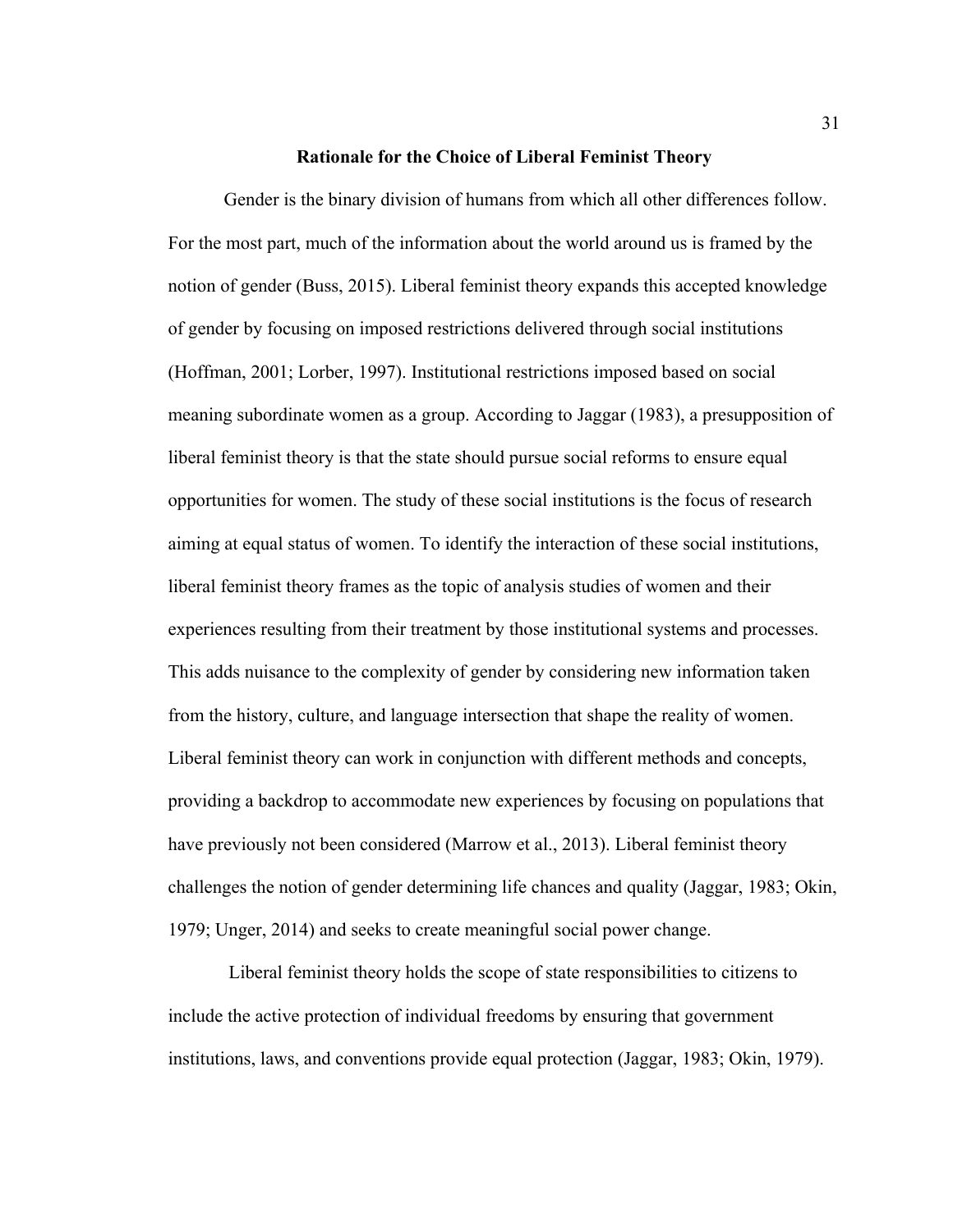#### **Rationale for the Choice of Liberal Feminist Theory**

Gender is the binary division of humans from which all other differences follow. For the most part, much of the information about the world around us is framed by the notion of gender (Buss, 2015). Liberal feminist theory expands this accepted knowledge of gender by focusing on imposed restrictions delivered through social institutions (Hoffman, 2001; Lorber, 1997). Institutional restrictions imposed based on social meaning subordinate women as a group. According to Jaggar (1983), a presupposition of liberal feminist theory is that the state should pursue social reforms to ensure equal opportunities for women. The study of these social institutions is the focus of research aiming at equal status of women. To identify the interaction of these social institutions, liberal feminist theory frames as the topic of analysis studies of women and their experiences resulting from their treatment by those institutional systems and processes. This adds nuisance to the complexity of gender by considering new information taken from the history, culture, and language intersection that shape the reality of women. Liberal feminist theory can work in conjunction with different methods and concepts, providing a backdrop to accommodate new experiences by focusing on populations that have previously not been considered (Marrow et al., 2013). Liberal feminist theory challenges the notion of gender determining life chances and quality (Jaggar, 1983; Okin, 1979; Unger, 2014) and seeks to create meaningful social power change.

Liberal feminist theory holds the scope of state responsibilities to citizens to include the active protection of individual freedoms by ensuring that government institutions, laws, and conventions provide equal protection (Jaggar, 1983; Okin, 1979).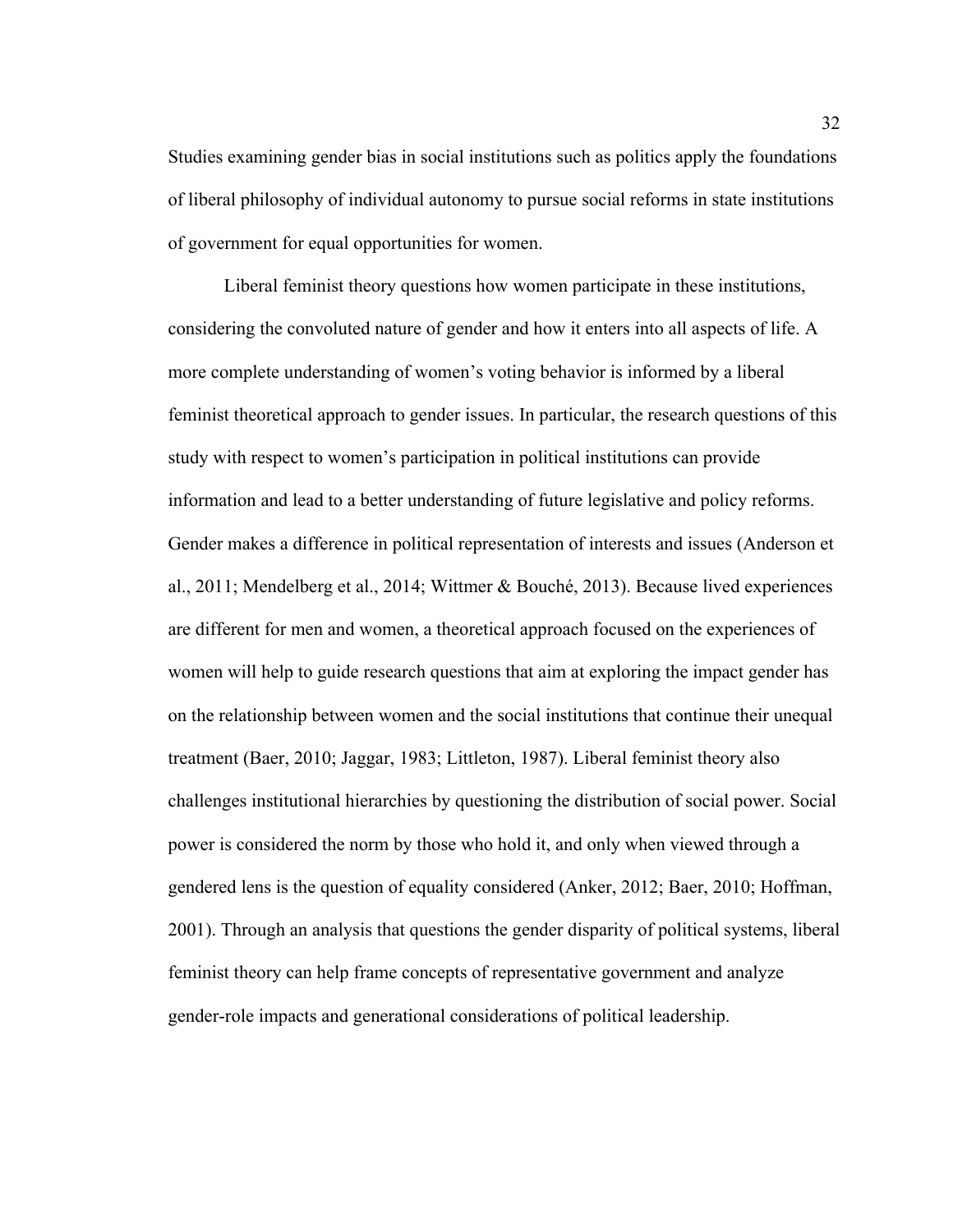Studies examining gender bias in social institutions such as politics apply the foundations of liberal philosophy of individual autonomy to pursue social reforms in state institutions of government for equal opportunities for women.

Liberal feminist theory questions how women participate in these institutions, considering the convoluted nature of gender and how it enters into all aspects of life. A more complete understanding of women's voting behavior is informed by a liberal feminist theoretical approach to gender issues. In particular, the research questions of this study with respect to women's participation in political institutions can provide information and lead to a better understanding of future legislative and policy reforms. Gender makes a difference in political representation of interests and issues (Anderson et al., 2011; Mendelberg et al., 2014; Wittmer & Bouché, 2013). Because lived experiences are different for men and women, a theoretical approach focused on the experiences of women will help to guide research questions that aim at exploring the impact gender has on the relationship between women and the social institutions that continue their unequal treatment (Baer, 2010; Jaggar, 1983; Littleton, 1987). Liberal feminist theory also challenges institutional hierarchies by questioning the distribution of social power. Social power is considered the norm by those who hold it, and only when viewed through a gendered lens is the question of equality considered (Anker, 2012; Baer, 2010; Hoffman, 2001). Through an analysis that questions the gender disparity of political systems, liberal feminist theory can help frame concepts of representative government and analyze gender-role impacts and generational considerations of political leadership.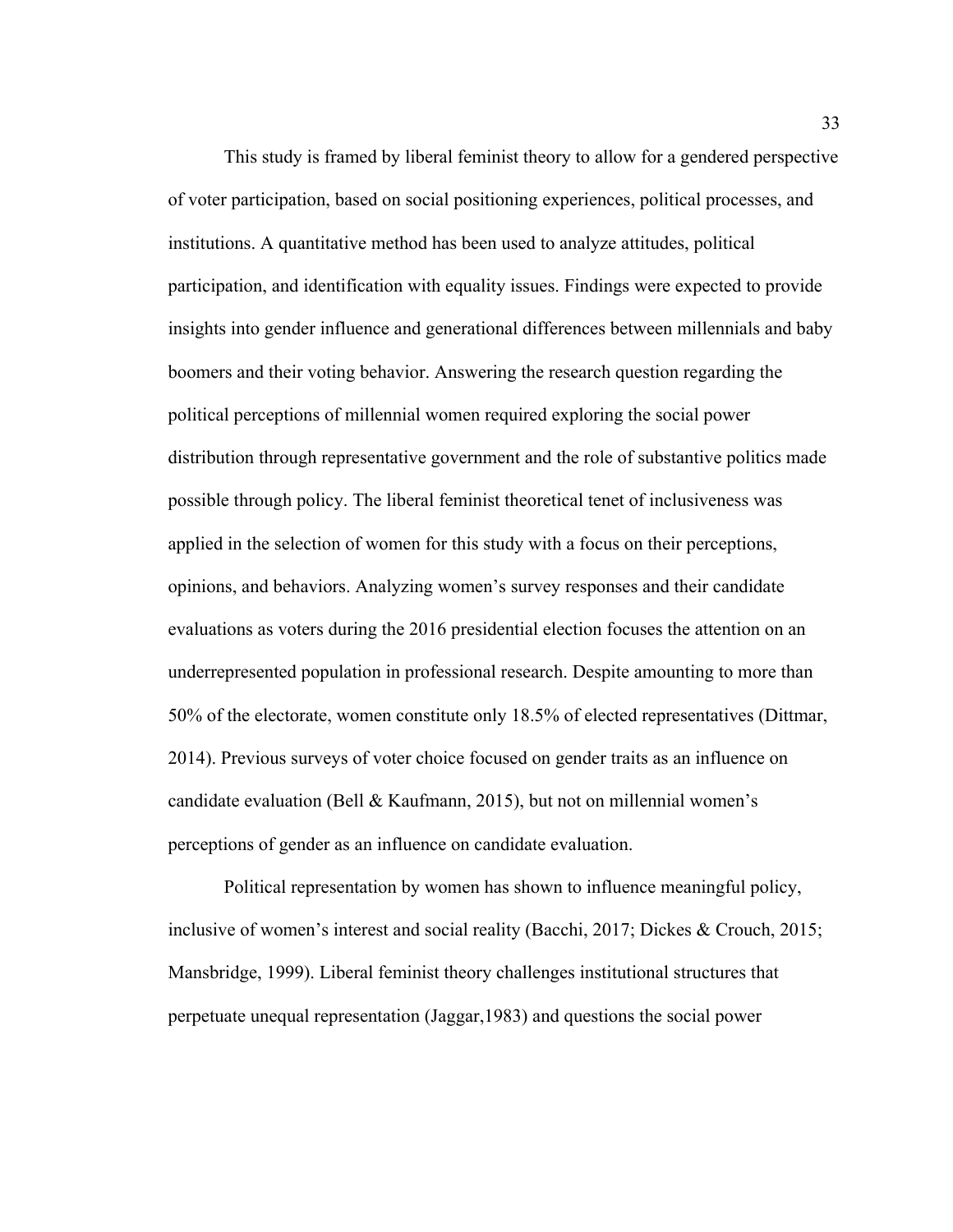This study is framed by liberal feminist theory to allow for a gendered perspective of voter participation, based on social positioning experiences, political processes, and institutions. A quantitative method has been used to analyze attitudes, political participation, and identification with equality issues. Findings were expected to provide insights into gender influence and generational differences between millennials and baby boomers and their voting behavior. Answering the research question regarding the political perceptions of millennial women required exploring the social power distribution through representative government and the role of substantive politics made possible through policy. The liberal feminist theoretical tenet of inclusiveness was applied in the selection of women for this study with a focus on their perceptions, opinions, and behaviors. Analyzing women's survey responses and their candidate evaluations as voters during the 2016 presidential election focuses the attention on an underrepresented population in professional research. Despite amounting to more than 50% of the electorate, women constitute only 18.5% of elected representatives (Dittmar, 2014). Previous surveys of voter choice focused on gender traits as an influence on candidate evaluation (Bell & Kaufmann, 2015), but not on millennial women's perceptions of gender as an influence on candidate evaluation.

Political representation by women has shown to influence meaningful policy, inclusive of women's interest and social reality (Bacchi, 2017; Dickes & Crouch, 2015; Mansbridge, 1999). Liberal feminist theory challenges institutional structures that perpetuate unequal representation (Jaggar,1983) and questions the social power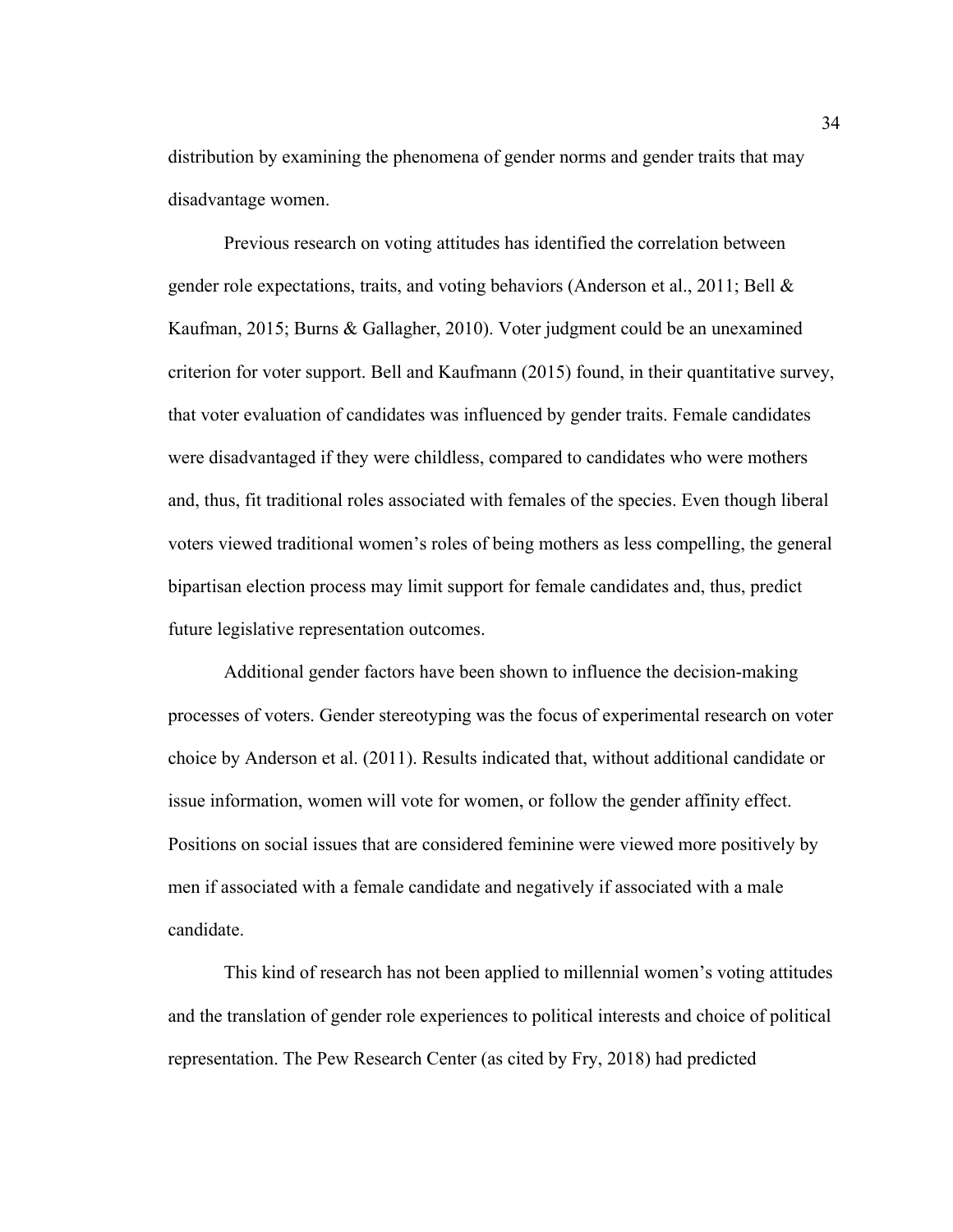distribution by examining the phenomena of gender norms and gender traits that may disadvantage women.

Previous research on voting attitudes has identified the correlation between gender role expectations, traits, and voting behaviors (Anderson et al., 2011; Bell & Kaufman, 2015; Burns & Gallagher, 2010). Voter judgment could be an unexamined criterion for voter support. Bell and Kaufmann (2015) found, in their quantitative survey, that voter evaluation of candidates was influenced by gender traits. Female candidates were disadvantaged if they were childless, compared to candidates who were mothers and, thus, fit traditional roles associated with females of the species. Even though liberal voters viewed traditional women's roles of being mothers as less compelling, the general bipartisan election process may limit support for female candidates and, thus, predict future legislative representation outcomes.

Additional gender factors have been shown to influence the decision-making processes of voters. Gender stereotyping was the focus of experimental research on voter choice by Anderson et al. (2011). Results indicated that, without additional candidate or issue information, women will vote for women, or follow the gender affinity effect. Positions on social issues that are considered feminine were viewed more positively by men if associated with a female candidate and negatively if associated with a male candidate.

This kind of research has not been applied to millennial women's voting attitudes and the translation of gender role experiences to political interests and choice of political representation. The Pew Research Center (as cited by Fry, 2018) had predicted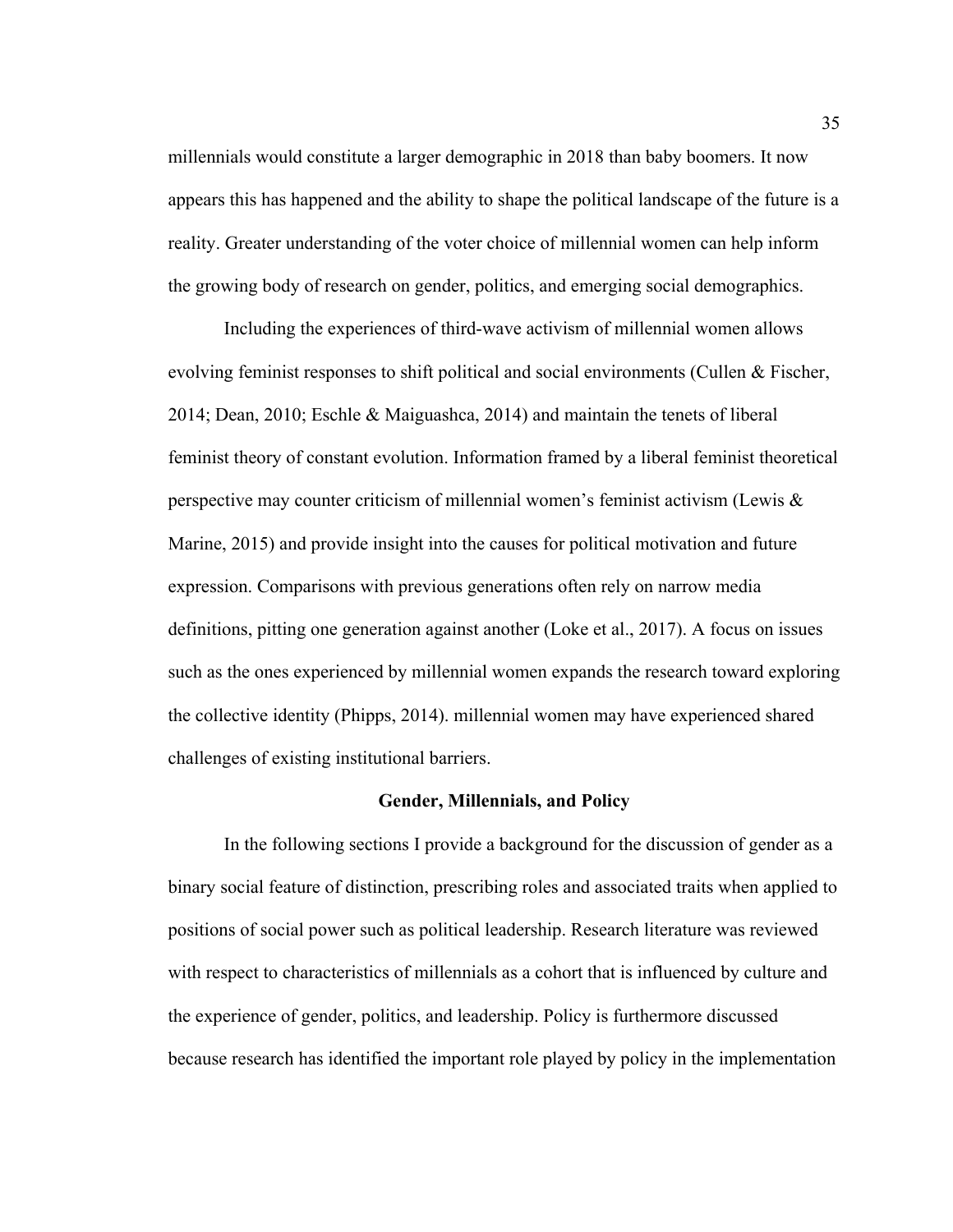millennials would constitute a larger demographic in 2018 than baby boomers. It now appears this has happened and the ability to shape the political landscape of the future is a reality. Greater understanding of the voter choice of millennial women can help inform the growing body of research on gender, politics, and emerging social demographics.

Including the experiences of third-wave activism of millennial women allows evolving feminist responses to shift political and social environments (Cullen & Fischer, 2014; Dean, 2010; Eschle & Maiguashca, 2014) and maintain the tenets of liberal feminist theory of constant evolution. Information framed by a liberal feminist theoretical perspective may counter criticism of millennial women's feminist activism (Lewis & Marine, 2015) and provide insight into the causes for political motivation and future expression. Comparisons with previous generations often rely on narrow media definitions, pitting one generation against another (Loke et al., 2017). A focus on issues such as the ones experienced by millennial women expands the research toward exploring the collective identity (Phipps, 2014). millennial women may have experienced shared challenges of existing institutional barriers.

#### **Gender, Millennials, and Policy**

In the following sections I provide a background for the discussion of gender as a binary social feature of distinction, prescribing roles and associated traits when applied to positions of social power such as political leadership. Research literature was reviewed with respect to characteristics of millennials as a cohort that is influenced by culture and the experience of gender, politics, and leadership. Policy is furthermore discussed because research has identified the important role played by policy in the implementation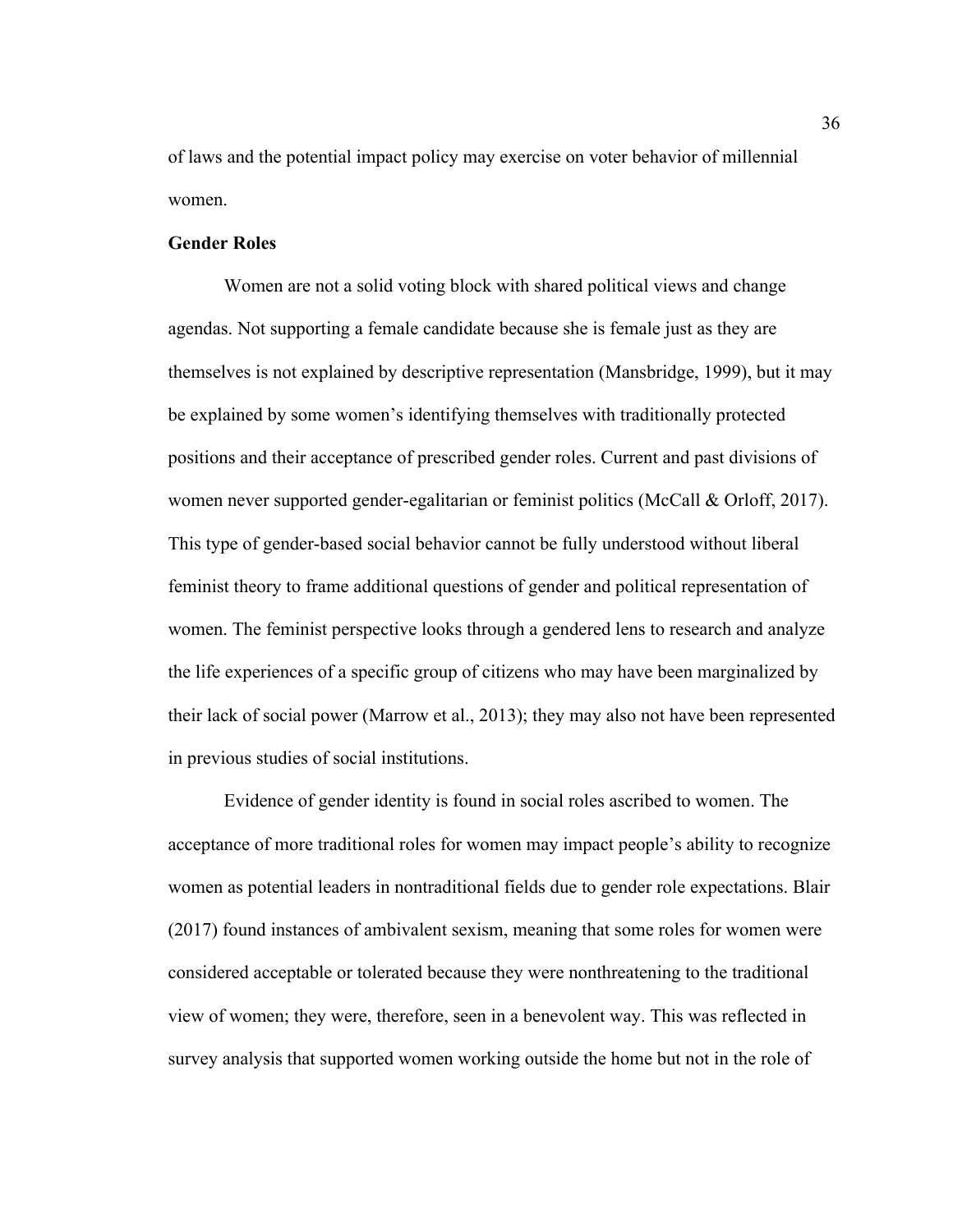of laws and the potential impact policy may exercise on voter behavior of millennial women.

## **Gender Roles**

Women are not a solid voting block with shared political views and change agendas. Not supporting a female candidate because she is female just as they are themselves is not explained by descriptive representation (Mansbridge, 1999), but it may be explained by some women's identifying themselves with traditionally protected positions and their acceptance of prescribed gender roles. Current and past divisions of women never supported gender-egalitarian or feminist politics (McCall & Orloff, 2017). This type of gender-based social behavior cannot be fully understood without liberal feminist theory to frame additional questions of gender and political representation of women. The feminist perspective looks through a gendered lens to research and analyze the life experiences of a specific group of citizens who may have been marginalized by their lack of social power (Marrow et al., 2013); they may also not have been represented in previous studies of social institutions.

Evidence of gender identity is found in social roles ascribed to women. The acceptance of more traditional roles for women may impact people's ability to recognize women as potential leaders in nontraditional fields due to gender role expectations. Blair (2017) found instances of ambivalent sexism, meaning that some roles for women were considered acceptable or tolerated because they were nonthreatening to the traditional view of women; they were, therefore, seen in a benevolent way. This was reflected in survey analysis that supported women working outside the home but not in the role of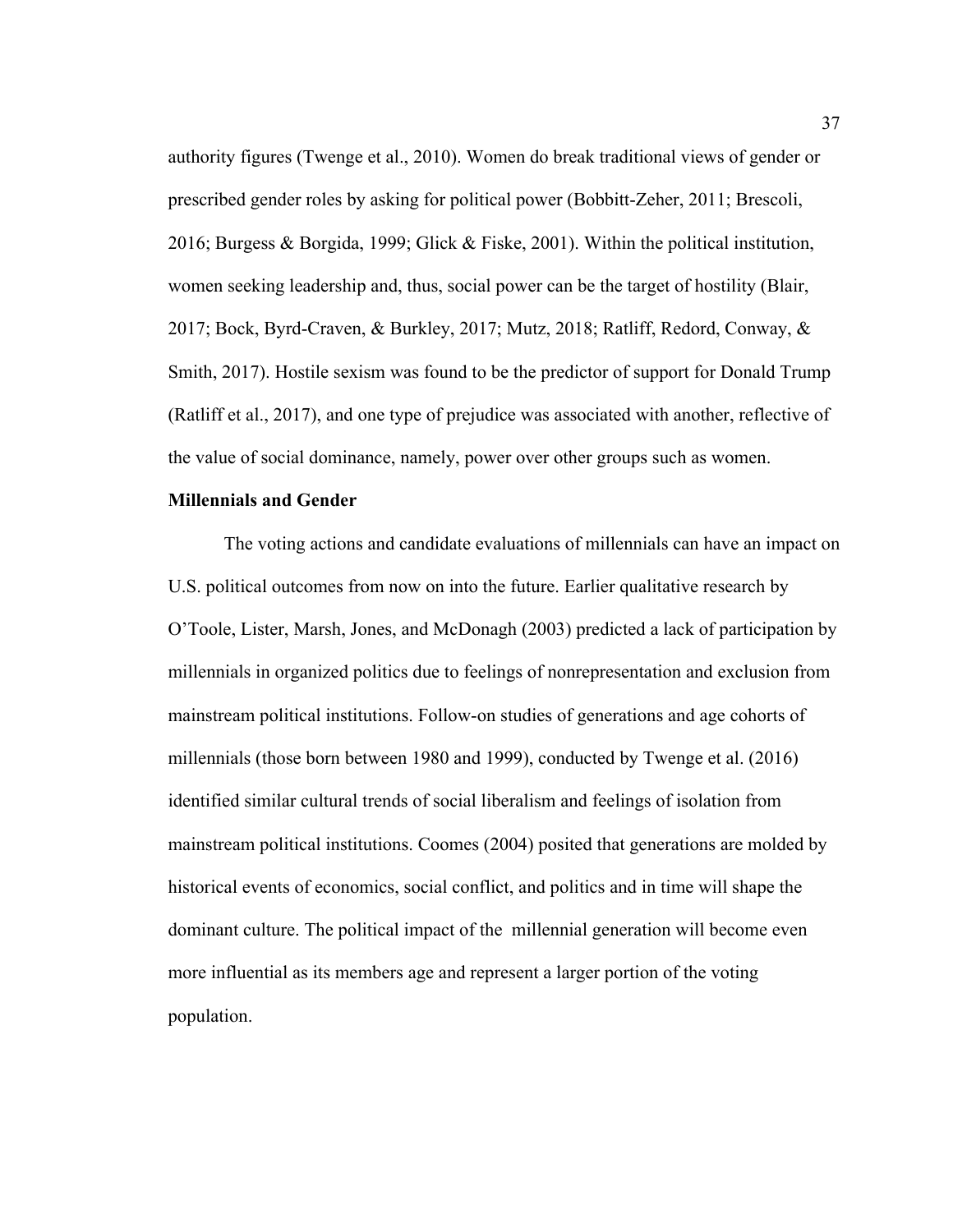authority figures (Twenge et al., 2010). Women do break traditional views of gender or prescribed gender roles by asking for political power (Bobbitt-Zeher, 2011; Brescoli, 2016; Burgess & Borgida, 1999; Glick & Fiske, 2001). Within the political institution, women seeking leadership and, thus, social power can be the target of hostility (Blair, 2017; Bock, Byrd-Craven, & Burkley, 2017; Mutz, 2018; Ratliff, Redord, Conway, & Smith, 2017). Hostile sexism was found to be the predictor of support for Donald Trump (Ratliff et al., 2017), and one type of prejudice was associated with another, reflective of the value of social dominance, namely, power over other groups such as women.

### **Millennials and Gender**

The voting actions and candidate evaluations of millennials can have an impact on U.S. political outcomes from now on into the future. Earlier qualitative research by O'Toole, Lister, Marsh, Jones, and McDonagh (2003) predicted a lack of participation by millennials in organized politics due to feelings of nonrepresentation and exclusion from mainstream political institutions. Follow-on studies of generations and age cohorts of millennials (those born between 1980 and 1999), conducted by Twenge et al. (2016) identified similar cultural trends of social liberalism and feelings of isolation from mainstream political institutions. Coomes (2004) posited that generations are molded by historical events of economics, social conflict, and politics and in time will shape the dominant culture. The political impact of the millennial generation will become even more influential as its members age and represent a larger portion of the voting population.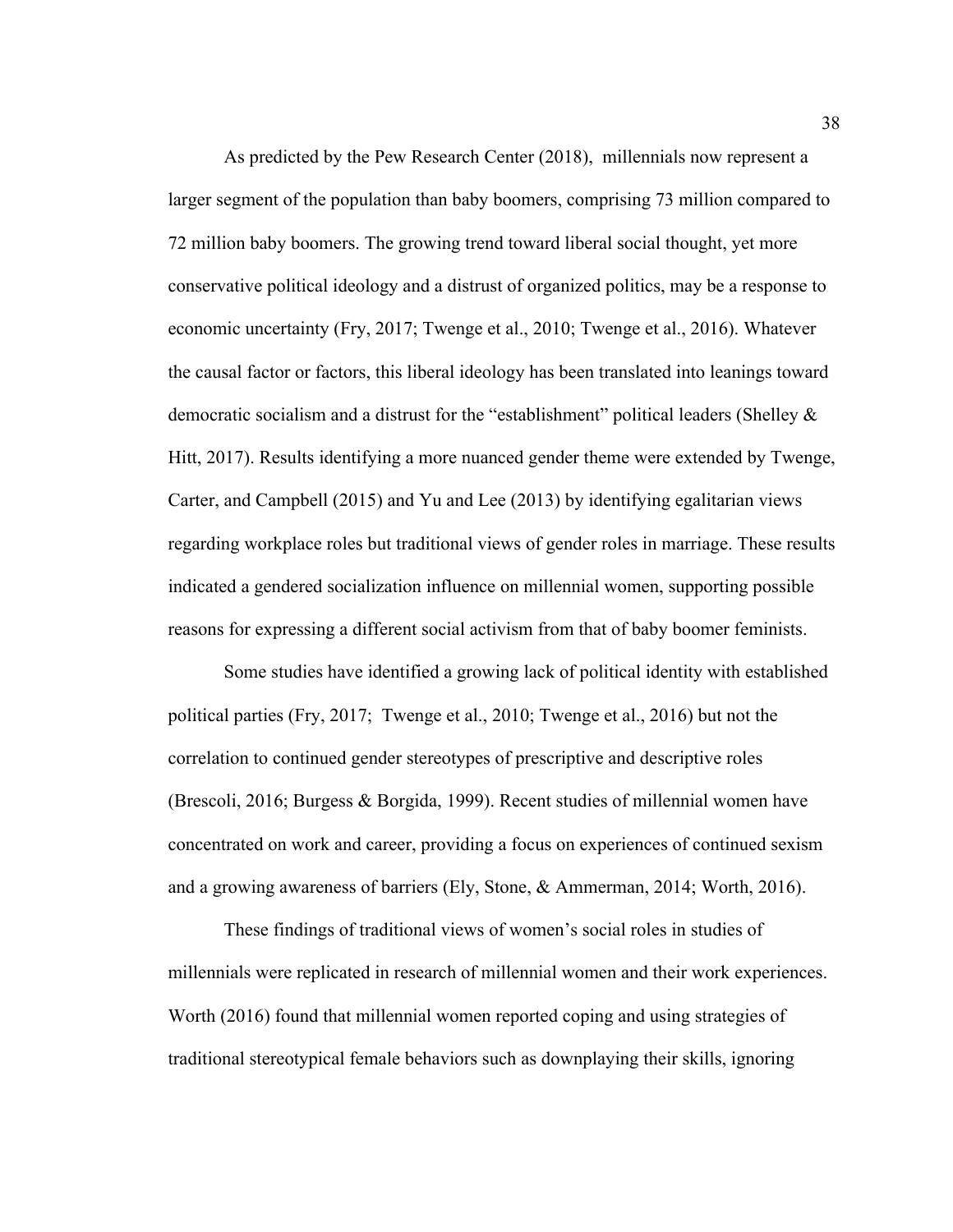As predicted by the Pew Research Center (2018), millennials now represent a larger segment of the population than baby boomers, comprising 73 million compared to 72 million baby boomers. The growing trend toward liberal social thought, yet more conservative political ideology and a distrust of organized politics, may be a response to economic uncertainty (Fry, 2017; Twenge et al., 2010; Twenge et al., 2016). Whatever the causal factor or factors, this liberal ideology has been translated into leanings toward democratic socialism and a distrust for the "establishment" political leaders (Shelley & Hitt, 2017). Results identifying a more nuanced gender theme were extended by Twenge, Carter, and Campbell (2015) and Yu and Lee (2013) by identifying egalitarian views regarding workplace roles but traditional views of gender roles in marriage. These results indicated a gendered socialization influence on millennial women, supporting possible reasons for expressing a different social activism from that of baby boomer feminists.

Some studies have identified a growing lack of political identity with established political parties (Fry, 2017; Twenge et al., 2010; Twenge et al., 2016) but not the correlation to continued gender stereotypes of prescriptive and descriptive roles (Brescoli, 2016; Burgess & Borgida, 1999). Recent studies of millennial women have concentrated on work and career, providing a focus on experiences of continued sexism and a growing awareness of barriers (Ely, Stone, & Ammerman, 2014; Worth, 2016).

These findings of traditional views of women's social roles in studies of millennials were replicated in research of millennial women and their work experiences. Worth (2016) found that millennial women reported coping and using strategies of traditional stereotypical female behaviors such as downplaying their skills, ignoring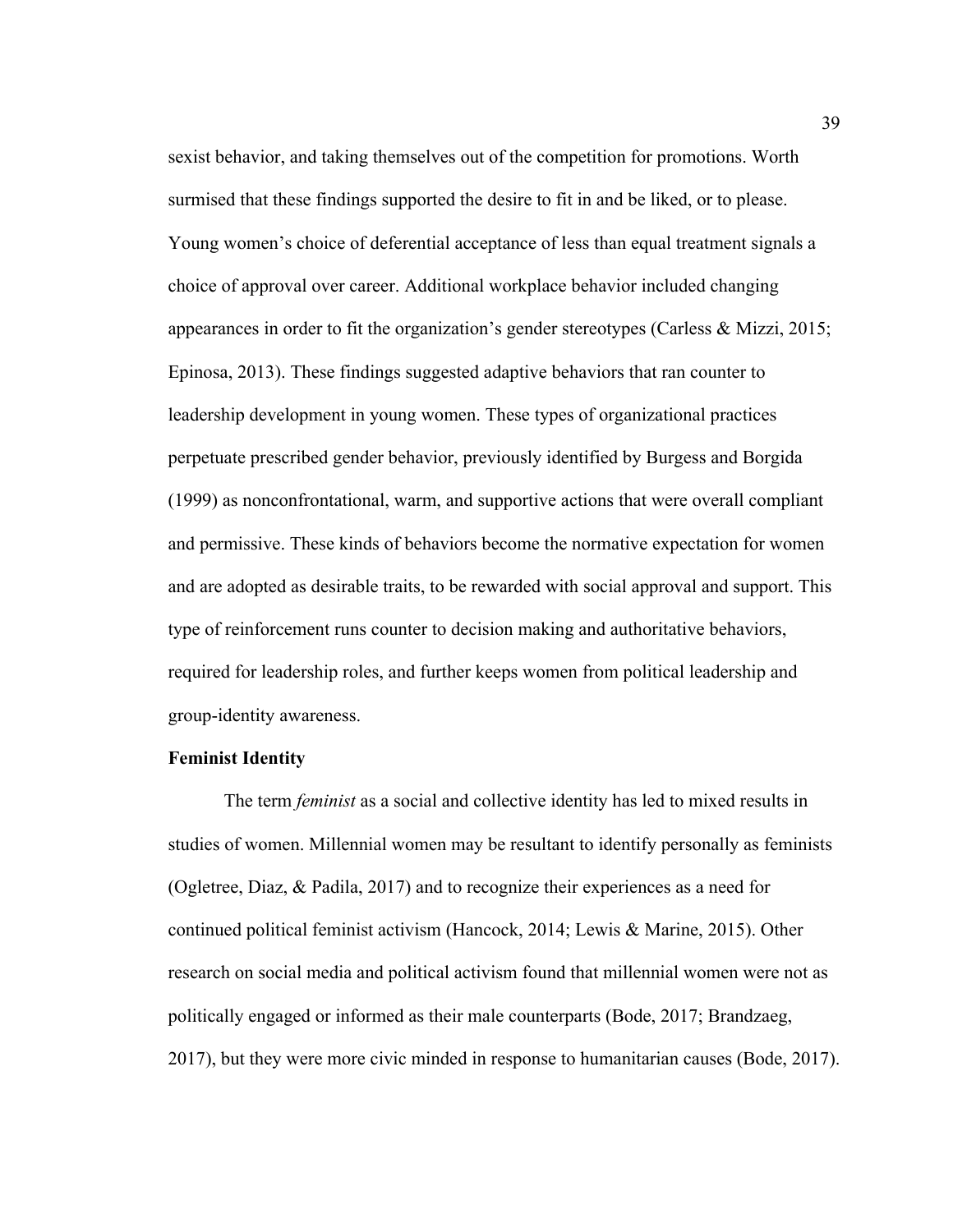sexist behavior, and taking themselves out of the competition for promotions. Worth surmised that these findings supported the desire to fit in and be liked, or to please. Young women's choice of deferential acceptance of less than equal treatment signals a choice of approval over career. Additional workplace behavior included changing appearances in order to fit the organization's gender stereotypes (Carless & Mizzi, 2015; Epinosa, 2013). These findings suggested adaptive behaviors that ran counter to leadership development in young women. These types of organizational practices perpetuate prescribed gender behavior, previously identified by Burgess and Borgida (1999) as nonconfrontational, warm, and supportive actions that were overall compliant and permissive. These kinds of behaviors become the normative expectation for women and are adopted as desirable traits, to be rewarded with social approval and support. This type of reinforcement runs counter to decision making and authoritative behaviors, required for leadership roles, and further keeps women from political leadership and group-identity awareness.

### **Feminist Identity**

The term *feminist* as a social and collective identity has led to mixed results in studies of women. Millennial women may be resultant to identify personally as feminists (Ogletree, Diaz, & Padila, 2017) and to recognize their experiences as a need for continued political feminist activism (Hancock, 2014; Lewis & Marine, 2015). Other research on social media and political activism found that millennial women were not as politically engaged or informed as their male counterparts (Bode, 2017; Brandzaeg, 2017), but they were more civic minded in response to humanitarian causes (Bode, 2017).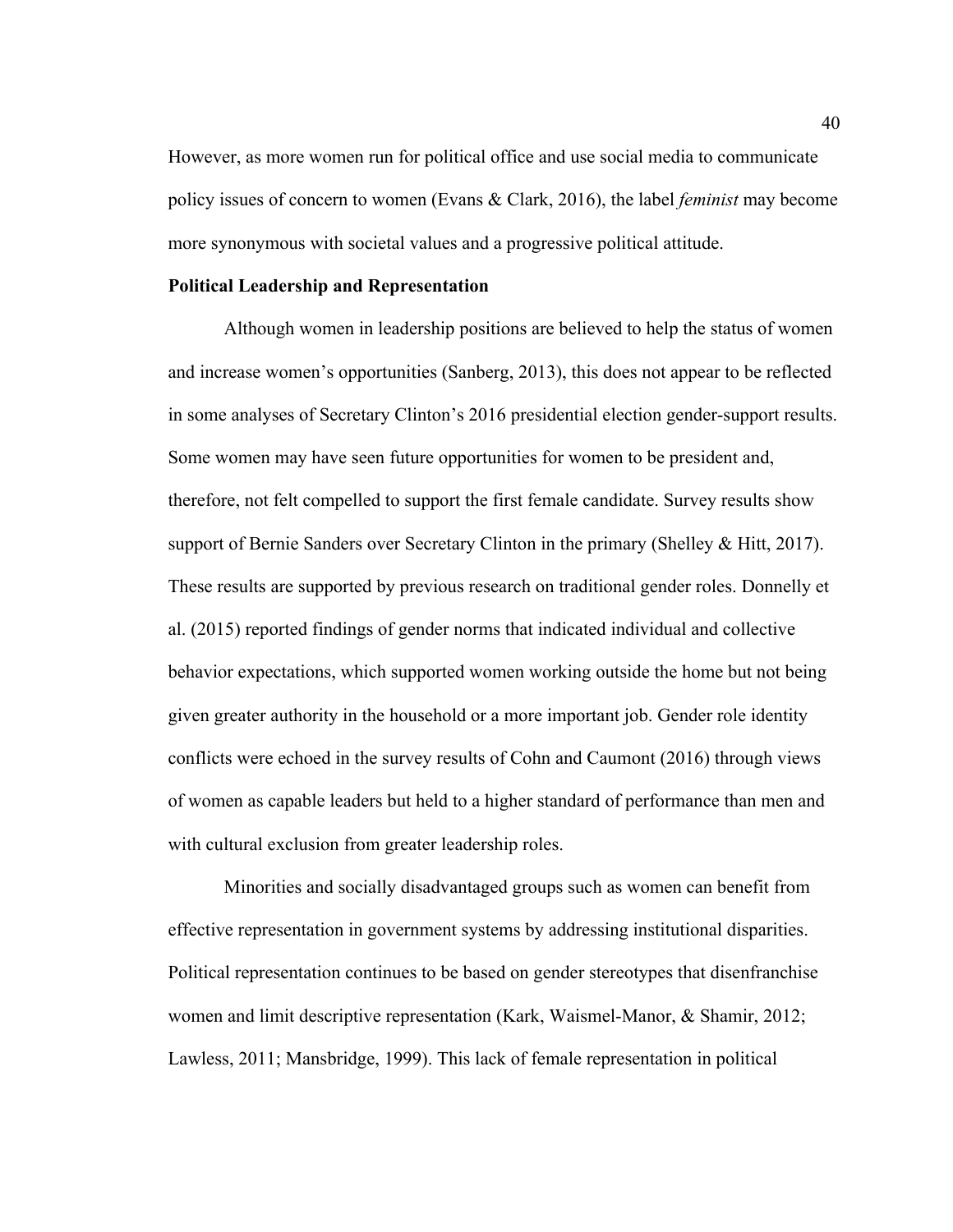However, as more women run for political office and use social media to communicate policy issues of concern to women (Evans & Clark, 2016), the label *feminist* may become more synonymous with societal values and a progressive political attitude.

#### **Political Leadership and Representation**

Although women in leadership positions are believed to help the status of women and increase women's opportunities (Sanberg, 2013), this does not appear to be reflected in some analyses of Secretary Clinton's 2016 presidential election gender-support results. Some women may have seen future opportunities for women to be president and, therefore, not felt compelled to support the first female candidate. Survey results show support of Bernie Sanders over Secretary Clinton in the primary (Shelley & Hitt, 2017). These results are supported by previous research on traditional gender roles. Donnelly et al. (2015) reported findings of gender norms that indicated individual and collective behavior expectations, which supported women working outside the home but not being given greater authority in the household or a more important job. Gender role identity conflicts were echoed in the survey results of Cohn and Caumont (2016) through views of women as capable leaders but held to a higher standard of performance than men and with cultural exclusion from greater leadership roles.

Minorities and socially disadvantaged groups such as women can benefit from effective representation in government systems by addressing institutional disparities. Political representation continues to be based on gender stereotypes that disenfranchise women and limit descriptive representation (Kark, Waismel-Manor, & Shamir, 2012; Lawless, 2011; Mansbridge, 1999). This lack of female representation in political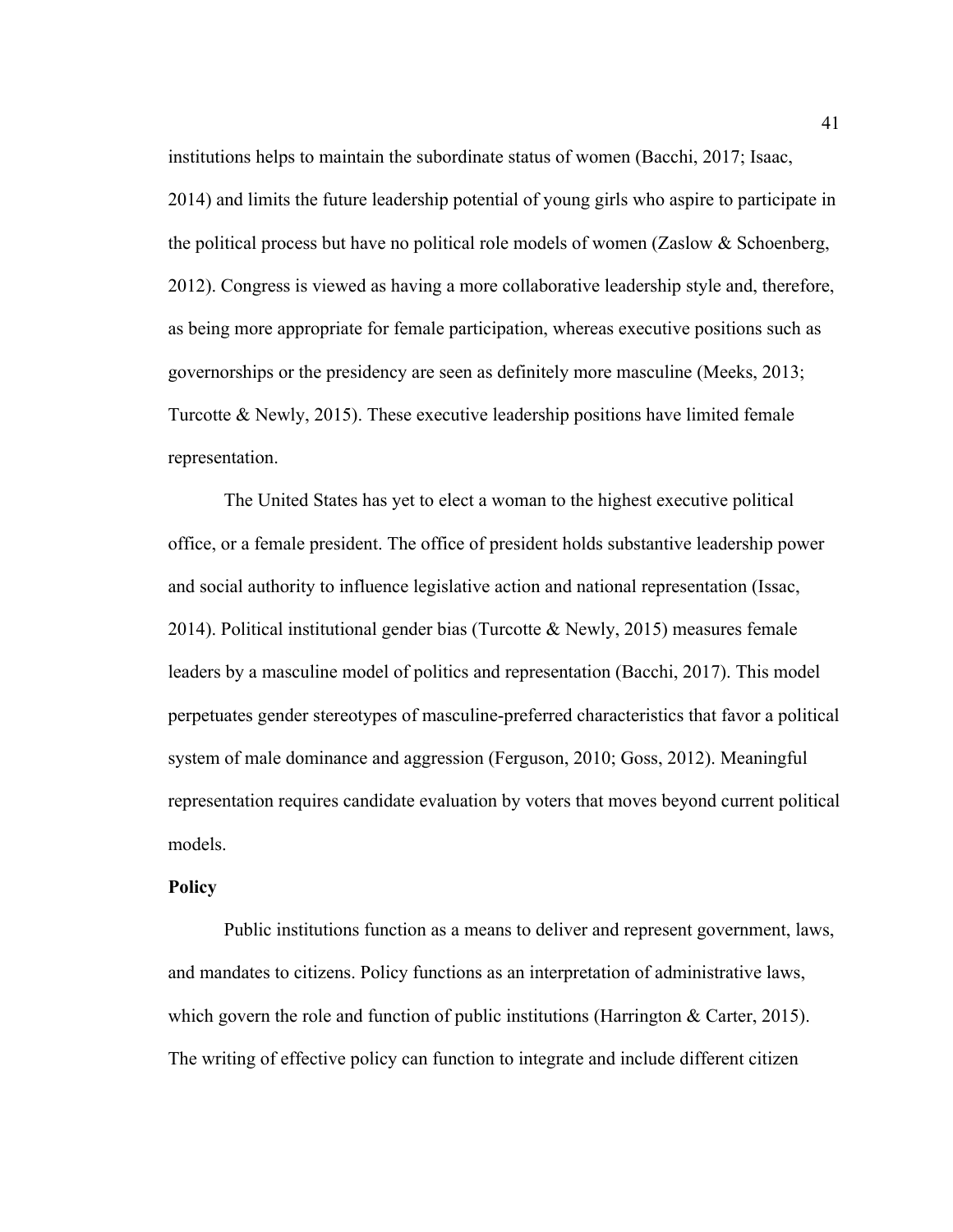institutions helps to maintain the subordinate status of women (Bacchi, 2017; Isaac, 2014) and limits the future leadership potential of young girls who aspire to participate in the political process but have no political role models of women (Zaslow & Schoenberg, 2012). Congress is viewed as having a more collaborative leadership style and, therefore, as being more appropriate for female participation, whereas executive positions such as governorships or the presidency are seen as definitely more masculine (Meeks, 2013; Turcotte & Newly, 2015). These executive leadership positions have limited female representation.

The United States has yet to elect a woman to the highest executive political office, or a female president. The office of president holds substantive leadership power and social authority to influence legislative action and national representation (Issac, 2014). Political institutional gender bias (Turcotte  $\&$  Newly, 2015) measures female leaders by a masculine model of politics and representation (Bacchi, 2017). This model perpetuates gender stereotypes of masculine-preferred characteristics that favor a political system of male dominance and aggression (Ferguson, 2010; Goss, 2012). Meaningful representation requires candidate evaluation by voters that moves beyond current political models.

## **Policy**

Public institutions function as a means to deliver and represent government, laws, and mandates to citizens. Policy functions as an interpretation of administrative laws, which govern the role and function of public institutions (Harrington & Carter, 2015). The writing of effective policy can function to integrate and include different citizen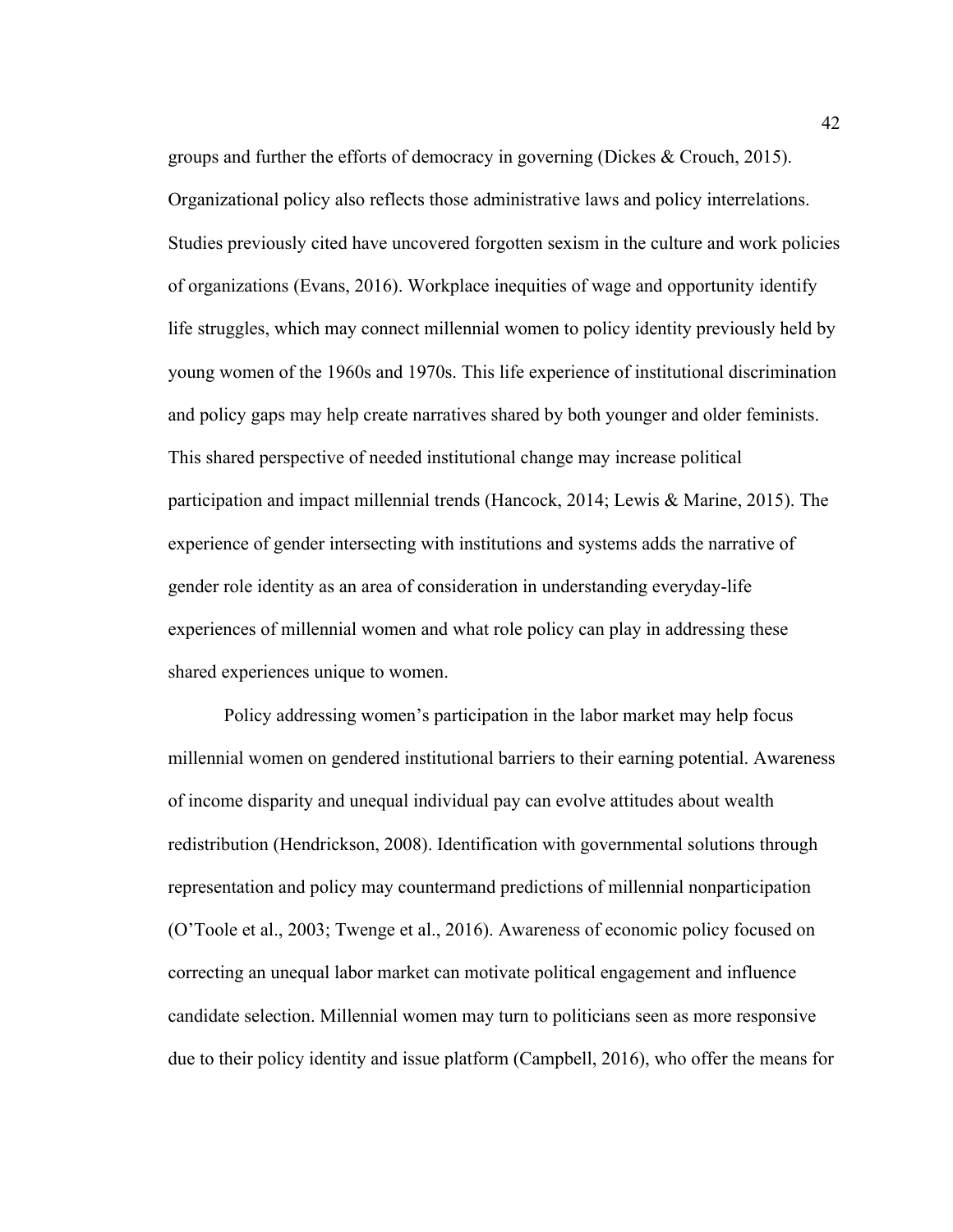groups and further the efforts of democracy in governing (Dickes & Crouch, 2015). Organizational policy also reflects those administrative laws and policy interrelations. Studies previously cited have uncovered forgotten sexism in the culture and work policies of organizations (Evans, 2016). Workplace inequities of wage and opportunity identify life struggles, which may connect millennial women to policy identity previously held by young women of the 1960s and 1970s. This life experience of institutional discrimination and policy gaps may help create narratives shared by both younger and older feminists. This shared perspective of needed institutional change may increase political participation and impact millennial trends (Hancock, 2014; Lewis & Marine, 2015). The experience of gender intersecting with institutions and systems adds the narrative of gender role identity as an area of consideration in understanding everyday-life experiences of millennial women and what role policy can play in addressing these shared experiences unique to women.

Policy addressing women's participation in the labor market may help focus millennial women on gendered institutional barriers to their earning potential. Awareness of income disparity and unequal individual pay can evolve attitudes about wealth redistribution (Hendrickson, 2008). Identification with governmental solutions through representation and policy may countermand predictions of millennial nonparticipation (O'Toole et al., 2003; Twenge et al., 2016). Awareness of economic policy focused on correcting an unequal labor market can motivate political engagement and influence candidate selection. Millennial women may turn to politicians seen as more responsive due to their policy identity and issue platform (Campbell, 2016), who offer the means for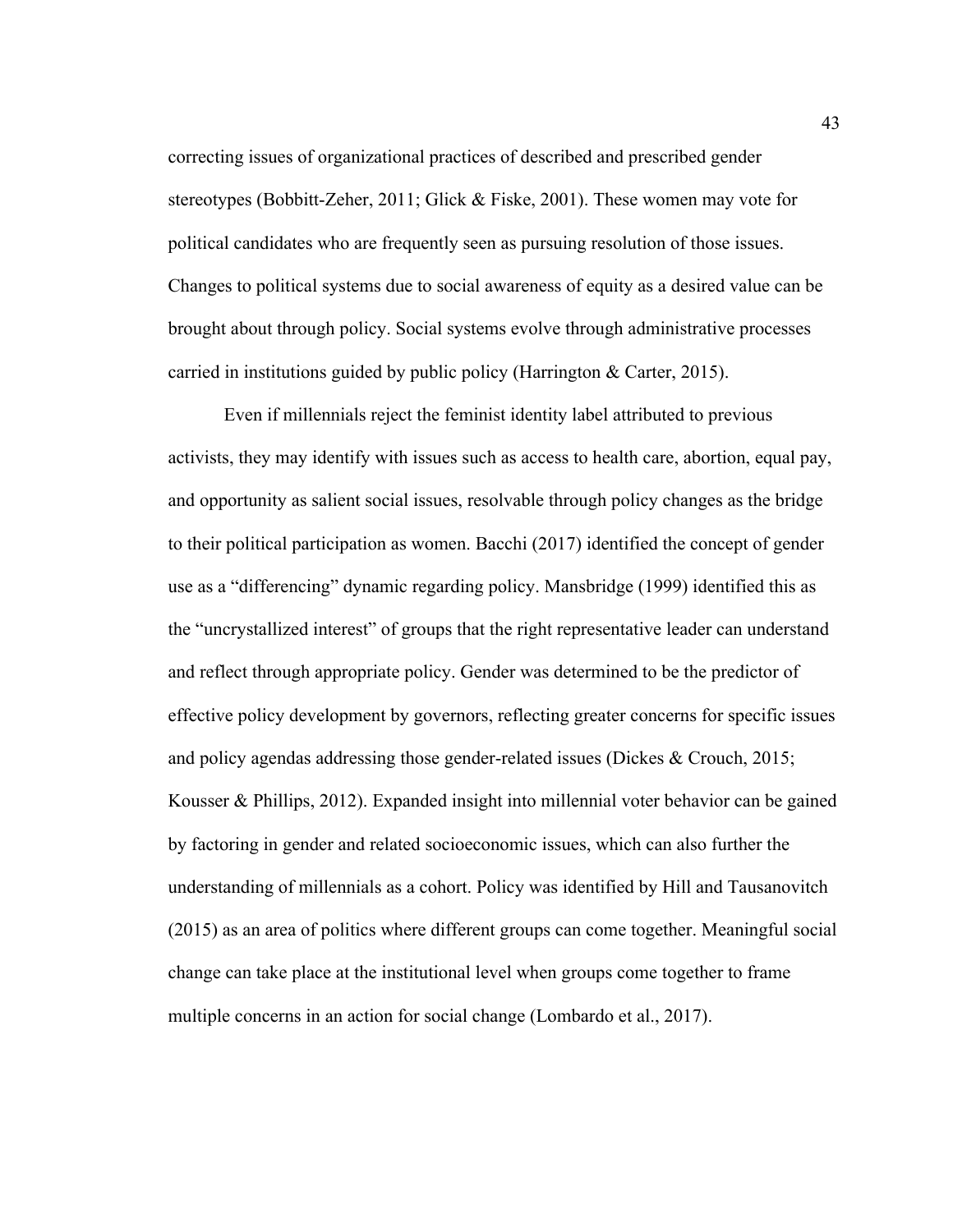correcting issues of organizational practices of described and prescribed gender stereotypes (Bobbitt-Zeher, 2011; Glick & Fiske, 2001). These women may vote for political candidates who are frequently seen as pursuing resolution of those issues. Changes to political systems due to social awareness of equity as a desired value can be brought about through policy. Social systems evolve through administrative processes carried in institutions guided by public policy (Harrington & Carter, 2015).

Even if millennials reject the feminist identity label attributed to previous activists, they may identify with issues such as access to health care, abortion, equal pay, and opportunity as salient social issues, resolvable through policy changes as the bridge to their political participation as women. Bacchi (2017) identified the concept of gender use as a "differencing" dynamic regarding policy. Mansbridge (1999) identified this as the "uncrystallized interest" of groups that the right representative leader can understand and reflect through appropriate policy. Gender was determined to be the predictor of effective policy development by governors, reflecting greater concerns for specific issues and policy agendas addressing those gender-related issues (Dickes & Crouch, 2015; Kousser & Phillips, 2012). Expanded insight into millennial voter behavior can be gained by factoring in gender and related socioeconomic issues, which can also further the understanding of millennials as a cohort. Policy was identified by Hill and Tausanovitch (2015) as an area of politics where different groups can come together. Meaningful social change can take place at the institutional level when groups come together to frame multiple concerns in an action for social change (Lombardo et al., 2017).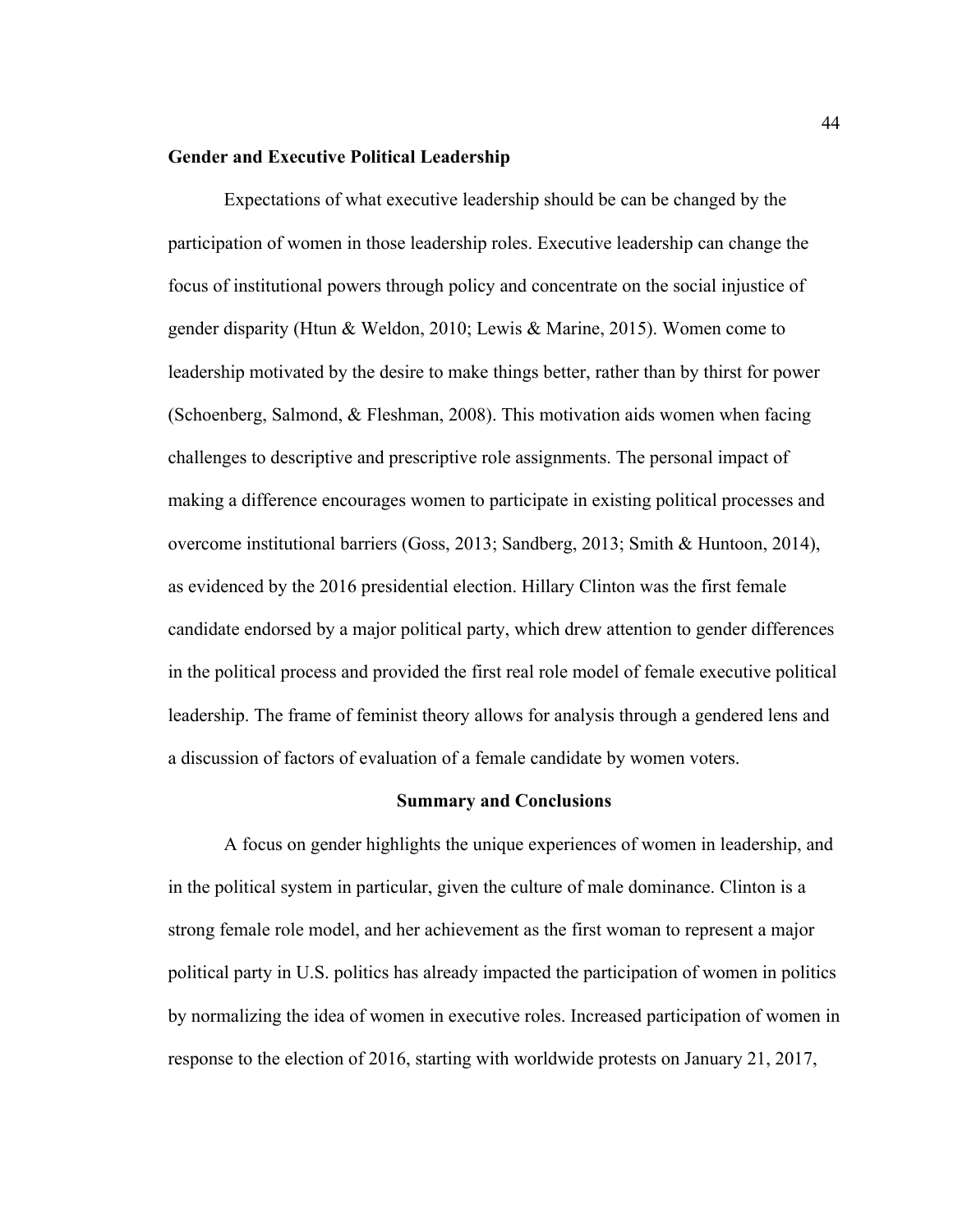### **Gender and Executive Political Leadership**

Expectations of what executive leadership should be can be changed by the participation of women in those leadership roles. Executive leadership can change the focus of institutional powers through policy and concentrate on the social injustice of gender disparity (Htun & Weldon, 2010; Lewis & Marine, 2015). Women come to leadership motivated by the desire to make things better, rather than by thirst for power (Schoenberg, Salmond, & Fleshman, 2008). This motivation aids women when facing challenges to descriptive and prescriptive role assignments. The personal impact of making a difference encourages women to participate in existing political processes and overcome institutional barriers (Goss, 2013; Sandberg, 2013; Smith & Huntoon, 2014), as evidenced by the 2016 presidential election. Hillary Clinton was the first female candidate endorsed by a major political party, which drew attention to gender differences in the political process and provided the first real role model of female executive political leadership. The frame of feminist theory allows for analysis through a gendered lens and a discussion of factors of evaluation of a female candidate by women voters.

#### **Summary and Conclusions**

A focus on gender highlights the unique experiences of women in leadership, and in the political system in particular, given the culture of male dominance. Clinton is a strong female role model, and her achievement as the first woman to represent a major political party in U.S. politics has already impacted the participation of women in politics by normalizing the idea of women in executive roles. Increased participation of women in response to the election of 2016, starting with worldwide protests on January 21, 2017,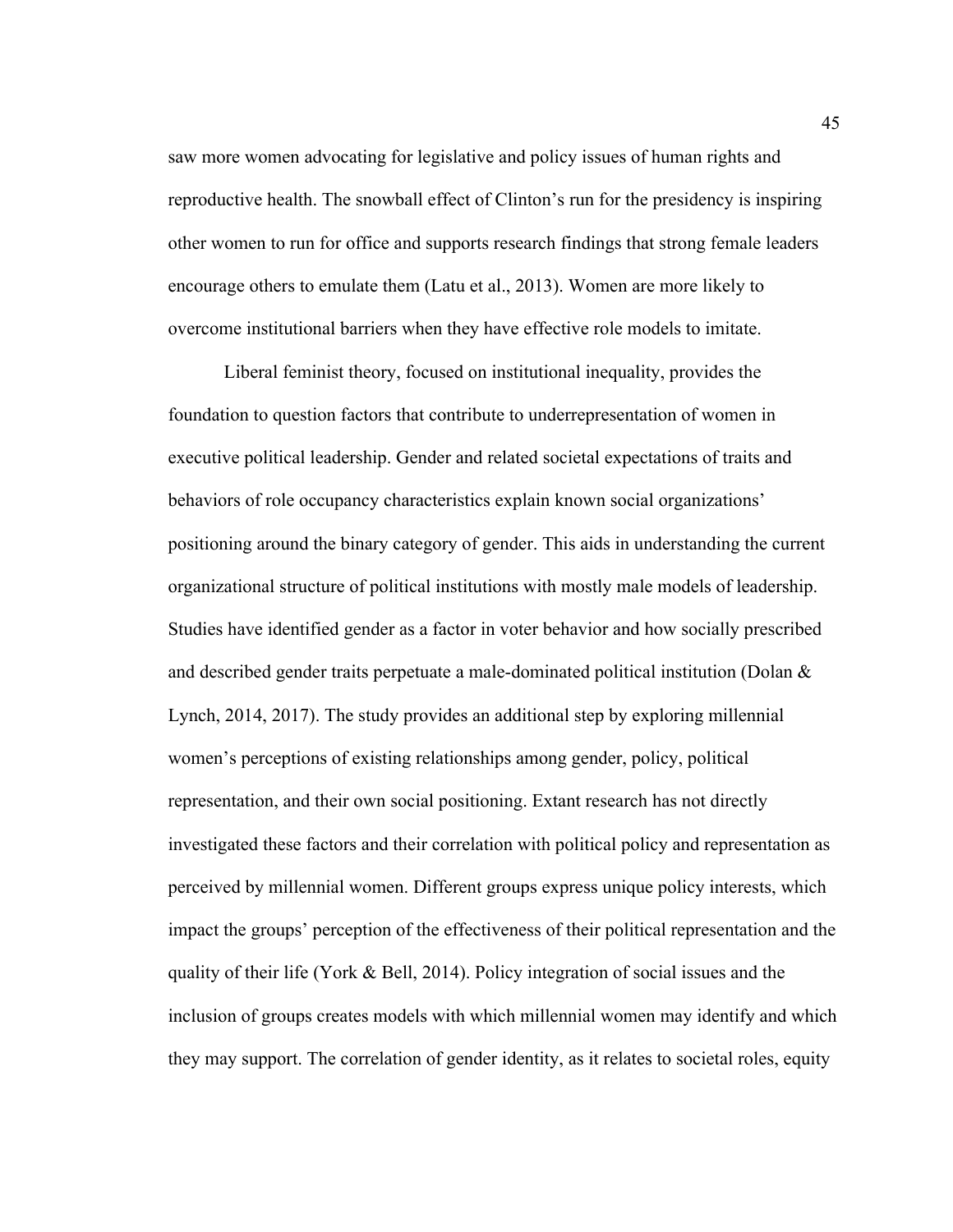saw more women advocating for legislative and policy issues of human rights and reproductive health. The snowball effect of Clinton's run for the presidency is inspiring other women to run for office and supports research findings that strong female leaders encourage others to emulate them (Latu et al., 2013). Women are more likely to overcome institutional barriers when they have effective role models to imitate.

Liberal feminist theory, focused on institutional inequality, provides the foundation to question factors that contribute to underrepresentation of women in executive political leadership. Gender and related societal expectations of traits and behaviors of role occupancy characteristics explain known social organizations' positioning around the binary category of gender. This aids in understanding the current organizational structure of political institutions with mostly male models of leadership. Studies have identified gender as a factor in voter behavior and how socially prescribed and described gender traits perpetuate a male-dominated political institution (Dolan & Lynch, 2014, 2017). The study provides an additional step by exploring millennial women's perceptions of existing relationships among gender, policy, political representation, and their own social positioning. Extant research has not directly investigated these factors and their correlation with political policy and representation as perceived by millennial women. Different groups express unique policy interests, which impact the groups' perception of the effectiveness of their political representation and the quality of their life (York  $\&$  Bell, 2014). Policy integration of social issues and the inclusion of groups creates models with which millennial women may identify and which they may support. The correlation of gender identity, as it relates to societal roles, equity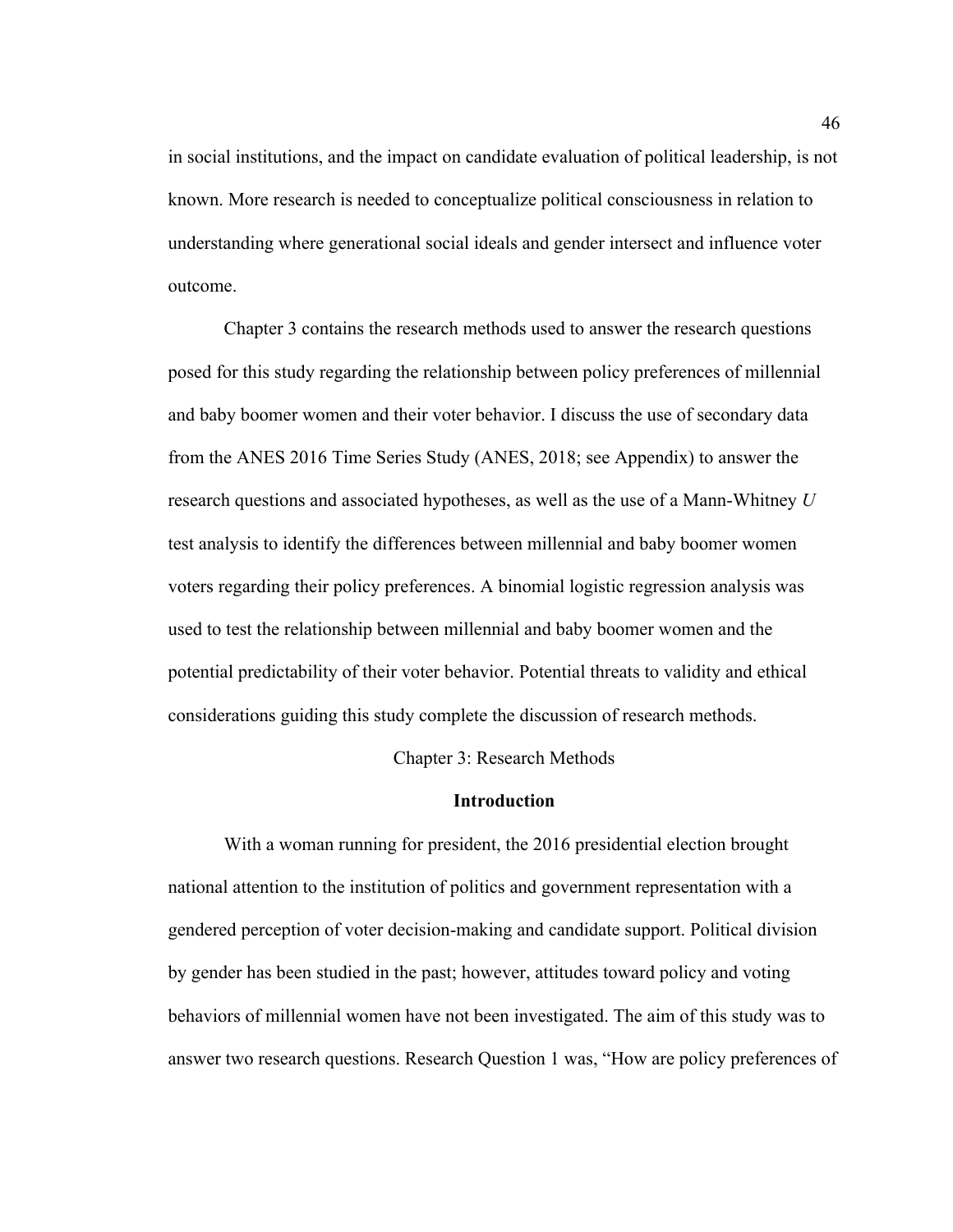in social institutions, and the impact on candidate evaluation of political leadership, is not known. More research is needed to conceptualize political consciousness in relation to understanding where generational social ideals and gender intersect and influence voter outcome.

Chapter 3 contains the research methods used to answer the research questions posed for this study regarding the relationship between policy preferences of millennial and baby boomer women and their voter behavior. I discuss the use of secondary data from the ANES 2016 Time Series Study (ANES, 2018; see Appendix) to answer the research questions and associated hypotheses, as well as the use of a Mann-Whitney *U* test analysis to identify the differences between millennial and baby boomer women voters regarding their policy preferences. A binomial logistic regression analysis was used to test the relationship between millennial and baby boomer women and the potential predictability of their voter behavior. Potential threats to validity and ethical considerations guiding this study complete the discussion of research methods.

Chapter 3: Research Methods

### **Introduction**

With a woman running for president, the 2016 presidential election brought national attention to the institution of politics and government representation with a gendered perception of voter decision-making and candidate support. Political division by gender has been studied in the past; however, attitudes toward policy and voting behaviors of millennial women have not been investigated. The aim of this study was to answer two research questions. Research Question 1 was, "How are policy preferences of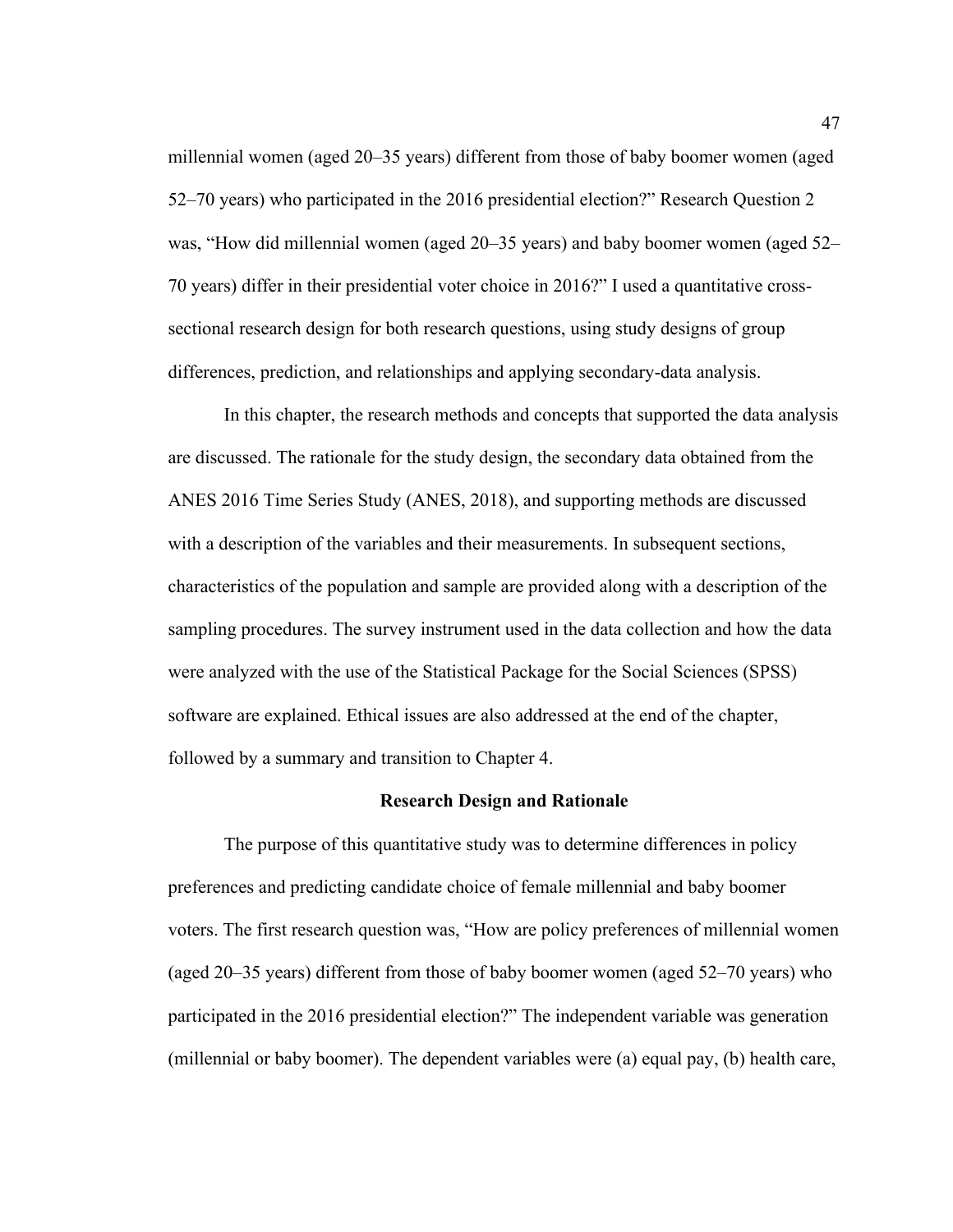millennial women (aged 20–35 years) different from those of baby boomer women (aged 52–70 years) who participated in the 2016 presidential election?" Research Question 2 was, "How did millennial women (aged 20–35 years) and baby boomer women (aged 52– 70 years) differ in their presidential voter choice in 2016?" I used a quantitative crosssectional research design for both research questions, using study designs of group differences, prediction, and relationships and applying secondary-data analysis.

In this chapter, the research methods and concepts that supported the data analysis are discussed. The rationale for the study design, the secondary data obtained from the ANES 2016 Time Series Study (ANES, 2018), and supporting methods are discussed with a description of the variables and their measurements. In subsequent sections, characteristics of the population and sample are provided along with a description of the sampling procedures. The survey instrument used in the data collection and how the data were analyzed with the use of the Statistical Package for the Social Sciences (SPSS) software are explained. Ethical issues are also addressed at the end of the chapter, followed by a summary and transition to Chapter 4.

#### **Research Design and Rationale**

The purpose of this quantitative study was to determine differences in policy preferences and predicting candidate choice of female millennial and baby boomer voters. The first research question was, "How are policy preferences of millennial women (aged 20–35 years) different from those of baby boomer women (aged 52–70 years) who participated in the 2016 presidential election?" The independent variable was generation (millennial or baby boomer). The dependent variables were (a) equal pay, (b) health care,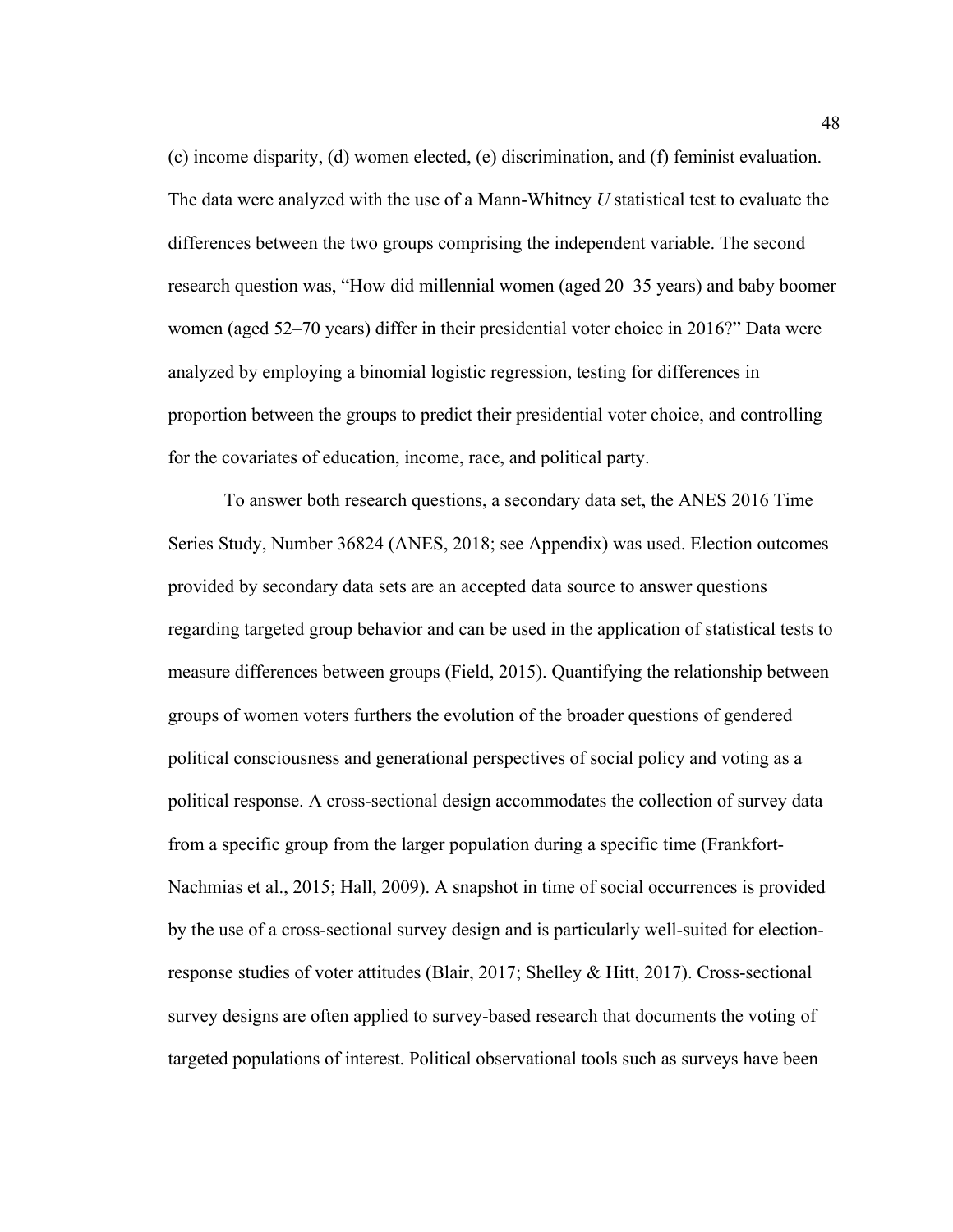(c) income disparity, (d) women elected, (e) discrimination, and (f) feminist evaluation. The data were analyzed with the use of a Mann-Whitney *U* statistical test to evaluate the differences between the two groups comprising the independent variable. The second research question was, "How did millennial women (aged 20–35 years) and baby boomer women (aged 52–70 years) differ in their presidential voter choice in 2016?" Data were analyzed by employing a binomial logistic regression, testing for differences in proportion between the groups to predict their presidential voter choice, and controlling for the covariates of education, income, race, and political party.

To answer both research questions, a secondary data set, the ANES 2016 Time Series Study, Number 36824 (ANES, 2018; see Appendix) was used. Election outcomes provided by secondary data sets are an accepted data source to answer questions regarding targeted group behavior and can be used in the application of statistical tests to measure differences between groups (Field, 2015). Quantifying the relationship between groups of women voters furthers the evolution of the broader questions of gendered political consciousness and generational perspectives of social policy and voting as a political response. A cross-sectional design accommodates the collection of survey data from a specific group from the larger population during a specific time (Frankfort-Nachmias et al., 2015; Hall, 2009). A snapshot in time of social occurrences is provided by the use of a cross-sectional survey design and is particularly well-suited for electionresponse studies of voter attitudes (Blair, 2017; Shelley & Hitt, 2017). Cross-sectional survey designs are often applied to survey-based research that documents the voting of targeted populations of interest. Political observational tools such as surveys have been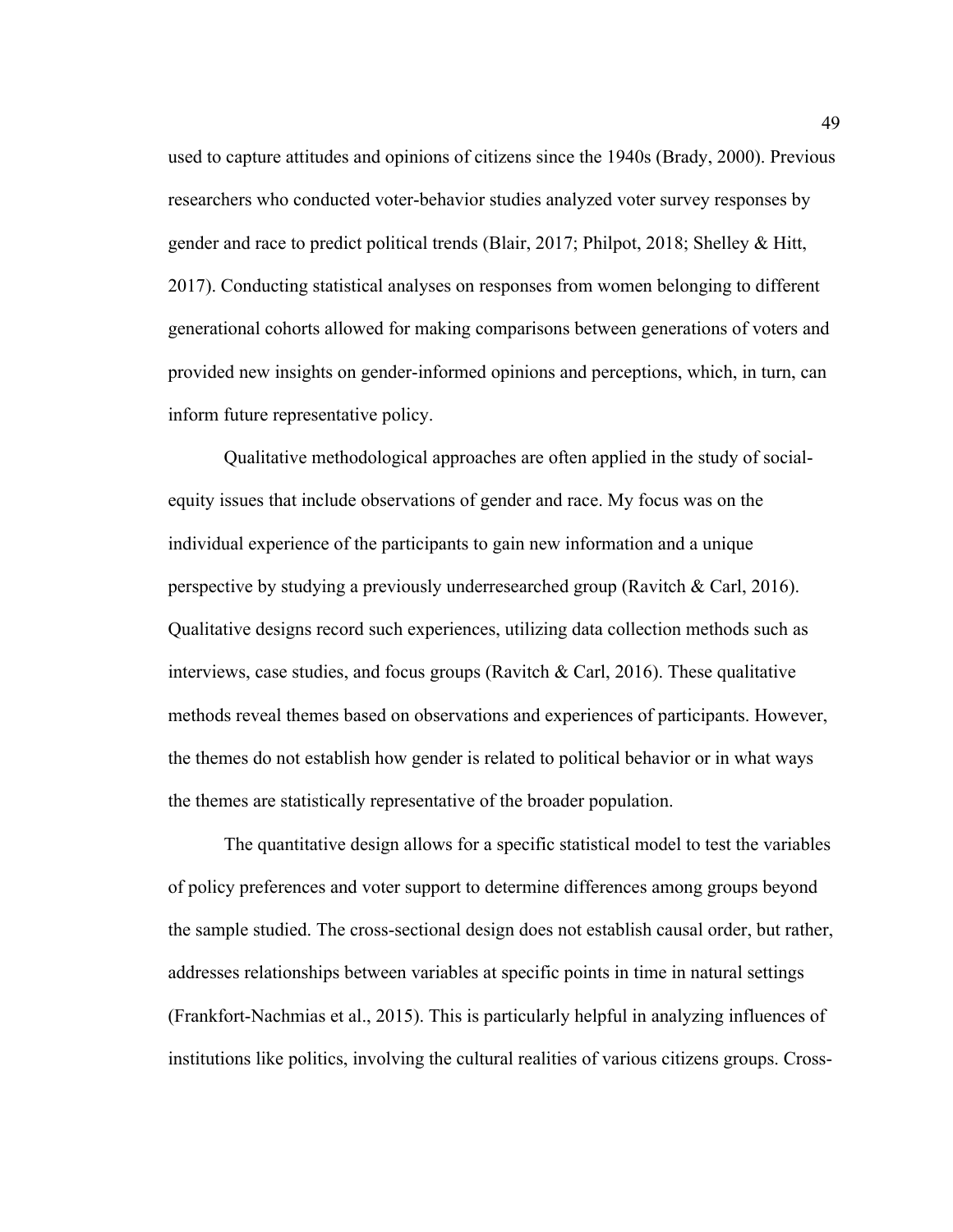used to capture attitudes and opinions of citizens since the 1940s (Brady, 2000). Previous researchers who conducted voter-behavior studies analyzed voter survey responses by gender and race to predict political trends (Blair, 2017; Philpot, 2018; Shelley & Hitt, 2017). Conducting statistical analyses on responses from women belonging to different generational cohorts allowed for making comparisons between generations of voters and provided new insights on gender-informed opinions and perceptions, which, in turn, can inform future representative policy.

Qualitative methodological approaches are often applied in the study of socialequity issues that include observations of gender and race. My focus was on the individual experience of the participants to gain new information and a unique perspective by studying a previously underresearched group (Ravitch & Carl, 2016). Qualitative designs record such experiences, utilizing data collection methods such as interviews, case studies, and focus groups (Ravitch & Carl, 2016). These qualitative methods reveal themes based on observations and experiences of participants. However, the themes do not establish how gender is related to political behavior or in what ways the themes are statistically representative of the broader population.

The quantitative design allows for a specific statistical model to test the variables of policy preferences and voter support to determine differences among groups beyond the sample studied. The cross-sectional design does not establish causal order, but rather, addresses relationships between variables at specific points in time in natural settings (Frankfort-Nachmias et al., 2015). This is particularly helpful in analyzing influences of institutions like politics, involving the cultural realities of various citizens groups. Cross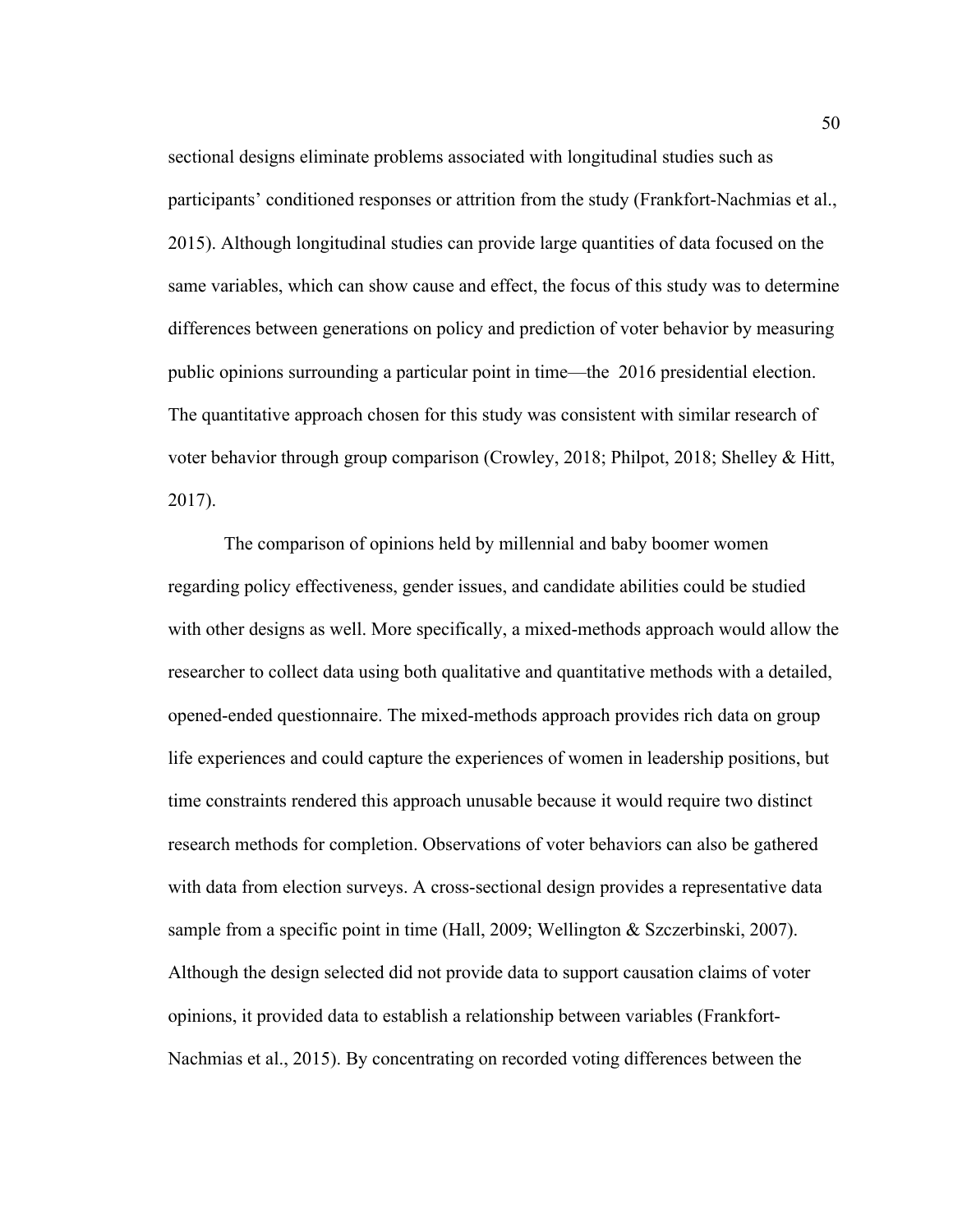sectional designs eliminate problems associated with longitudinal studies such as participants' conditioned responses or attrition from the study (Frankfort-Nachmias et al., 2015). Although longitudinal studies can provide large quantities of data focused on the same variables, which can show cause and effect, the focus of this study was to determine differences between generations on policy and prediction of voter behavior by measuring public opinions surrounding a particular point in time—the 2016 presidential election. The quantitative approach chosen for this study was consistent with similar research of voter behavior through group comparison (Crowley, 2018; Philpot, 2018; Shelley & Hitt, 2017).

The comparison of opinions held by millennial and baby boomer women regarding policy effectiveness, gender issues, and candidate abilities could be studied with other designs as well. More specifically, a mixed-methods approach would allow the researcher to collect data using both qualitative and quantitative methods with a detailed, opened-ended questionnaire. The mixed-methods approach provides rich data on group life experiences and could capture the experiences of women in leadership positions, but time constraints rendered this approach unusable because it would require two distinct research methods for completion. Observations of voter behaviors can also be gathered with data from election surveys. A cross-sectional design provides a representative data sample from a specific point in time (Hall, 2009; Wellington & Szczerbinski, 2007). Although the design selected did not provide data to support causation claims of voter opinions, it provided data to establish a relationship between variables (Frankfort-Nachmias et al., 2015). By concentrating on recorded voting differences between the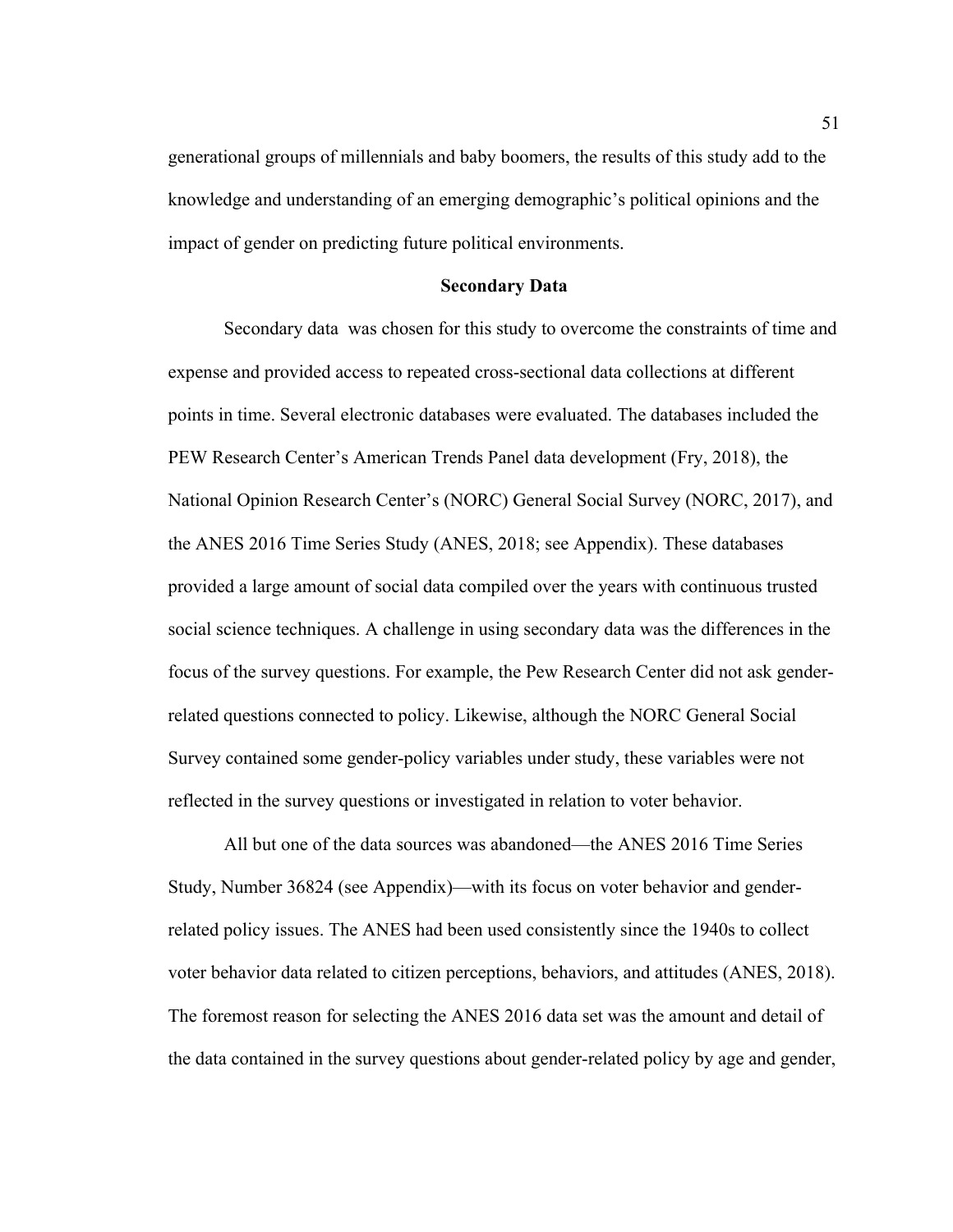generational groups of millennials and baby boomers, the results of this study add to the knowledge and understanding of an emerging demographic's political opinions and the impact of gender on predicting future political environments.

### **Secondary Data**

Secondary data was chosen for this study to overcome the constraints of time and expense and provided access to repeated cross-sectional data collections at different points in time. Several electronic databases were evaluated. The databases included the PEW Research Center's American Trends Panel data development (Fry, 2018), the National Opinion Research Center's (NORC) General Social Survey (NORC, 2017), and the ANES 2016 Time Series Study (ANES, 2018; see Appendix). These databases provided a large amount of social data compiled over the years with continuous trusted social science techniques. A challenge in using secondary data was the differences in the focus of the survey questions. For example, the Pew Research Center did not ask genderrelated questions connected to policy. Likewise, although the NORC General Social Survey contained some gender-policy variables under study, these variables were not reflected in the survey questions or investigated in relation to voter behavior.

All but one of the data sources was abandoned—the ANES 2016 Time Series Study, Number 36824 (see Appendix)—with its focus on voter behavior and genderrelated policy issues. The ANES had been used consistently since the 1940s to collect voter behavior data related to citizen perceptions, behaviors, and attitudes (ANES, 2018). The foremost reason for selecting the ANES 2016 data set was the amount and detail of the data contained in the survey questions about gender-related policy by age and gender,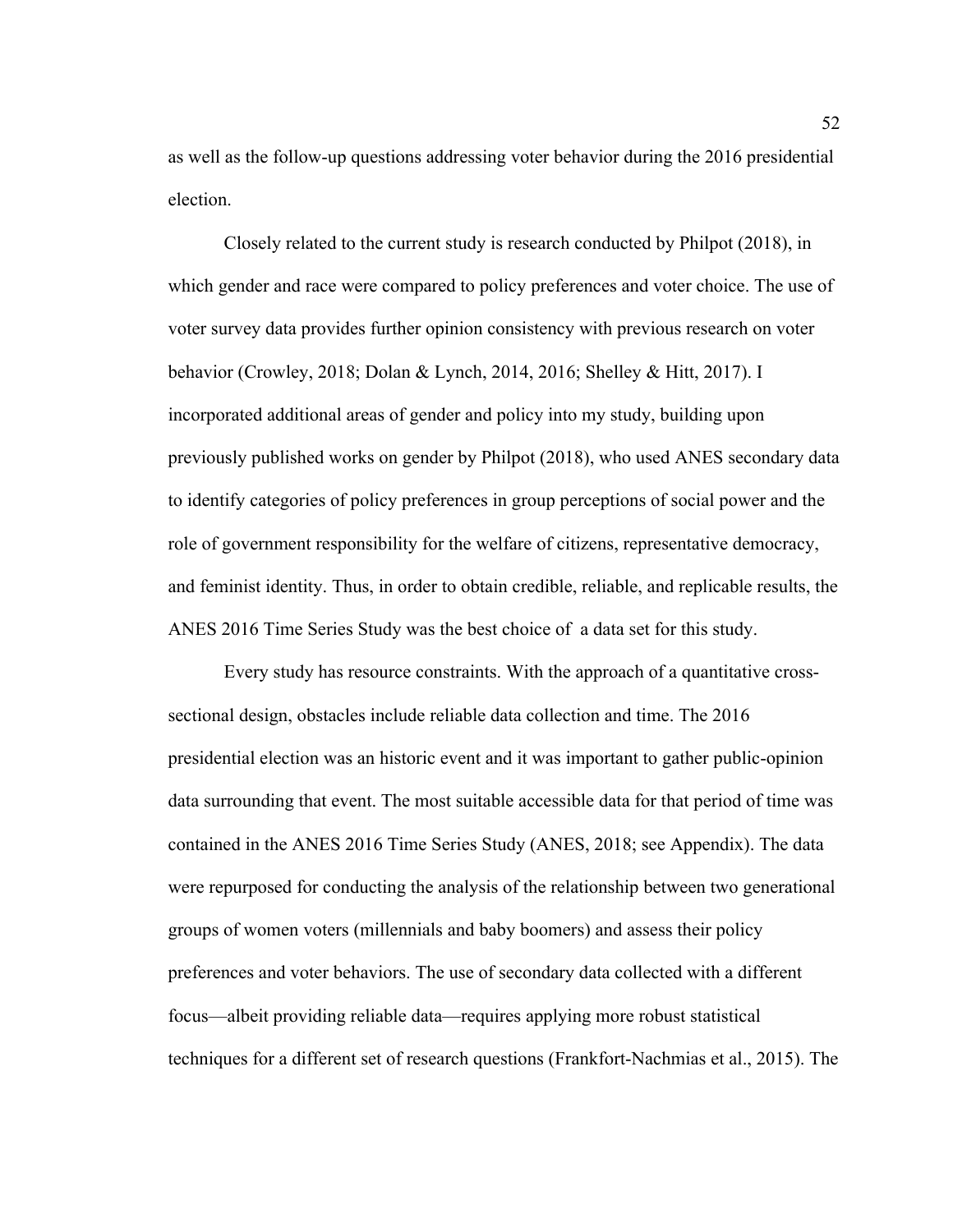as well as the follow-up questions addressing voter behavior during the 2016 presidential election.

Closely related to the current study is research conducted by Philpot (2018), in which gender and race were compared to policy preferences and voter choice. The use of voter survey data provides further opinion consistency with previous research on voter behavior (Crowley, 2018; Dolan & Lynch, 2014, 2016; Shelley & Hitt, 2017). I incorporated additional areas of gender and policy into my study, building upon previously published works on gender by Philpot (2018), who used ANES secondary data to identify categories of policy preferences in group perceptions of social power and the role of government responsibility for the welfare of citizens, representative democracy, and feminist identity. Thus, in order to obtain credible, reliable, and replicable results, the ANES 2016 Time Series Study was the best choice of a data set for this study.

Every study has resource constraints. With the approach of a quantitative crosssectional design, obstacles include reliable data collection and time. The 2016 presidential election was an historic event and it was important to gather public-opinion data surrounding that event. The most suitable accessible data for that period of time was contained in the ANES 2016 Time Series Study (ANES, 2018; see Appendix). The data were repurposed for conducting the analysis of the relationship between two generational groups of women voters (millennials and baby boomers) and assess their policy preferences and voter behaviors. The use of secondary data collected with a different focus—albeit providing reliable data—requires applying more robust statistical techniques for a different set of research questions (Frankfort-Nachmias et al., 2015). The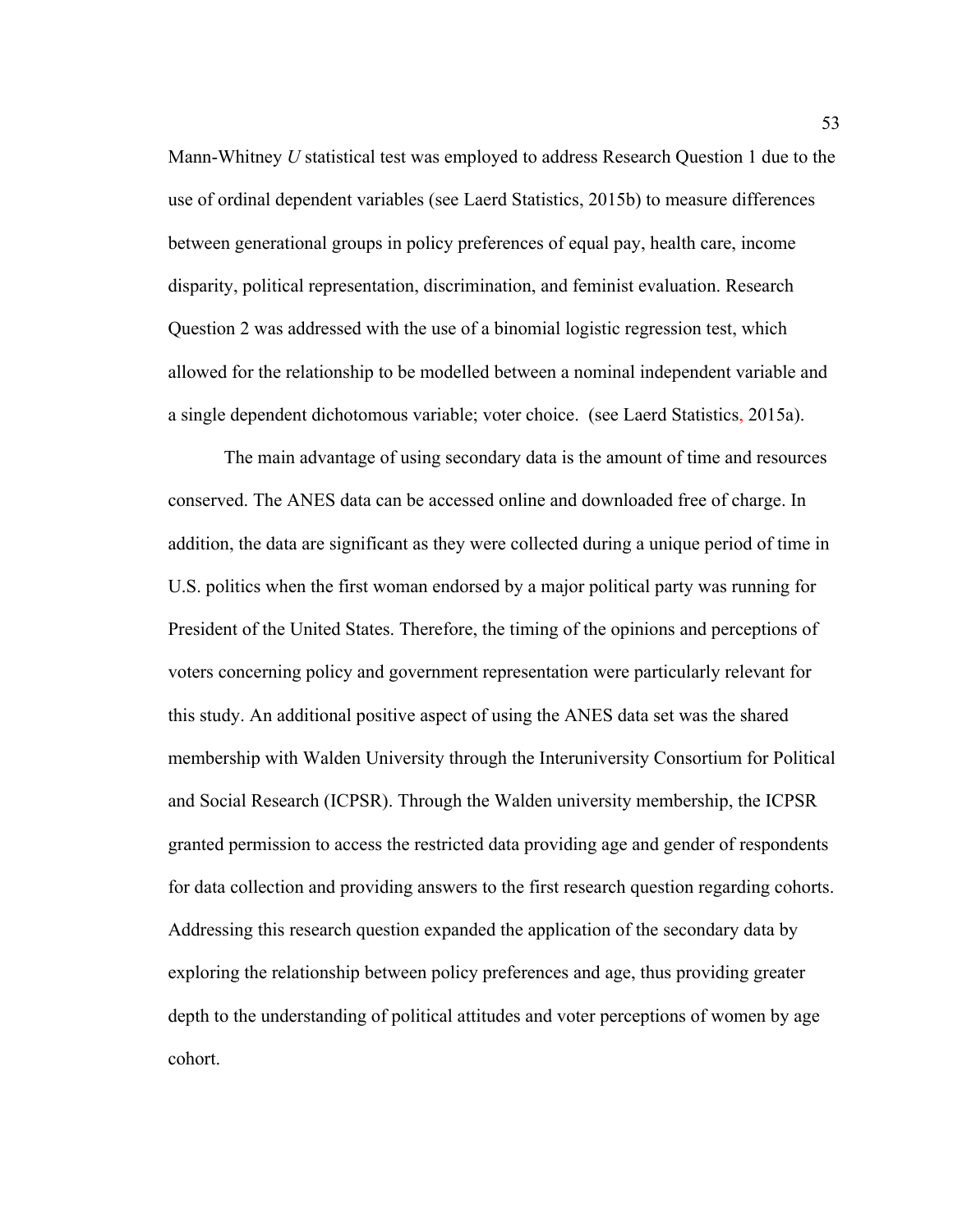Mann-Whitney *U* statistical test was employed to address Research Question 1 due to the use of ordinal dependent variables (see Laerd Statistics, 2015b) to measure differences between generational groups in policy preferences of equal pay, health care, income disparity, political representation, discrimination, and feminist evaluation. Research Question 2 was addressed with the use of a binomial logistic regression test, which allowed for the relationship to be modelled between a nominal independent variable and a single dependent dichotomous variable; voter choice. (see Laerd Statistics, 2015a).

The main advantage of using secondary data is the amount of time and resources conserved. The ANES data can be accessed online and downloaded free of charge. In addition, the data are significant as they were collected during a unique period of time in U.S. politics when the first woman endorsed by a major political party was running for President of the United States. Therefore, the timing of the opinions and perceptions of voters concerning policy and government representation were particularly relevant for this study. An additional positive aspect of using the ANES data set was the shared membership with Walden University through the Interuniversity Consortium for Political and Social Research (ICPSR). Through the Walden university membership, the ICPSR granted permission to access the restricted data providing age and gender of respondents for data collection and providing answers to the first research question regarding cohorts. Addressing this research question expanded the application of the secondary data by exploring the relationship between policy preferences and age, thus providing greater depth to the understanding of political attitudes and voter perceptions of women by age cohort.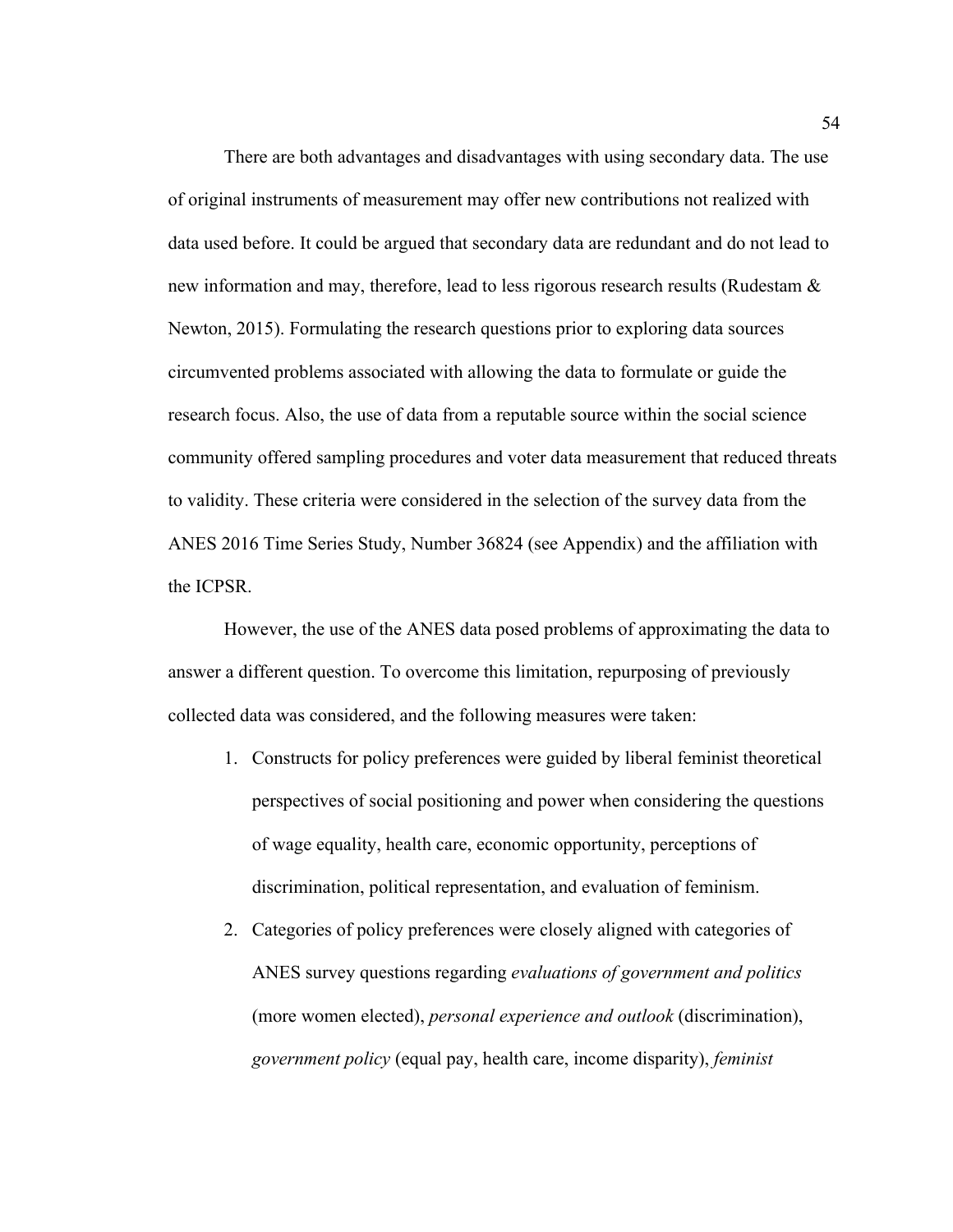There are both advantages and disadvantages with using secondary data. The use of original instruments of measurement may offer new contributions not realized with data used before. It could be argued that secondary data are redundant and do not lead to new information and may, therefore, lead to less rigorous research results (Rudestam & Newton, 2015). Formulating the research questions prior to exploring data sources circumvented problems associated with allowing the data to formulate or guide the research focus. Also, the use of data from a reputable source within the social science community offered sampling procedures and voter data measurement that reduced threats to validity. These criteria were considered in the selection of the survey data from the ANES 2016 Time Series Study, Number 36824 (see Appendix) and the affiliation with the ICPSR.

However, the use of the ANES data posed problems of approximating the data to answer a different question. To overcome this limitation, repurposing of previously collected data was considered, and the following measures were taken:

- 1. Constructs for policy preferences were guided by liberal feminist theoretical perspectives of social positioning and power when considering the questions of wage equality, health care, economic opportunity, perceptions of discrimination, political representation, and evaluation of feminism.
- 2. Categories of policy preferences were closely aligned with categories of ANES survey questions regarding *evaluations of government and politics*  (more women elected), *personal experience and outlook* (discrimination), *government policy* (equal pay, health care, income disparity), *feminist*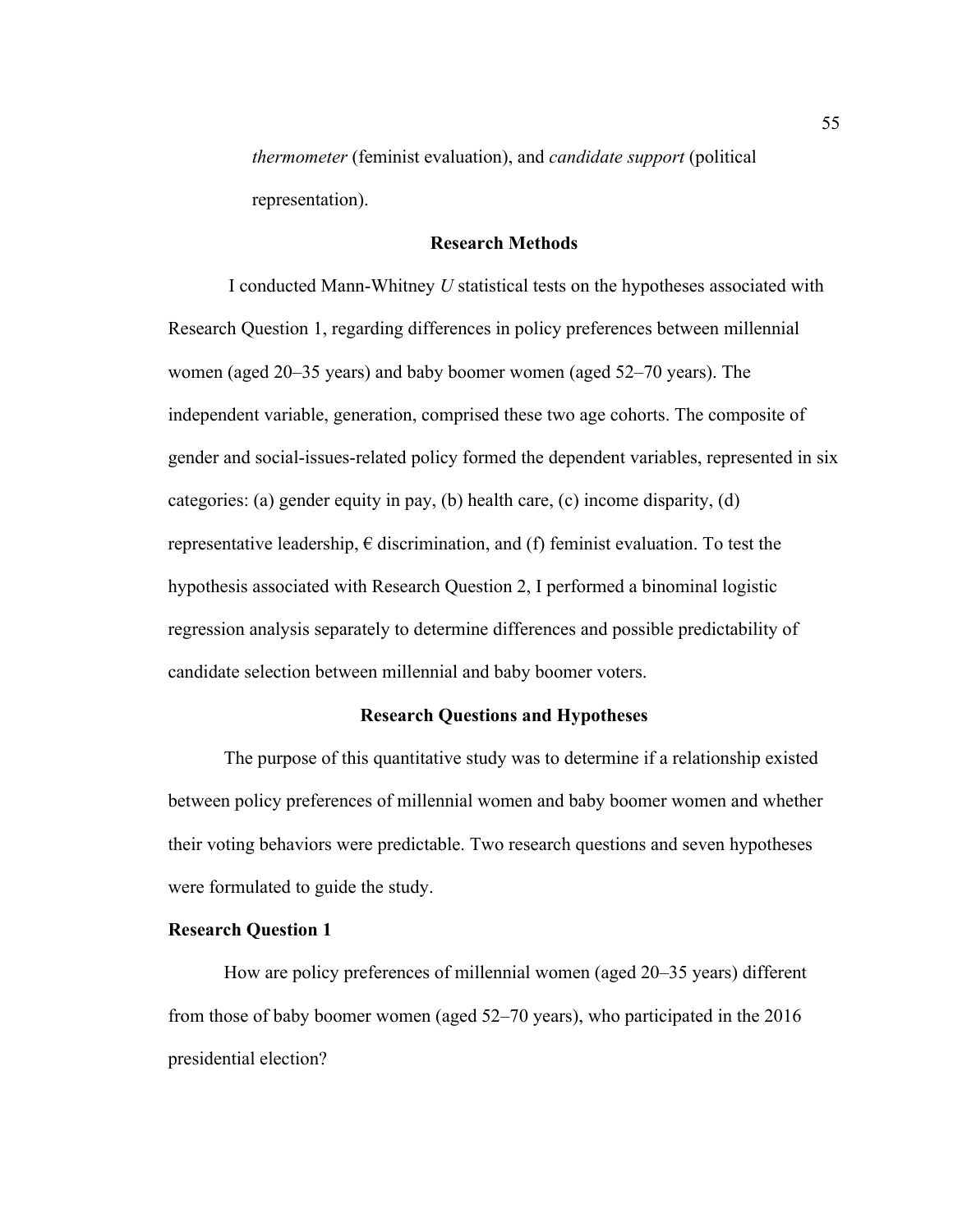*thermometer* (feminist evaluation), and *candidate support* (political representation).

## **Research Methods**

I conducted Mann-Whitney *U* statistical tests on the hypotheses associated with Research Question 1, regarding differences in policy preferences between millennial women (aged 20–35 years) and baby boomer women (aged 52–70 years). The independent variable, generation, comprised these two age cohorts. The composite of gender and social-issues-related policy formed the dependent variables, represented in six categories: (a) gender equity in pay, (b) health care, (c) income disparity, (d) representative leadership,  $\epsilon$  discrimination, and (f) feminist evaluation. To test the hypothesis associated with Research Question 2, I performed a binominal logistic regression analysis separately to determine differences and possible predictability of candidate selection between millennial and baby boomer voters.

### **Research Questions and Hypotheses**

The purpose of this quantitative study was to determine if a relationship existed between policy preferences of millennial women and baby boomer women and whether their voting behaviors were predictable. Two research questions and seven hypotheses were formulated to guide the study.

### **Research Question 1**

How are policy preferences of millennial women (aged 20–35 years) different from those of baby boomer women (aged 52–70 years), who participated in the 2016 presidential election?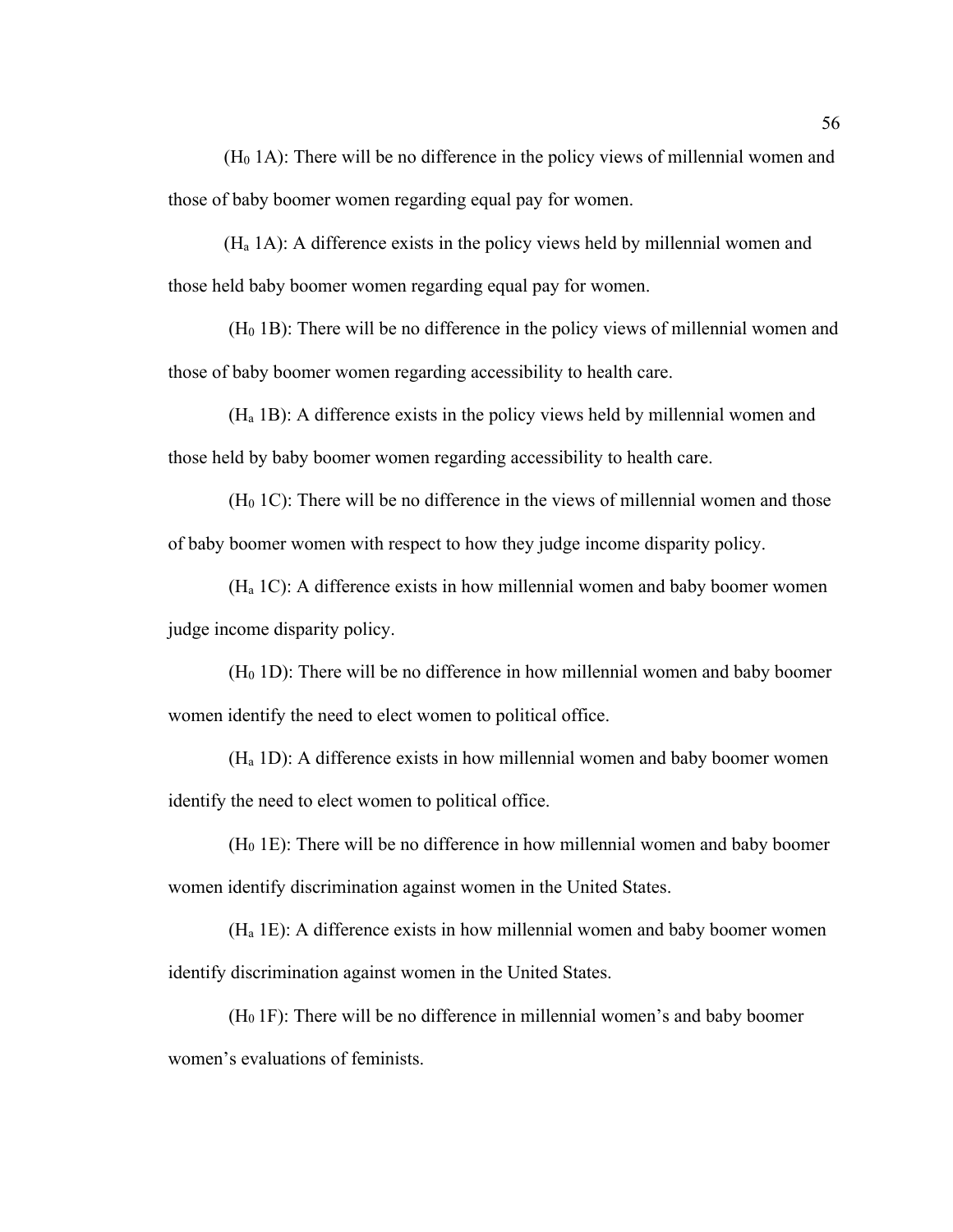$(H<sub>0</sub> 1A)$ : There will be no difference in the policy views of millennial women and those of baby boomer women regarding equal pay for women.

(Ha 1A): A difference exists in the policy views held by millennial women and those held baby boomer women regarding equal pay for women.

 $(H<sub>0</sub> 1B)$ : There will be no difference in the policy views of millennial women and those of baby boomer women regarding accessibility to health care.

(Ha 1B): A difference exists in the policy views held by millennial women and those held by baby boomer women regarding accessibility to health care.

 $(H<sub>0</sub> 1C)$ : There will be no difference in the views of millennial women and those of baby boomer women with respect to how they judge income disparity policy.

(Ha 1C): A difference exists in how millennial women and baby boomer women judge income disparity policy.

 $(H<sub>0</sub> 1D)$ : There will be no difference in how millennial women and baby boomer women identify the need to elect women to political office.

(Ha 1D): A difference exists in how millennial women and baby boomer women identify the need to elect women to political office.

 $(H<sub>0</sub> 1E)$ : There will be no difference in how millennial women and baby boomer women identify discrimination against women in the United States.

(Ha 1E): A difference exists in how millennial women and baby boomer women identify discrimination against women in the United States.

 $(H<sub>0</sub>1F)$ : There will be no difference in millennial women's and baby boomer women's evaluations of feminists.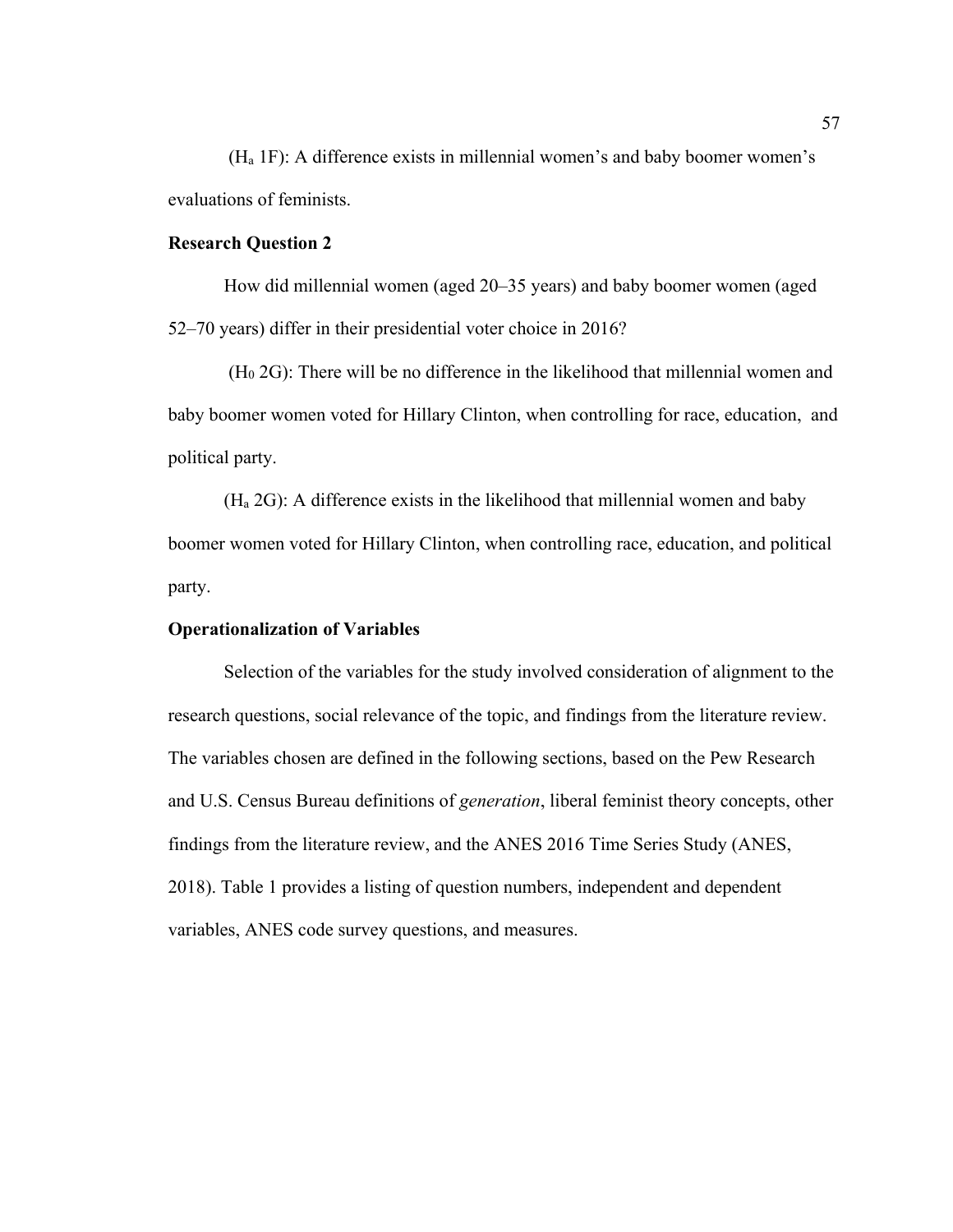(Ha 1F): A difference exists in millennial women's and baby boomer women's evaluations of feminists.

## **Research Question 2**

How did millennial women (aged 20–35 years) and baby boomer women (aged 52–70 years) differ in their presidential voter choice in 2016?

 $(H<sub>0</sub> 2G)$ : There will be no difference in the likelihood that millennial women and baby boomer women voted for Hillary Clinton, when controlling for race, education, and political party.

(Ha 2G): A difference exists in the likelihood that millennial women and baby boomer women voted for Hillary Clinton, when controlling race, education, and political party.

### **Operationalization of Variables**

Selection of the variables for the study involved consideration of alignment to the research questions, social relevance of the topic, and findings from the literature review. The variables chosen are defined in the following sections, based on the Pew Research and U.S. Census Bureau definitions of *generation*, liberal feminist theory concepts, other findings from the literature review, and the ANES 2016 Time Series Study (ANES, 2018). Table 1 provides a listing of question numbers, independent and dependent variables, ANES code survey questions, and measures.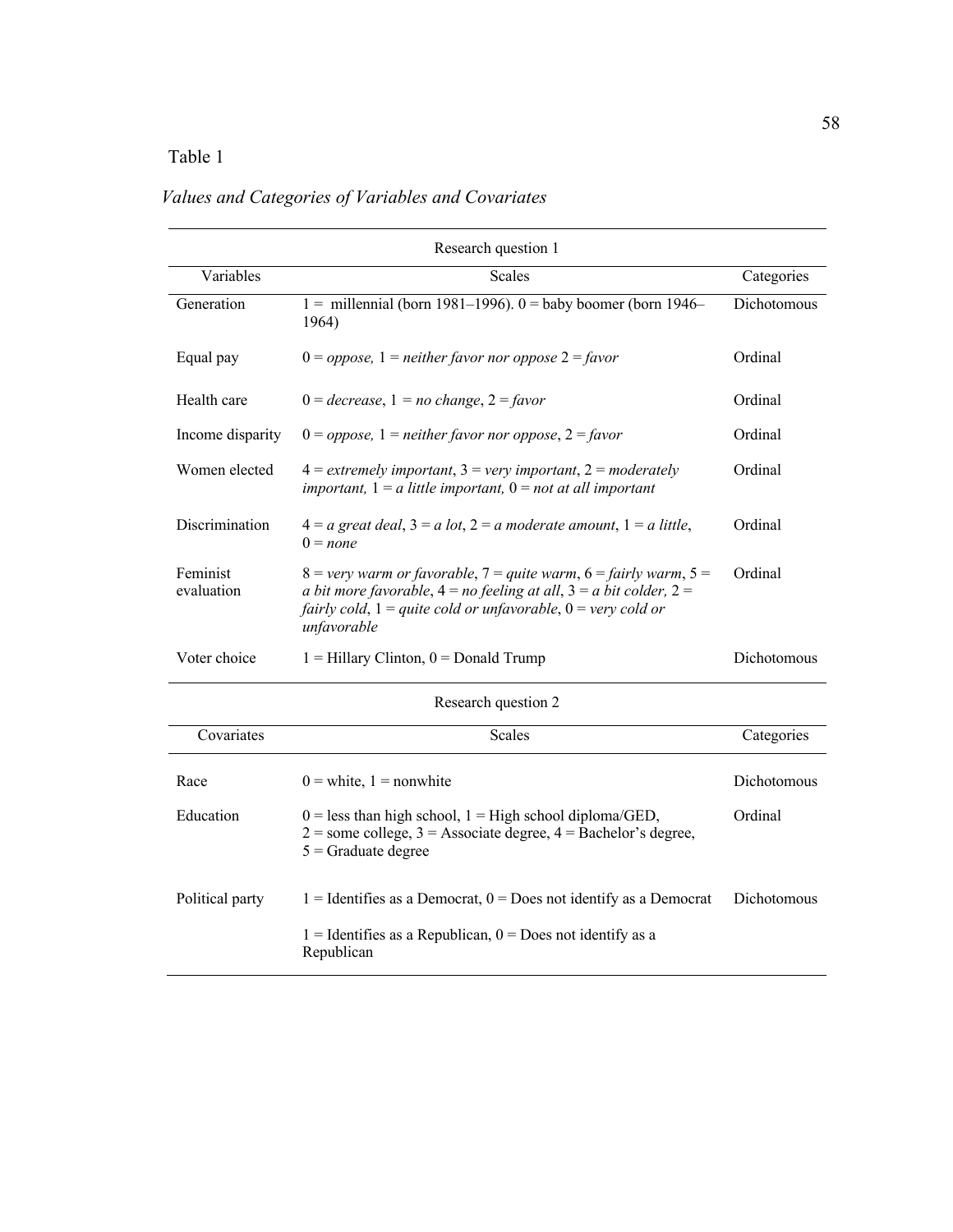# Table 1

# Research question 1 Variables Categories Categories Categories Categories Categories Categories Categories Generation  $1 = 1$  = millennial (born 1981–1996). 0 = baby boomer (born 1946– 1964) Dichotomous Equal pay 0 = *oppose,* 1 = *neither favor nor oppose* 2 = *favor* Ordinal Health care 0 = *decrease*, 1 *= no change*, 2 = *favor* Ordinal Income disparity 0 = *oppose,* 1 = *neither favor nor oppose*, 2 = *favor* Ordinal Women elected 4 = *extremely important*, 3 = *very important*, 2 = *moderately important,* 1 = *a little important,* 0 = *not at all important* Ordinal Discrimination  $4 = a$  *great deal*,  $3 = a$  *lot*,  $2 = a$  *moderate amount*,  $1 = a$  *little*,  $0 = none$ Ordinal Feminist evaluation  $8 =$ *very warm or favorable*,  $7 =$ *quite warm*,  $6 =$ *fairly warm*,  $5 =$ *a bit more favorable*,  $4 = no$  *feeling at all*,  $3 = a$  *bit colder*,  $2 =$ *fairly cold*, 1 = *quite cold or unfavorable*, 0 = *very cold or unfavorable* Ordinal Voter choice  $1 = Hillary Clinton$ ,  $0 = Donald Trump$

### *Values and Categories of Variables and Covariates*

Research question 2

| Covariates      | <b>Scales</b>                                                                                                                                                | Categories  |
|-----------------|--------------------------------------------------------------------------------------------------------------------------------------------------------------|-------------|
| Race            | $0 =$ white, $1 =$ nonwhite                                                                                                                                  | Dichotomous |
| Education       | $0 =$ less than high school, $1 =$ High school diploma/GED,<br>$2 =$ some college, $3 =$ Associate degree, $4 =$ Bachelor's degree,<br>$5 =$ Graduate degree | Ordinal     |
| Political party | $1 =$ Identifies as a Democrat, $0 =$ Does not identify as a Democrat<br>$1 =$ Identifies as a Republican, $0 =$ Does not identify as a<br>Republican        | Dichotomous |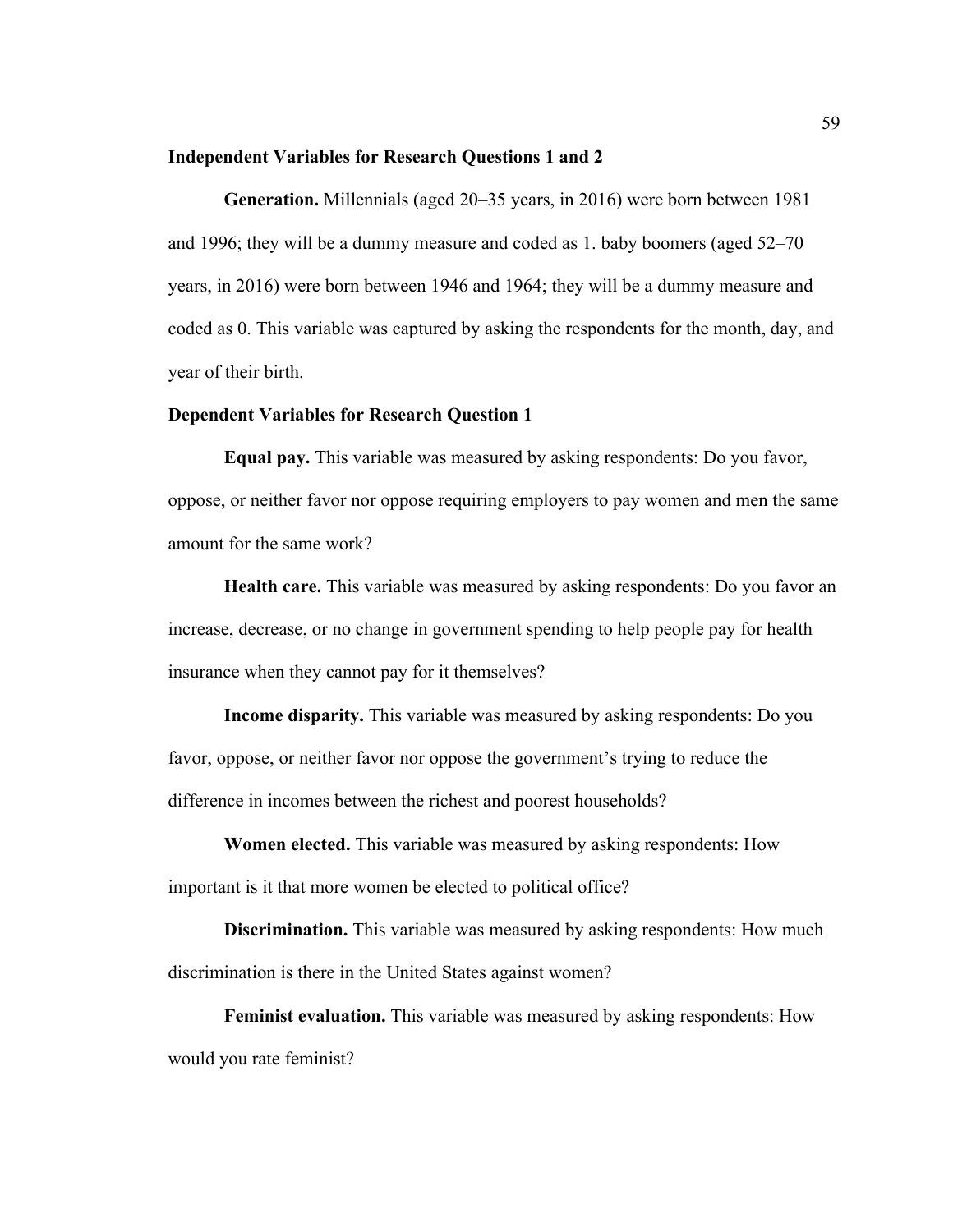### **Independent Variables for Research Questions 1 and 2**

**Generation.** Millennials (aged 20–35 years, in 2016) were born between 1981 and 1996; they will be a dummy measure and coded as 1. baby boomers (aged 52–70 years, in 2016) were born between 1946 and 1964; they will be a dummy measure and coded as 0. This variable was captured by asking the respondents for the month, day, and year of their birth.

### **Dependent Variables for Research Question 1**

**Equal pay.** This variable was measured by asking respondents: Do you favor, oppose, or neither favor nor oppose requiring employers to pay women and men the same amount for the same work?

**Health care.** This variable was measured by asking respondents: Do you favor an increase, decrease, or no change in government spending to help people pay for health insurance when they cannot pay for it themselves?

**Income disparity.** This variable was measured by asking respondents: Do you favor, oppose, or neither favor nor oppose the government's trying to reduce the difference in incomes between the richest and poorest households?

**Women elected.** This variable was measured by asking respondents: How important is it that more women be elected to political office?

**Discrimination.** This variable was measured by asking respondents: How much discrimination is there in the United States against women?

**Feminist evaluation.** This variable was measured by asking respondents: How would you rate feminist?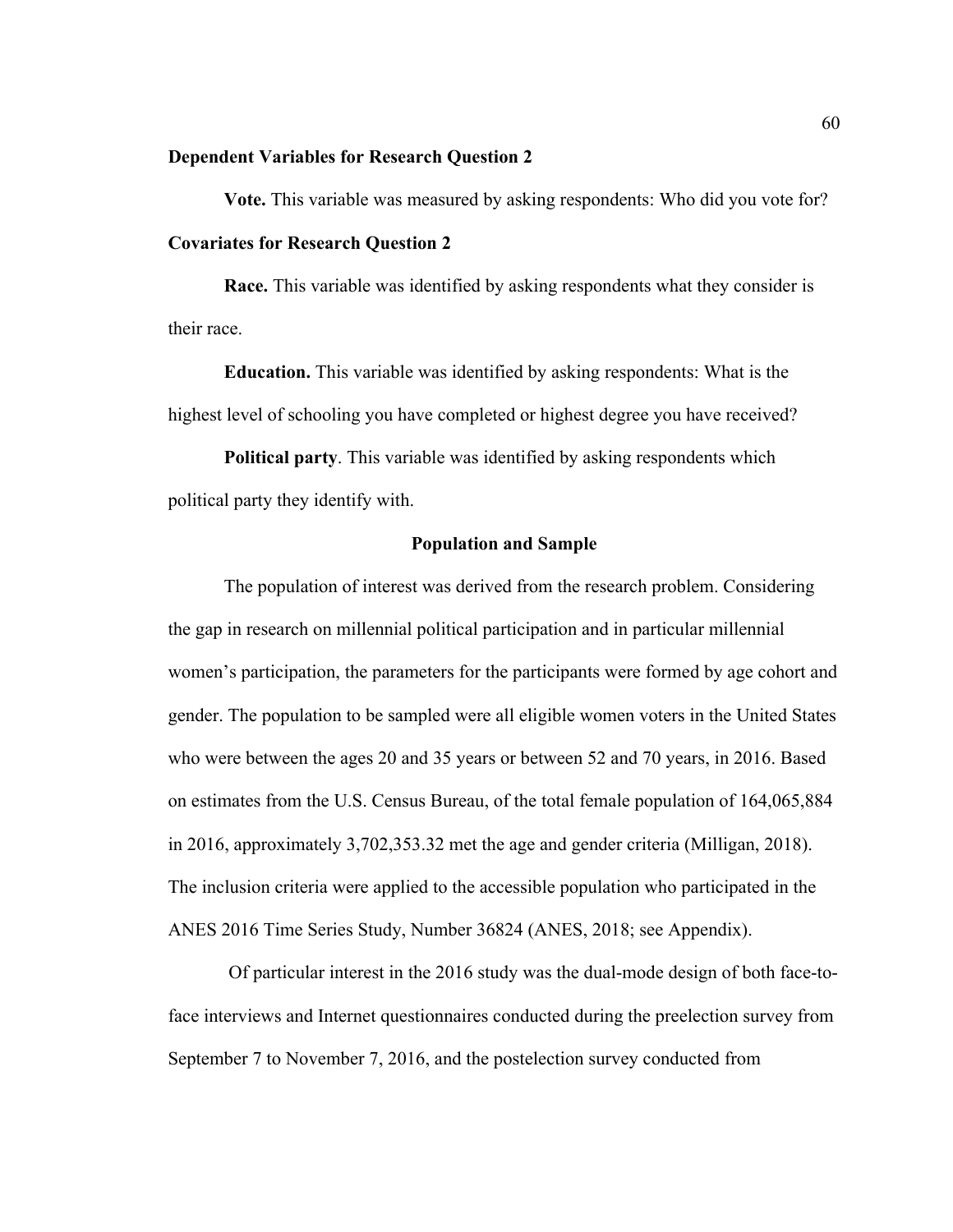### **Dependent Variables for Research Question 2**

**Vote.** This variable was measured by asking respondents: Who did you vote for? **Covariates for Research Question 2** 

**Race.** This variable was identified by asking respondents what they consider is their race.

**Education.** This variable was identified by asking respondents: What is the highest level of schooling you have completed or highest degree you have received?

**Political party**. This variable was identified by asking respondents which political party they identify with.

### **Population and Sample**

The population of interest was derived from the research problem. Considering the gap in research on millennial political participation and in particular millennial women's participation, the parameters for the participants were formed by age cohort and gender. The population to be sampled were all eligible women voters in the United States who were between the ages 20 and 35 years or between 52 and 70 years, in 2016. Based on estimates from the U.S. Census Bureau, of the total female population of 164,065,884 in 2016, approximately 3,702,353.32 met the age and gender criteria (Milligan, 2018). The inclusion criteria were applied to the accessible population who participated in the ANES 2016 Time Series Study, Number 36824 (ANES, 2018; see Appendix).

Of particular interest in the 2016 study was the dual-mode design of both face-toface interviews and Internet questionnaires conducted during the preelection survey from September 7 to November 7, 2016, and the postelection survey conducted from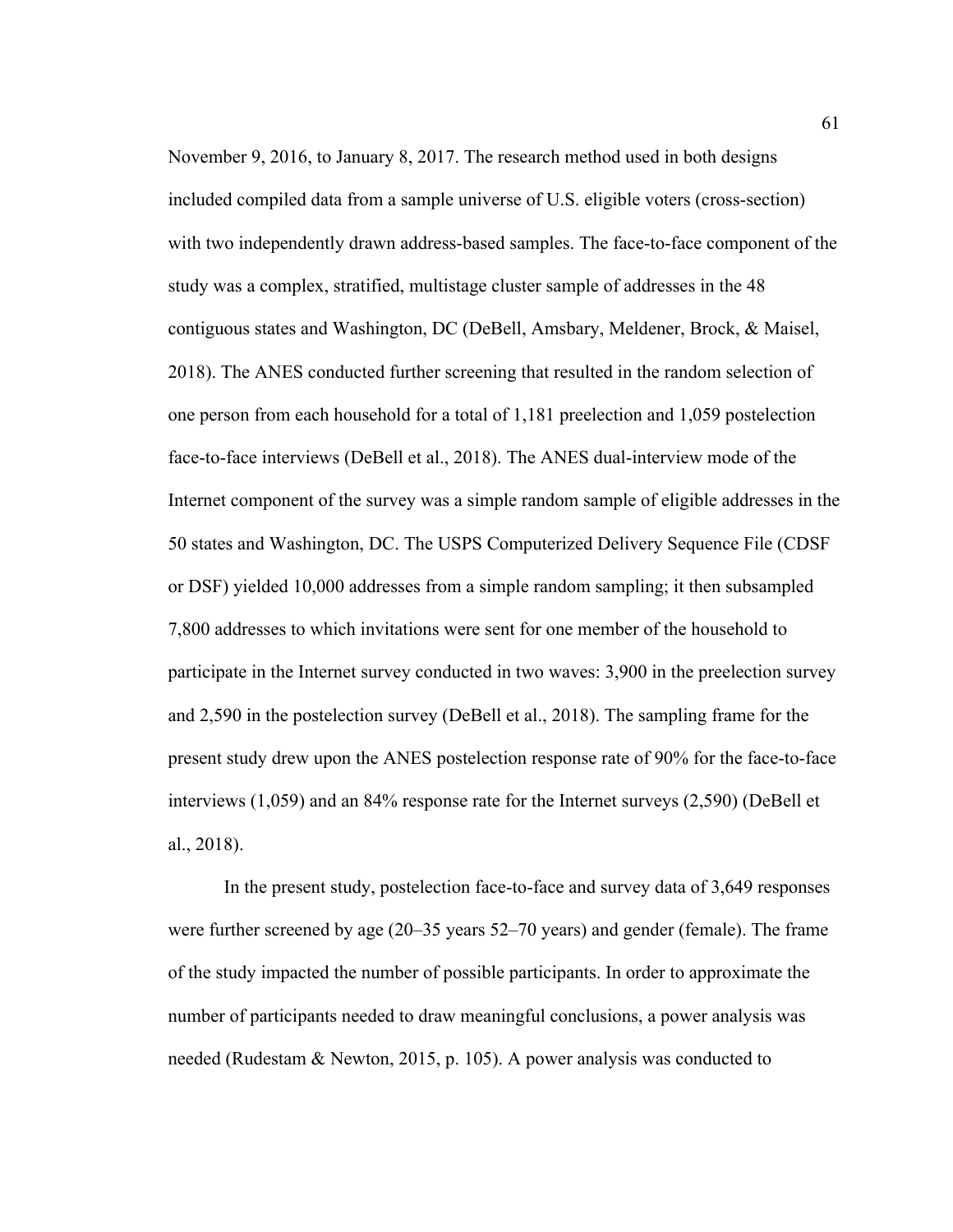November 9, 2016, to January 8, 2017. The research method used in both designs included compiled data from a sample universe of U.S. eligible voters (cross-section) with two independently drawn address-based samples. The face-to-face component of the study was a complex, stratified, multistage cluster sample of addresses in the 48 contiguous states and Washington, DC (DeBell, Amsbary, Meldener, Brock, & Maisel, 2018). The ANES conducted further screening that resulted in the random selection of one person from each household for a total of 1,181 preelection and 1,059 postelection face-to-face interviews (DeBell et al., 2018). The ANES dual-interview mode of the Internet component of the survey was a simple random sample of eligible addresses in the 50 states and Washington, DC. The USPS Computerized Delivery Sequence File (CDSF or DSF) yielded 10,000 addresses from a simple random sampling; it then subsampled 7,800 addresses to which invitations were sent for one member of the household to participate in the Internet survey conducted in two waves: 3,900 in the preelection survey and 2,590 in the postelection survey (DeBell et al., 2018). The sampling frame for the present study drew upon the ANES postelection response rate of 90% for the face-to-face interviews (1,059) and an 84% response rate for the Internet surveys (2,590) (DeBell et al., 2018).

In the present study, postelection face-to-face and survey data of 3,649 responses were further screened by age (20–35 years 52–70 years) and gender (female). The frame of the study impacted the number of possible participants. In order to approximate the number of participants needed to draw meaningful conclusions, a power analysis was needed (Rudestam & Newton, 2015, p. 105). A power analysis was conducted to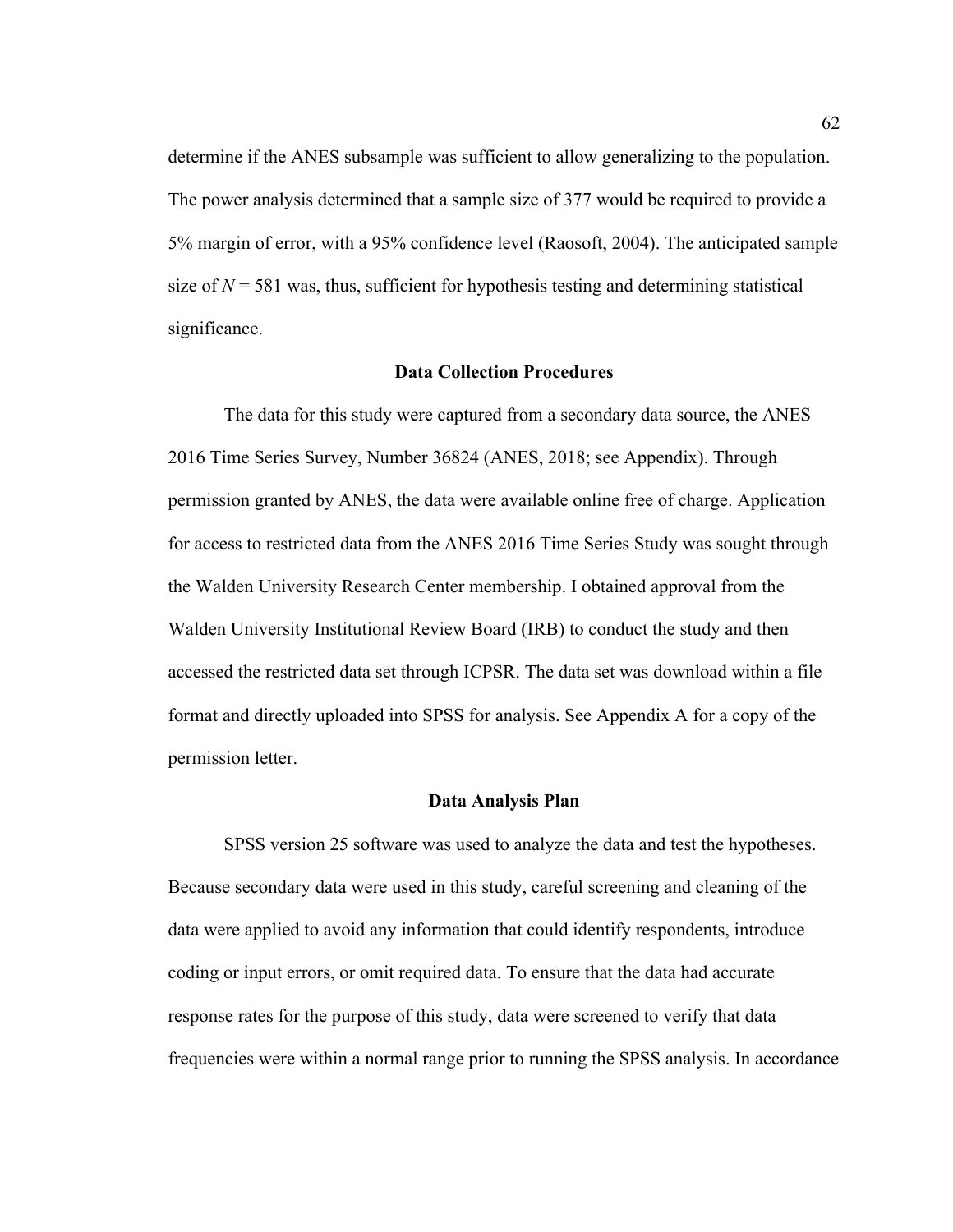determine if the ANES subsample was sufficient to allow generalizing to the population. The power analysis determined that a sample size of 377 would be required to provide a 5% margin of error, with a 95% confidence level (Raosoft, 2004). The anticipated sample size of  $N = 581$  was, thus, sufficient for hypothesis testing and determining statistical significance.

#### **Data Collection Procedures**

The data for this study were captured from a secondary data source, the ANES 2016 Time Series Survey, Number 36824 (ANES, 2018; see Appendix). Through permission granted by ANES, the data were available online free of charge. Application for access to restricted data from the ANES 2016 Time Series Study was sought through the Walden University Research Center membership. I obtained approval from the Walden University Institutional Review Board (IRB) to conduct the study and then accessed the restricted data set through ICPSR. The data set was download within a file format and directly uploaded into SPSS for analysis. See Appendix A for a copy of the permission letter.

#### **Data Analysis Plan**

SPSS version 25 software was used to analyze the data and test the hypotheses. Because secondary data were used in this study, careful screening and cleaning of the data were applied to avoid any information that could identify respondents, introduce coding or input errors, or omit required data. To ensure that the data had accurate response rates for the purpose of this study, data were screened to verify that data frequencies were within a normal range prior to running the SPSS analysis. In accordance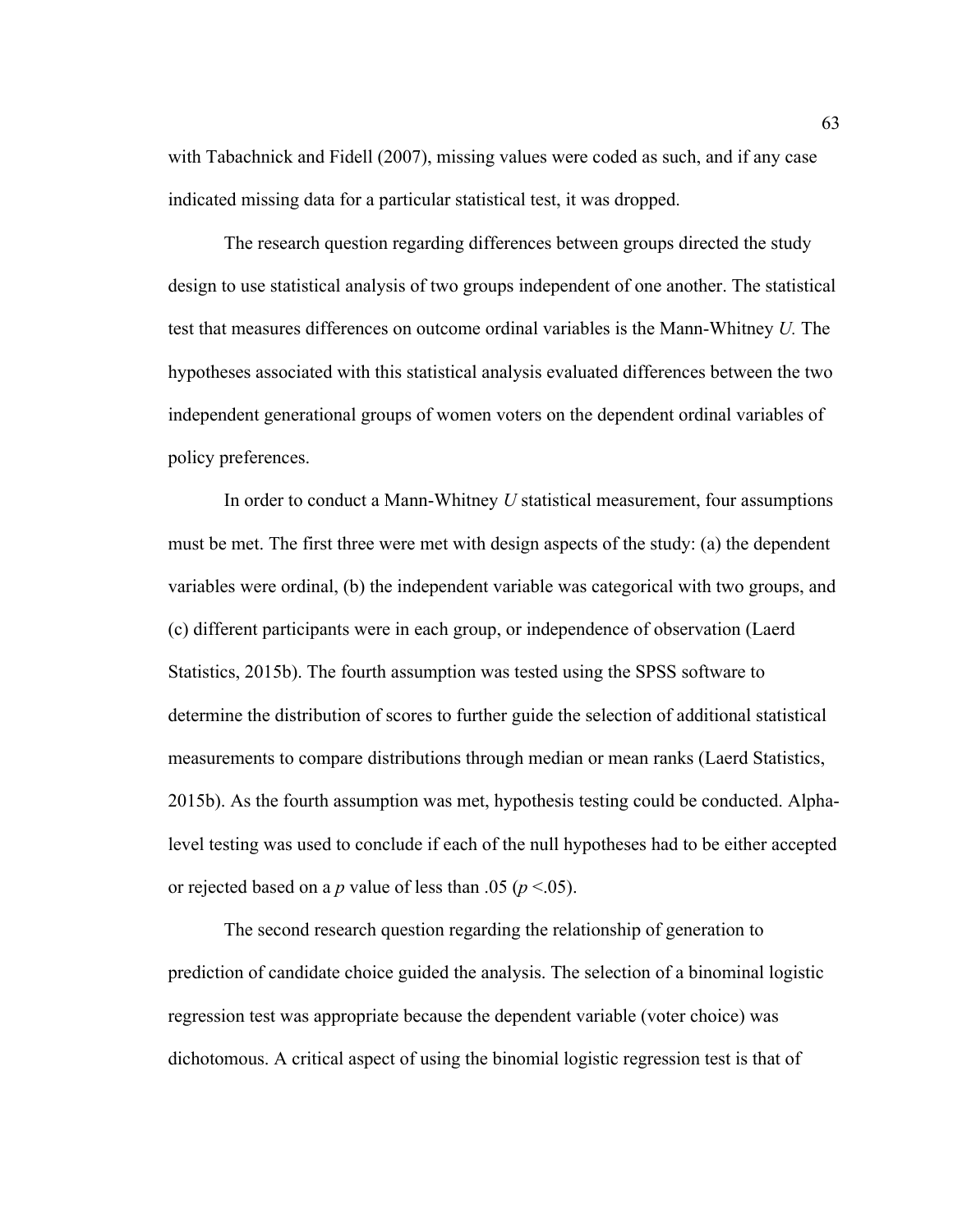with Tabachnick and Fidell (2007), missing values were coded as such, and if any case indicated missing data for a particular statistical test, it was dropped.

The research question regarding differences between groups directed the study design to use statistical analysis of two groups independent of one another. The statistical test that measures differences on outcome ordinal variables is the Mann-Whitney *U.* The hypotheses associated with this statistical analysis evaluated differences between the two independent generational groups of women voters on the dependent ordinal variables of policy preferences.

In order to conduct a Mann-Whitney *U* statistical measurement, four assumptions must be met. The first three were met with design aspects of the study: (a) the dependent variables were ordinal, (b) the independent variable was categorical with two groups, and (c) different participants were in each group, or independence of observation (Laerd Statistics, 2015b). The fourth assumption was tested using the SPSS software to determine the distribution of scores to further guide the selection of additional statistical measurements to compare distributions through median or mean ranks (Laerd Statistics, 2015b). As the fourth assumption was met, hypothesis testing could be conducted. Alphalevel testing was used to conclude if each of the null hypotheses had to be either accepted or rejected based on a *p* value of less than .05 (*p* <.05).

The second research question regarding the relationship of generation to prediction of candidate choice guided the analysis. The selection of a binominal logistic regression test was appropriate because the dependent variable (voter choice) was dichotomous. A critical aspect of using the binomial logistic regression test is that of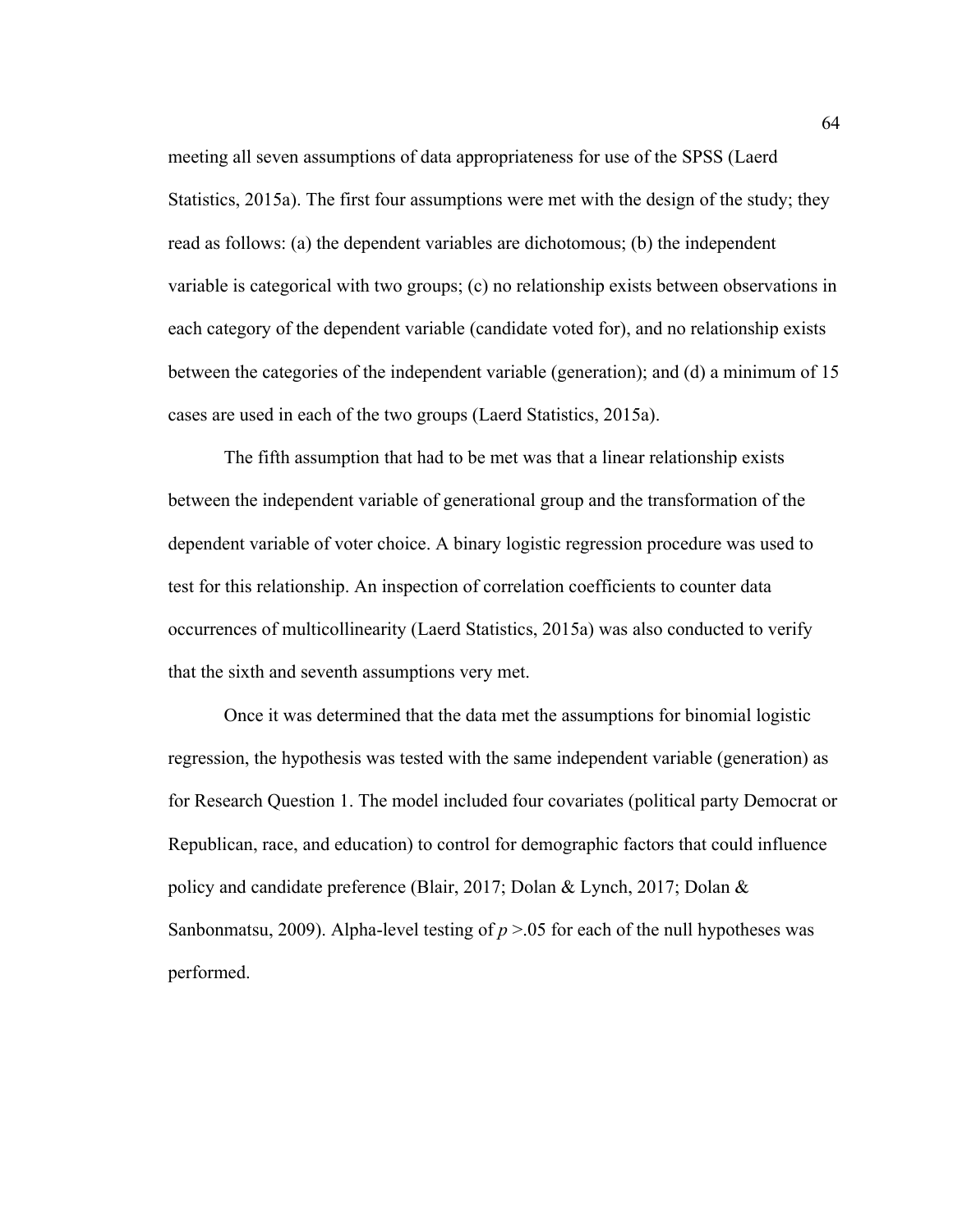meeting all seven assumptions of data appropriateness for use of the SPSS (Laerd Statistics, 2015a). The first four assumptions were met with the design of the study; they read as follows: (a) the dependent variables are dichotomous; (b) the independent variable is categorical with two groups; (c) no relationship exists between observations in each category of the dependent variable (candidate voted for), and no relationship exists between the categories of the independent variable (generation); and (d) a minimum of 15 cases are used in each of the two groups (Laerd Statistics, 2015a).

The fifth assumption that had to be met was that a linear relationship exists between the independent variable of generational group and the transformation of the dependent variable of voter choice. A binary logistic regression procedure was used to test for this relationship. An inspection of correlation coefficients to counter data occurrences of multicollinearity (Laerd Statistics, 2015a) was also conducted to verify that the sixth and seventh assumptions very met.

Once it was determined that the data met the assumptions for binomial logistic regression, the hypothesis was tested with the same independent variable (generation) as for Research Question 1. The model included four covariates (political party Democrat or Republican, race, and education) to control for demographic factors that could influence policy and candidate preference (Blair, 2017; Dolan & Lynch, 2017; Dolan & Sanbonmatsu, 2009). Alpha-level testing of  $p > 0.05$  for each of the null hypotheses was performed.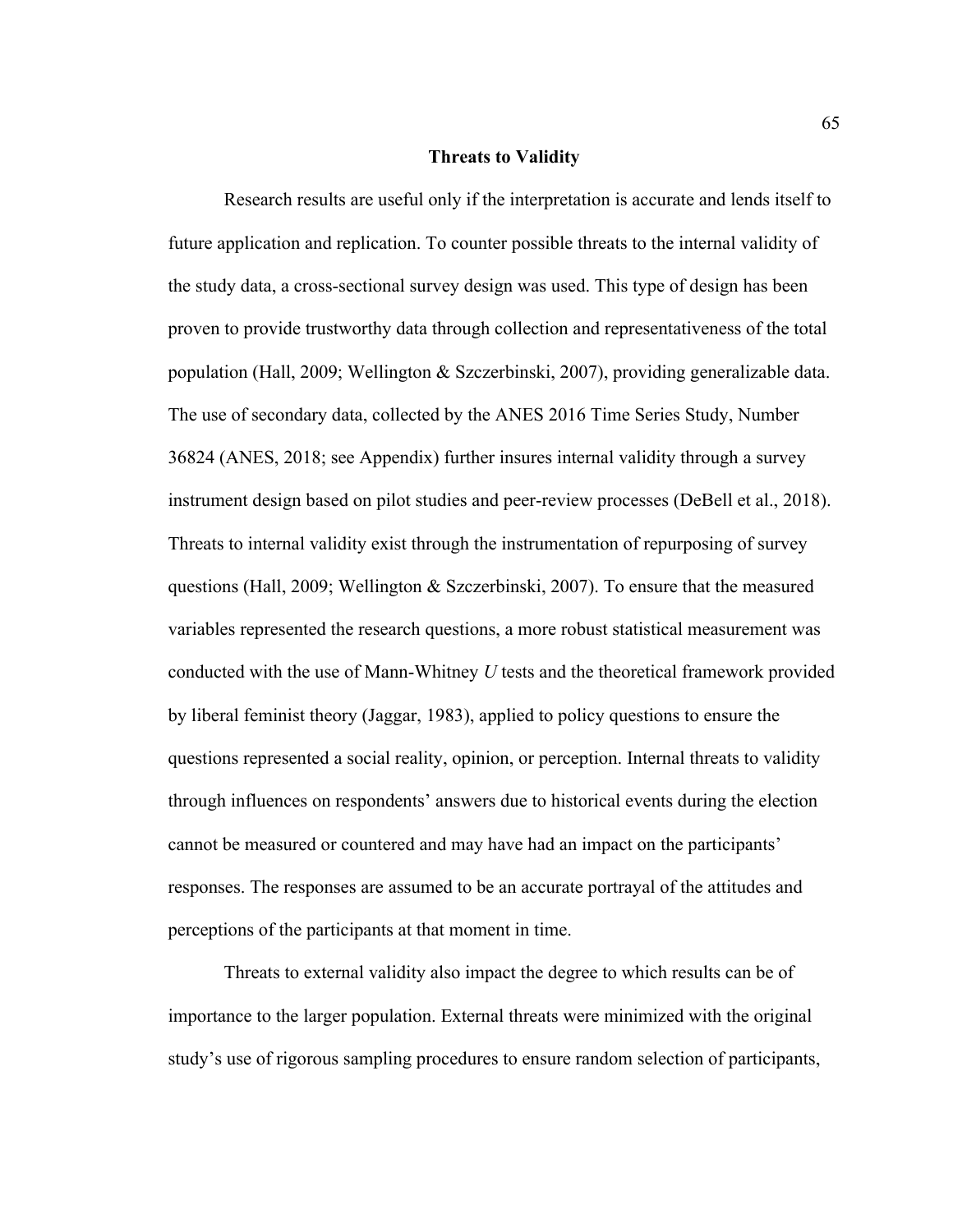#### **Threats to Validity**

Research results are useful only if the interpretation is accurate and lends itself to future application and replication. To counter possible threats to the internal validity of the study data, a cross-sectional survey design was used. This type of design has been proven to provide trustworthy data through collection and representativeness of the total population (Hall, 2009; Wellington & Szczerbinski, 2007), providing generalizable data. The use of secondary data, collected by the ANES 2016 Time Series Study, Number 36824 (ANES, 2018; see Appendix) further insures internal validity through a survey instrument design based on pilot studies and peer-review processes (DeBell et al., 2018). Threats to internal validity exist through the instrumentation of repurposing of survey questions (Hall, 2009; Wellington & Szczerbinski, 2007). To ensure that the measured variables represented the research questions, a more robust statistical measurement was conducted with the use of Mann-Whitney *U* tests and the theoretical framework provided by liberal feminist theory (Jaggar, 1983), applied to policy questions to ensure the questions represented a social reality, opinion, or perception. Internal threats to validity through influences on respondents' answers due to historical events during the election cannot be measured or countered and may have had an impact on the participants' responses. The responses are assumed to be an accurate portrayal of the attitudes and perceptions of the participants at that moment in time.

Threats to external validity also impact the degree to which results can be of importance to the larger population. External threats were minimized with the original study's use of rigorous sampling procedures to ensure random selection of participants,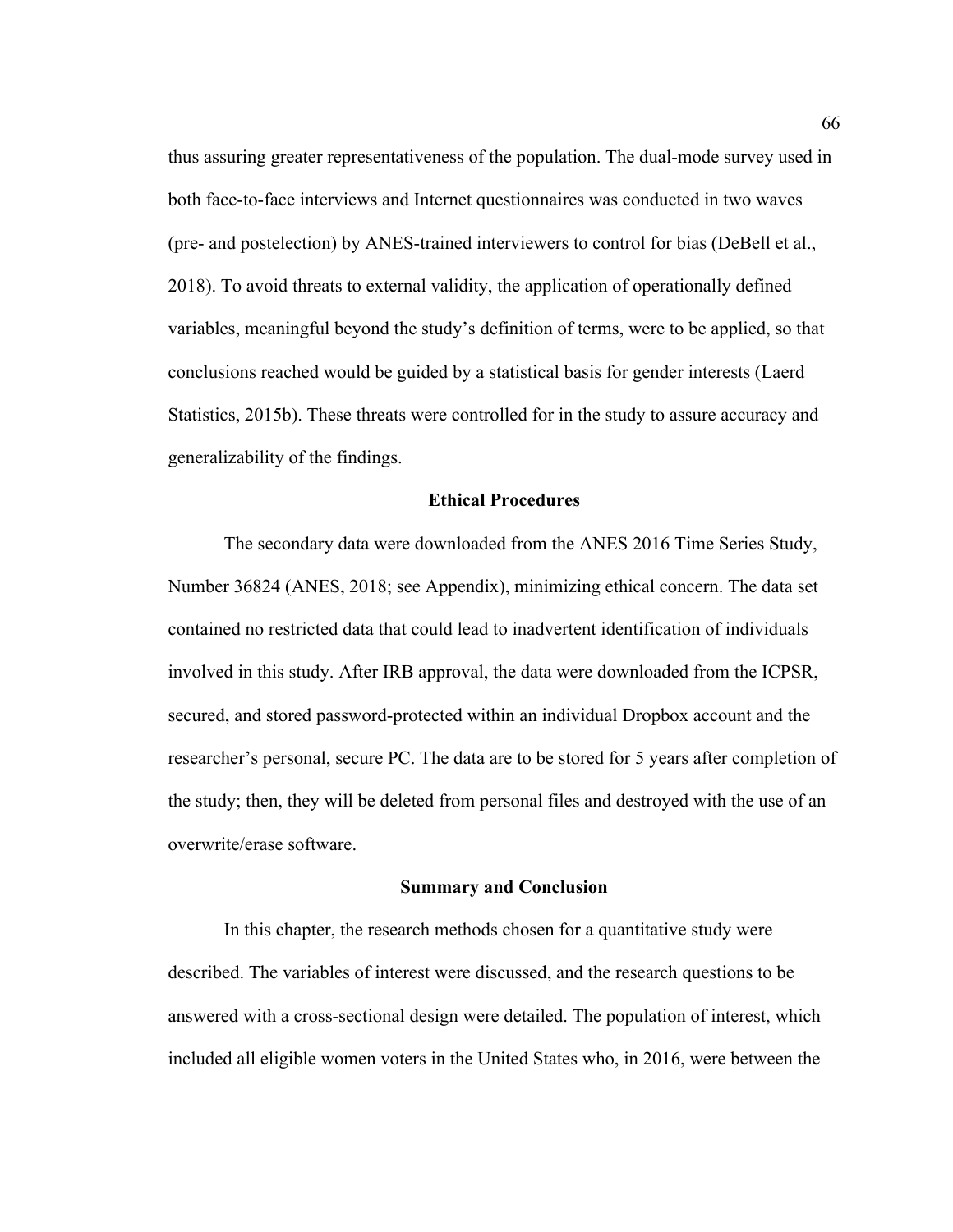thus assuring greater representativeness of the population. The dual-mode survey used in both face-to-face interviews and Internet questionnaires was conducted in two waves (pre- and postelection) by ANES-trained interviewers to control for bias (DeBell et al., 2018). To avoid threats to external validity, the application of operationally defined variables, meaningful beyond the study's definition of terms, were to be applied, so that conclusions reached would be guided by a statistical basis for gender interests (Laerd Statistics, 2015b). These threats were controlled for in the study to assure accuracy and generalizability of the findings.

### **Ethical Procedures**

The secondary data were downloaded from the ANES 2016 Time Series Study, Number 36824 (ANES, 2018; see Appendix), minimizing ethical concern. The data set contained no restricted data that could lead to inadvertent identification of individuals involved in this study. After IRB approval, the data were downloaded from the ICPSR, secured, and stored password-protected within an individual Dropbox account and the researcher's personal, secure PC. The data are to be stored for 5 years after completion of the study; then, they will be deleted from personal files and destroyed with the use of an overwrite/erase software.

#### **Summary and Conclusion**

In this chapter, the research methods chosen for a quantitative study were described. The variables of interest were discussed, and the research questions to be answered with a cross-sectional design were detailed. The population of interest, which included all eligible women voters in the United States who, in 2016, were between the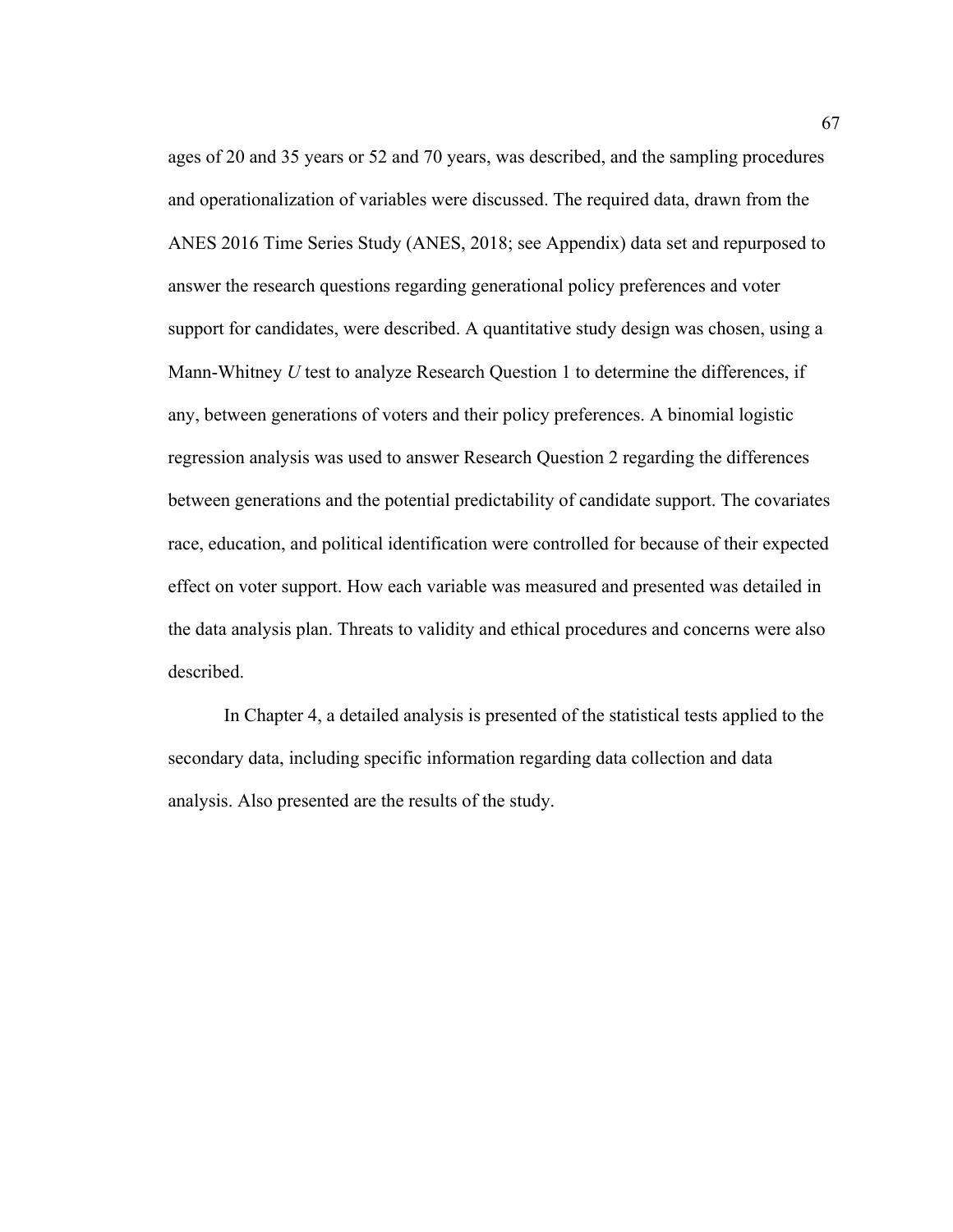ages of 20 and 35 years or 52 and 70 years, was described, and the sampling procedures and operationalization of variables were discussed. The required data, drawn from the ANES 2016 Time Series Study (ANES, 2018; see Appendix) data set and repurposed to answer the research questions regarding generational policy preferences and voter support for candidates, were described. A quantitative study design was chosen, using a Mann-Whitney *U* test to analyze Research Question 1 to determine the differences, if any, between generations of voters and their policy preferences. A binomial logistic regression analysis was used to answer Research Question 2 regarding the differences between generations and the potential predictability of candidate support. The covariates race, education, and political identification were controlled for because of their expected effect on voter support. How each variable was measured and presented was detailed in the data analysis plan. Threats to validity and ethical procedures and concerns were also described.

In Chapter 4, a detailed analysis is presented of the statistical tests applied to the secondary data, including specific information regarding data collection and data analysis. Also presented are the results of the study.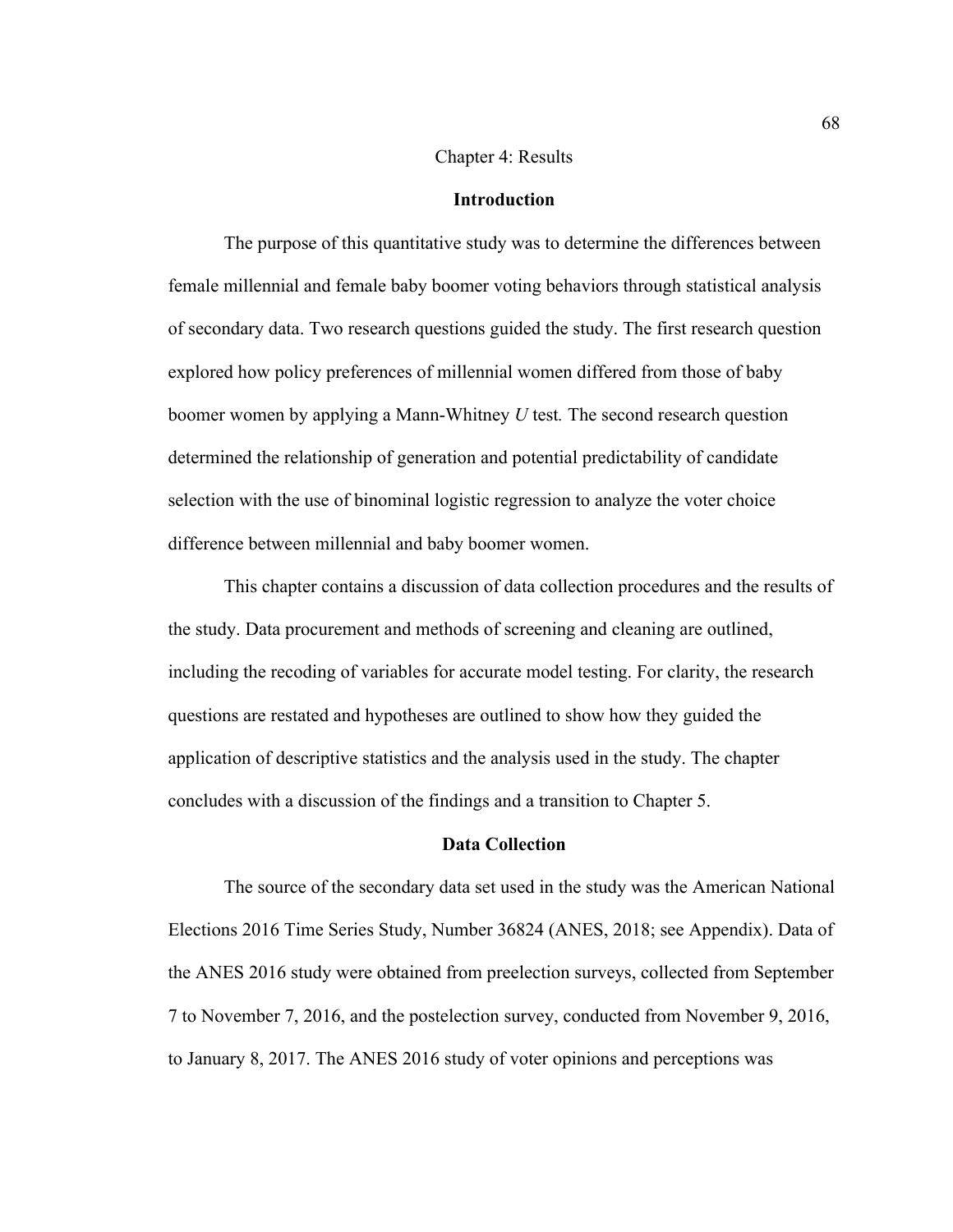### Chapter 4: Results

### **Introduction**

The purpose of this quantitative study was to determine the differences between female millennial and female baby boomer voting behaviors through statistical analysis of secondary data. Two research questions guided the study. The first research question explored how policy preferences of millennial women differed from those of baby boomer women by applying a Mann-Whitney *U* test*.* The second research question determined the relationship of generation and potential predictability of candidate selection with the use of binominal logistic regression to analyze the voter choice difference between millennial and baby boomer women.

This chapter contains a discussion of data collection procedures and the results of the study. Data procurement and methods of screening and cleaning are outlined, including the recoding of variables for accurate model testing. For clarity, the research questions are restated and hypotheses are outlined to show how they guided the application of descriptive statistics and the analysis used in the study. The chapter concludes with a discussion of the findings and a transition to Chapter 5.

### **Data Collection**

The source of the secondary data set used in the study was the American National Elections 2016 Time Series Study, Number 36824 (ANES, 2018; see Appendix). Data of the ANES 2016 study were obtained from preelection surveys, collected from September 7 to November 7, 2016, and the postelection survey, conducted from November 9, 2016, to January 8, 2017. The ANES 2016 study of voter opinions and perceptions was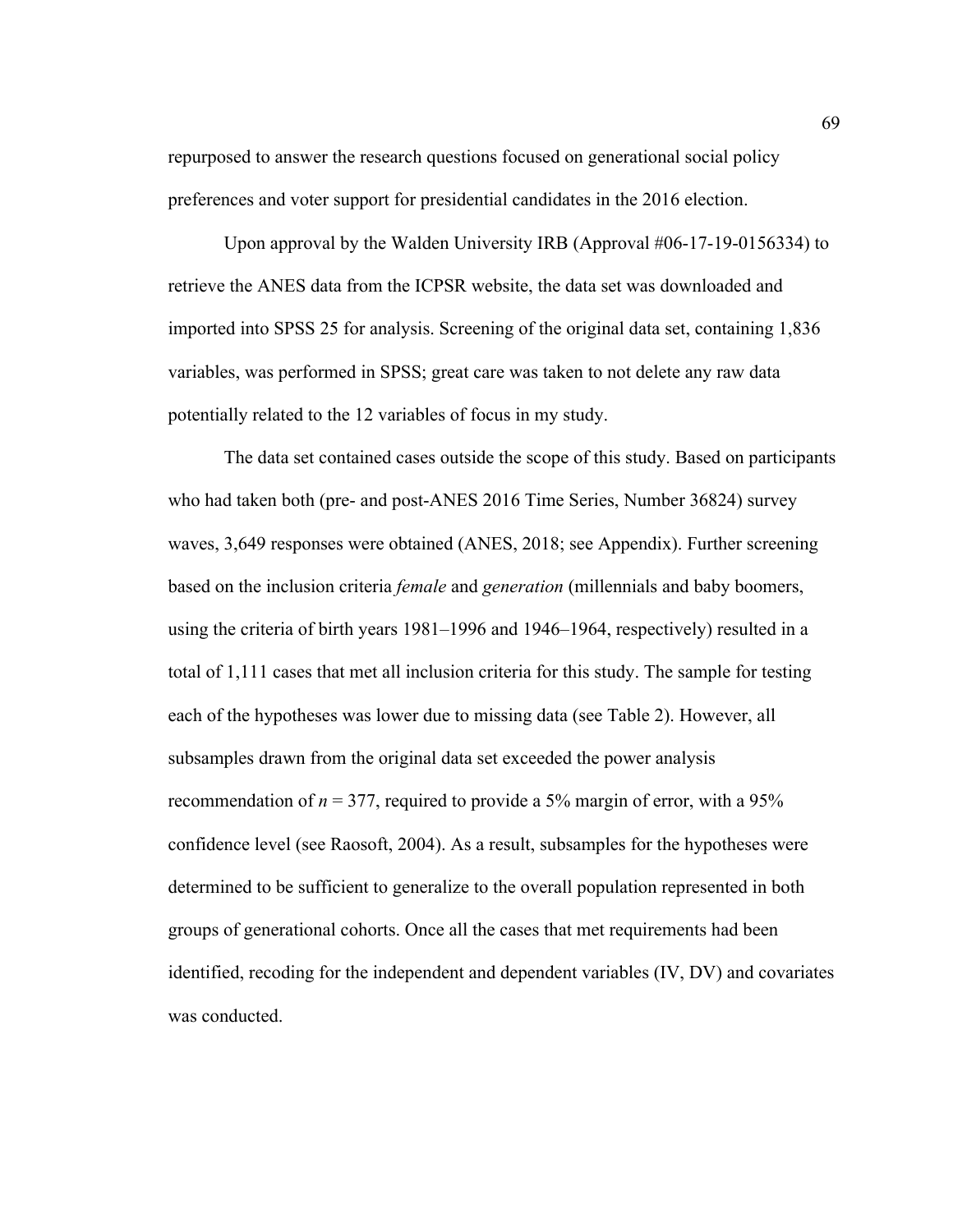repurposed to answer the research questions focused on generational social policy preferences and voter support for presidential candidates in the 2016 election.

Upon approval by the Walden University IRB (Approval #06-17-19-0156334) to retrieve the ANES data from the ICPSR website, the data set was downloaded and imported into SPSS 25 for analysis. Screening of the original data set, containing 1,836 variables, was performed in SPSS; great care was taken to not delete any raw data potentially related to the 12 variables of focus in my study.

The data set contained cases outside the scope of this study. Based on participants who had taken both (pre- and post-ANES 2016 Time Series, Number 36824) survey waves, 3,649 responses were obtained (ANES, 2018; see Appendix). Further screening based on the inclusion criteria *female* and *generation* (millennials and baby boomers, using the criteria of birth years 1981–1996 and 1946–1964, respectively) resulted in a total of 1,111 cases that met all inclusion criteria for this study. The sample for testing each of the hypotheses was lower due to missing data (see Table 2). However, all subsamples drawn from the original data set exceeded the power analysis recommendation of  $n = 377$ , required to provide a 5% margin of error, with a 95% confidence level (see Raosoft, 2004). As a result, subsamples for the hypotheses were determined to be sufficient to generalize to the overall population represented in both groups of generational cohorts. Once all the cases that met requirements had been identified, recoding for the independent and dependent variables (IV, DV) and covariates was conducted.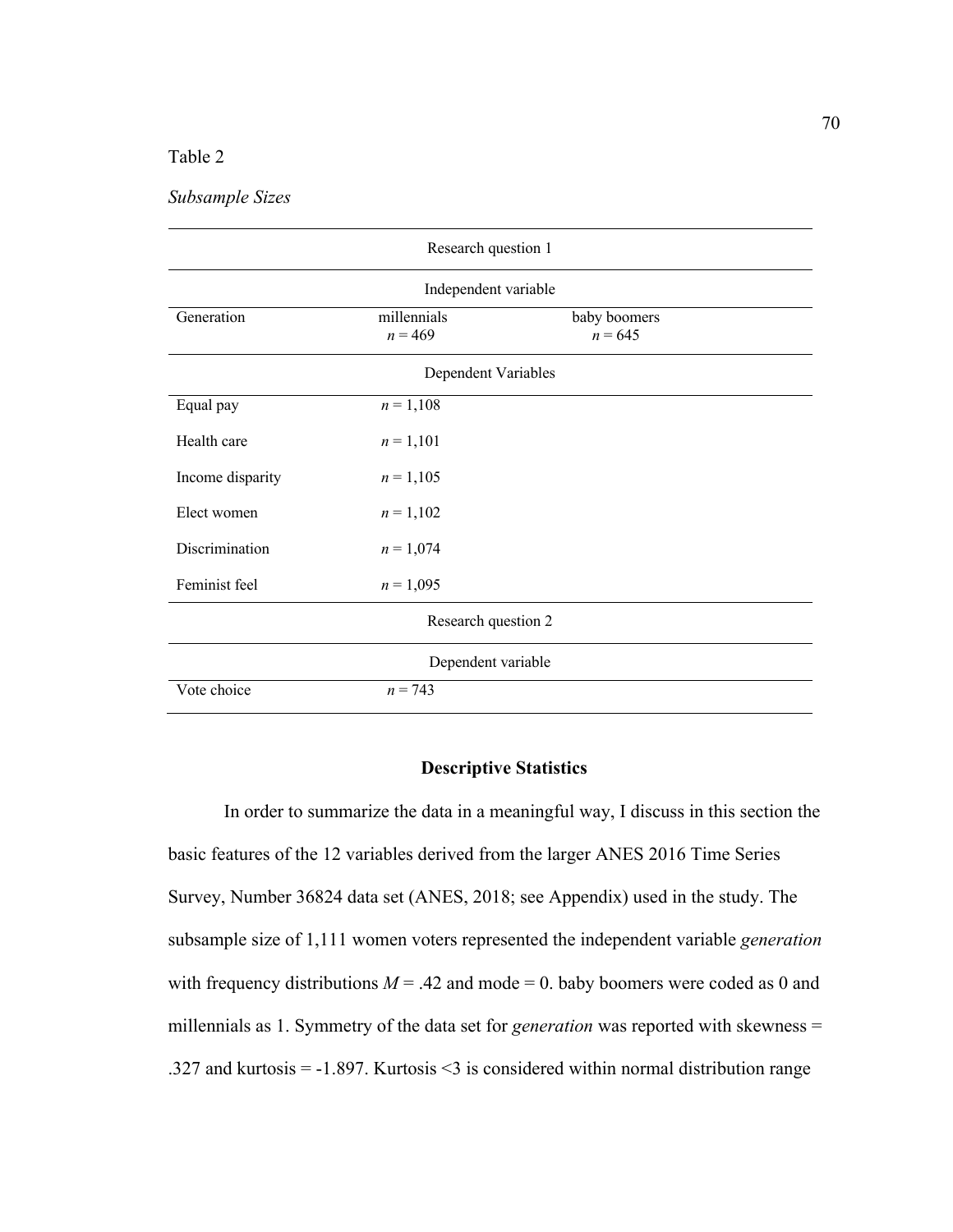# Table 2

*Subsample Sizes*

| Research question 1  |                                                       |  |  |  |  |
|----------------------|-------------------------------------------------------|--|--|--|--|
| Independent variable |                                                       |  |  |  |  |
| Generation           | millennials<br>baby boomers<br>$n = 469$<br>$n = 645$ |  |  |  |  |
|                      | Dependent Variables                                   |  |  |  |  |
| Equal pay            | $n = 1,108$                                           |  |  |  |  |
| Health care          | $n = 1,101$                                           |  |  |  |  |
| Income disparity     | $n = 1,105$                                           |  |  |  |  |
| Elect women          | $n = 1,102$                                           |  |  |  |  |
| Discrimination       | $n = 1,074$                                           |  |  |  |  |
| Feminist feel        | $n = 1,095$                                           |  |  |  |  |
| Research question 2  |                                                       |  |  |  |  |
| Dependent variable   |                                                       |  |  |  |  |
| Vote choice          | $n = 743$                                             |  |  |  |  |

### **Descriptive Statistics**

In order to summarize the data in a meaningful way, I discuss in this section the basic features of the 12 variables derived from the larger ANES 2016 Time Series Survey, Number 36824 data set (ANES, 2018; see Appendix) used in the study. The subsample size of 1,111 women voters represented the independent variable *generation* with frequency distributions  $M = .42$  and mode  $= 0$ . baby boomers were coded as 0 and millennials as 1. Symmetry of the data set for *generation* was reported with skewness = .327 and kurtosis = -1.897. Kurtosis <3 is considered within normal distribution range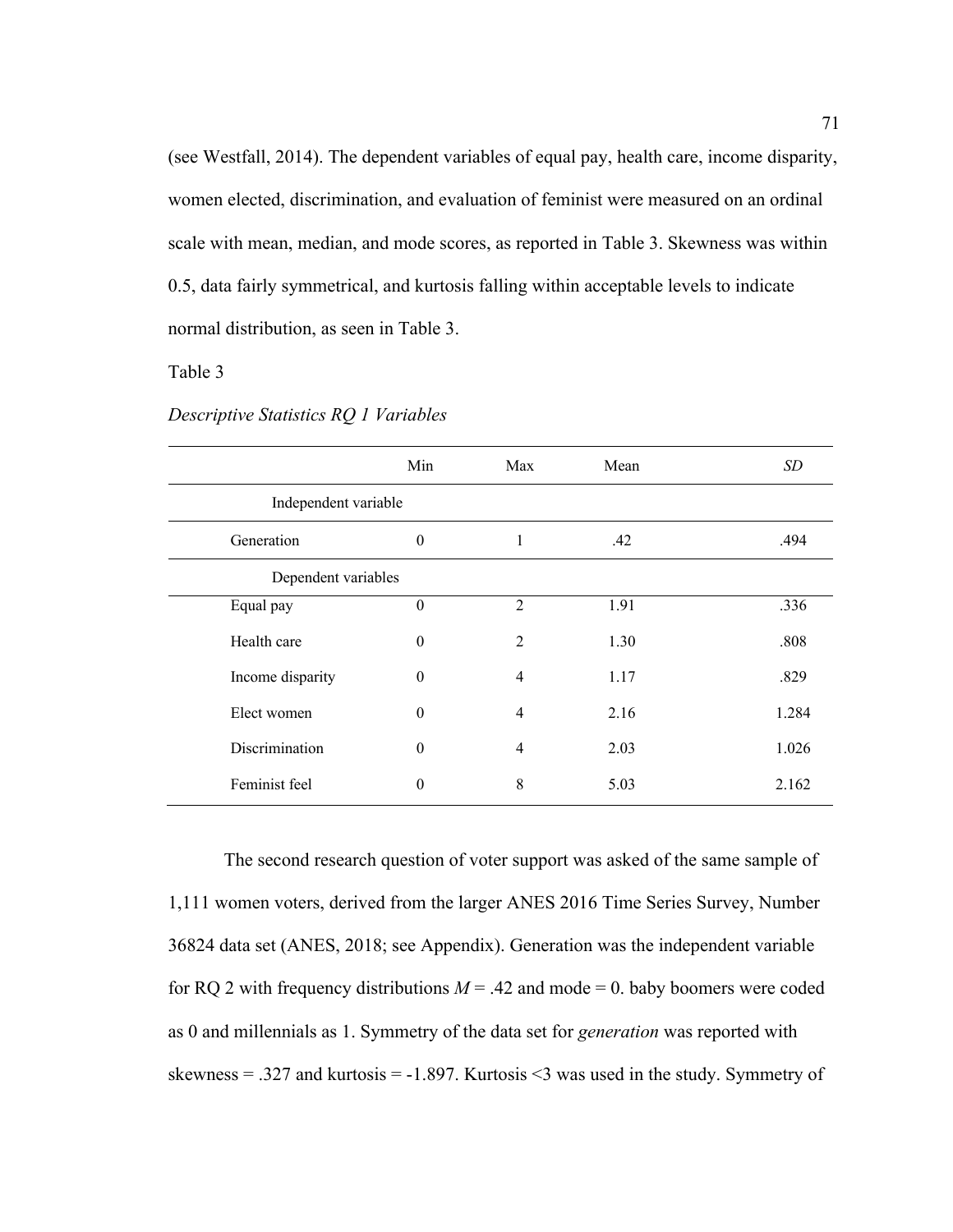(see Westfall, 2014). The dependent variables of equal pay, health care, income disparity, women elected, discrimination, and evaluation of feminist were measured on an ordinal scale with mean, median, and mode scores, as reported in Table 3. Skewness was within 0.5, data fairly symmetrical, and kurtosis falling within acceptable levels to indicate normal distribution, as seen in Table 3.

## Table 3

|                      | Min              | Max            | Mean | SD    |  |
|----------------------|------------------|----------------|------|-------|--|
| Independent variable |                  |                |      |       |  |
| Generation           | $\theta$         | 1              | .42  | .494  |  |
| Dependent variables  |                  |                |      |       |  |
| Equal pay            | $\boldsymbol{0}$ | $\mathfrak{D}$ | 1.91 | .336  |  |
| Health care          | $\theta$         | $\mathcal{L}$  | 1.30 | .808  |  |
| Income disparity     | $\theta$         | $\overline{4}$ | 1.17 | .829  |  |
| Elect women          | $\theta$         | 4              | 2.16 | 1.284 |  |
| Discrimination       | $\theta$         | 4              | 2.03 | 1.026 |  |
| Feminist feel        | $\theta$         | 8              | 5.03 | 2.162 |  |

*Descriptive Statistics RQ 1 Variables*

The second research question of voter support was asked of the same sample of 1,111 women voters, derived from the larger ANES 2016 Time Series Survey, Number 36824 data set (ANES, 2018; see Appendix). Generation was the independent variable for RQ 2 with frequency distributions  $M = .42$  and mode = 0. baby boomers were coded as 0 and millennials as 1. Symmetry of the data set for *generation* was reported with skewness = .327 and kurtosis = -1.897. Kurtosis <3 was used in the study. Symmetry of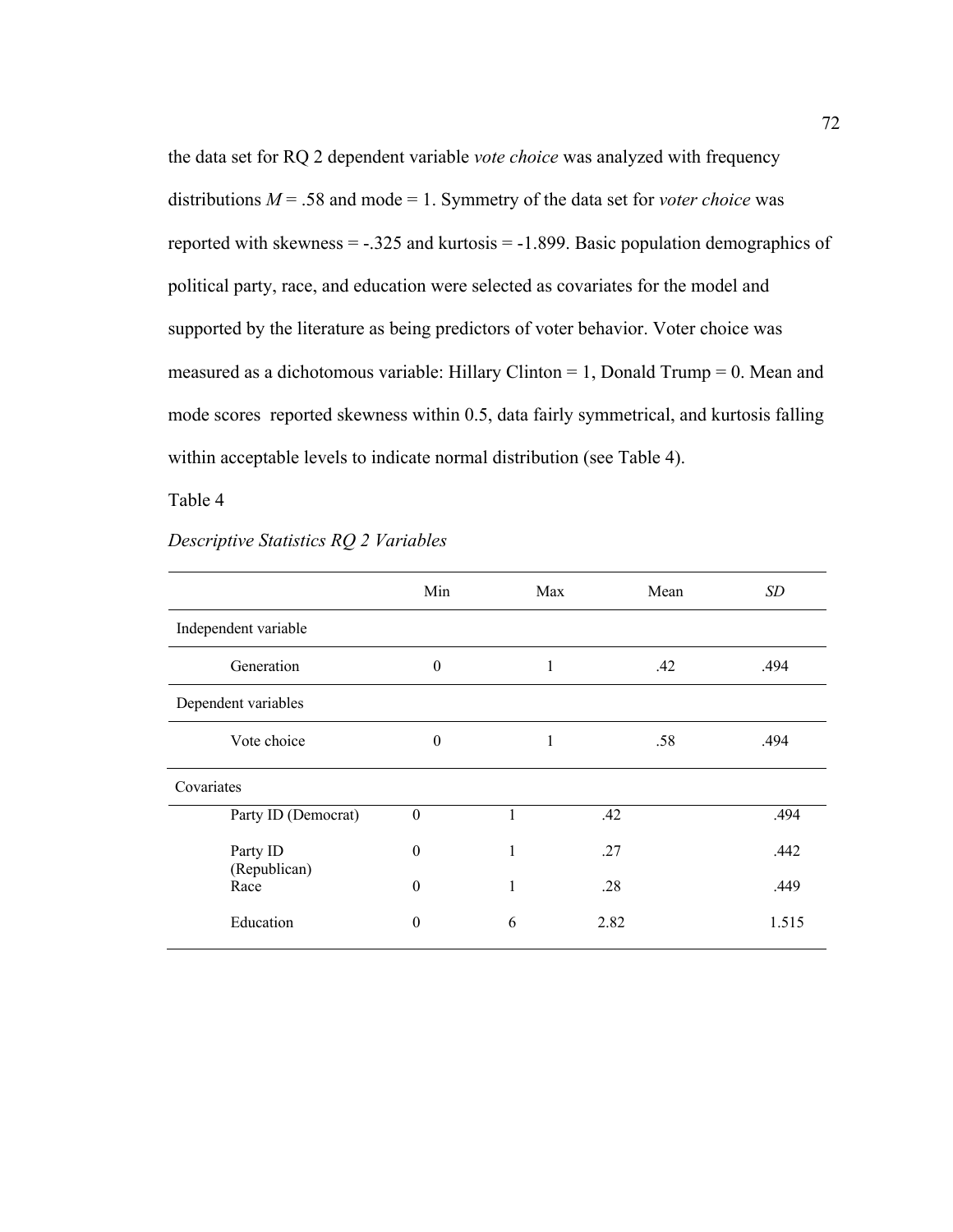the data set for RQ 2 dependent variable *vote choice* was analyzed with frequency distributions  $M = .58$  and mode = 1. Symmetry of the data set for *voter choice* was reported with skewness  $= -0.325$  and kurtosis  $= -1.899$ . Basic population demographics of political party, race, and education were selected as covariates for the model and supported by the literature as being predictors of voter behavior. Voter choice was measured as a dichotomous variable: Hillary Clinton = 1, Donald Trump = 0. Mean and mode scores reported skewness within 0.5, data fairly symmetrical, and kurtosis falling within acceptable levels to indicate normal distribution (see Table 4).

Table 4

|                          | Min              | Max | Mean | SD    |
|--------------------------|------------------|-----|------|-------|
| Independent variable     |                  |     |      |       |
| Generation               | $\boldsymbol{0}$ | 1   | .42  | .494  |
| Dependent variables      |                  |     |      |       |
| Vote choice              | $\theta$         | 1   | .58  | .494  |
| Covariates               |                  |     |      |       |
| Party ID (Democrat)      | $\boldsymbol{0}$ |     | .42  | .494  |
| Party ID<br>(Republican) | $\theta$         | 1   | .27  | .442  |
| Race                     | $\boldsymbol{0}$ | 1   | .28  | .449  |
| Education                | 0                | 6   | 2.82 | 1.515 |

## *Descriptive Statistics RQ 2 Variables*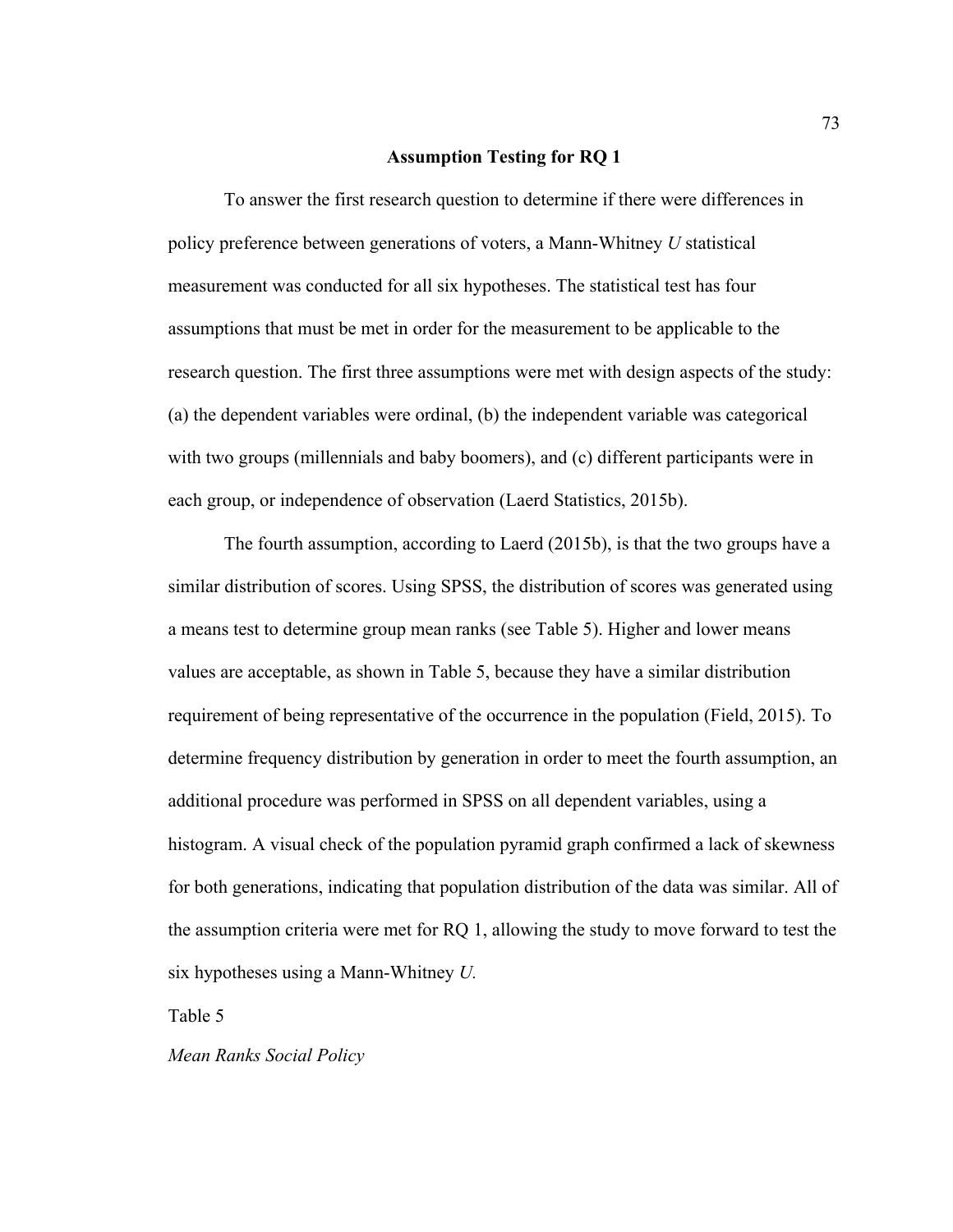### **Assumption Testing for RQ 1**

To answer the first research question to determine if there were differences in policy preference between generations of voters, a Mann-Whitney *U* statistical measurement was conducted for all six hypotheses. The statistical test has four assumptions that must be met in order for the measurement to be applicable to the research question. The first three assumptions were met with design aspects of the study: (a) the dependent variables were ordinal, (b) the independent variable was categorical with two groups (millennials and baby boomers), and (c) different participants were in each group, or independence of observation (Laerd Statistics, 2015b).

The fourth assumption, according to Laerd (2015b), is that the two groups have a similar distribution of scores. Using SPSS, the distribution of scores was generated using a means test to determine group mean ranks (see Table 5). Higher and lower means values are acceptable, as shown in Table 5, because they have a similar distribution requirement of being representative of the occurrence in the population (Field, 2015). To determine frequency distribution by generation in order to meet the fourth assumption, an additional procedure was performed in SPSS on all dependent variables, using a histogram. A visual check of the population pyramid graph confirmed a lack of skewness for both generations, indicating that population distribution of the data was similar. All of the assumption criteria were met for RQ 1, allowing the study to move forward to test the six hypotheses using a Mann-Whitney *U.*

Table 5

*Mean Ranks Social Policy*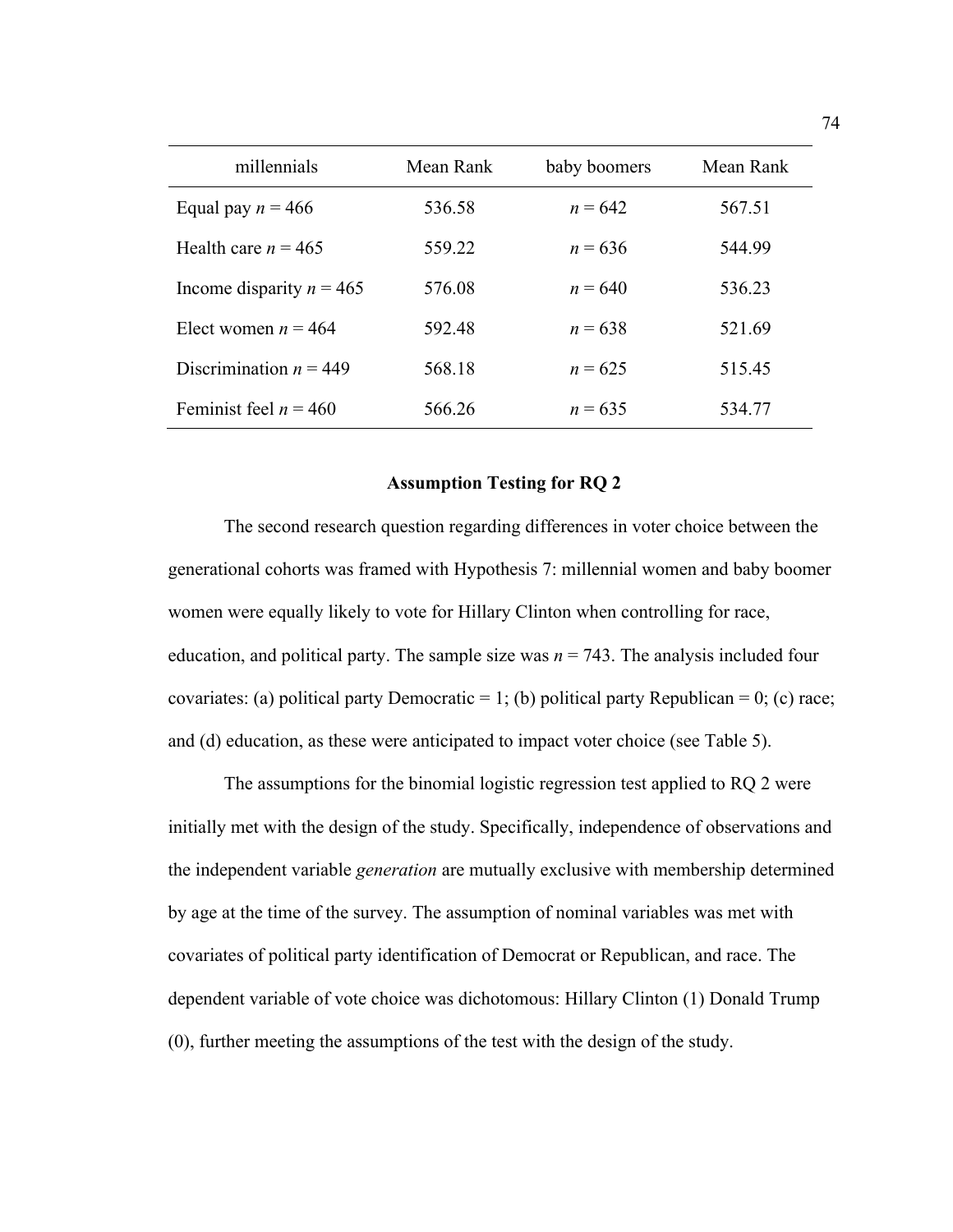| millennials                | Mean Rank | baby boomers | Mean Rank |
|----------------------------|-----------|--------------|-----------|
| Equal pay $n = 466$        | 536.58    | $n = 642$    | 567.51    |
| Health care $n = 465$      | 559.22    | $n = 636$    | 544.99    |
| Income disparity $n = 465$ | 576.08    | $n = 640$    | 536.23    |
| Elect women $n = 464$      | 592.48    | $n = 638$    | 521.69    |
| Discrimination $n = 449$   | 568.18    | $n = 625$    | 515.45    |
| Feminist feel $n = 460$    | 566.26    | $n = 635$    | 534.77    |

### **Assumption Testing for RQ 2**

The second research question regarding differences in voter choice between the generational cohorts was framed with Hypothesis 7: millennial women and baby boomer women were equally likely to vote for Hillary Clinton when controlling for race, education, and political party. The sample size was  $n = 743$ . The analysis included four covariates: (a) political party Democratic = 1; (b) political party Republican = 0; (c) race; and (d) education, as these were anticipated to impact voter choice (see Table 5).

The assumptions for the binomial logistic regression test applied to RQ 2 were initially met with the design of the study. Specifically, independence of observations and the independent variable *generation* are mutually exclusive with membership determined by age at the time of the survey. The assumption of nominal variables was met with covariates of political party identification of Democrat or Republican, and race. The dependent variable of vote choice was dichotomous: Hillary Clinton (1) Donald Trump (0), further meeting the assumptions of the test with the design of the study.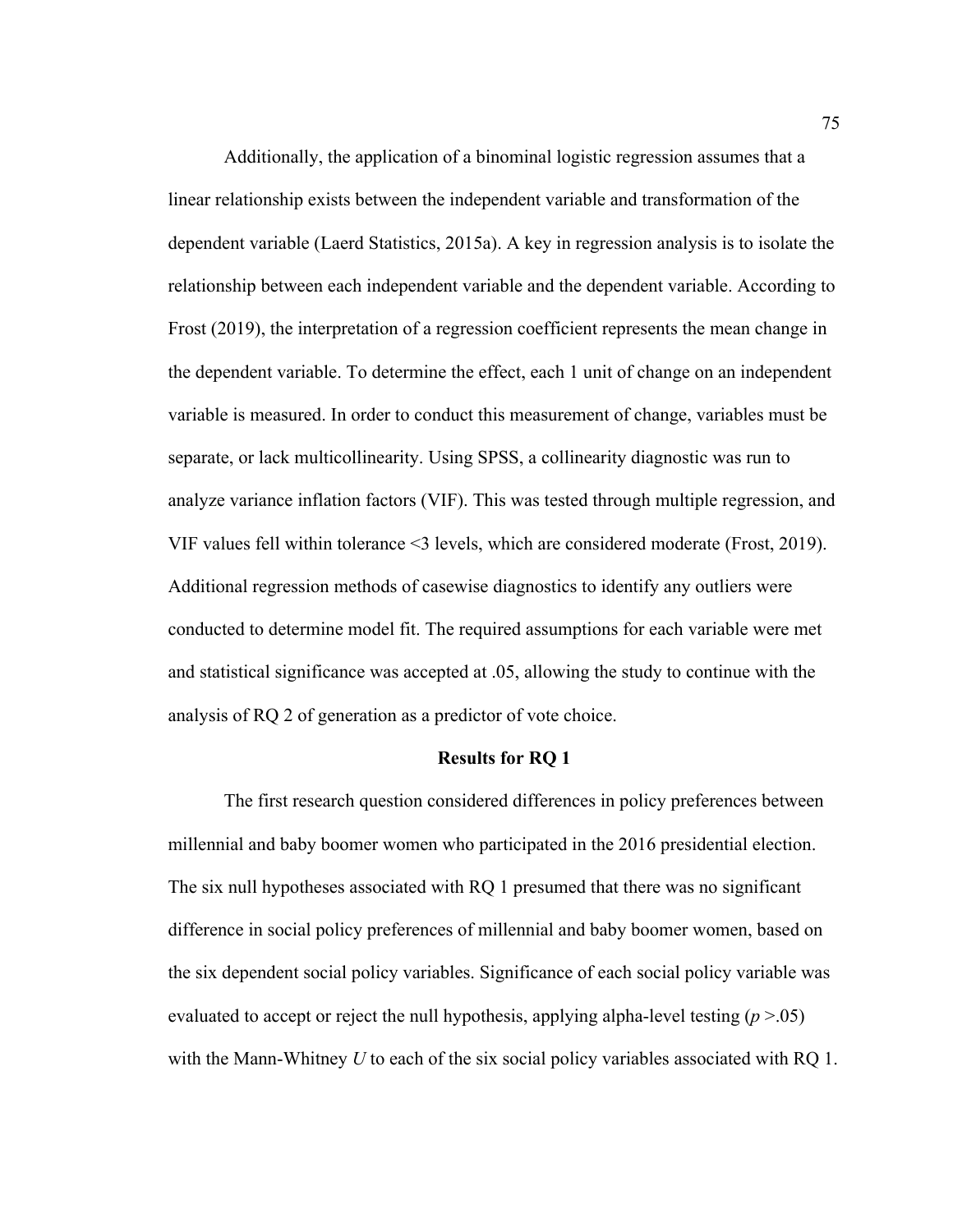Additionally, the application of a binominal logistic regression assumes that a linear relationship exists between the independent variable and transformation of the dependent variable (Laerd Statistics, 2015a). A key in regression analysis is to isolate the relationship between each independent variable and the dependent variable. According to Frost (2019), the interpretation of a regression coefficient represents the mean change in the dependent variable. To determine the effect, each 1 unit of change on an independent variable is measured. In order to conduct this measurement of change, variables must be separate, or lack multicollinearity. Using SPSS, a collinearity diagnostic was run to analyze variance inflation factors (VIF). This was tested through multiple regression, and VIF values fell within tolerance <3 levels, which are considered moderate (Frost, 2019). Additional regression methods of casewise diagnostics to identify any outliers were conducted to determine model fit. The required assumptions for each variable were met and statistical significance was accepted at .05, allowing the study to continue with the analysis of RQ 2 of generation as a predictor of vote choice.

#### **Results for RQ 1**

The first research question considered differences in policy preferences between millennial and baby boomer women who participated in the 2016 presidential election. The six null hypotheses associated with RQ 1 presumed that there was no significant difference in social policy preferences of millennial and baby boomer women, based on the six dependent social policy variables. Significance of each social policy variable was evaluated to accept or reject the null hypothesis, applying alpha-level testing (*p* >.05) with the Mann-Whitney *U* to each of the six social policy variables associated with RQ 1.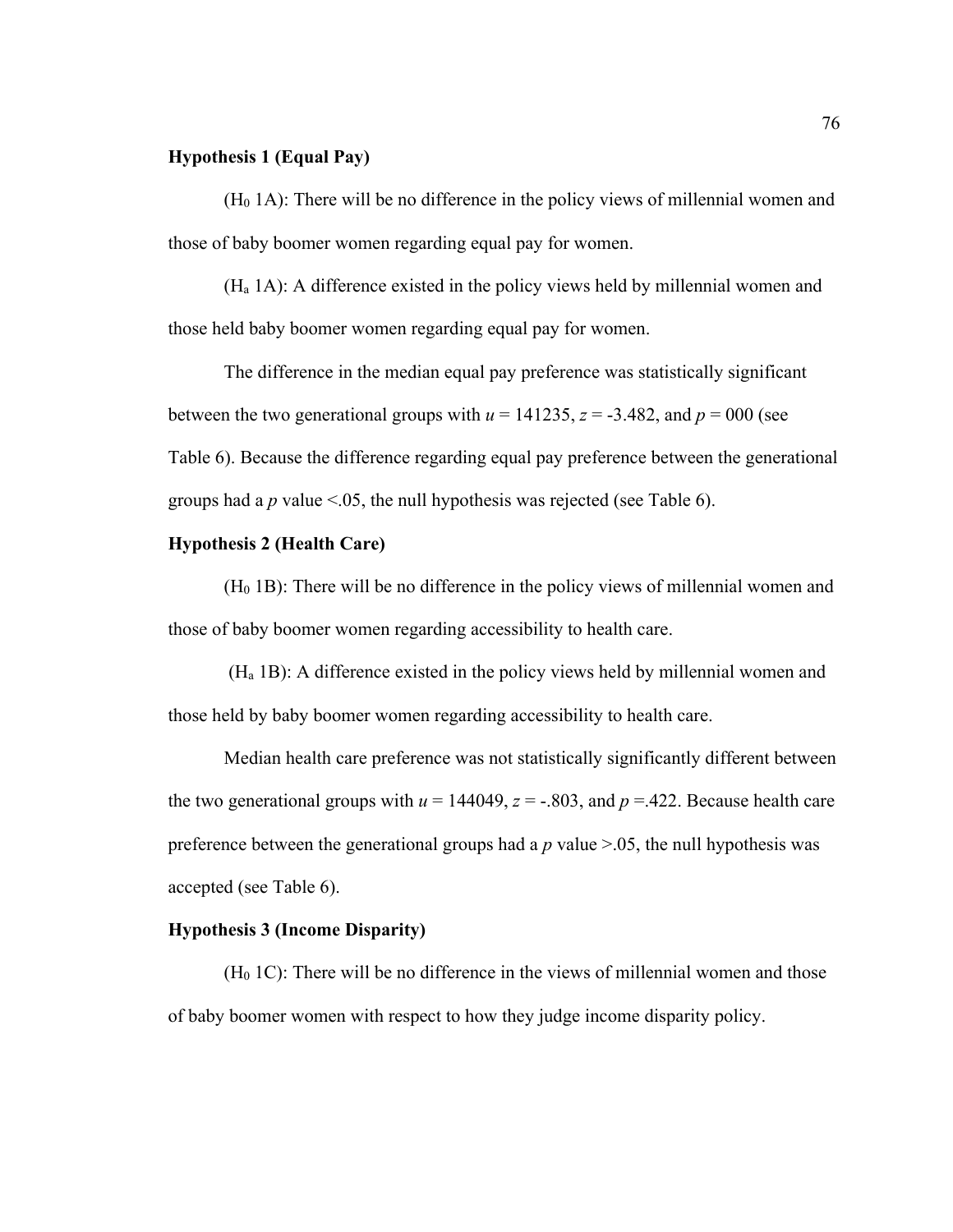## **Hypothesis 1 (Equal Pay)**

 $(H<sub>0</sub> 1A)$ : There will be no difference in the policy views of millennial women and those of baby boomer women regarding equal pay for women.

(Ha 1A): A difference existed in the policy views held by millennial women and those held baby boomer women regarding equal pay for women.

The difference in the median equal pay preference was statistically significant between the two generational groups with  $u = 141235$ ,  $z = -3.482$ , and  $p = 000$  (see Table 6). Because the difference regarding equal pay preference between the generational groups had a  $p$  value  $\leq 0.05$ , the null hypothesis was rejected (see Table 6).

## **Hypothesis 2 (Health Care)**

(H0 1B): There will be no difference in the policy views of millennial women and those of baby boomer women regarding accessibility to health care.

(Ha 1B): A difference existed in the policy views held by millennial women and those held by baby boomer women regarding accessibility to health care.

Median health care preference was not statistically significantly different between the two generational groups with  $u = 144049$ ,  $z = -.803$ , and  $p = .422$ . Because health care preference between the generational groups had a  $p$  value  $> 0.05$ , the null hypothesis was accepted (see Table 6).

### **Hypothesis 3 (Income Disparity)**

 $(H<sub>0</sub> 1C)$ : There will be no difference in the views of millennial women and those of baby boomer women with respect to how they judge income disparity policy.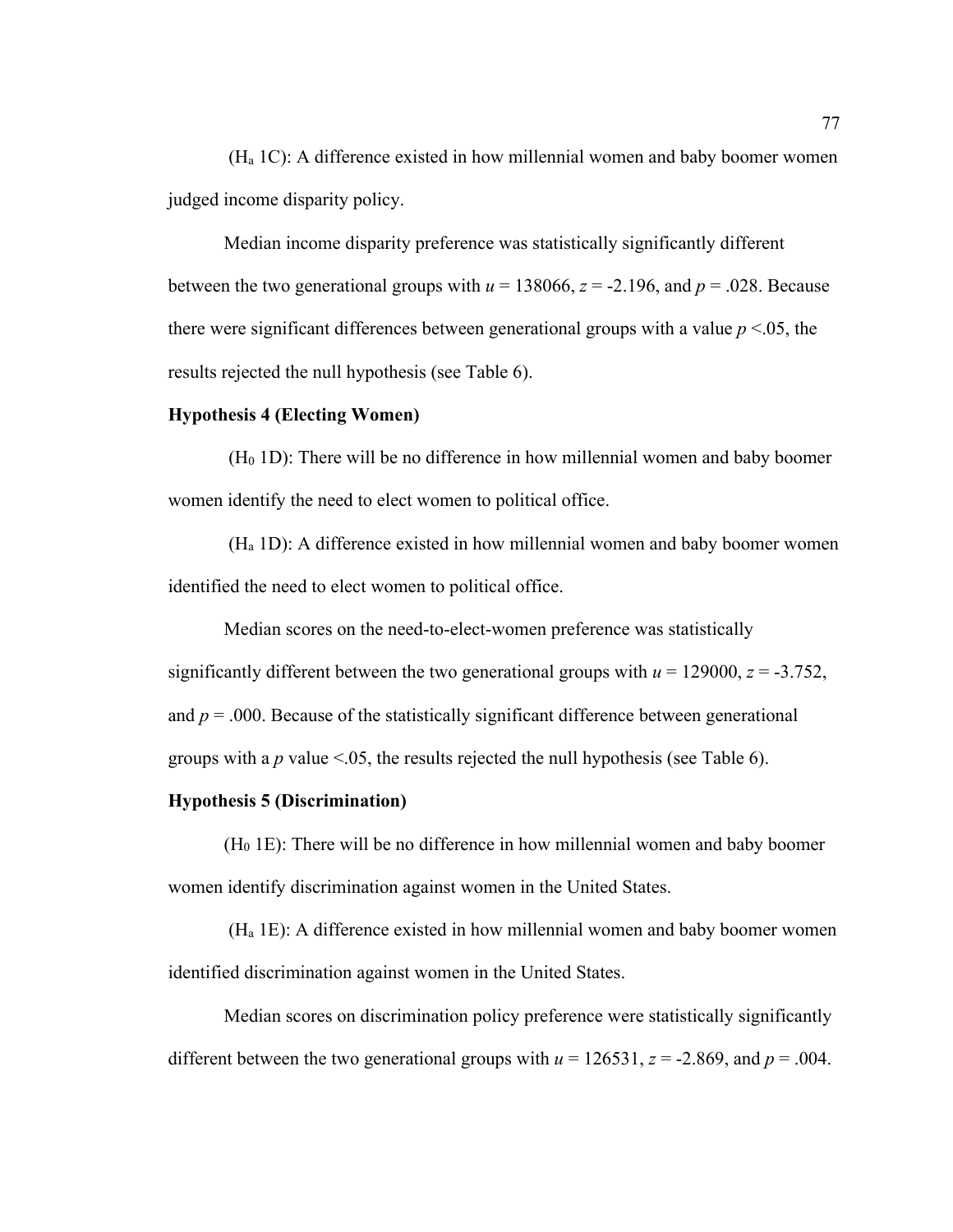(Ha 1C): A difference existed in how millennial women and baby boomer women judged income disparity policy.

Median income disparity preference was statistically significantly different between the two generational groups with  $u = 138066$ ,  $z = -2.196$ , and  $p = .028$ . Because there were significant differences between generational groups with a value  $p < 0.05$ , the results rejected the null hypothesis (see Table 6).

### **Hypothesis 4 (Electing Women)**

 $(H<sub>0</sub> 1D)$ : There will be no difference in how millennial women and baby boomer women identify the need to elect women to political office.

(Ha 1D): A difference existed in how millennial women and baby boomer women identified the need to elect women to political office.

Median scores on the need-to-elect-women preference was statistically significantly different between the two generational groups with  $u = 129000$ ,  $z = -3.752$ , and  $p = .000$ . Because of the statistically significant difference between generational groups with a  $p$  value  $\leq 0.05$ , the results rejected the null hypothesis (see Table 6).

### **Hypothesis 5 (Discrimination)**

 $(H<sub>0</sub> 1E)$ : There will be no difference in how millennial women and baby boomer women identify discrimination against women in the United States.

(Ha 1E): A difference existed in how millennial women and baby boomer women identified discrimination against women in the United States.

Median scores on discrimination policy preference were statistically significantly different between the two generational groups with  $u = 126531$ ,  $z = -2.869$ , and  $p = .004$ .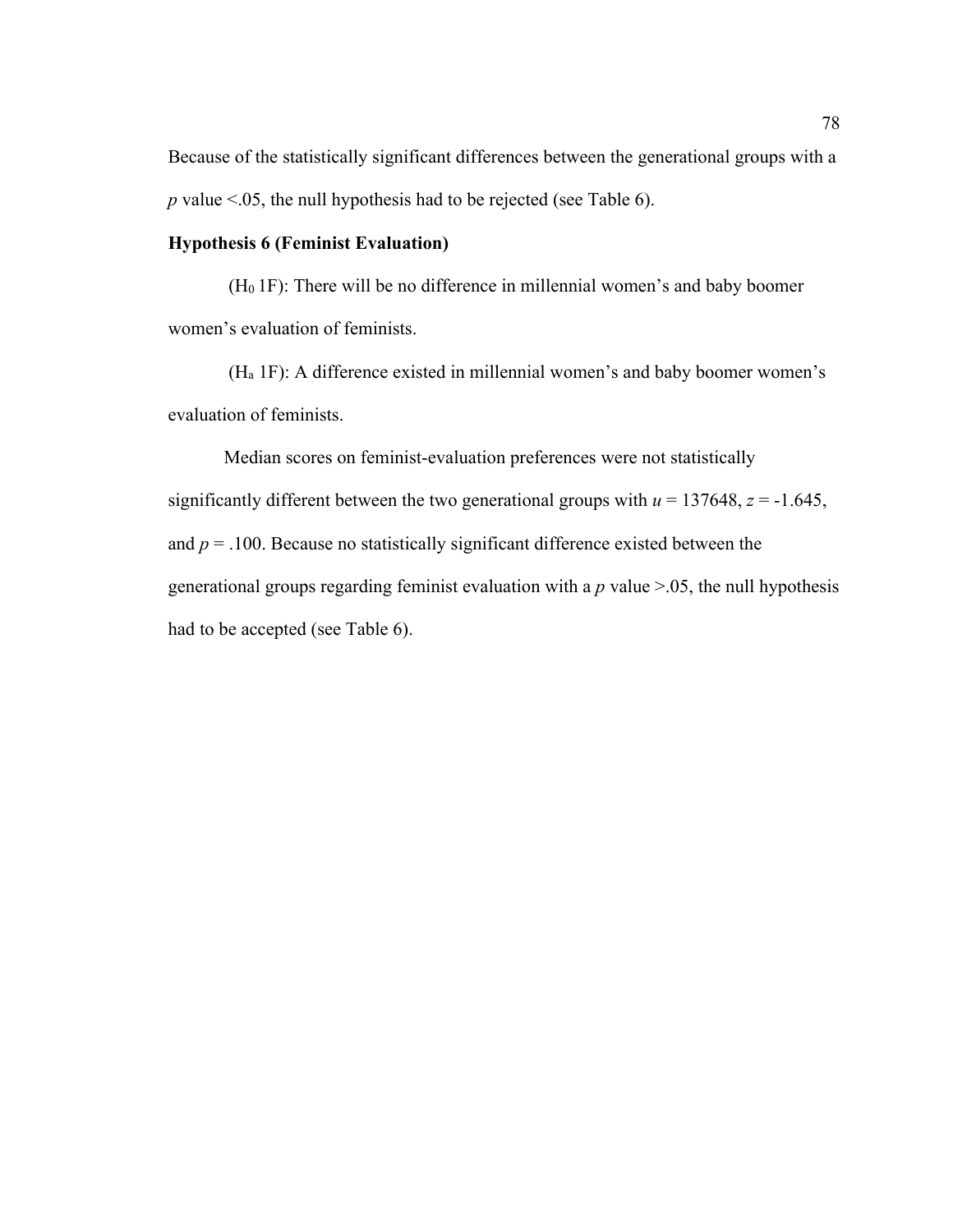Because of the statistically significant differences between the generational groups with a *p* value <.05, the null hypothesis had to be rejected (see Table 6).

### **Hypothesis 6 (Feminist Evaluation)**

 $(H<sub>0</sub>1F)$ : There will be no difference in millennial women's and baby boomer women's evaluation of feminists.

(Ha 1F): A difference existed in millennial women's and baby boomer women's evaluation of feminists.

Median scores on feminist-evaluation preferences were not statistically significantly different between the two generational groups with  $u = 137648$ ,  $z = -1.645$ , and  $p = 0.100$ . Because no statistically significant difference existed between the generational groups regarding feminist evaluation with a *p* value >.05, the null hypothesis had to be accepted (see Table 6).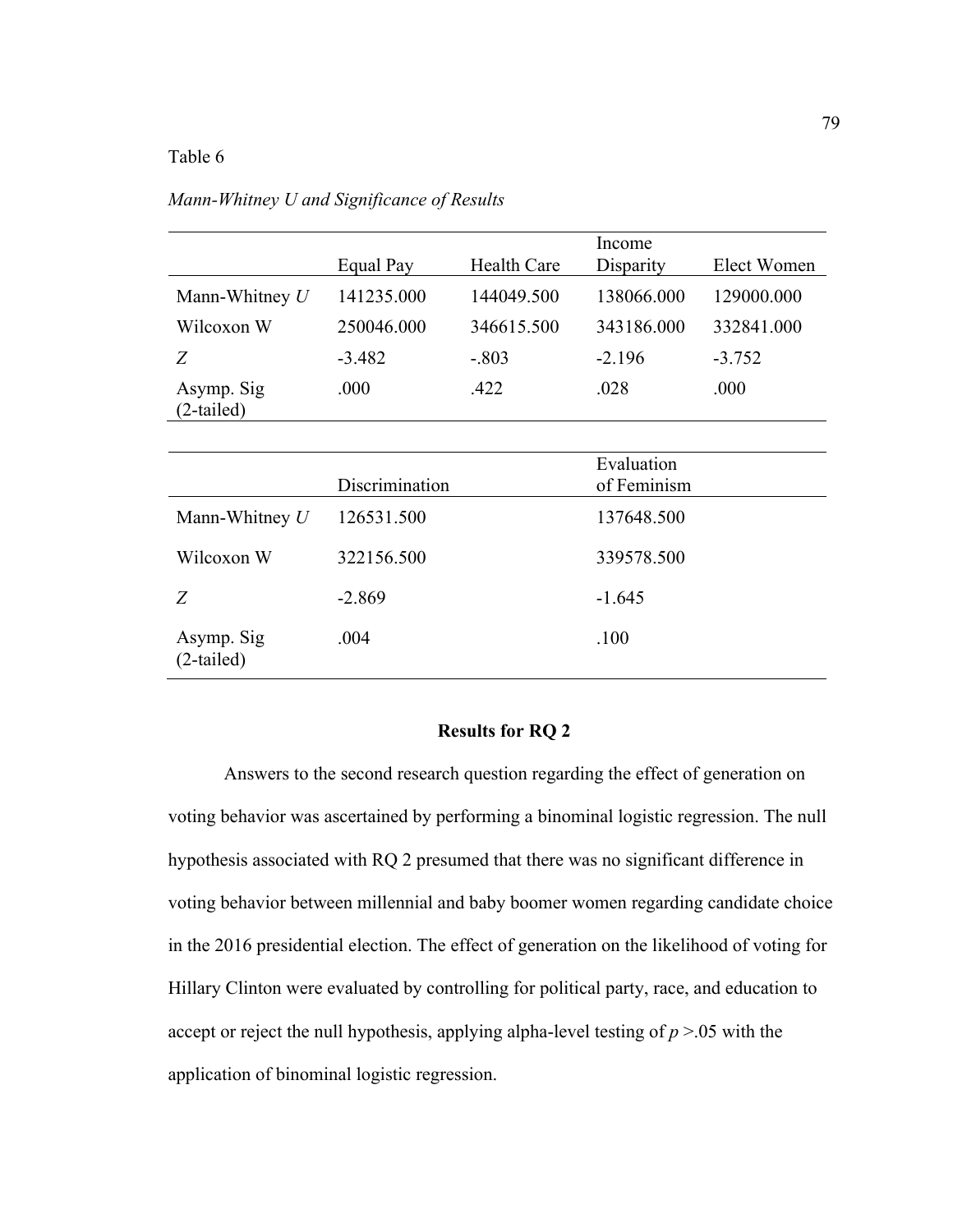# Table 6

|                            | Equal Pay      | <b>Health Care</b> | Income<br>Disparity       | Elect Women |  |
|----------------------------|----------------|--------------------|---------------------------|-------------|--|
| Mann-Whitney $U$           | 141235.000     | 144049.500         | 138066.000                | 129000.000  |  |
| Wilcoxon W                 | 250046.000     | 346615.500         | 343186.000                | 332841.000  |  |
| Z                          | $-3.482$       | $-.803$            | $-2.196$                  | $-3.752$    |  |
| Asymp. Sig<br>$(2-tailed)$ | .000           | .422               | .028                      | .000        |  |
|                            |                |                    |                           |             |  |
|                            | Discrimination |                    | Evaluation<br>of Feminism |             |  |
| Mann-Whitney $U$           | 126531.500     |                    | 137648.500                |             |  |
| Wilcoxon W                 | 322156.500     |                    | 339578.500                |             |  |
| Z                          | $-2.869$       |                    | $-1.645$                  |             |  |
| Asymp. Sig<br>$(2-tailed)$ | .004           |                    | .100                      |             |  |

*Mann-Whitney U and Significance of Results*

## **Results for RQ 2**

Answers to the second research question regarding the effect of generation on voting behavior was ascertained by performing a binominal logistic regression. The null hypothesis associated with RQ 2 presumed that there was no significant difference in voting behavior between millennial and baby boomer women regarding candidate choice in the 2016 presidential election. The effect of generation on the likelihood of voting for Hillary Clinton were evaluated by controlling for political party, race, and education to accept or reject the null hypothesis, applying alpha-level testing of *p* >.05 with the application of binominal logistic regression.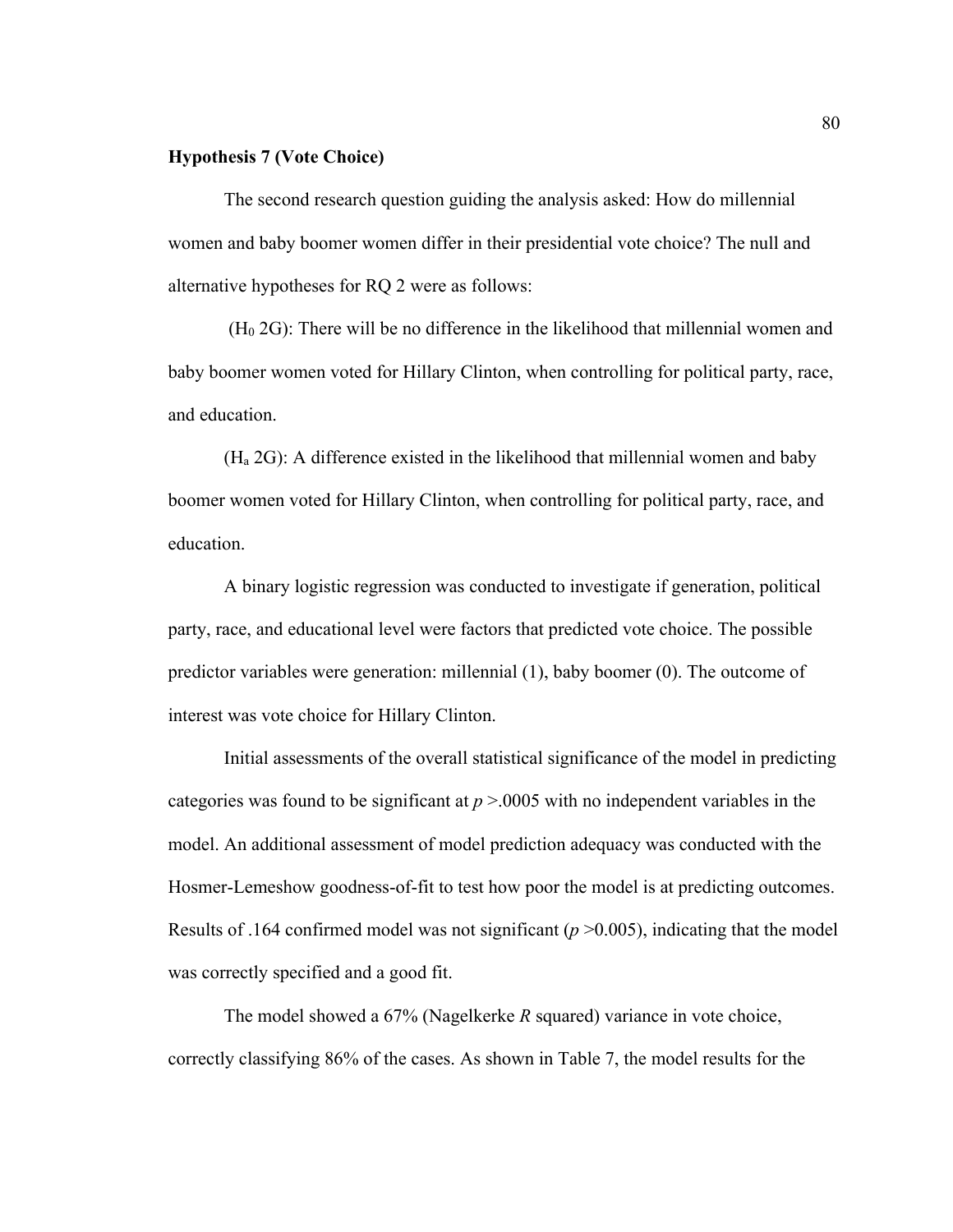### **Hypothesis 7 (Vote Choice)**

The second research question guiding the analysis asked: How do millennial women and baby boomer women differ in their presidential vote choice? The null and alternative hypotheses for RQ 2 were as follows:

 $(H<sub>0</sub> 2G)$ : There will be no difference in the likelihood that millennial women and baby boomer women voted for Hillary Clinton, when controlling for political party, race, and education.

(Ha 2G): A difference existed in the likelihood that millennial women and baby boomer women voted for Hillary Clinton, when controlling for political party, race, and education.

A binary logistic regression was conducted to investigate if generation, political party, race, and educational level were factors that predicted vote choice. The possible predictor variables were generation: millennial (1), baby boomer (0). The outcome of interest was vote choice for Hillary Clinton.

Initial assessments of the overall statistical significance of the model in predicting categories was found to be significant at  $p > 0.0005$  with no independent variables in the model. An additional assessment of model prediction adequacy was conducted with the Hosmer-Lemeshow goodness-of-fit to test how poor the model is at predicting outcomes. Results of .164 confirmed model was not significant  $(p > 0.005)$ , indicating that the model was correctly specified and a good fit.

The model showed a 67% (Nagelkerke *R* squared) variance in vote choice, correctly classifying 86% of the cases. As shown in Table 7, the model results for the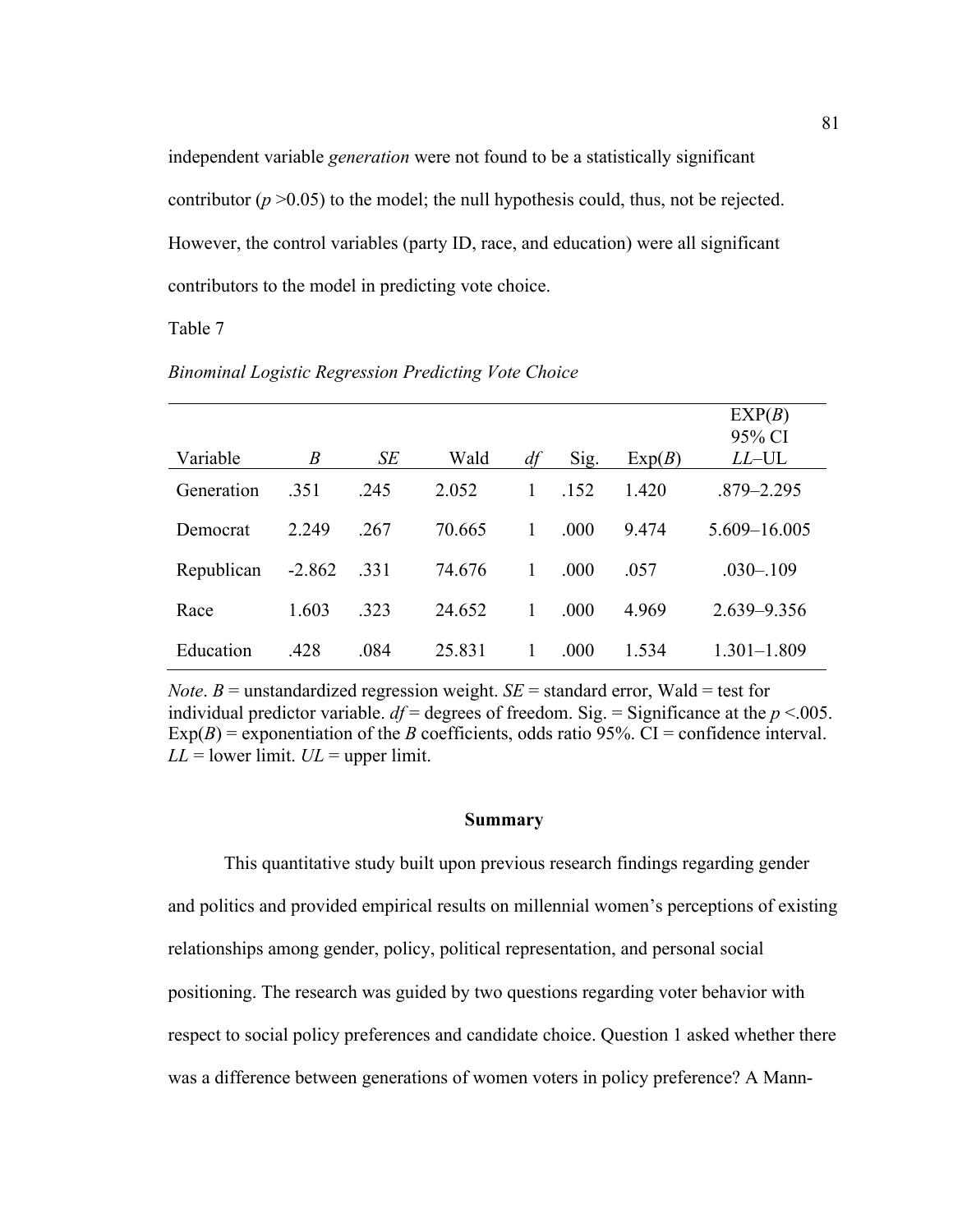independent variable *generation* were not found to be a statistically significant contributor  $(p > 0.05)$  to the model; the null hypothesis could, thus, not be rejected. However, the control variables (party ID, race, and education) were all significant contributors to the model in predicting vote choice.

Table 7

|            |                  |      |        |    |      |        | EXP(B)          |
|------------|------------------|------|--------|----|------|--------|-----------------|
|            |                  |      |        |    |      |        | 95% CI          |
| Variable   | $\boldsymbol{B}$ | SE   | Wald   | df | Sig. | Exp(B) | $LL$ –UL        |
| Generation | .351             | .245 | 2.052  | 1  | .152 | 1.420  | $.879 - 2.295$  |
| Democrat   | 2.249            | .267 | 70.665 | 1  | .000 | 9.474  | 5.609-16.005    |
| Republican | $-2.862$         | .331 | 74.676 | 1  | .000 | .057   | $.030 - .109$   |
| Race       | 1.603            | .323 | 24.652 | 1  | .000 | 4.969  | $2.639 - 9.356$ |
| Education  | .428             | .084 | 25.831 |    | .000 | 1.534  | $1.301 - 1.809$ |

*Binominal Logistic Regression Predicting Vote Choice*

*Note*.  $B$  = unstandardized regression weight.  $SE$  = standard error, Wald = test for individual predictor variable.  $df =$  degrees of freedom. Sig. = Significance at the  $p < .005$ .  $Exp(B)$  = exponentiation of the *B* coefficients, odds ratio 95%. CI = confidence interval.  $LL =$  lower limit.  $UL =$  upper limit.

### **Summary**

This quantitative study built upon previous research findings regarding gender and politics and provided empirical results on millennial women's perceptions of existing relationships among gender, policy, political representation, and personal social positioning. The research was guided by two questions regarding voter behavior with respect to social policy preferences and candidate choice. Question 1 asked whether there was a difference between generations of women voters in policy preference? A Mann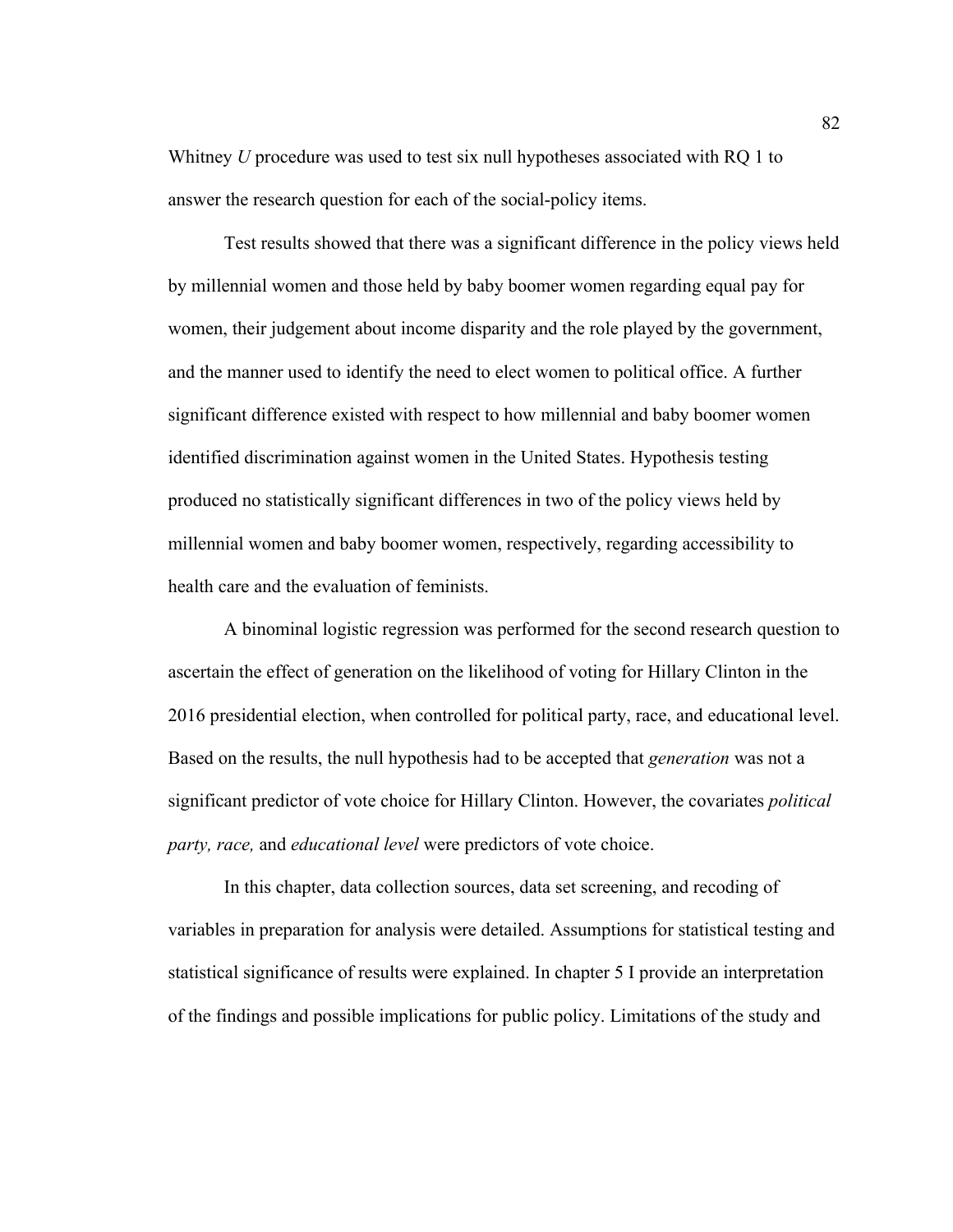Whitney *U* procedure was used to test six null hypotheses associated with RQ 1 to answer the research question for each of the social-policy items.

Test results showed that there was a significant difference in the policy views held by millennial women and those held by baby boomer women regarding equal pay for women, their judgement about income disparity and the role played by the government, and the manner used to identify the need to elect women to political office. A further significant difference existed with respect to how millennial and baby boomer women identified discrimination against women in the United States. Hypothesis testing produced no statistically significant differences in two of the policy views held by millennial women and baby boomer women, respectively, regarding accessibility to health care and the evaluation of feminists.

A binominal logistic regression was performed for the second research question to ascertain the effect of generation on the likelihood of voting for Hillary Clinton in the 2016 presidential election, when controlled for political party, race, and educational level. Based on the results, the null hypothesis had to be accepted that *generation* was not a significant predictor of vote choice for Hillary Clinton. However, the covariates *political party, race,* and *educational level* were predictors of vote choice.

In this chapter, data collection sources, data set screening, and recoding of variables in preparation for analysis were detailed. Assumptions for statistical testing and statistical significance of results were explained. In chapter 5 I provide an interpretation of the findings and possible implications for public policy. Limitations of the study and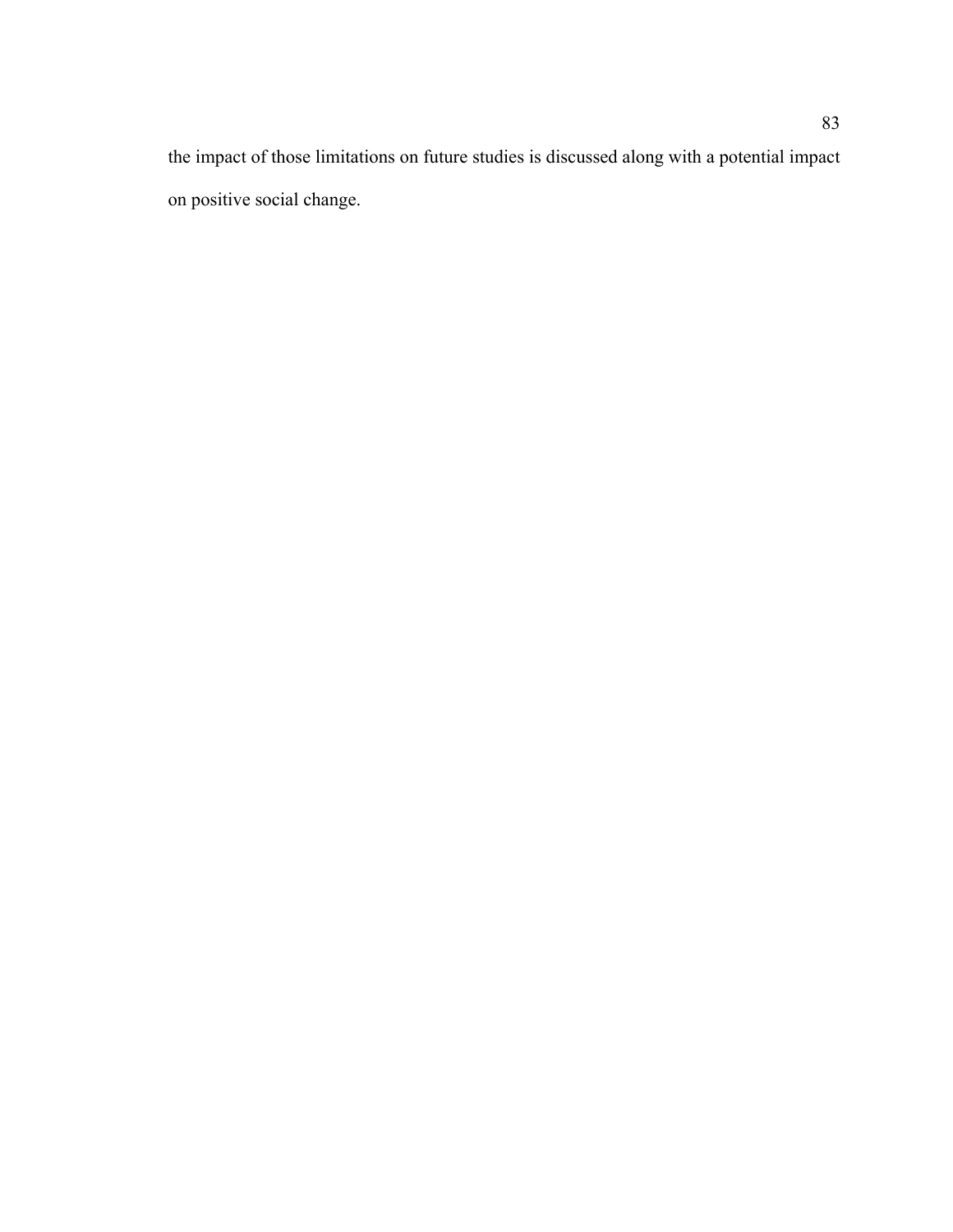the impact of those limitations on future studies is discussed along with a potential impact on positive social change.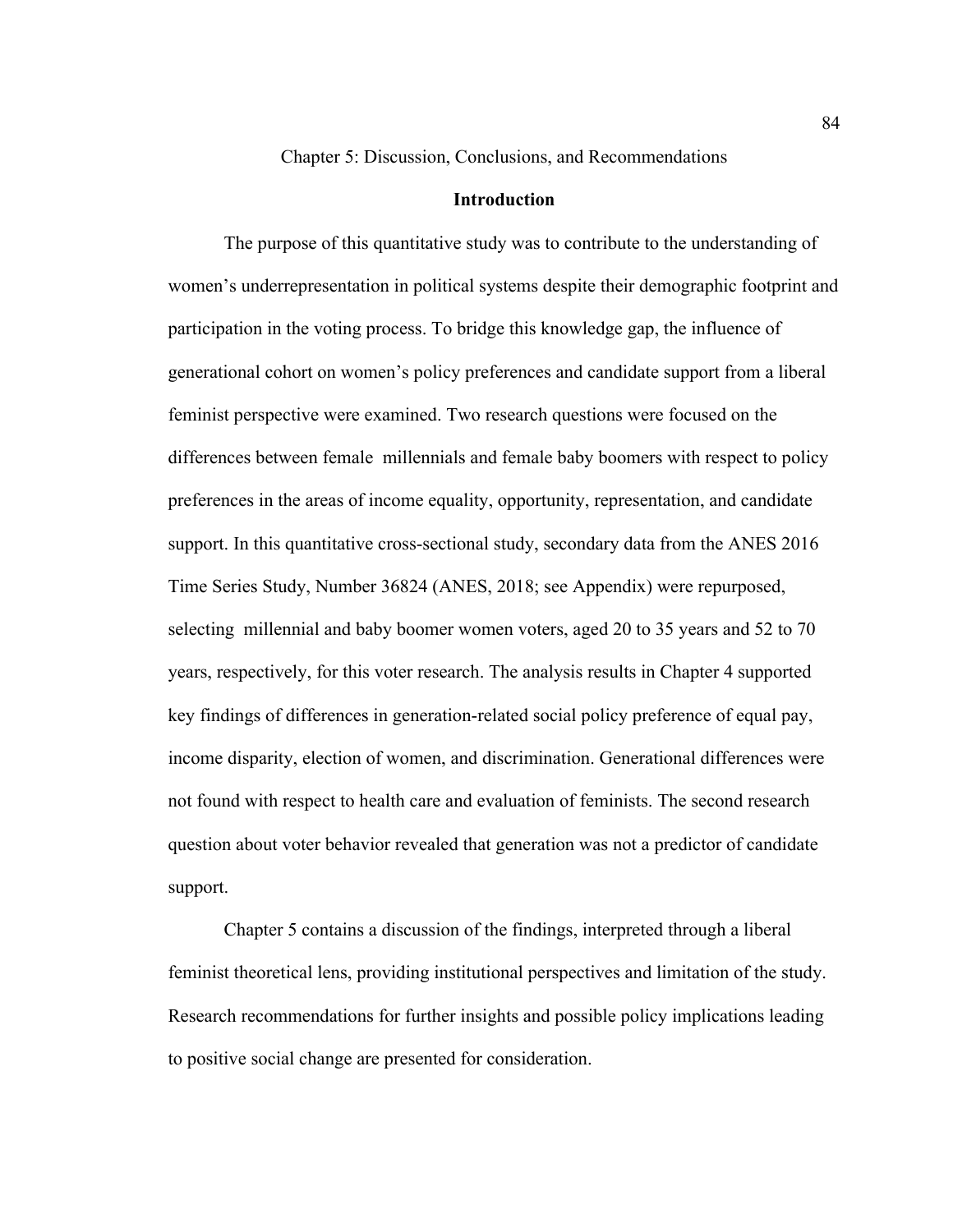Chapter 5: Discussion, Conclusions, and Recommendations

### **Introduction**

The purpose of this quantitative study was to contribute to the understanding of women's underrepresentation in political systems despite their demographic footprint and participation in the voting process. To bridge this knowledge gap, the influence of generational cohort on women's policy preferences and candidate support from a liberal feminist perspective were examined. Two research questions were focused on the differences between female millennials and female baby boomers with respect to policy preferences in the areas of income equality, opportunity, representation, and candidate support. In this quantitative cross-sectional study, secondary data from the ANES 2016 Time Series Study, Number 36824 (ANES, 2018; see Appendix) were repurposed, selecting millennial and baby boomer women voters, aged 20 to 35 years and 52 to 70 years, respectively, for this voter research. The analysis results in Chapter 4 supported key findings of differences in generation-related social policy preference of equal pay, income disparity, election of women, and discrimination. Generational differences were not found with respect to health care and evaluation of feminists. The second research question about voter behavior revealed that generation was not a predictor of candidate support.

Chapter 5 contains a discussion of the findings, interpreted through a liberal feminist theoretical lens, providing institutional perspectives and limitation of the study. Research recommendations for further insights and possible policy implications leading to positive social change are presented for consideration.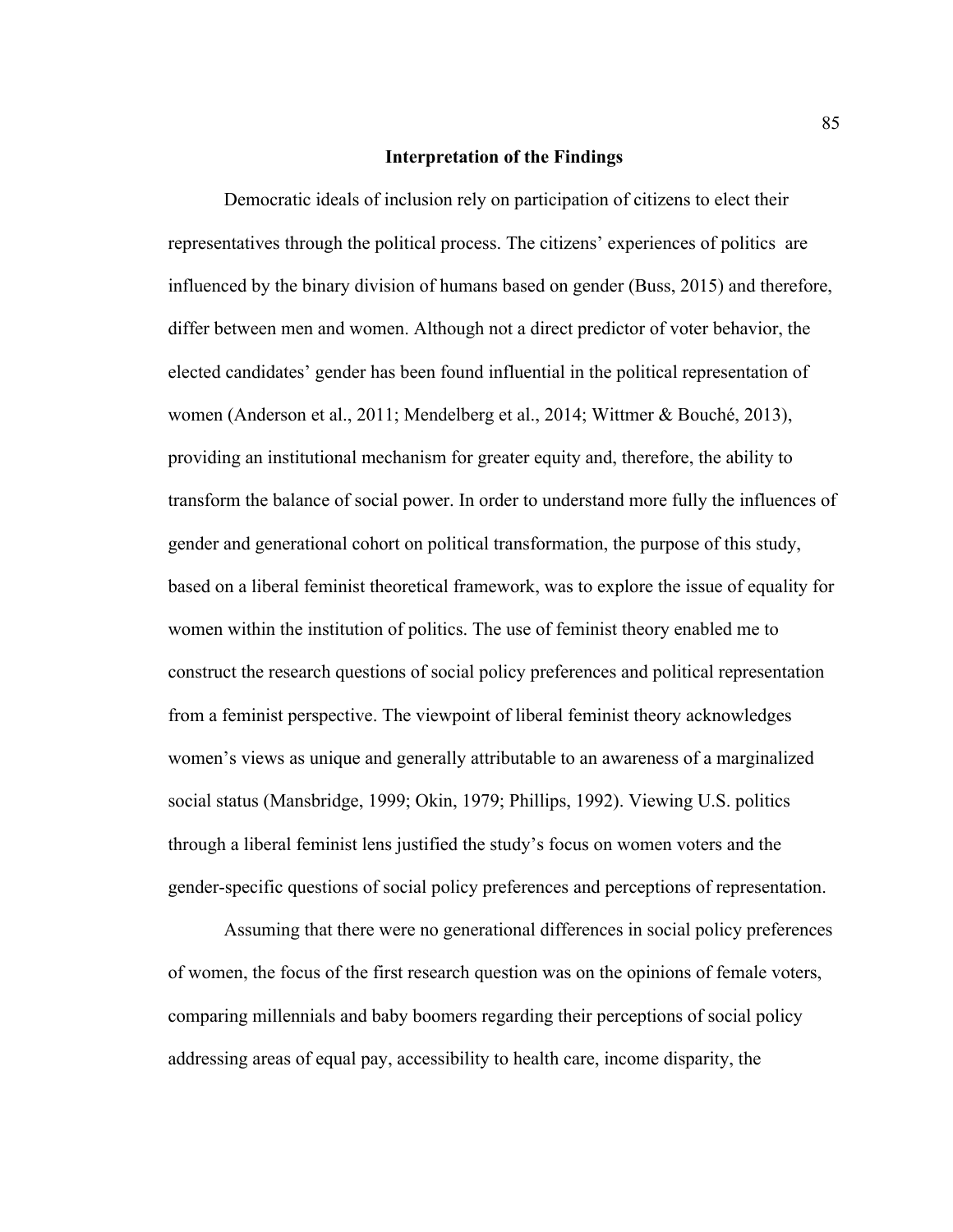### **Interpretation of the Findings**

Democratic ideals of inclusion rely on participation of citizens to elect their representatives through the political process. The citizens' experiences of politics are influenced by the binary division of humans based on gender (Buss, 2015) and therefore, differ between men and women. Although not a direct predictor of voter behavior, the elected candidates' gender has been found influential in the political representation of women (Anderson et al., 2011; Mendelberg et al., 2014; Wittmer & Bouché, 2013), providing an institutional mechanism for greater equity and, therefore, the ability to transform the balance of social power. In order to understand more fully the influences of gender and generational cohort on political transformation, the purpose of this study, based on a liberal feminist theoretical framework, was to explore the issue of equality for women within the institution of politics. The use of feminist theory enabled me to construct the research questions of social policy preferences and political representation from a feminist perspective. The viewpoint of liberal feminist theory acknowledges women's views as unique and generally attributable to an awareness of a marginalized social status (Mansbridge, 1999; Okin, 1979; Phillips, 1992). Viewing U.S. politics through a liberal feminist lens justified the study's focus on women voters and the gender-specific questions of social policy preferences and perceptions of representation.

Assuming that there were no generational differences in social policy preferences of women, the focus of the first research question was on the opinions of female voters, comparing millennials and baby boomers regarding their perceptions of social policy addressing areas of equal pay, accessibility to health care, income disparity, the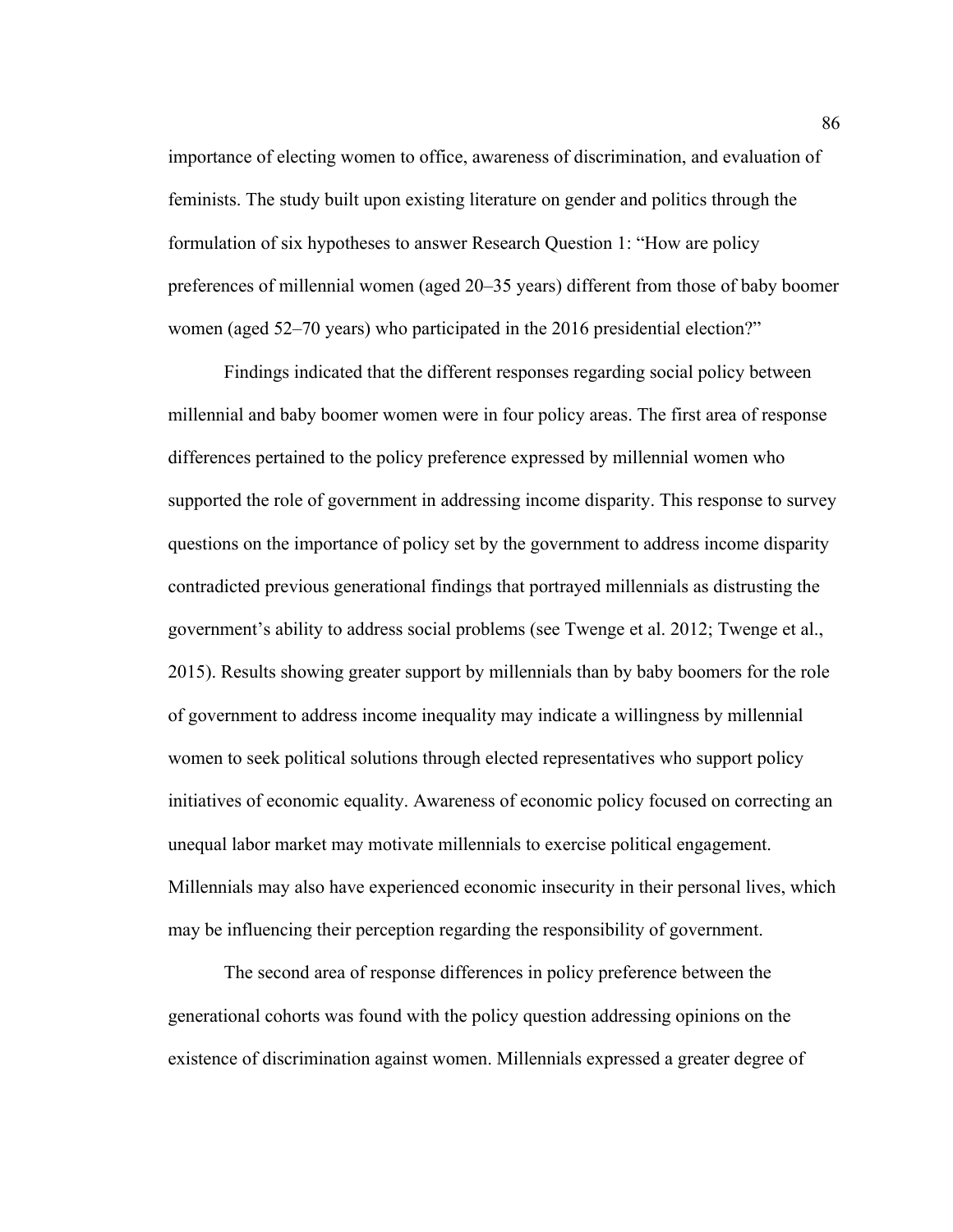importance of electing women to office, awareness of discrimination, and evaluation of feminists. The study built upon existing literature on gender and politics through the formulation of six hypotheses to answer Research Question 1: "How are policy preferences of millennial women (aged 20–35 years) different from those of baby boomer women (aged 52–70 years) who participated in the 2016 presidential election?"

Findings indicated that the different responses regarding social policy between millennial and baby boomer women were in four policy areas. The first area of response differences pertained to the policy preference expressed by millennial women who supported the role of government in addressing income disparity. This response to survey questions on the importance of policy set by the government to address income disparity contradicted previous generational findings that portrayed millennials as distrusting the government's ability to address social problems (see Twenge et al. 2012; Twenge et al., 2015). Results showing greater support by millennials than by baby boomers for the role of government to address income inequality may indicate a willingness by millennial women to seek political solutions through elected representatives who support policy initiatives of economic equality. Awareness of economic policy focused on correcting an unequal labor market may motivate millennials to exercise political engagement. Millennials may also have experienced economic insecurity in their personal lives, which may be influencing their perception regarding the responsibility of government.

The second area of response differences in policy preference between the generational cohorts was found with the policy question addressing opinions on the existence of discrimination against women. Millennials expressed a greater degree of

86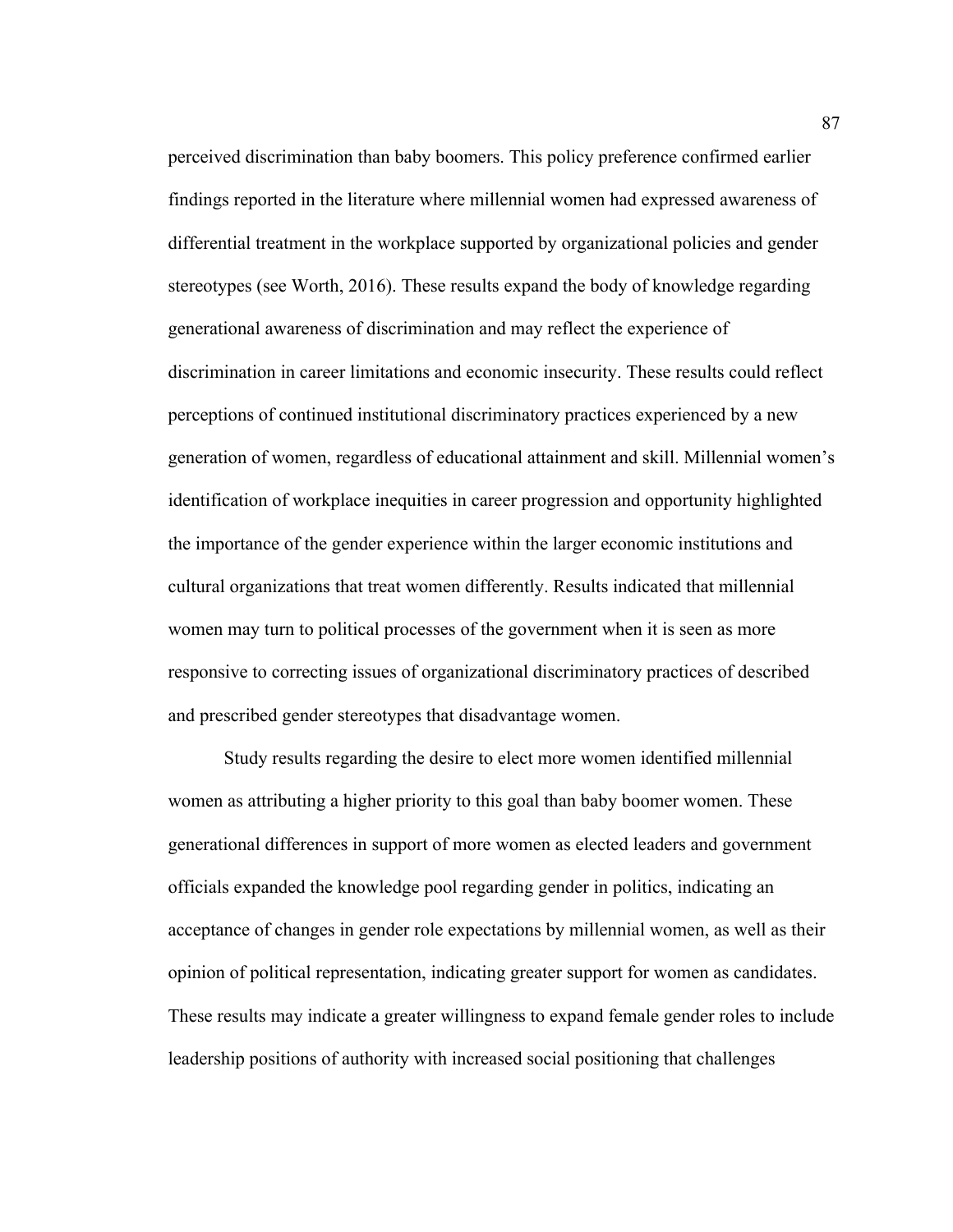perceived discrimination than baby boomers. This policy preference confirmed earlier findings reported in the literature where millennial women had expressed awareness of differential treatment in the workplace supported by organizational policies and gender stereotypes (see Worth, 2016). These results expand the body of knowledge regarding generational awareness of discrimination and may reflect the experience of discrimination in career limitations and economic insecurity. These results could reflect perceptions of continued institutional discriminatory practices experienced by a new generation of women, regardless of educational attainment and skill. Millennial women's identification of workplace inequities in career progression and opportunity highlighted the importance of the gender experience within the larger economic institutions and cultural organizations that treat women differently. Results indicated that millennial women may turn to political processes of the government when it is seen as more responsive to correcting issues of organizational discriminatory practices of described and prescribed gender stereotypes that disadvantage women.

Study results regarding the desire to elect more women identified millennial women as attributing a higher priority to this goal than baby boomer women. These generational differences in support of more women as elected leaders and government officials expanded the knowledge pool regarding gender in politics, indicating an acceptance of changes in gender role expectations by millennial women, as well as their opinion of political representation, indicating greater support for women as candidates. These results may indicate a greater willingness to expand female gender roles to include leadership positions of authority with increased social positioning that challenges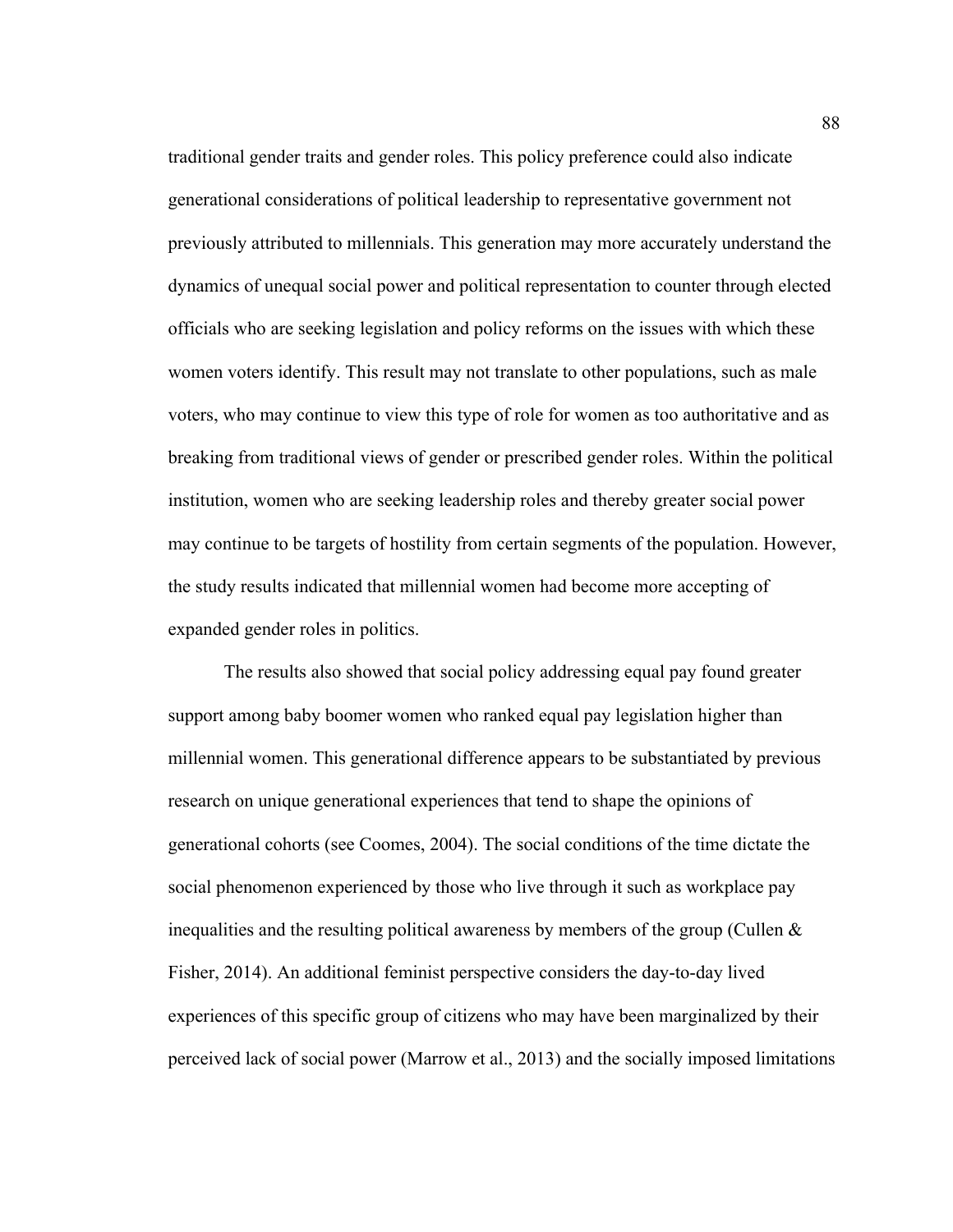traditional gender traits and gender roles. This policy preference could also indicate generational considerations of political leadership to representative government not previously attributed to millennials. This generation may more accurately understand the dynamics of unequal social power and political representation to counter through elected officials who are seeking legislation and policy reforms on the issues with which these women voters identify. This result may not translate to other populations, such as male voters, who may continue to view this type of role for women as too authoritative and as breaking from traditional views of gender or prescribed gender roles. Within the political institution, women who are seeking leadership roles and thereby greater social power may continue to be targets of hostility from certain segments of the population. However, the study results indicated that millennial women had become more accepting of expanded gender roles in politics.

The results also showed that social policy addressing equal pay found greater support among baby boomer women who ranked equal pay legislation higher than millennial women. This generational difference appears to be substantiated by previous research on unique generational experiences that tend to shape the opinions of generational cohorts (see Coomes, 2004). The social conditions of the time dictate the social phenomenon experienced by those who live through it such as workplace pay inequalities and the resulting political awareness by members of the group (Cullen  $\&$ Fisher, 2014). An additional feminist perspective considers the day-to-day lived experiences of this specific group of citizens who may have been marginalized by their perceived lack of social power (Marrow et al., 2013) and the socially imposed limitations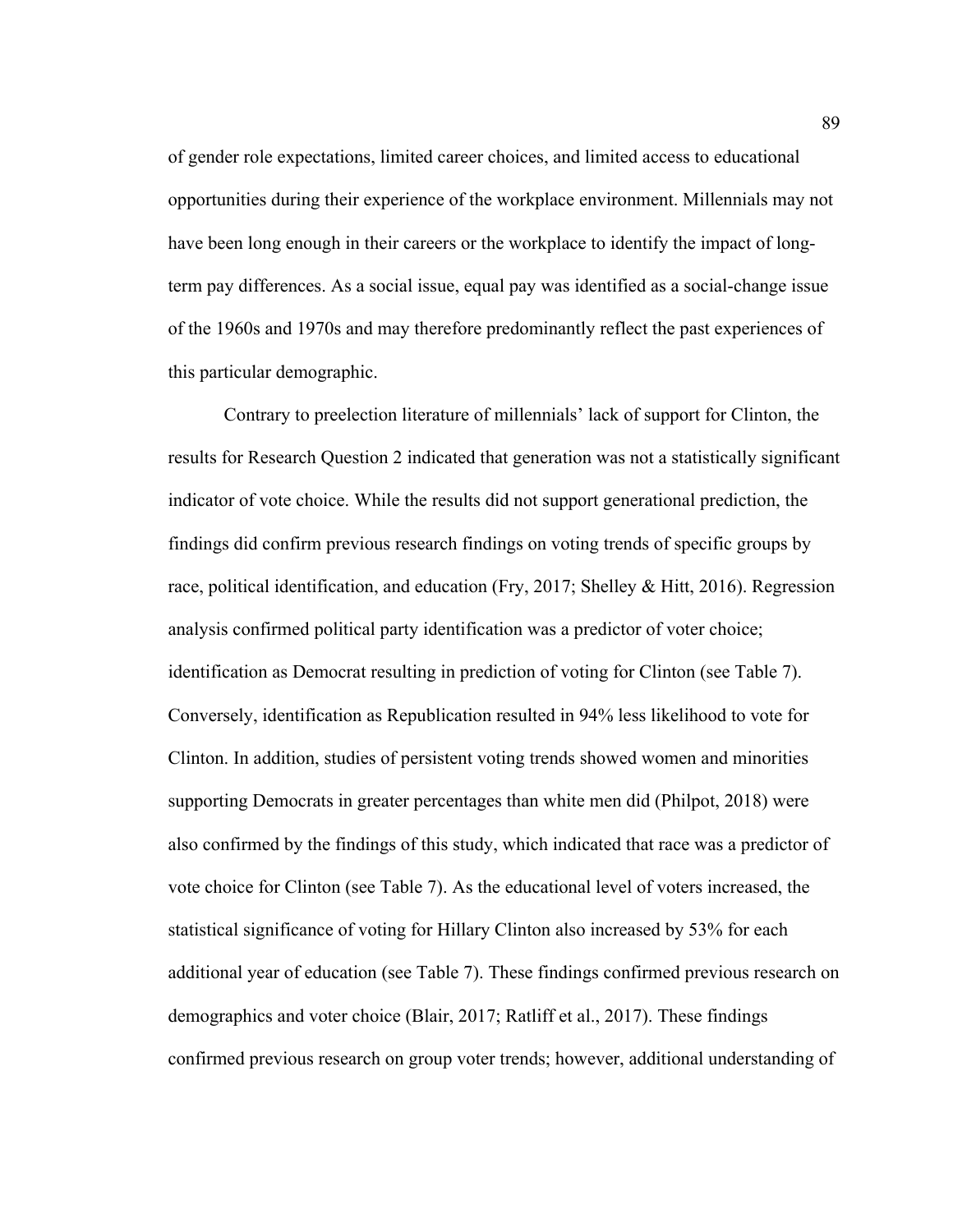of gender role expectations, limited career choices, and limited access to educational opportunities during their experience of the workplace environment. Millennials may not have been long enough in their careers or the workplace to identify the impact of longterm pay differences. As a social issue, equal pay was identified as a social-change issue of the 1960s and 1970s and may therefore predominantly reflect the past experiences of this particular demographic.

Contrary to preelection literature of millennials' lack of support for Clinton, the results for Research Question 2 indicated that generation was not a statistically significant indicator of vote choice. While the results did not support generational prediction, the findings did confirm previous research findings on voting trends of specific groups by race, political identification, and education (Fry, 2017; Shelley & Hitt, 2016). Regression analysis confirmed political party identification was a predictor of voter choice; identification as Democrat resulting in prediction of voting for Clinton (see Table 7). Conversely, identification as Republication resulted in 94% less likelihood to vote for Clinton. In addition, studies of persistent voting trends showed women and minorities supporting Democrats in greater percentages than white men did (Philpot, 2018) were also confirmed by the findings of this study, which indicated that race was a predictor of vote choice for Clinton (see Table 7). As the educational level of voters increased, the statistical significance of voting for Hillary Clinton also increased by 53% for each additional year of education (see Table 7). These findings confirmed previous research on demographics and voter choice (Blair, 2017; Ratliff et al., 2017). These findings confirmed previous research on group voter trends; however, additional understanding of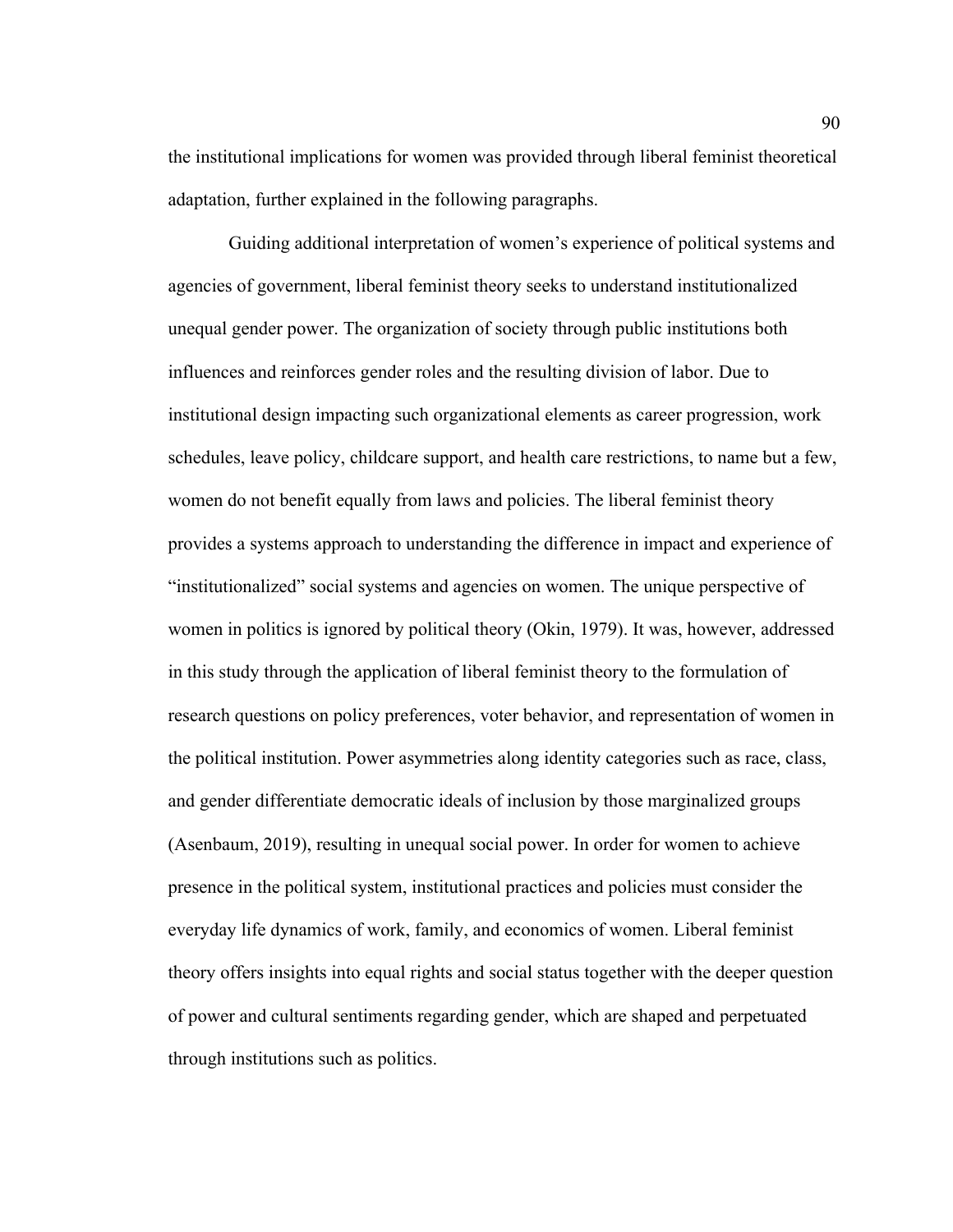the institutional implications for women was provided through liberal feminist theoretical adaptation, further explained in the following paragraphs.

Guiding additional interpretation of women's experience of political systems and agencies of government, liberal feminist theory seeks to understand institutionalized unequal gender power. The organization of society through public institutions both influences and reinforces gender roles and the resulting division of labor. Due to institutional design impacting such organizational elements as career progression, work schedules, leave policy, childcare support, and health care restrictions, to name but a few, women do not benefit equally from laws and policies. The liberal feminist theory provides a systems approach to understanding the difference in impact and experience of "institutionalized" social systems and agencies on women. The unique perspective of women in politics is ignored by political theory (Okin, 1979). It was, however, addressed in this study through the application of liberal feminist theory to the formulation of research questions on policy preferences, voter behavior, and representation of women in the political institution. Power asymmetries along identity categories such as race, class, and gender differentiate democratic ideals of inclusion by those marginalized groups (Asenbaum, 2019), resulting in unequal social power. In order for women to achieve presence in the political system, institutional practices and policies must consider the everyday life dynamics of work, family, and economics of women. Liberal feminist theory offers insights into equal rights and social status together with the deeper question of power and cultural sentiments regarding gender, which are shaped and perpetuated through institutions such as politics.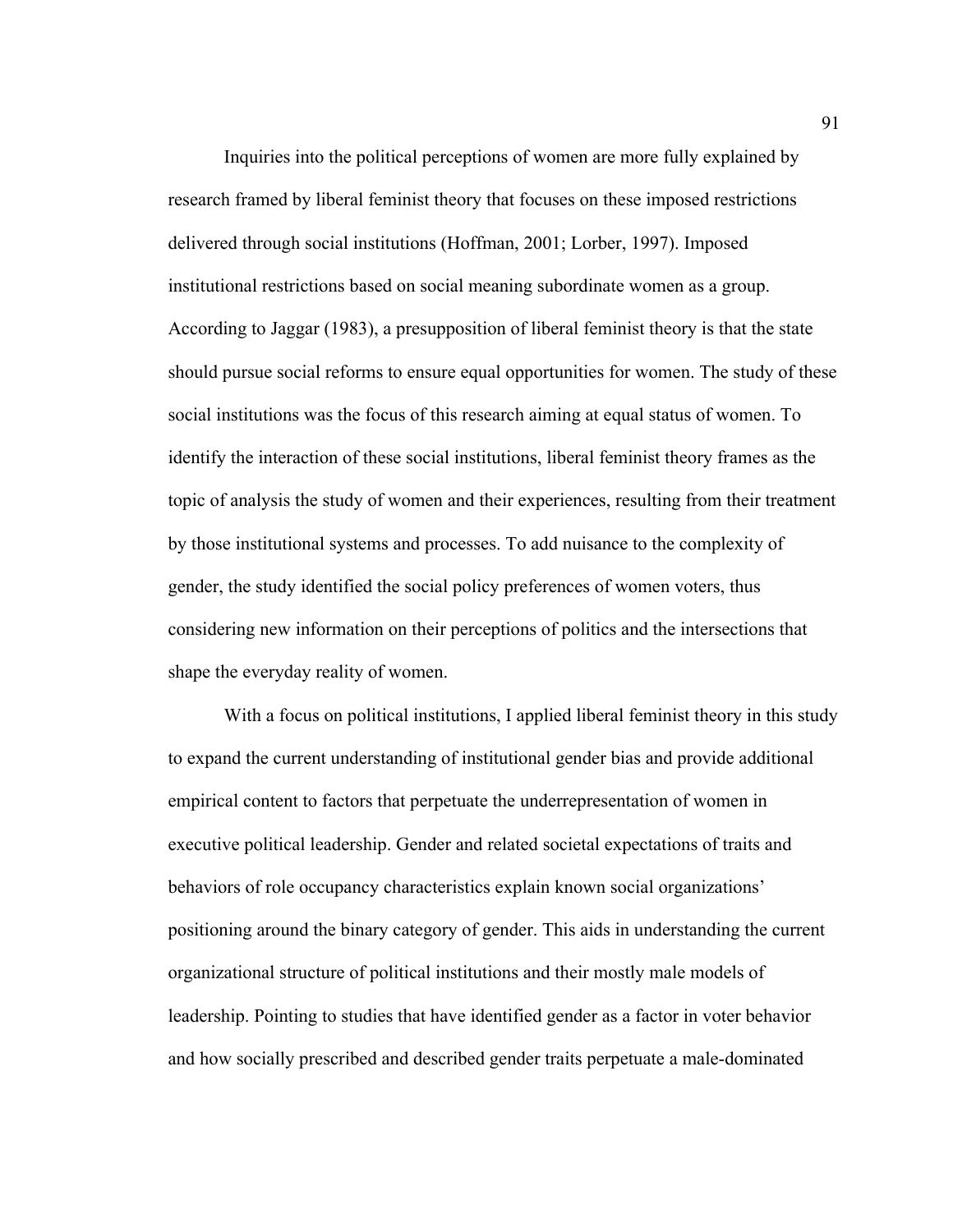Inquiries into the political perceptions of women are more fully explained by research framed by liberal feminist theory that focuses on these imposed restrictions delivered through social institutions (Hoffman, 2001; Lorber, 1997). Imposed institutional restrictions based on social meaning subordinate women as a group. According to Jaggar (1983), a presupposition of liberal feminist theory is that the state should pursue social reforms to ensure equal opportunities for women. The study of these social institutions was the focus of this research aiming at equal status of women. To identify the interaction of these social institutions, liberal feminist theory frames as the topic of analysis the study of women and their experiences, resulting from their treatment by those institutional systems and processes. To add nuisance to the complexity of gender, the study identified the social policy preferences of women voters, thus considering new information on their perceptions of politics and the intersections that shape the everyday reality of women.

With a focus on political institutions, I applied liberal feminist theory in this study to expand the current understanding of institutional gender bias and provide additional empirical content to factors that perpetuate the underrepresentation of women in executive political leadership. Gender and related societal expectations of traits and behaviors of role occupancy characteristics explain known social organizations' positioning around the binary category of gender. This aids in understanding the current organizational structure of political institutions and their mostly male models of leadership. Pointing to studies that have identified gender as a factor in voter behavior and how socially prescribed and described gender traits perpetuate a male-dominated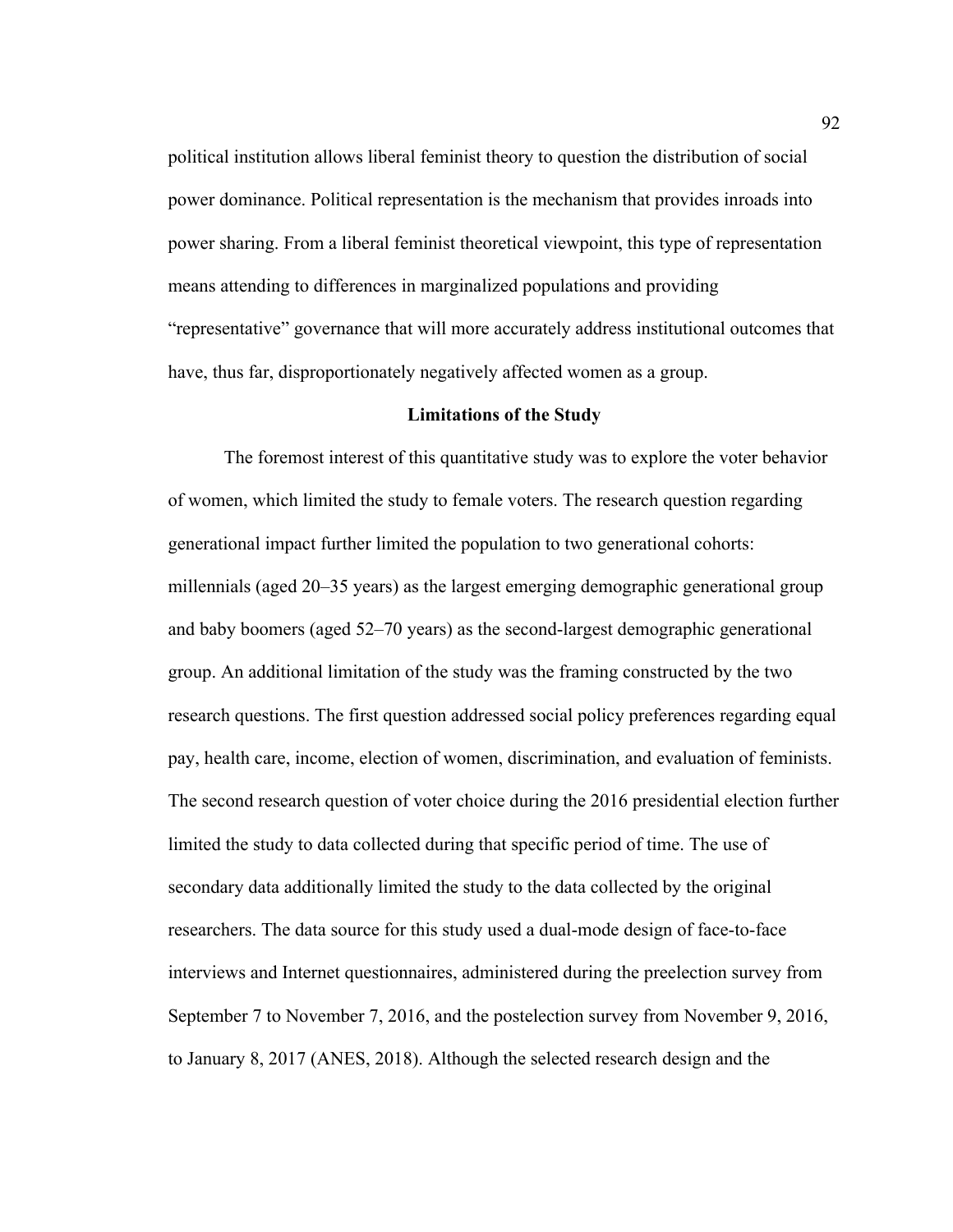political institution allows liberal feminist theory to question the distribution of social power dominance. Political representation is the mechanism that provides inroads into power sharing. From a liberal feminist theoretical viewpoint, this type of representation means attending to differences in marginalized populations and providing "representative" governance that will more accurately address institutional outcomes that have, thus far, disproportionately negatively affected women as a group.

### **Limitations of the Study**

The foremost interest of this quantitative study was to explore the voter behavior of women, which limited the study to female voters. The research question regarding generational impact further limited the population to two generational cohorts: millennials (aged 20–35 years) as the largest emerging demographic generational group and baby boomers (aged 52–70 years) as the second-largest demographic generational group. An additional limitation of the study was the framing constructed by the two research questions. The first question addressed social policy preferences regarding equal pay, health care, income, election of women, discrimination, and evaluation of feminists. The second research question of voter choice during the 2016 presidential election further limited the study to data collected during that specific period of time. The use of secondary data additionally limited the study to the data collected by the original researchers. The data source for this study used a dual-mode design of face-to-face interviews and Internet questionnaires, administered during the preelection survey from September 7 to November 7, 2016, and the postelection survey from November 9, 2016, to January 8, 2017 (ANES, 2018). Although the selected research design and the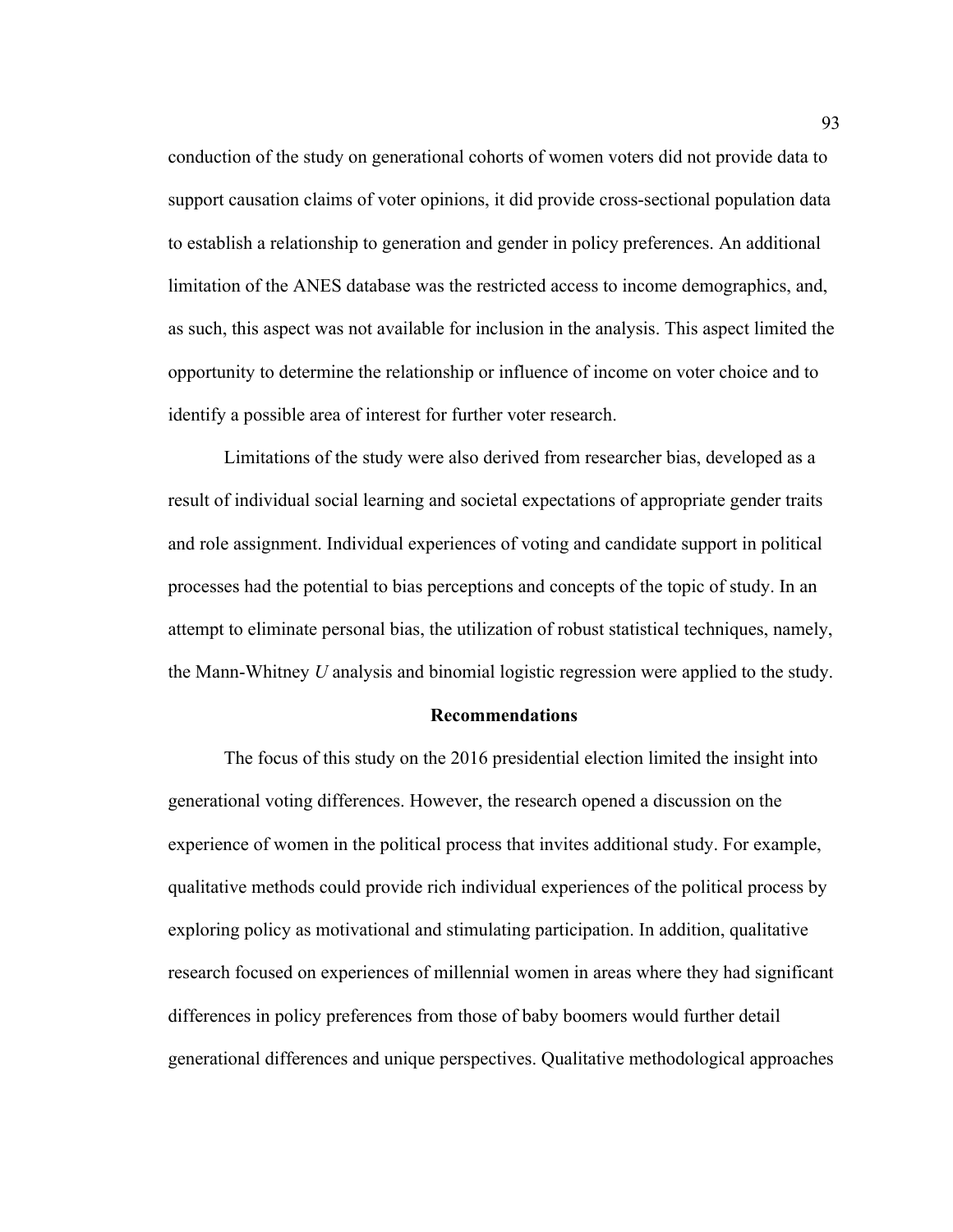conduction of the study on generational cohorts of women voters did not provide data to support causation claims of voter opinions, it did provide cross-sectional population data to establish a relationship to generation and gender in policy preferences. An additional limitation of the ANES database was the restricted access to income demographics, and, as such, this aspect was not available for inclusion in the analysis. This aspect limited the opportunity to determine the relationship or influence of income on voter choice and to identify a possible area of interest for further voter research.

Limitations of the study were also derived from researcher bias, developed as a result of individual social learning and societal expectations of appropriate gender traits and role assignment. Individual experiences of voting and candidate support in political processes had the potential to bias perceptions and concepts of the topic of study. In an attempt to eliminate personal bias, the utilization of robust statistical techniques, namely, the Mann-Whitney *U* analysis and binomial logistic regression were applied to the study.

#### **Recommendations**

The focus of this study on the 2016 presidential election limited the insight into generational voting differences. However, the research opened a discussion on the experience of women in the political process that invites additional study. For example, qualitative methods could provide rich individual experiences of the political process by exploring policy as motivational and stimulating participation. In addition, qualitative research focused on experiences of millennial women in areas where they had significant differences in policy preferences from those of baby boomers would further detail generational differences and unique perspectives. Qualitative methodological approaches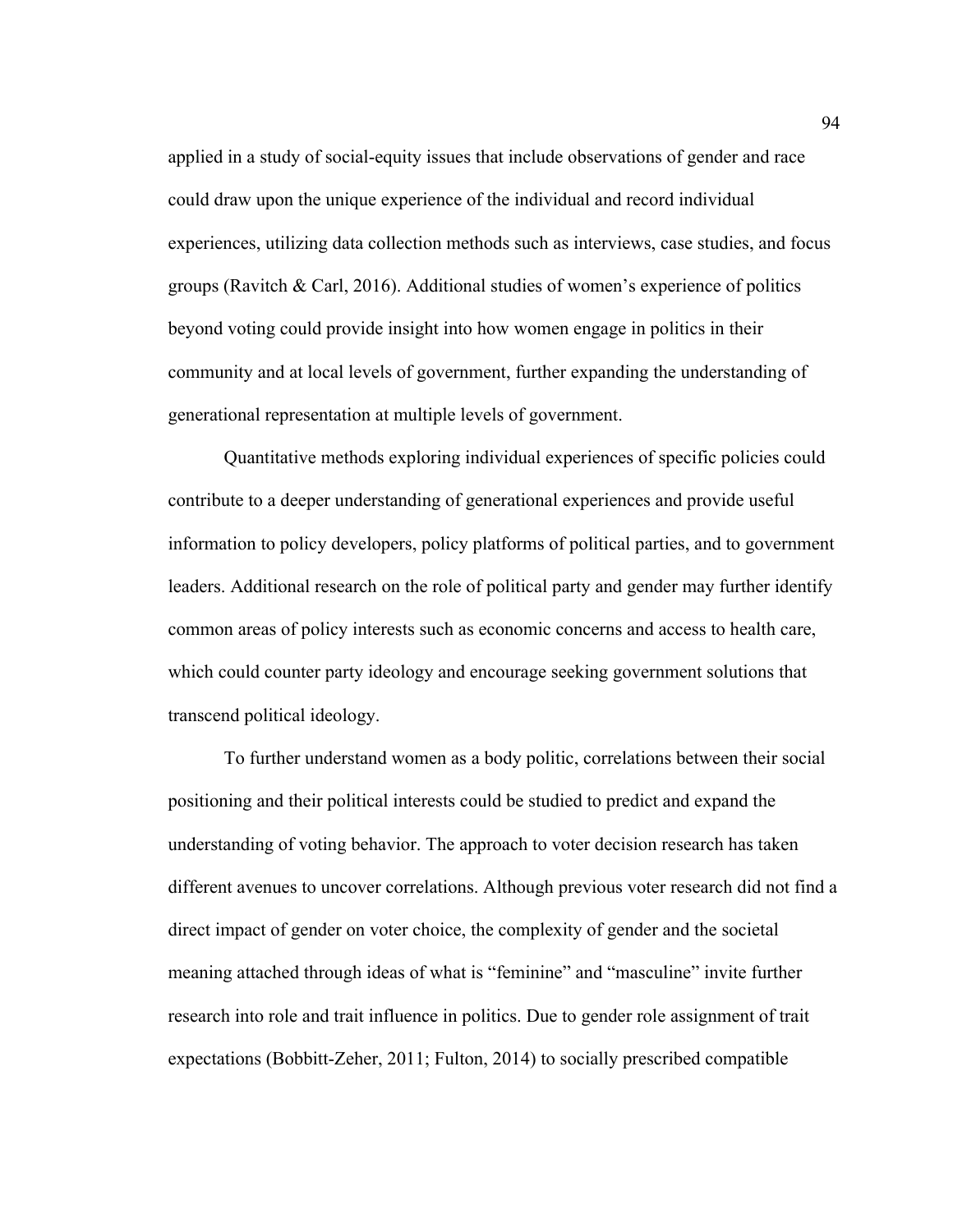applied in a study of social-equity issues that include observations of gender and race could draw upon the unique experience of the individual and record individual experiences, utilizing data collection methods such as interviews, case studies, and focus groups (Ravitch & Carl, 2016). Additional studies of women's experience of politics beyond voting could provide insight into how women engage in politics in their community and at local levels of government, further expanding the understanding of generational representation at multiple levels of government.

Quantitative methods exploring individual experiences of specific policies could contribute to a deeper understanding of generational experiences and provide useful information to policy developers, policy platforms of political parties, and to government leaders. Additional research on the role of political party and gender may further identify common areas of policy interests such as economic concerns and access to health care, which could counter party ideology and encourage seeking government solutions that transcend political ideology.

To further understand women as a body politic, correlations between their social positioning and their political interests could be studied to predict and expand the understanding of voting behavior. The approach to voter decision research has taken different avenues to uncover correlations. Although previous voter research did not find a direct impact of gender on voter choice, the complexity of gender and the societal meaning attached through ideas of what is "feminine" and "masculine" invite further research into role and trait influence in politics. Due to gender role assignment of trait expectations (Bobbitt-Zeher, 2011; Fulton, 2014) to socially prescribed compatible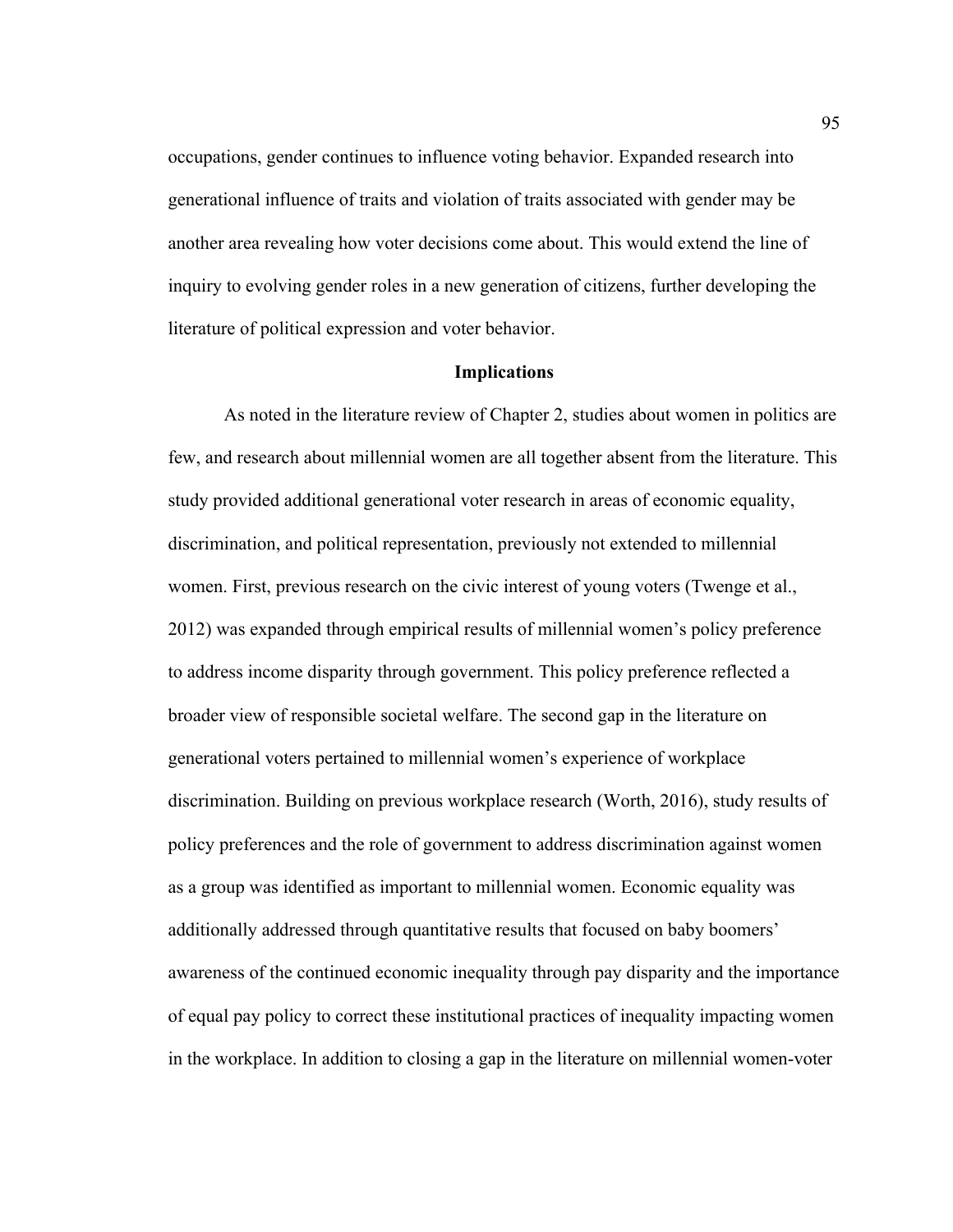occupations, gender continues to influence voting behavior. Expanded research into generational influence of traits and violation of traits associated with gender may be another area revealing how voter decisions come about. This would extend the line of inquiry to evolving gender roles in a new generation of citizens, further developing the literature of political expression and voter behavior.

### **Implications**

As noted in the literature review of Chapter 2, studies about women in politics are few, and research about millennial women are all together absent from the literature. This study provided additional generational voter research in areas of economic equality, discrimination, and political representation, previously not extended to millennial women. First, previous research on the civic interest of young voters (Twenge et al., 2012) was expanded through empirical results of millennial women's policy preference to address income disparity through government. This policy preference reflected a broader view of responsible societal welfare. The second gap in the literature on generational voters pertained to millennial women's experience of workplace discrimination. Building on previous workplace research (Worth, 2016), study results of policy preferences and the role of government to address discrimination against women as a group was identified as important to millennial women. Economic equality was additionally addressed through quantitative results that focused on baby boomers' awareness of the continued economic inequality through pay disparity and the importance of equal pay policy to correct these institutional practices of inequality impacting women in the workplace. In addition to closing a gap in the literature on millennial women-voter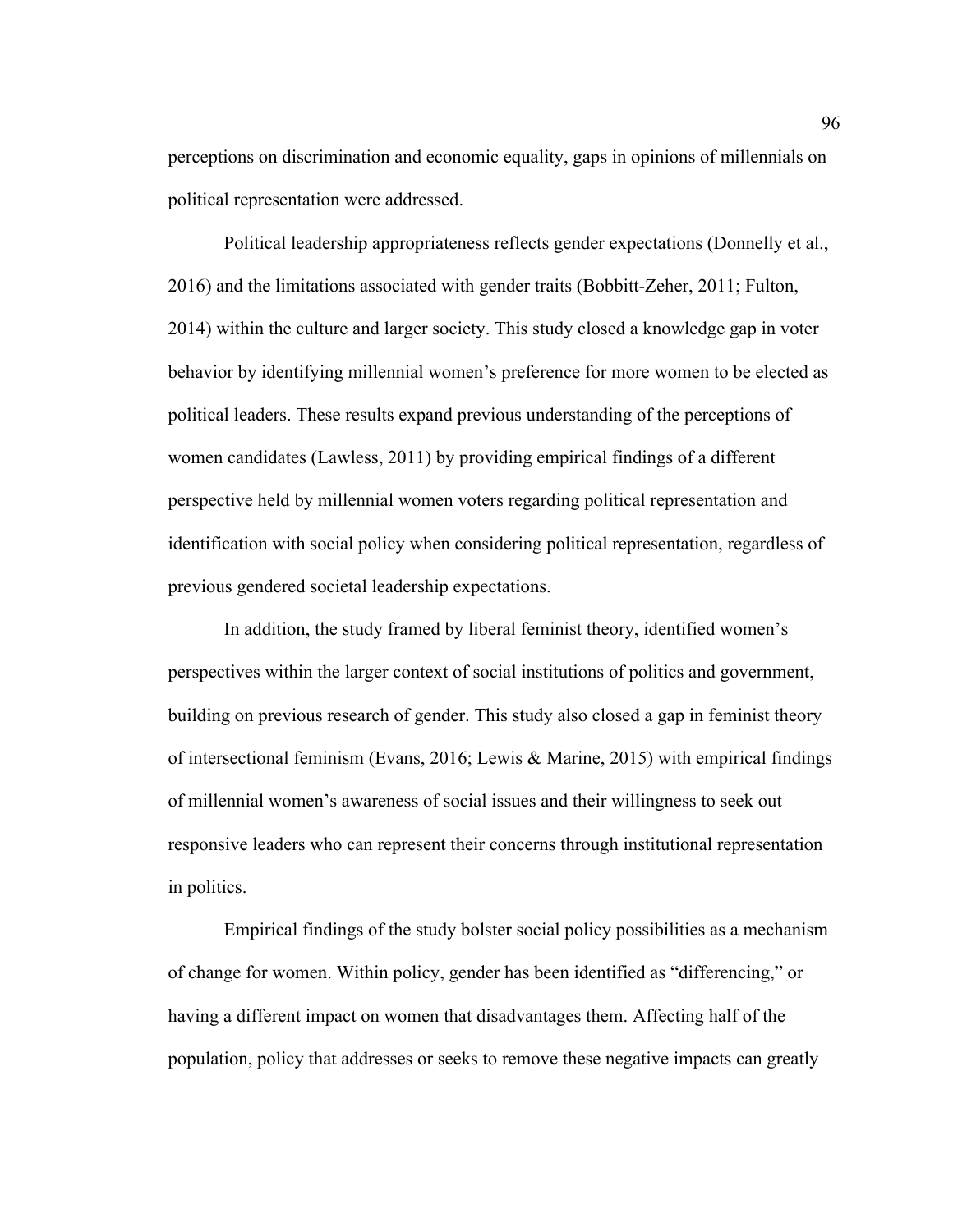perceptions on discrimination and economic equality, gaps in opinions of millennials on political representation were addressed.

Political leadership appropriateness reflects gender expectations (Donnelly et al., 2016) and the limitations associated with gender traits (Bobbitt-Zeher, 2011; Fulton, 2014) within the culture and larger society. This study closed a knowledge gap in voter behavior by identifying millennial women's preference for more women to be elected as political leaders. These results expand previous understanding of the perceptions of women candidates (Lawless, 2011) by providing empirical findings of a different perspective held by millennial women voters regarding political representation and identification with social policy when considering political representation, regardless of previous gendered societal leadership expectations.

In addition, the study framed by liberal feminist theory, identified women's perspectives within the larger context of social institutions of politics and government, building on previous research of gender. This study also closed a gap in feminist theory of intersectional feminism (Evans, 2016; Lewis & Marine, 2015) with empirical findings of millennial women's awareness of social issues and their willingness to seek out responsive leaders who can represent their concerns through institutional representation in politics.

Empirical findings of the study bolster social policy possibilities as a mechanism of change for women. Within policy, gender has been identified as "differencing," or having a different impact on women that disadvantages them. Affecting half of the population, policy that addresses or seeks to remove these negative impacts can greatly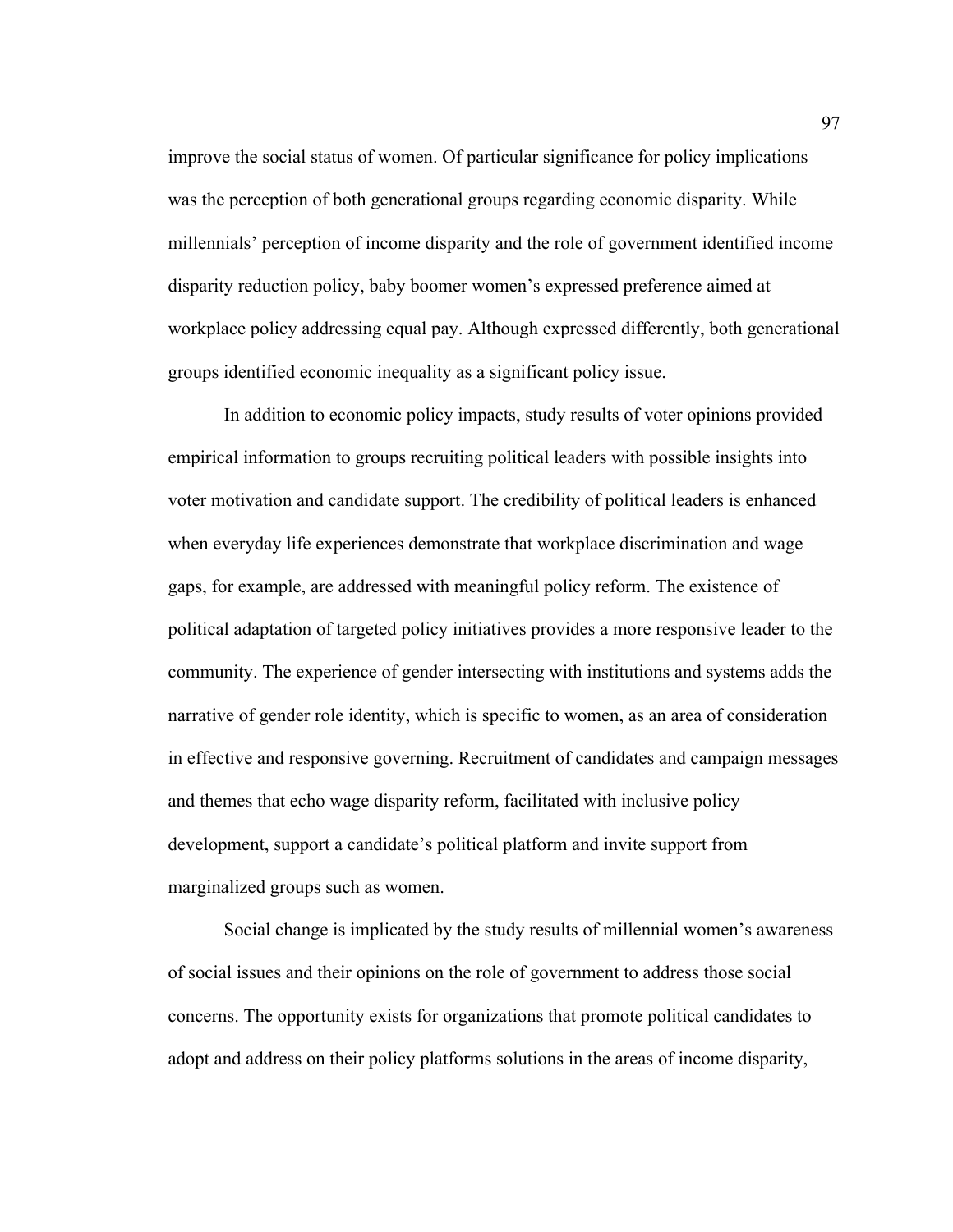improve the social status of women. Of particular significance for policy implications was the perception of both generational groups regarding economic disparity. While millennials' perception of income disparity and the role of government identified income disparity reduction policy, baby boomer women's expressed preference aimed at workplace policy addressing equal pay. Although expressed differently, both generational groups identified economic inequality as a significant policy issue.

In addition to economic policy impacts, study results of voter opinions provided empirical information to groups recruiting political leaders with possible insights into voter motivation and candidate support. The credibility of political leaders is enhanced when everyday life experiences demonstrate that workplace discrimination and wage gaps, for example, are addressed with meaningful policy reform. The existence of political adaptation of targeted policy initiatives provides a more responsive leader to the community. The experience of gender intersecting with institutions and systems adds the narrative of gender role identity, which is specific to women, as an area of consideration in effective and responsive governing. Recruitment of candidates and campaign messages and themes that echo wage disparity reform, facilitated with inclusive policy development, support a candidate's political platform and invite support from marginalized groups such as women.

Social change is implicated by the study results of millennial women's awareness of social issues and their opinions on the role of government to address those social concerns. The opportunity exists for organizations that promote political candidates to adopt and address on their policy platforms solutions in the areas of income disparity,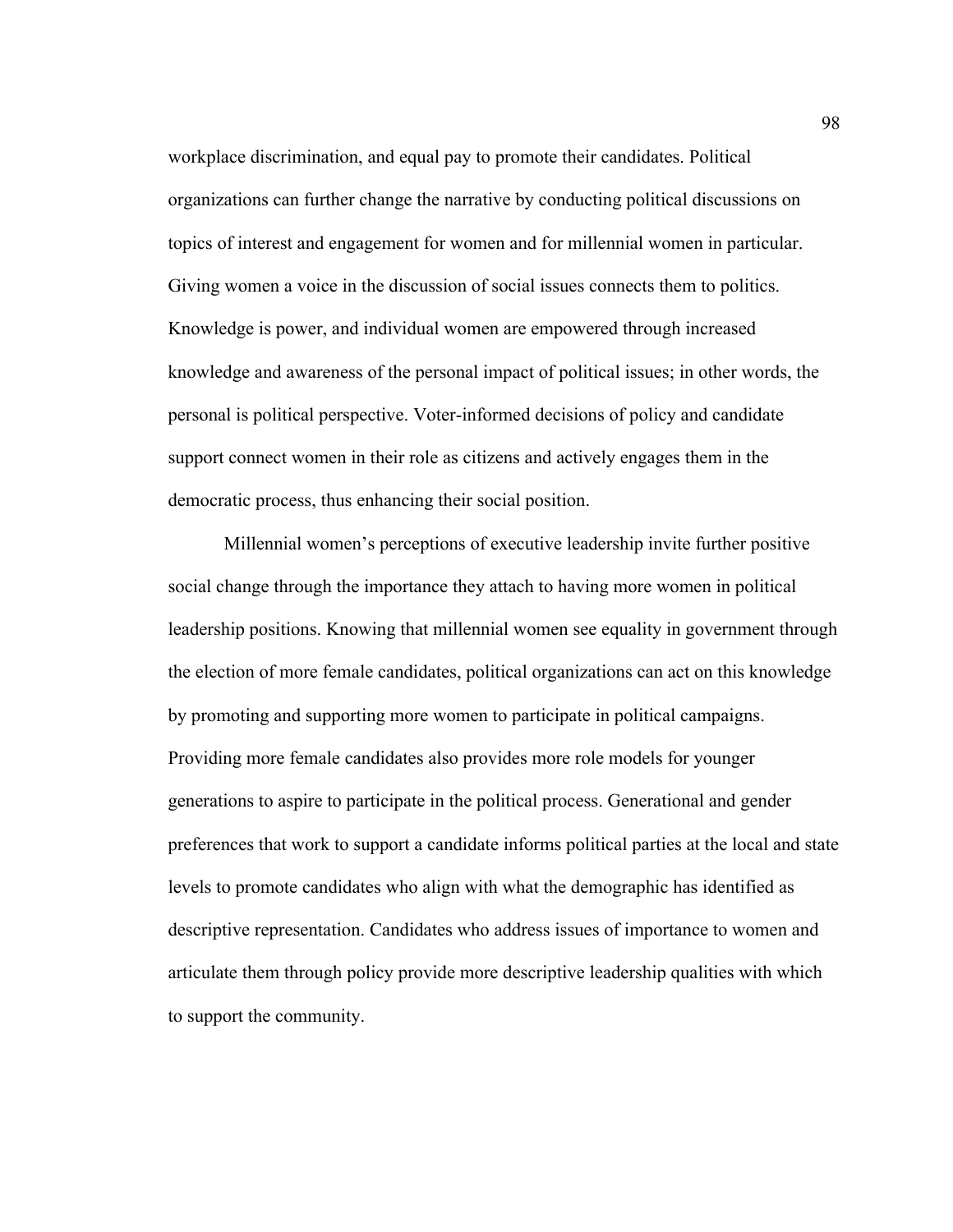workplace discrimination, and equal pay to promote their candidates. Political organizations can further change the narrative by conducting political discussions on topics of interest and engagement for women and for millennial women in particular. Giving women a voice in the discussion of social issues connects them to politics. Knowledge is power, and individual women are empowered through increased knowledge and awareness of the personal impact of political issues; in other words, the personal is political perspective. Voter-informed decisions of policy and candidate support connect women in their role as citizens and actively engages them in the democratic process, thus enhancing their social position.

Millennial women's perceptions of executive leadership invite further positive social change through the importance they attach to having more women in political leadership positions. Knowing that millennial women see equality in government through the election of more female candidates, political organizations can act on this knowledge by promoting and supporting more women to participate in political campaigns. Providing more female candidates also provides more role models for younger generations to aspire to participate in the political process. Generational and gender preferences that work to support a candidate informs political parties at the local and state levels to promote candidates who align with what the demographic has identified as descriptive representation. Candidates who address issues of importance to women and articulate them through policy provide more descriptive leadership qualities with which to support the community.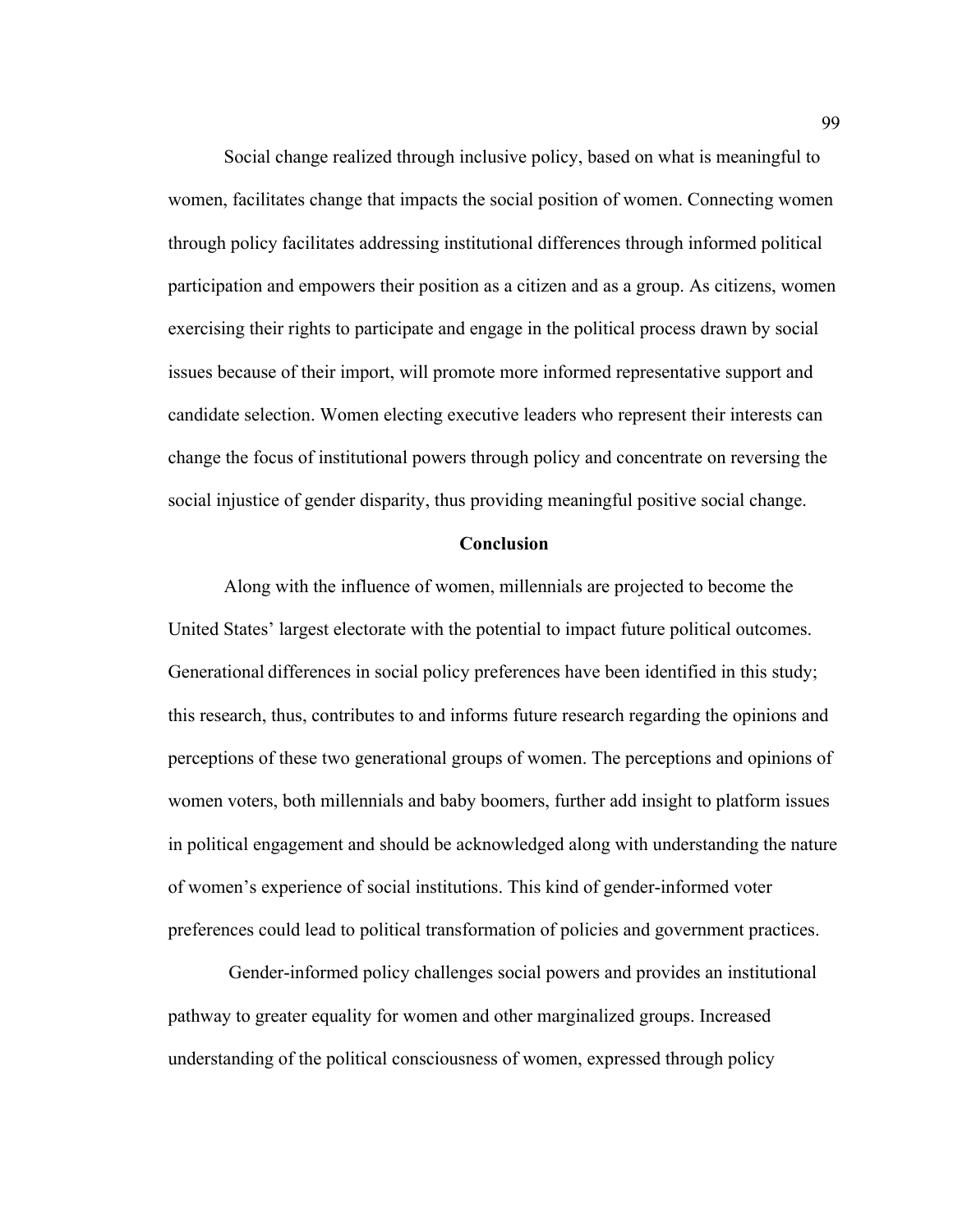Social change realized through inclusive policy, based on what is meaningful to women, facilitates change that impacts the social position of women. Connecting women through policy facilitates addressing institutional differences through informed political participation and empowers their position as a citizen and as a group. As citizens, women exercising their rights to participate and engage in the political process drawn by social issues because of their import, will promote more informed representative support and candidate selection. Women electing executive leaders who represent their interests can change the focus of institutional powers through policy and concentrate on reversing the social injustice of gender disparity, thus providing meaningful positive social change.

# **Conclusion**

Along with the influence of women, millennials are projected to become the United States' largest electorate with the potential to impact future political outcomes. Generational differences in social policy preferences have been identified in this study; this research, thus, contributes to and informs future research regarding the opinions and perceptions of these two generational groups of women. The perceptions and opinions of women voters, both millennials and baby boomers, further add insight to platform issues in political engagement and should be acknowledged along with understanding the nature of women's experience of social institutions. This kind of gender-informed voter preferences could lead to political transformation of policies and government practices.

Gender-informed policy challenges social powers and provides an institutional pathway to greater equality for women and other marginalized groups. Increased understanding of the political consciousness of women, expressed through policy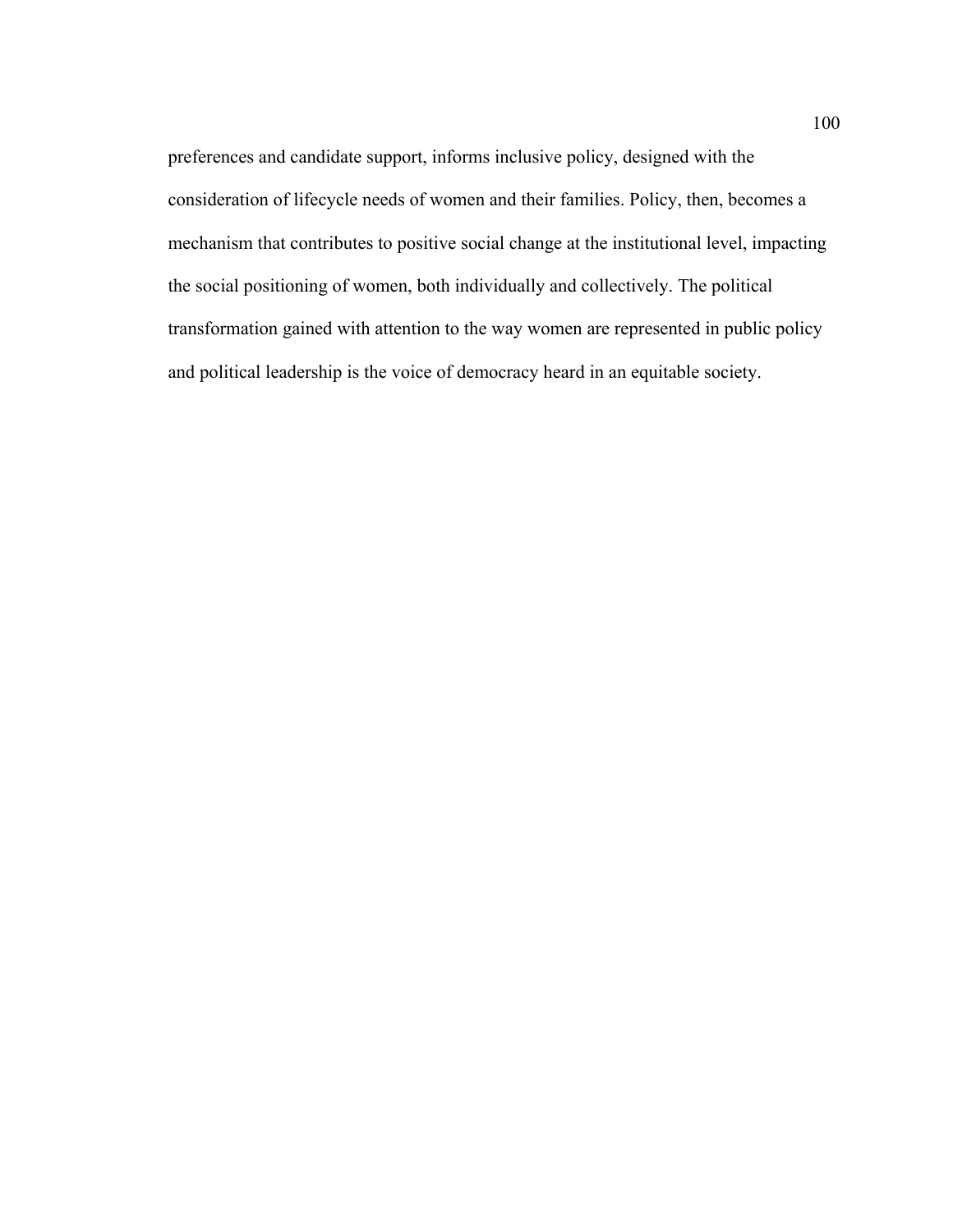preferences and candidate support, informs inclusive policy, designed with the consideration of lifecycle needs of women and their families. Policy, then, becomes a mechanism that contributes to positive social change at the institutional level, impacting the social positioning of women, both individually and collectively. The political transformation gained with attention to the way women are represented in public policy and political leadership is the voice of democracy heard in an equitable society.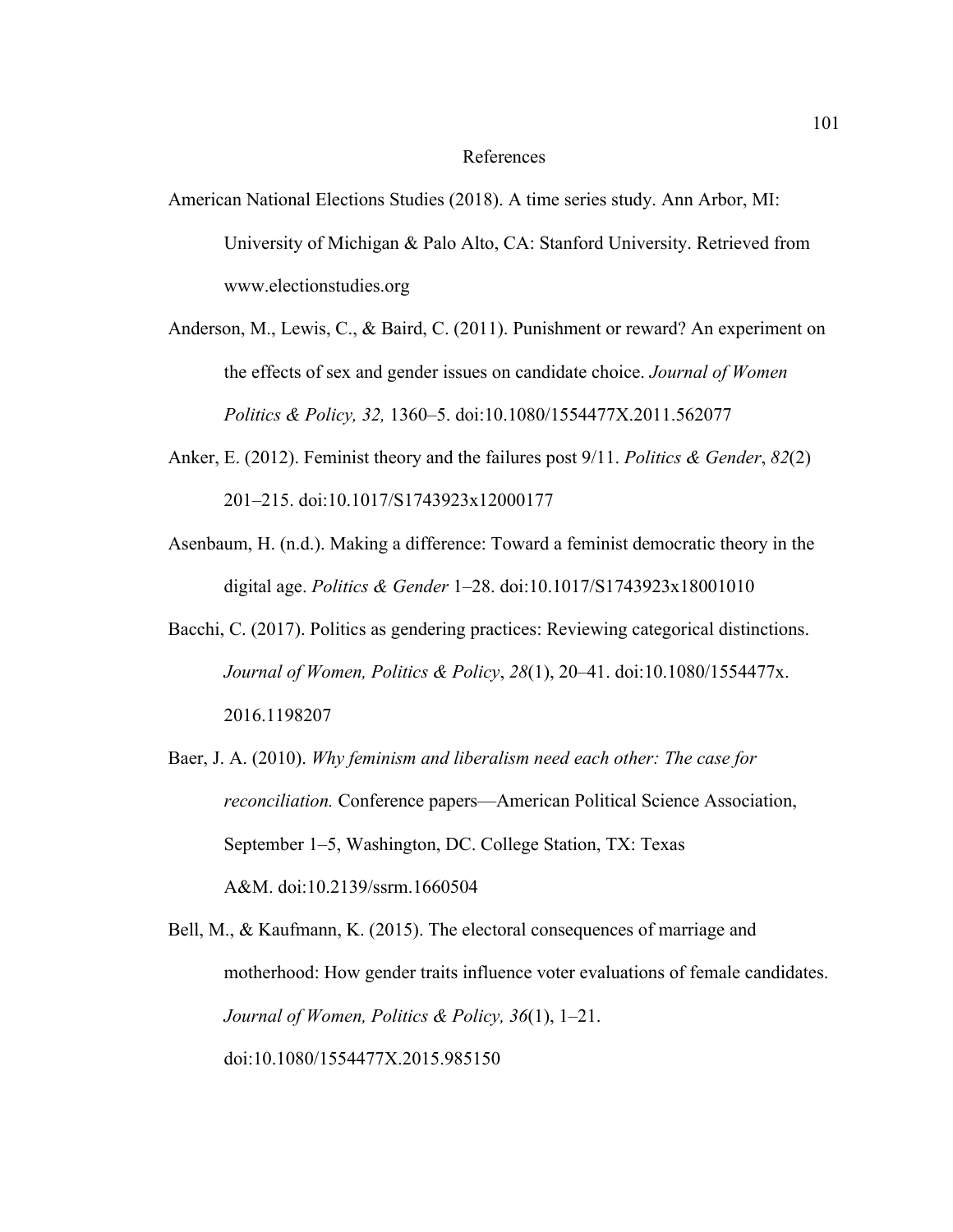# References

- American National Elections Studies (2018). A time series study. Ann Arbor, MI: University of Michigan & Palo Alto, CA: Stanford University. Retrieved from www.electionstudies.org
- Anderson, M., Lewis, C., & Baird, C. (2011). Punishment or reward? An experiment on the effects of sex and gender issues on candidate choice. *Journal of Women Politics & Policy, 32,* 1360–5. doi:10.1080/1554477X.2011.562077
- Anker, E. (2012). Feminist theory and the failures post 9/11. *Politics & Gender*, *82*(2) 201–215. doi:10.1017/S1743923x12000177
- Asenbaum, H. (n.d.). Making a difference: Toward a feminist democratic theory in the digital age. *Politics & Gender* 1–28. doi:10.1017/S1743923x18001010
- Bacchi, C. (2017). Politics as gendering practices: Reviewing categorical distinctions. *Journal of Women, Politics & Policy*, *28*(1), 20–41. doi:10.1080/1554477x. 2016.1198207
- Baer, J. A. (2010). *Why feminism and liberalism need each other: The case for reconciliation.* Conference papers—American Political Science Association, September 1–5, Washington, DC. College Station, TX: Texas A&M. doi:10.2139/ssrm.1660504

Bell, M., & Kaufmann, K. (2015). The electoral consequences of marriage and motherhood: How gender traits influence voter evaluations of female candidates. *Journal of Women, Politics & Policy, 36*(1), 1–21. doi:10.1080/1554477X.2015.985150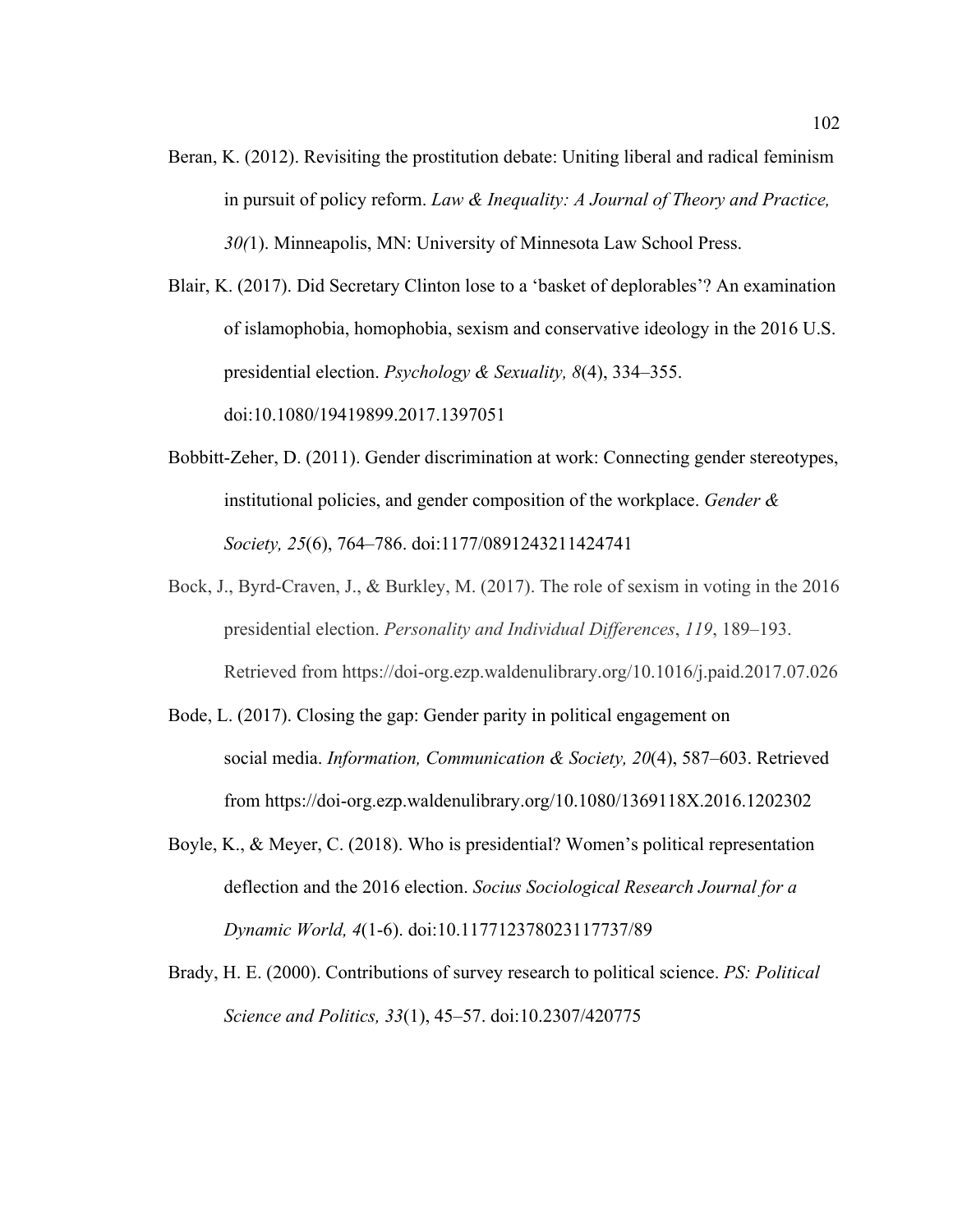Beran, K. (2012). Revisiting the prostitution debate: Uniting liberal and radical feminism in pursuit of policy reform. *Law & Inequality: A Journal of Theory and Practice, 30(*1). Minneapolis, MN: University of Minnesota Law School Press.

Blair, K. (2017). Did Secretary Clinton lose to a 'basket of deplorables'? An examination of islamophobia, homophobia, sexism and conservative ideology in the 2016 U.S. presidential election. *Psychology & Sexuality, 8*(4), 334–355. doi:10.1080/19419899.2017.1397051

- Bobbitt-Zeher, D. (2011). Gender discrimination at work: Connecting gender stereotypes, institutional policies, and gender composition of the workplace. *Gender & Society, 25*(6), 764–786. doi:1177/0891243211424741
- Bock, J., Byrd-Craven, J., & Burkley, M. (2017). The role of sexism in voting in the 2016 presidential election. *Personality and Individual Differences*, *119*, 189–193. Retrieved from https://doi-org.ezp.waldenulibrary.org/10.1016/j.paid.2017.07.026
- Bode, L. (2017). Closing the gap: Gender parity in political engagement on social media. *Information, Communication & Society, 20*(4), 587–603. Retrieved from https://doi-org.ezp.waldenulibrary.org/10.1080/1369118X.2016.1202302
- Boyle, K., & Meyer, C. (2018). Who is presidential? Women's political representation deflection and the 2016 election. *Socius Sociological Research Journal for a Dynamic World, 4*(1-6). doi:10.117712378023117737/89
- Brady, H. E. (2000). Contributions of survey research to political science. *PS: Political Science and Politics, 33*(1), 45–57. doi:10.2307/420775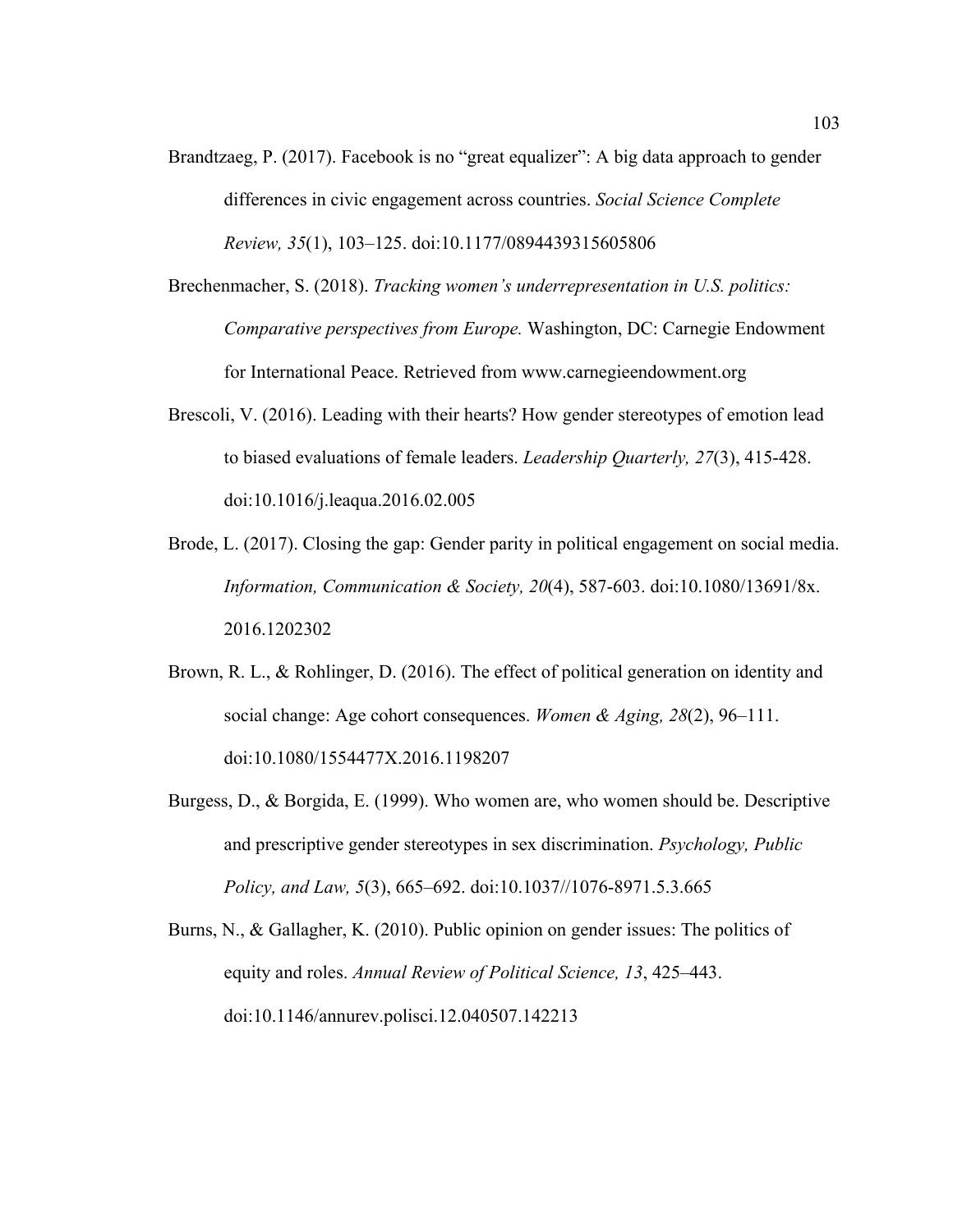- Brandtzaeg, P. (2017). Facebook is no "great equalizer": A big data approach to gender differences in civic engagement across countries. *Social Science Complete Review, 35*(1), 103–125. doi:10.1177/0894439315605806
- Brechenmacher, S. (2018). *Tracking women's underrepresentation in U.S. politics: Comparative perspectives from Europe.* Washington, DC: Carnegie Endowment for International Peace. Retrieved from www.carnegieendowment.org
- Brescoli, V. (2016). Leading with their hearts? How gender stereotypes of emotion lead to biased evaluations of female leaders. *Leadership Quarterly, 27*(3), 415-428. doi:10.1016/j.leaqua.2016.02.005
- Brode, L. (2017). Closing the gap: Gender parity in political engagement on social media. *Information, Communication & Society, 20*(4), 587-603. doi:10.1080/13691/8x. 2016.1202302
- Brown, R. L., & Rohlinger, D. (2016). The effect of political generation on identity and social change: Age cohort consequences. *Women & Aging, 28*(2), 96–111. doi:10.1080/1554477X.2016.1198207
- Burgess, D., & Borgida, E. (1999). Who women are, who women should be. Descriptive and prescriptive gender stereotypes in sex discrimination. *Psychology, Public Policy, and Law, 5*(3), 665–692. doi:10.1037//1076-8971.5.3.665
- Burns, N., & Gallagher, K. (2010). Public opinion on gender issues: The politics of equity and roles. *Annual Review of Political Science, 13*, 425–443. doi:10.1146/annurev.polisci.12.040507.142213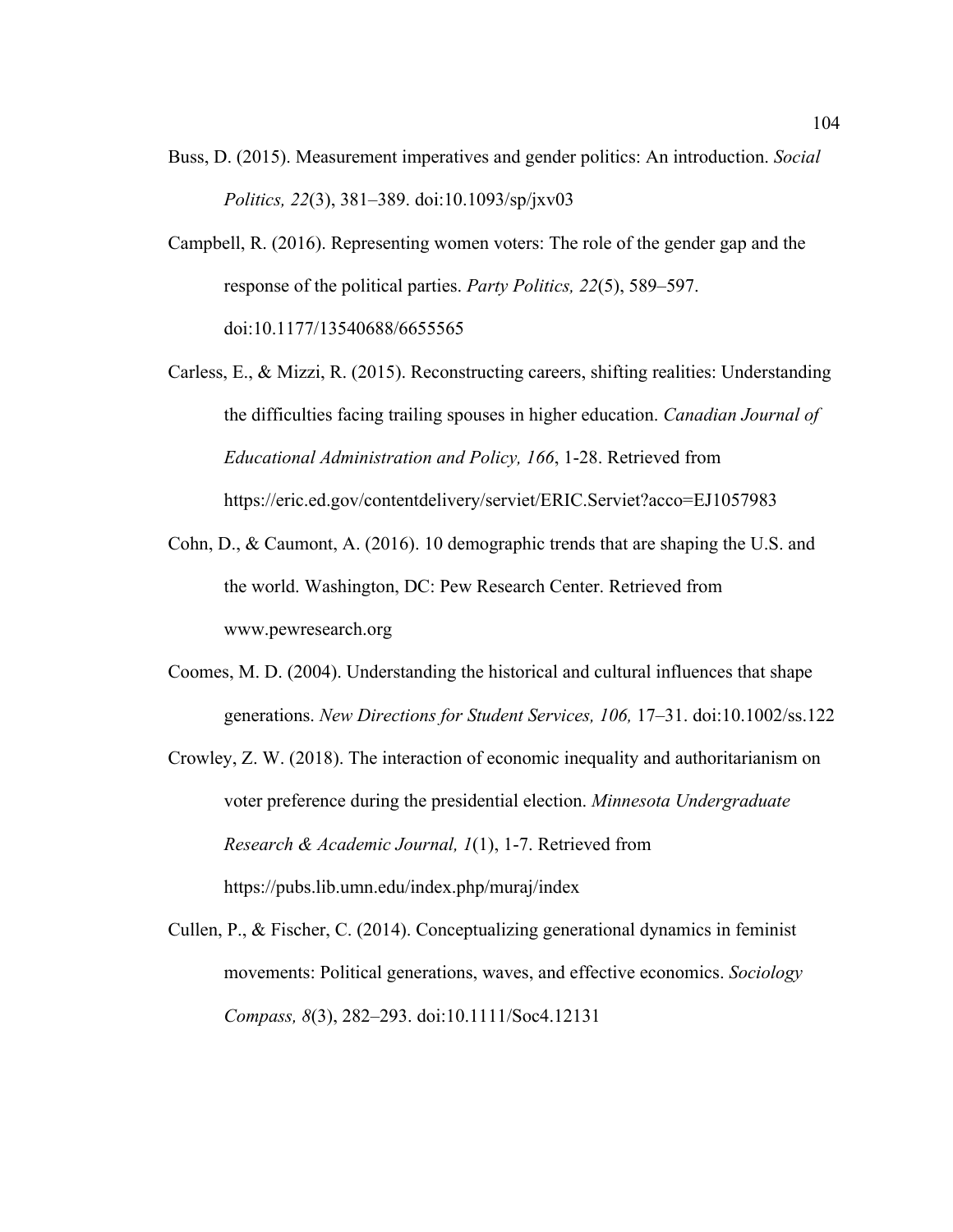- Buss, D. (2015). Measurement imperatives and gender politics: An introduction. *Social Politics, 22*(3), 381–389. doi:10.1093/sp/jxv03
- Campbell, R. (2016). Representing women voters: The role of the gender gap and the response of the political parties. *Party Politics, 22*(5), 589–597. doi:10.1177/13540688/6655565
- Carless, E., & Mizzi, R. (2015). Reconstructing careers, shifting realities: Understanding the difficulties facing trailing spouses in higher education. *Canadian Journal of Educational Administration and Policy, 166*, 1-28. Retrieved from https://eric.ed.gov/contentdelivery/serviet/ERIC.Serviet?acco=EJ1057983
- Cohn, D., & Caumont, A. (2016). 10 demographic trends that are shaping the U.S. and the world. Washington, DC: Pew Research Center. Retrieved from www.pewresearch.org
- Coomes, M. D. (2004). Understanding the historical and cultural influences that shape generations. *New Directions for Student Services, 106,* 17–31. doi:10.1002/ss.122
- Crowley, Z. W. (2018). The interaction of economic inequality and authoritarianism on voter preference during the presidential election. *Minnesota Undergraduate Research & Academic Journal, 1*(1), 1-7. Retrieved from https://pubs.lib.umn.edu/index.php/muraj/index
- Cullen, P., & Fischer, C. (2014). Conceptualizing generational dynamics in feminist movements: Political generations, waves, and effective economics. *Sociology Compass, 8*(3), 282–293. doi:10.1111/Soc4.12131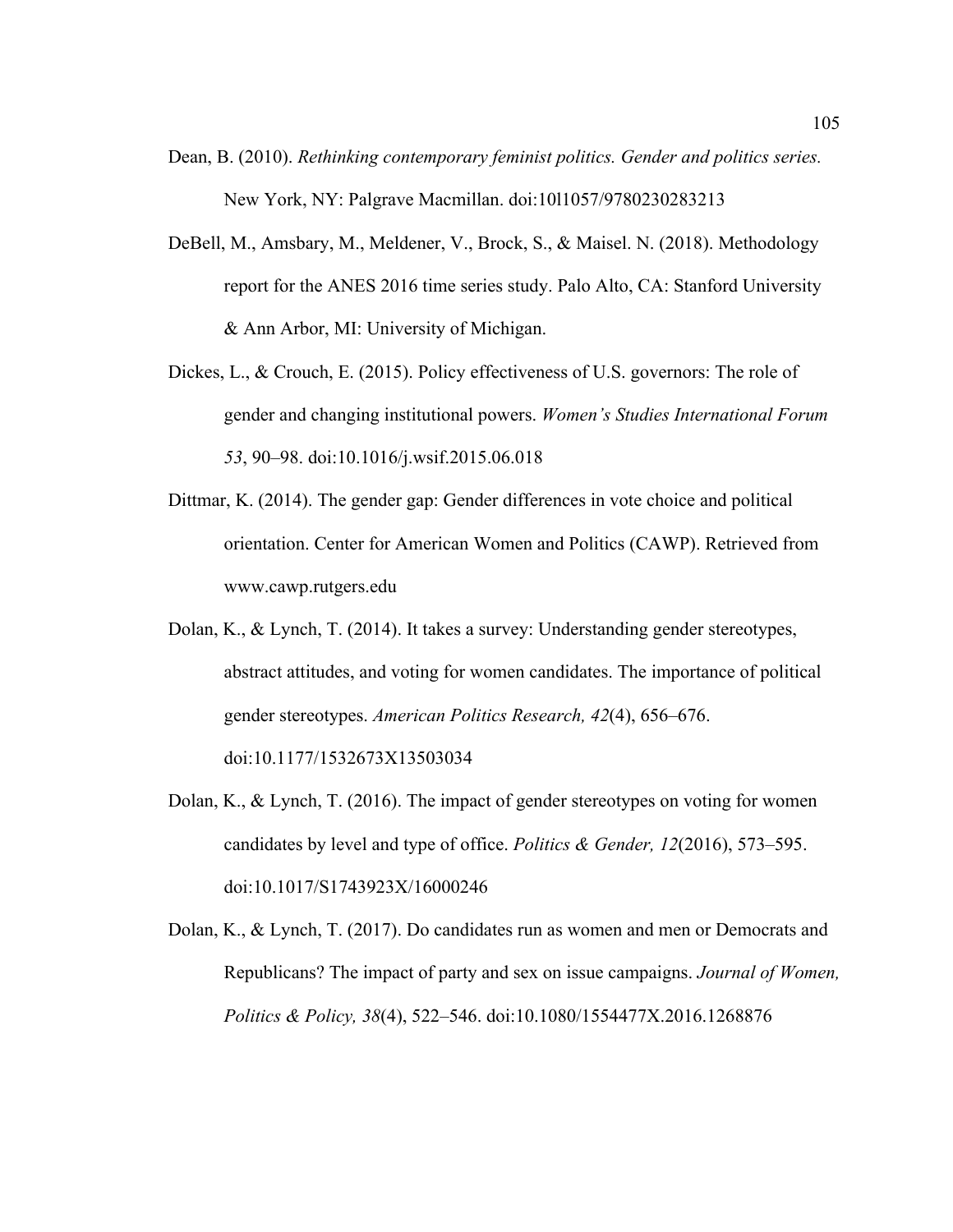- Dean, B. (2010). *Rethinking contemporary feminist politics. Gender and politics series.* New York, NY: Palgrave Macmillan. doi:10l1057/9780230283213
- DeBell, M., Amsbary, M., Meldener, V., Brock, S., & Maisel. N. (2018). Methodology report for the ANES 2016 time series study. Palo Alto, CA: Stanford University & Ann Arbor, MI: University of Michigan.
- Dickes, L., & Crouch, E. (2015). Policy effectiveness of U.S. governors: The role of gender and changing institutional powers. *Women's Studies International Forum 53*, 90–98. doi:10.1016/j.wsif.2015.06.018
- Dittmar, K. (2014). The gender gap: Gender differences in vote choice and political orientation. Center for American Women and Politics (CAWP). Retrieved from www.cawp.rutgers.edu
- Dolan, K., & Lynch, T. (2014). It takes a survey: Understanding gender stereotypes, abstract attitudes, and voting for women candidates. The importance of political gender stereotypes. *American Politics Research, 42*(4), 656–676. doi:10.1177/1532673X13503034
- Dolan, K., & Lynch, T. (2016). The impact of gender stereotypes on voting for women candidates by level and type of office. *Politics & Gender, 12*(2016), 573–595. doi:10.1017/S1743923X/16000246
- Dolan, K., & Lynch, T. (2017). Do candidates run as women and men or Democrats and Republicans? The impact of party and sex on issue campaigns. *Journal of Women, Politics & Policy, 38*(4), 522–546. doi:10.1080/1554477X.2016.1268876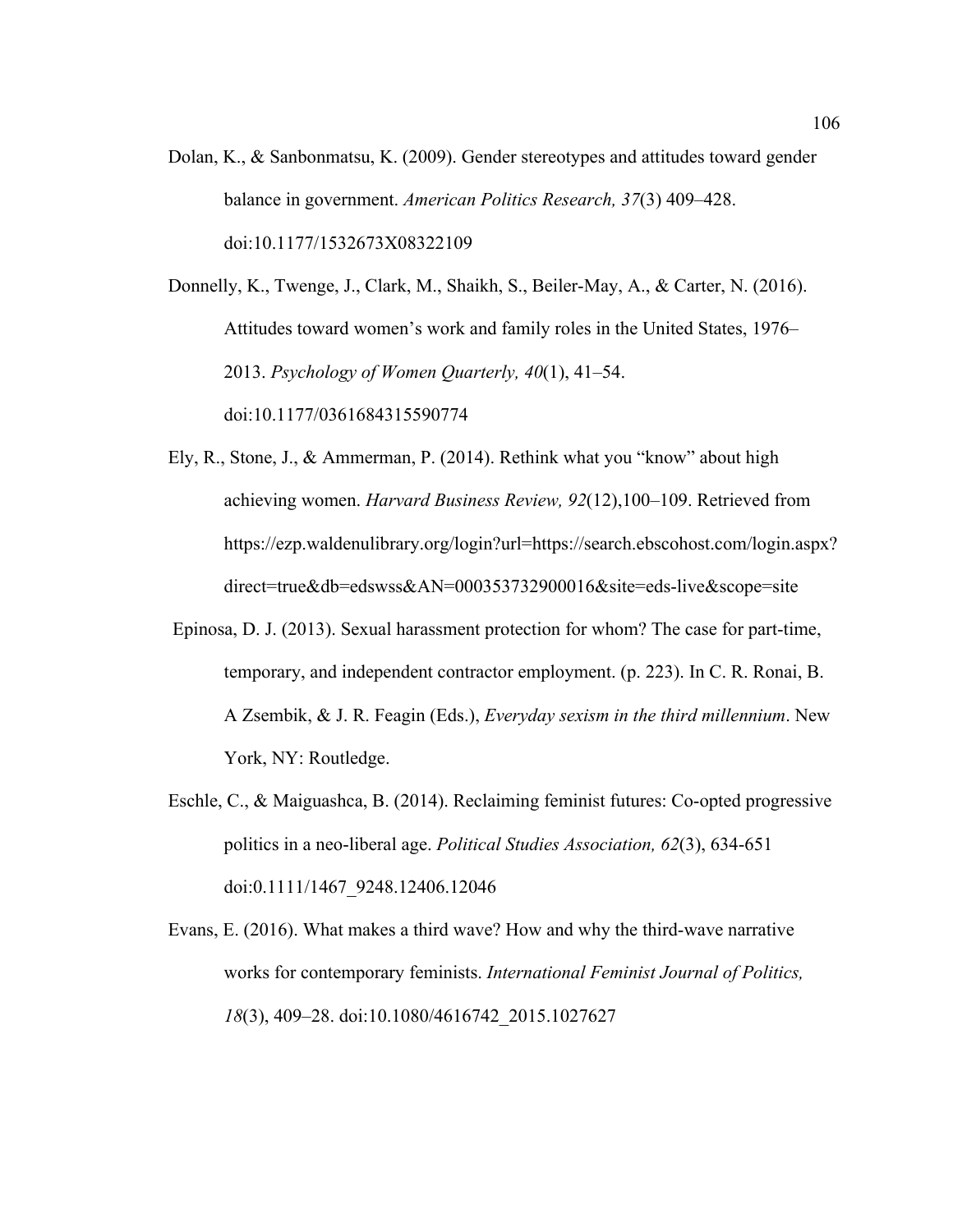Dolan, K., & Sanbonmatsu, K. (2009). Gender stereotypes and attitudes toward gender balance in government. *American Politics Research, 37*(3) 409–428. doi:10.1177/1532673X08322109

Donnelly, K., Twenge, J., Clark, M., Shaikh, S., Beiler-May, A., & Carter, N. (2016). Attitudes toward women's work and family roles in the United States, 1976– 2013. *Psychology of Women Quarterly, 40*(1), 41–54. doi:10.1177/0361684315590774

- Ely, R., Stone, J., & Ammerman, P. (2014). Rethink what you "know" about high achieving women. *Harvard Business Review, 92*(12),100–109. Retrieved from https://ezp.waldenulibrary.org/login?url=https://search.ebscohost.com/login.aspx? direct=true&db=edswss&AN=000353732900016&site=eds-live&scope=site
- Epinosa, D. J. (2013). Sexual harassment protection for whom? The case for part-time, temporary, and independent contractor employment. (p. 223). In C. R. Ronai, B. A Zsembik, & J. R. Feagin (Eds.), *Everyday sexism in the third millennium*. New York, NY: Routledge.
- Eschle, C., & Maiguashca, B. (2014). Reclaiming feminist futures: Co-opted progressive politics in a neo-liberal age. *Political Studies Association, 62*(3), 634-651 doi:0.1111/1467\_9248.12406.12046

Evans, E. (2016). What makes a third wave? How and why the third-wave narrative works for contemporary feminists. *International Feminist Journal of Politics, 18*(3), 409–28. doi:10.1080/4616742\_2015.1027627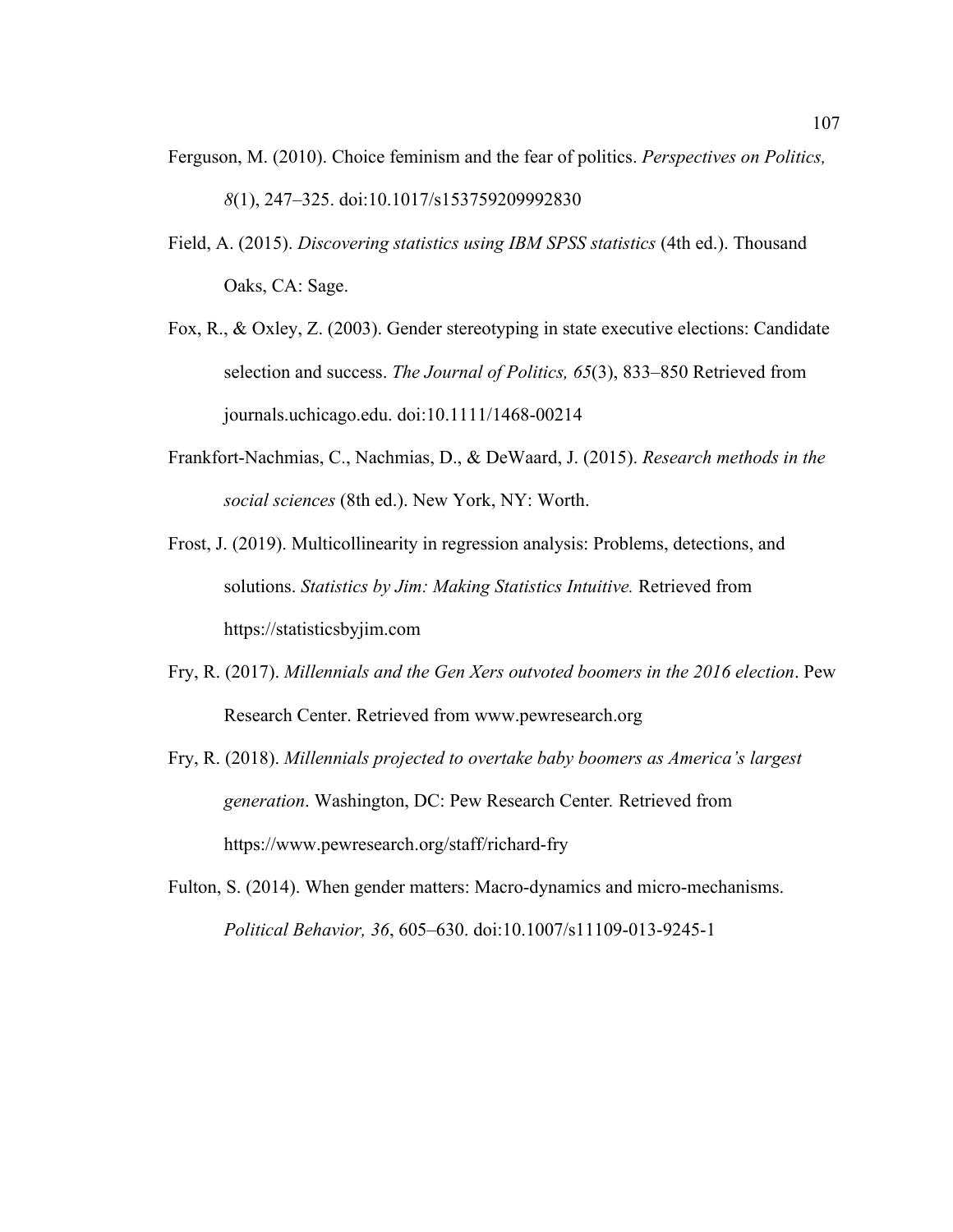- Ferguson, M. (2010). Choice feminism and the fear of politics. *Perspectives on Politics, 8*(1), 247–325. doi:10.1017/s153759209992830
- Field, A. (2015). *Discovering statistics using IBM SPSS statistics* (4th ed.). Thousand Oaks, CA: Sage.
- Fox, R., & Oxley, Z. (2003). Gender stereotyping in state executive elections: Candidate selection and success. *The Journal of Politics, 65*(3), 833–850 Retrieved from journals.uchicago.edu. doi:10.1111/1468-00214
- Frankfort-Nachmias, C., Nachmias, D., & DeWaard, J. (2015). *Research methods in the social sciences* (8th ed.). New York, NY: Worth.
- Frost, J. (2019). Multicollinearity in regression analysis: Problems, detections, and solutions. *Statistics by Jim: Making Statistics Intuitive.* Retrieved from https://statisticsbyjim.com
- Fry, R. (2017). *Millennials and the Gen Xers outvoted boomers in the 2016 election*. Pew Research Center. Retrieved from www.pewresearch.org
- Fry, R. (2018). *Millennials projected to overtake baby boomers as America's largest generation*. Washington, DC: Pew Research Center*.* Retrieved from https://www.pewresearch.org/staff/richard-fry
- Fulton, S. (2014). When gender matters: Macro-dynamics and micro-mechanisms. *Political Behavior, 36*, 605–630. doi:10.1007/s11109-013-9245-1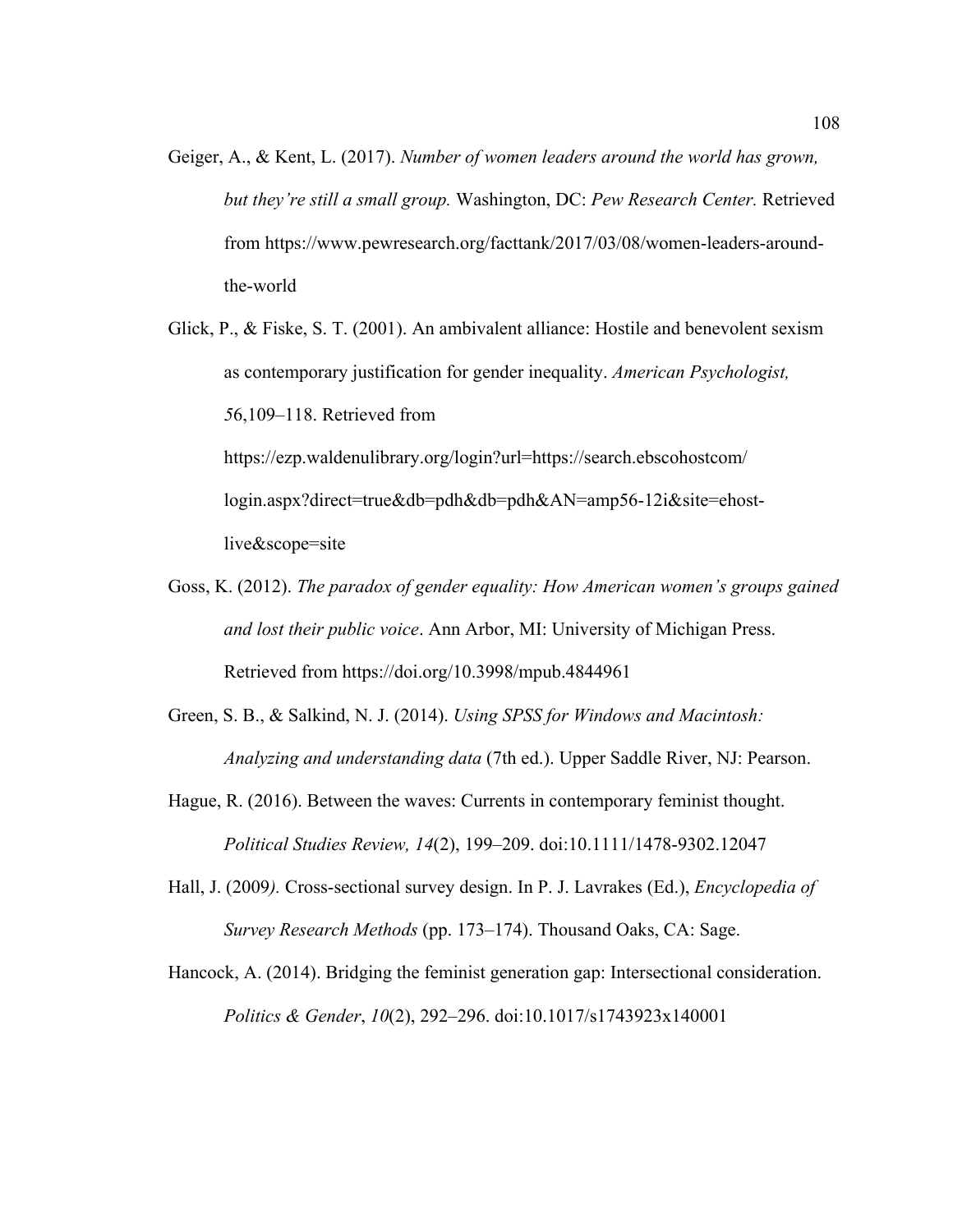- Geiger, A., & Kent, L. (2017). *Number of women leaders around the world has grown, but they're still a small group.* Washington, DC: *Pew Research Center.* Retrieved from https://www.pewresearch.org/facttank/2017/03/08/women-leaders-aroundthe-world
- Glick, P., & Fiske, S. T. (2001). An ambivalent alliance: Hostile and benevolent sexism as contemporary justification for gender inequality. *American Psychologist, 5*6,109–118. Retrieved from https://ezp.waldenulibrary.org/login?url=https://search.ebscohostcom/ login.aspx?direct=true&db=pdh&db=pdh&AN=amp56-12i&site=ehostlive&scope=site
- Goss, K. (2012). *The paradox of gender equality: How American women's groups gained and lost their public voice*. Ann Arbor, MI: University of Michigan Press. Retrieved from https://doi.org/10.3998/mpub.4844961
- Green, S. B., & Salkind, N. J. (2014). *Using SPSS for Windows and Macintosh: Analyzing and understanding data* (7th ed.). Upper Saddle River, NJ: Pearson.
- Hague, R. (2016). Between the waves: Currents in contemporary feminist thought. *Political Studies Review, 14*(2), 199–209. doi:10.1111/1478-9302.12047
- Hall, J. (2009*).* Cross-sectional survey design. In P. J. Lavrakes (Ed.), *Encyclopedia of Survey Research Methods* (pp. 173–174). Thousand Oaks, CA: Sage.
- Hancock, A. (2014). Bridging the feminist generation gap: Intersectional consideration. *Politics & Gender*, *10*(2), 292–296. doi:10.1017/s1743923x140001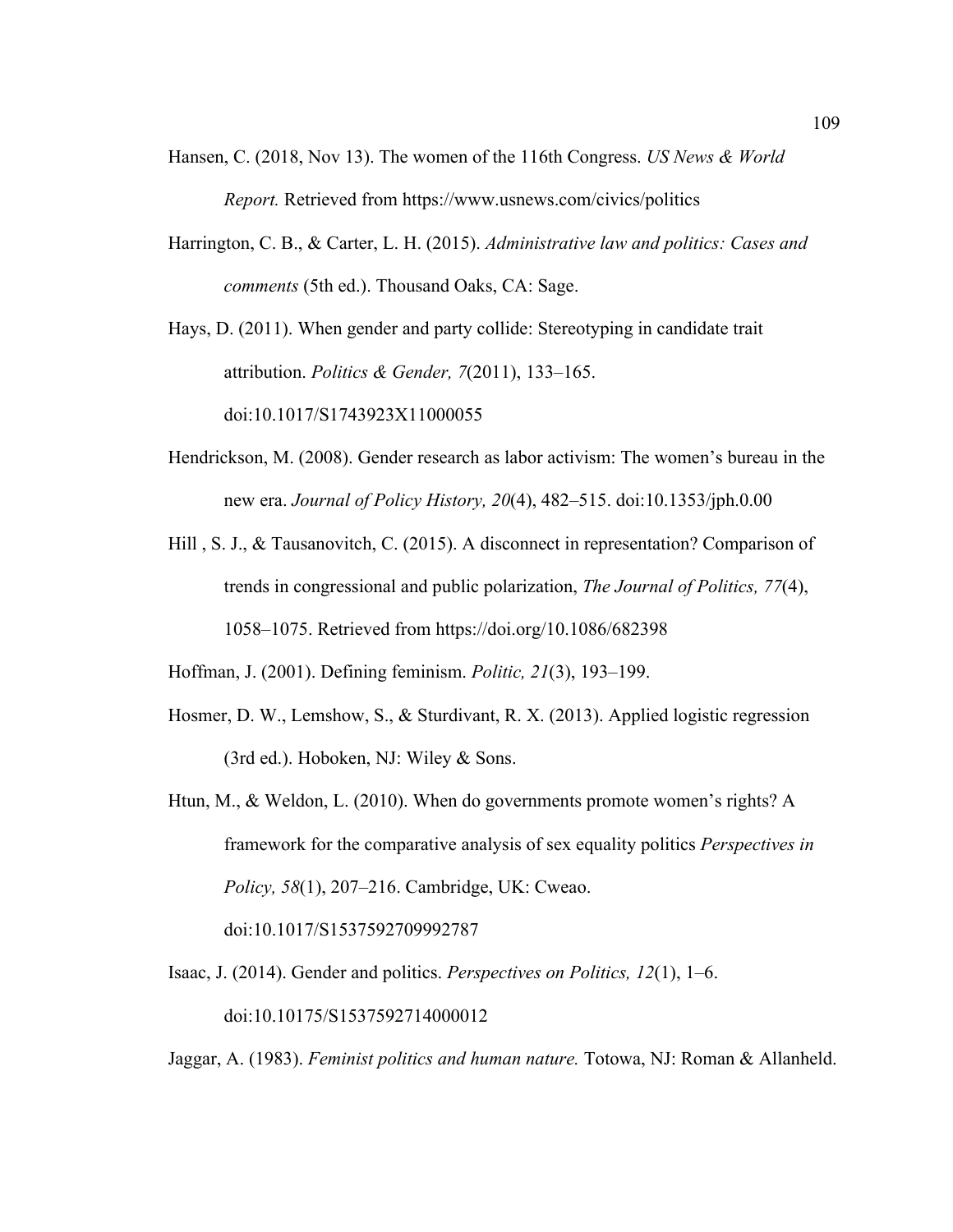- Hansen, C. (2018, Nov 13). The women of the 116th Congress. *US News & World Report.* Retrieved from https://www.usnews.com/civics/politics
- Harrington, C. B., & Carter, L. H. (2015). *Administrative law and politics: Cases and comments* (5th ed.). Thousand Oaks, CA: Sage.

Hays, D. (2011). When gender and party collide: Stereotyping in candidate trait attribution. *Politics & Gender, 7*(2011), 133–165. doi:10.1017/S1743923X11000055

- Hendrickson, M. (2008). Gender research as labor activism: The women's bureau in the new era. *Journal of Policy History, 20*(4), 482–515. doi:10.1353/jph.0.00
- Hill , S. J., & Tausanovitch, C. (2015). A disconnect in representation? Comparison of trends in congressional and public polarization, *The Journal of Politics, 77*(4), 1058–1075. Retrieved from https://doi.org/10.1086/682398

Hoffman, J. (2001). Defining feminism. *Politic, 21*(3), 193–199.

- Hosmer, D. W., Lemshow, S., & Sturdivant, R. X. (2013). Applied logistic regression (3rd ed.). Hoboken, NJ: Wiley & Sons.
- Htun, M., & Weldon, L. (2010). When do governments promote women's rights? A framework for the comparative analysis of sex equality politics *Perspectives in Policy, 58*(1), 207–216. Cambridge, UK: Cweao.

doi:10.1017/S1537592709992787

Isaac, J. (2014). Gender and politics. *Perspectives on Politics, 12*(1), 1–6. doi:10.10175/S1537592714000012

Jaggar, A. (1983). *Feminist politics and human nature.* Totowa, NJ: Roman & Allanheld.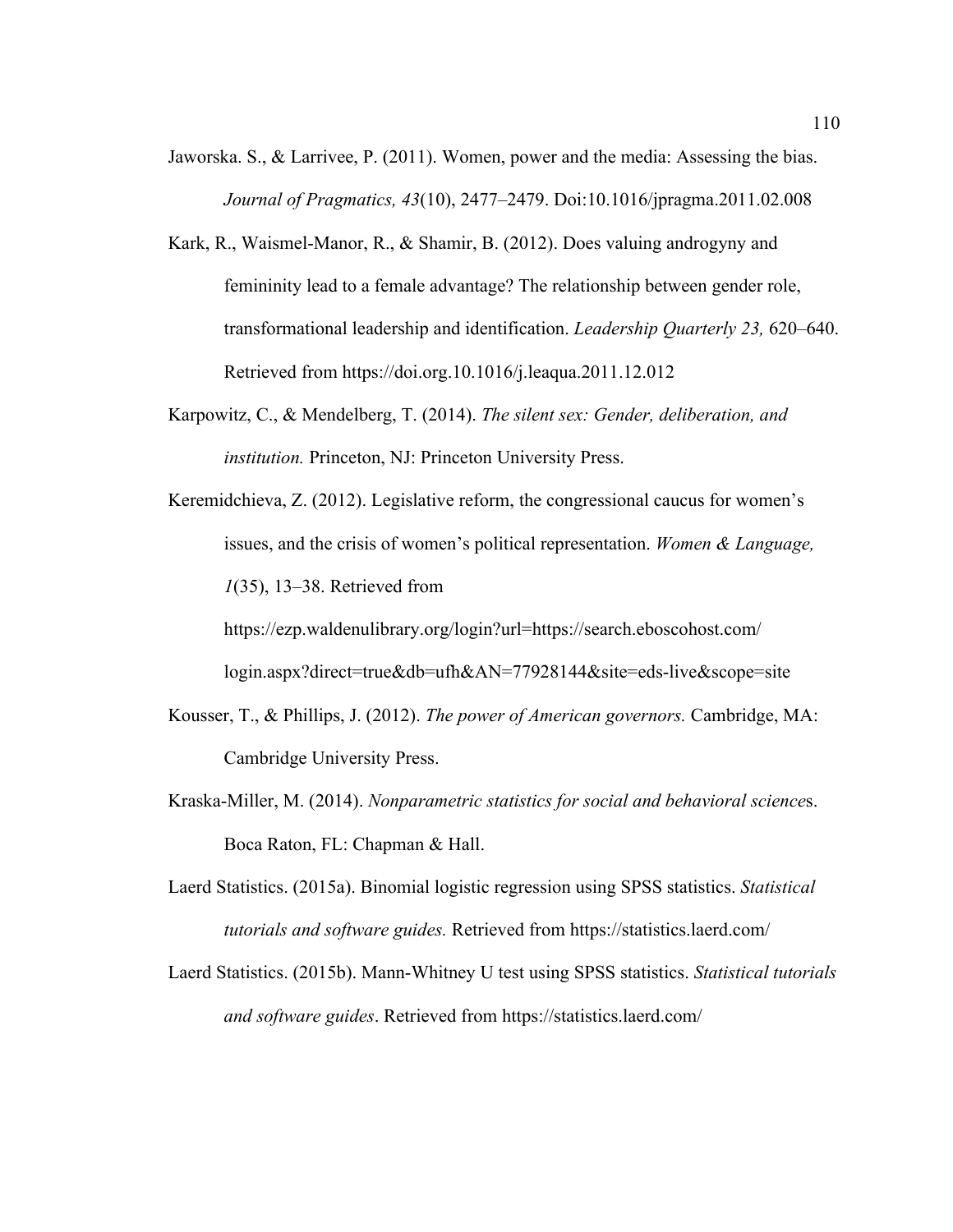- Jaworska. S., & Larrivee, P. (2011). Women, power and the media: Assessing the bias. *Journal of Pragmatics, 43*(10), 2477–2479. Doi:10.1016/jpragma.2011.02.008
- Kark, R., Waismel-Manor, R., & Shamir, B. (2012). Does valuing androgyny and femininity lead to a female advantage? The relationship between gender role, transformational leadership and identification. *Leadership Quarterly 23,* 620–640. Retrieved from https://doi.org.10.1016/j.leaqua.2011.12.012
- Karpowitz, C., & Mendelberg, T. (2014). *The silent sex: Gender, deliberation, and institution.* Princeton, NJ: Princeton University Press.
- Keremidchieva, Z. (2012). Legislative reform, the congressional caucus for women's issues, and the crisis of women's political representation. *Women & Language, 1*(35), 13–38. Retrieved from https://ezp.waldenulibrary.org/login?url=https://search.eboscohost.com/

login.aspx?direct=true&db=ufh&AN=77928144&site=eds-live&scope=site

- Kousser, T., & Phillips, J. (2012). *The power of American governors.* Cambridge, MA: Cambridge University Press.
- Kraska-Miller, M. (2014). *Nonparametric statistics for social and behavioral science*s. Boca Raton, FL: Chapman & Hall.
- Laerd Statistics. (2015a). Binomial logistic regression using SPSS statistics. *Statistical tutorials and software guides.* Retrieved from https://statistics.laerd.com/
- Laerd Statistics. (2015b). Mann-Whitney U test using SPSS statistics. *Statistical tutorials and software guides*. Retrieved from https://statistics.laerd.com/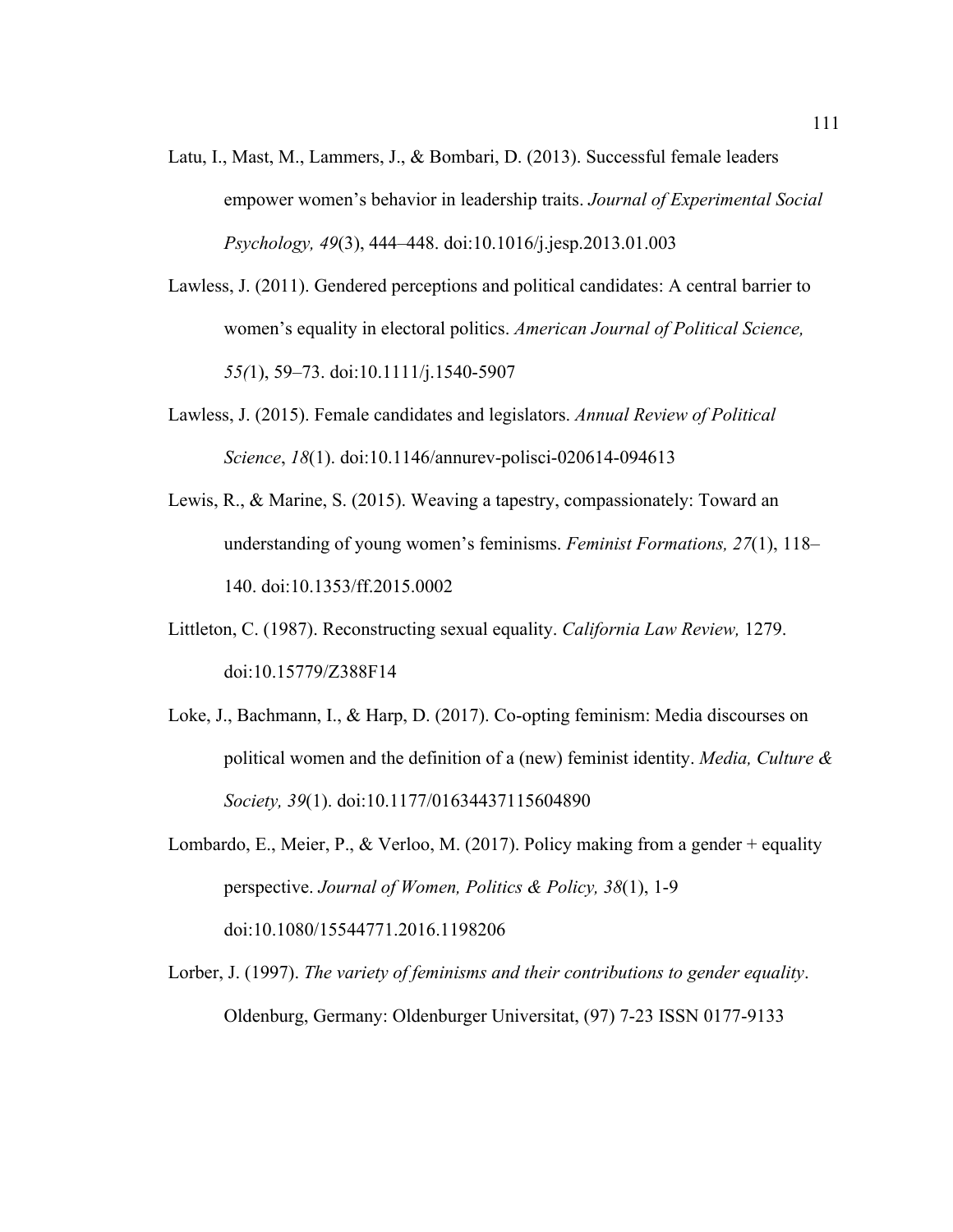- Latu, I., Mast, M., Lammers, J., & Bombari, D. (2013). Successful female leaders empower women's behavior in leadership traits. *Journal of Experimental Social Psychology, 49*(3), 444–448. doi:10.1016/j.jesp.2013.01.003
- Lawless, J. (2011). Gendered perceptions and political candidates: A central barrier to women's equality in electoral politics. *American Journal of Political Science, 55(*1), 59–73. doi:10.1111/j.1540-5907
- Lawless, J. (2015). Female candidates and legislators. *Annual Review of Political Science*, *18*(1). doi:10.1146/annurev-polisci-020614-094613
- Lewis, R., & Marine, S. (2015). Weaving a tapestry, compassionately: Toward an understanding of young women's feminisms. *Feminist Formations, 27*(1), 118– 140. doi:10.1353/ff.2015.0002
- Littleton, C. (1987). Reconstructing sexual equality. *California Law Review,* 1279. doi:10.15779/Z388F14
- Loke, J., Bachmann, I., & Harp, D. (2017). Co-opting feminism: Media discourses on political women and the definition of a (new) feminist identity. *Media, Culture & Society, 39*(1). doi:10.1177/01634437115604890
- Lombardo, E., Meier, P., & Verloo, M. (2017). Policy making from a gender + equality perspective. *Journal of Women, Politics & Policy, 38*(1), 1-9 doi:10.1080/15544771.2016.1198206
- Lorber, J. (1997). *The variety of feminisms and their contributions to gender equality*. Oldenburg, Germany: Oldenburger Universitat, (97) 7-23 ISSN 0177-9133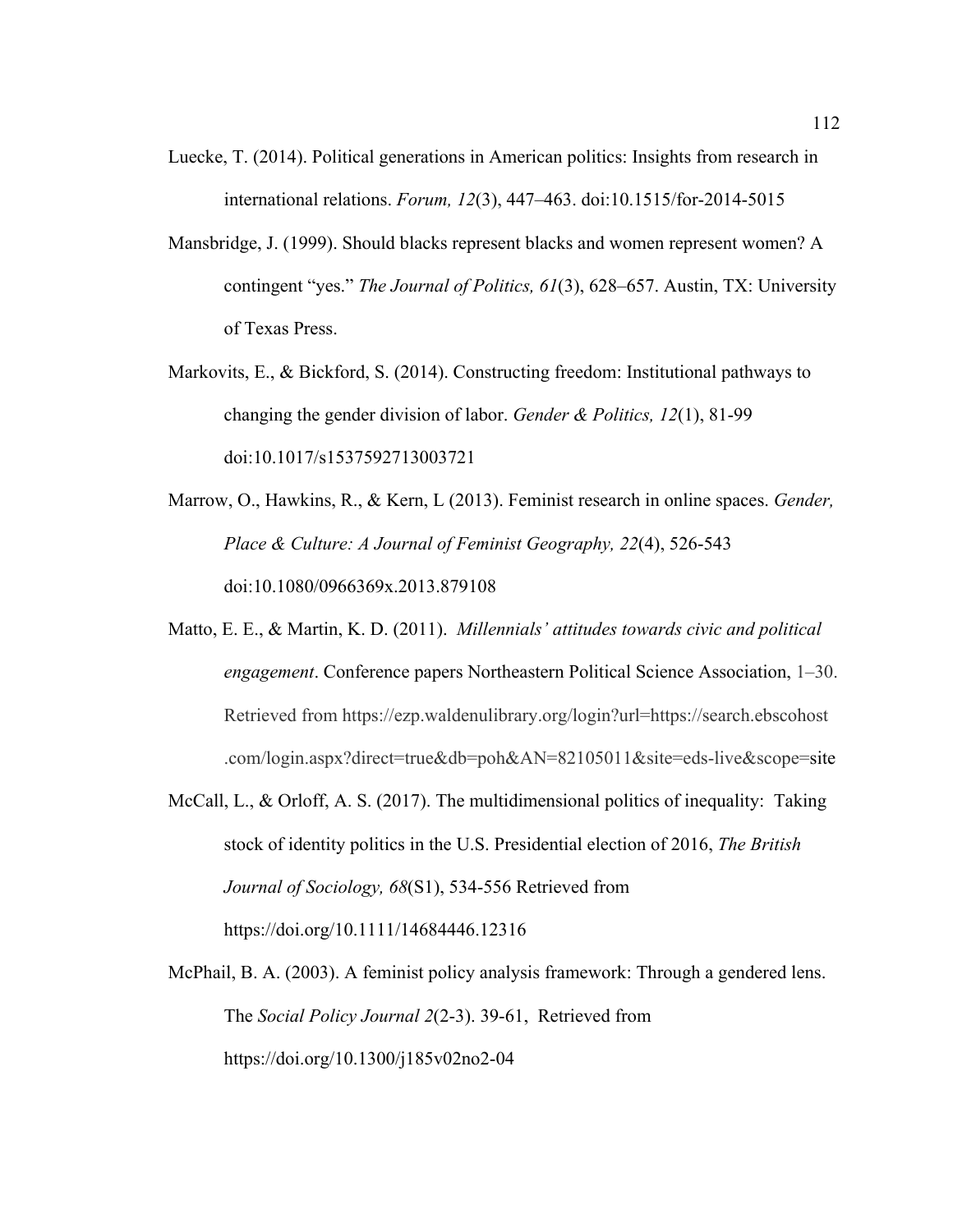- Luecke, T. (2014). Political generations in American politics: Insights from research in international relations. *Forum, 12*(3), 447–463. doi:10.1515/for-2014-5015
- Mansbridge, J. (1999). Should blacks represent blacks and women represent women? A contingent "yes." *The Journal of Politics, 61*(3), 628–657. Austin, TX: University of Texas Press.
- Markovits, E., & Bickford, S. (2014). Constructing freedom: Institutional pathways to changing the gender division of labor. *Gender & Politics, 12*(1), 81-99 doi:10.1017/s1537592713003721
- Marrow, O., Hawkins, R., & Kern, L (2013). Feminist research in online spaces. *Gender, Place & Culture: A Journal of Feminist Geography, 22*(4), 526-543 doi:10.1080/0966369x.2013.879108
- Matto, E. E., & Martin, K. D. (2011). *Millennials' attitudes towards civic and political engagement*. Conference papers Northeastern Political Science Association, 1–30. Retrieved from https://ezp.waldenulibrary.org/login?url=https://search.ebscohost .com/login.aspx?direct=true&db=poh&AN=82105011&site=eds-live&scope=site
- McCall, L., & Orloff, A. S. (2017). The multidimensional politics of inequality: Taking stock of identity politics in the U.S. Presidential election of 2016, *The British Journal of Sociology, 68*(S1), 534-556 Retrieved from https://doi.org/10.1111/14684446.12316
- McPhail, B. A. (2003). A feminist policy analysis framework: Through a gendered lens. The *Social Policy Journal 2*(2-3). 39-61, Retrieved from https://doi.org/10.1300/j185v02no2-04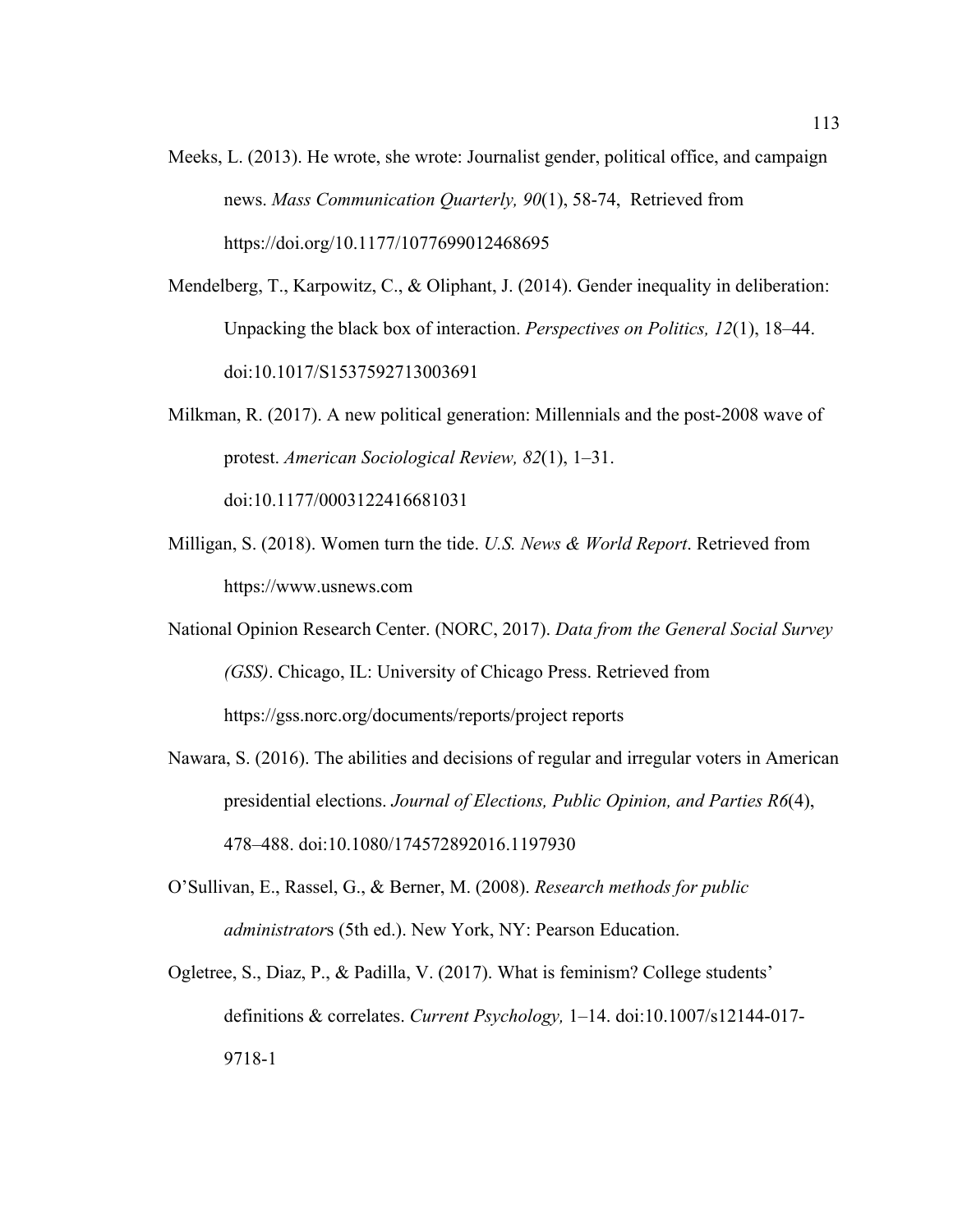- Meeks, L. (2013). He wrote, she wrote: Journalist gender, political office, and campaign news. *Mass Communication Quarterly, 90*(1), 58-74, Retrieved from https://doi.org/10.1177/1077699012468695
- Mendelberg, T., Karpowitz, C., & Oliphant, J. (2014). Gender inequality in deliberation: Unpacking the black box of interaction. *Perspectives on Politics, 12*(1), 18–44. doi:10.1017/S1537592713003691
- Milkman, R. (2017). A new political generation: Millennials and the post-2008 wave of protest. *American Sociological Review, 82*(1), 1–31. doi:10.1177/0003122416681031
- Milligan, S. (2018). Women turn the tide. *U.S. News & World Report*. Retrieved from https://www.usnews.com
- National Opinion Research Center. (NORC, 2017). *Data from the General Social Survey (GSS)*. Chicago, IL: University of Chicago Press. Retrieved from https://gss.norc.org/documents/reports/project reports
- Nawara, S. (2016). The abilities and decisions of regular and irregular voters in American presidential elections. *Journal of Elections, Public Opinion, and Parties R6*(4), 478–488. doi:10.1080/174572892016.1197930
- O'Sullivan, E., Rassel, G., & Berner, M. (2008). *Research methods for public administrator*s (5th ed.). New York, NY: Pearson Education.
- Ogletree, S., Diaz, P., & Padilla, V. (2017). What is feminism? College students' definitions & correlates. *Current Psychology,* 1–14. doi:10.1007/s12144-017- 9718-1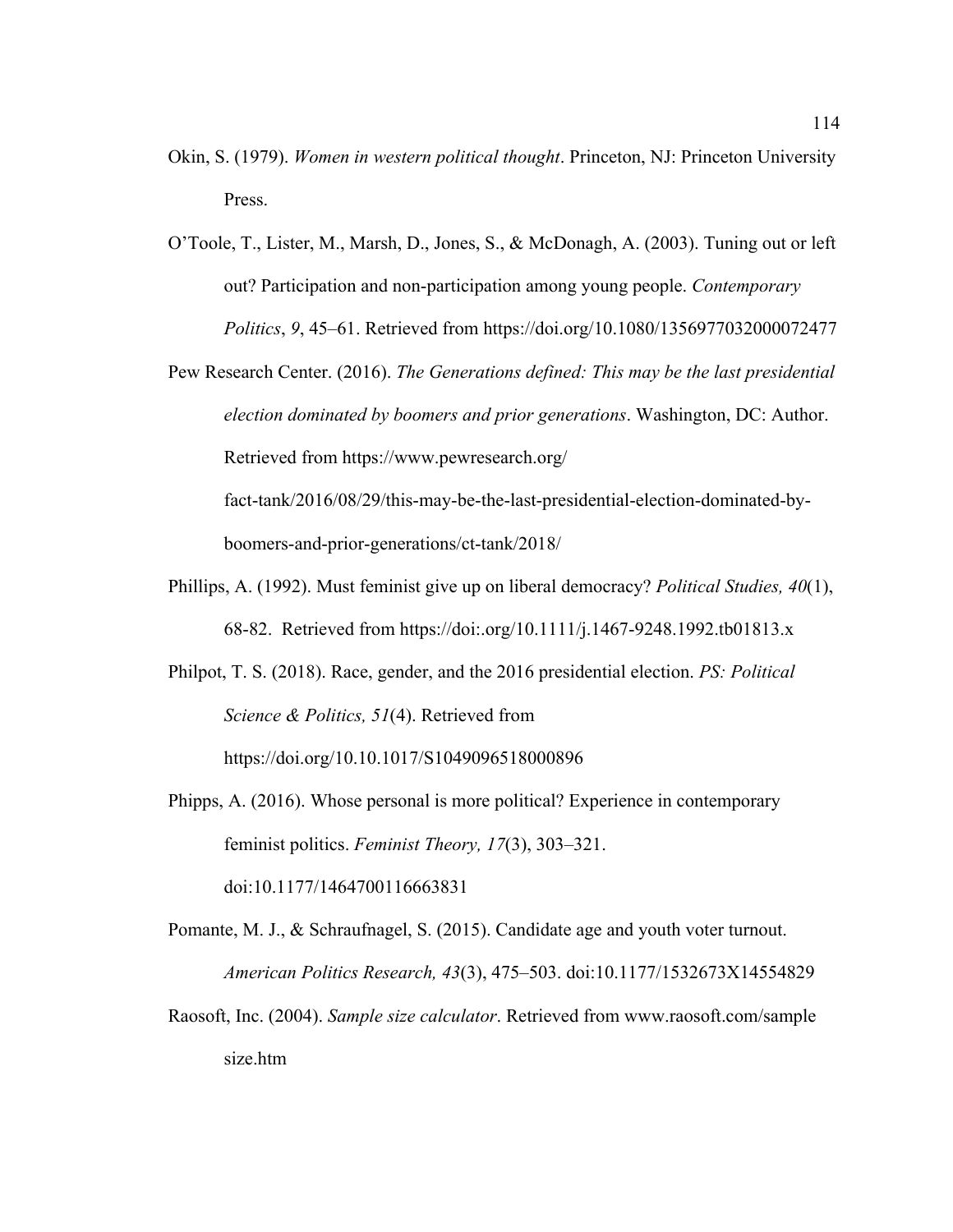- Okin, S. (1979). *Women in western political thought*. Princeton, NJ: Princeton University Press.
- O'Toole, T., Lister, M., Marsh, D., Jones, S., & McDonagh, A. (2003). Tuning out or left out? Participation and non-participation among young people. *Contemporary Politics*, *9*, 45–61. Retrieved from https://doi.org/10.1080/1356977032000072477
- Pew Research Center. (2016). *The Generations defined: This may be the last presidential election dominated by boomers and prior generations*. Washington, DC: Author. Retrieved from https://www.pewresearch.org/

fact-tank/2016/08/29/this-may-be-the-last-presidential-election-dominated-byboomers-and-prior-generations/ct-tank/2018/

- Phillips, A. (1992). Must feminist give up on liberal democracy? *Political Studies, 40*(1), 68-82. Retrieved from https://doi:.org/10.1111/j.1467-9248.1992.tb01813.x
- Philpot, T. S. (2018). Race, gender, and the 2016 presidential election. *PS: Political Science & Politics, 51*(4). Retrieved from

https://doi.org/10.10.1017/S1049096518000896

- Phipps, A. (2016). Whose personal is more political? Experience in contemporary feminist politics. *Feminist Theory, 17*(3), 303–321. doi:10.1177/1464700116663831
- Pomante, M. J., & Schraufnagel, S. (2015). Candidate age and youth voter turnout. *American Politics Research, 43*(3), 475–503. doi:10.1177/1532673X14554829
- Raosoft, Inc. (2004). *Sample size calculator*. Retrieved from www.raosoft.com/sample size.htm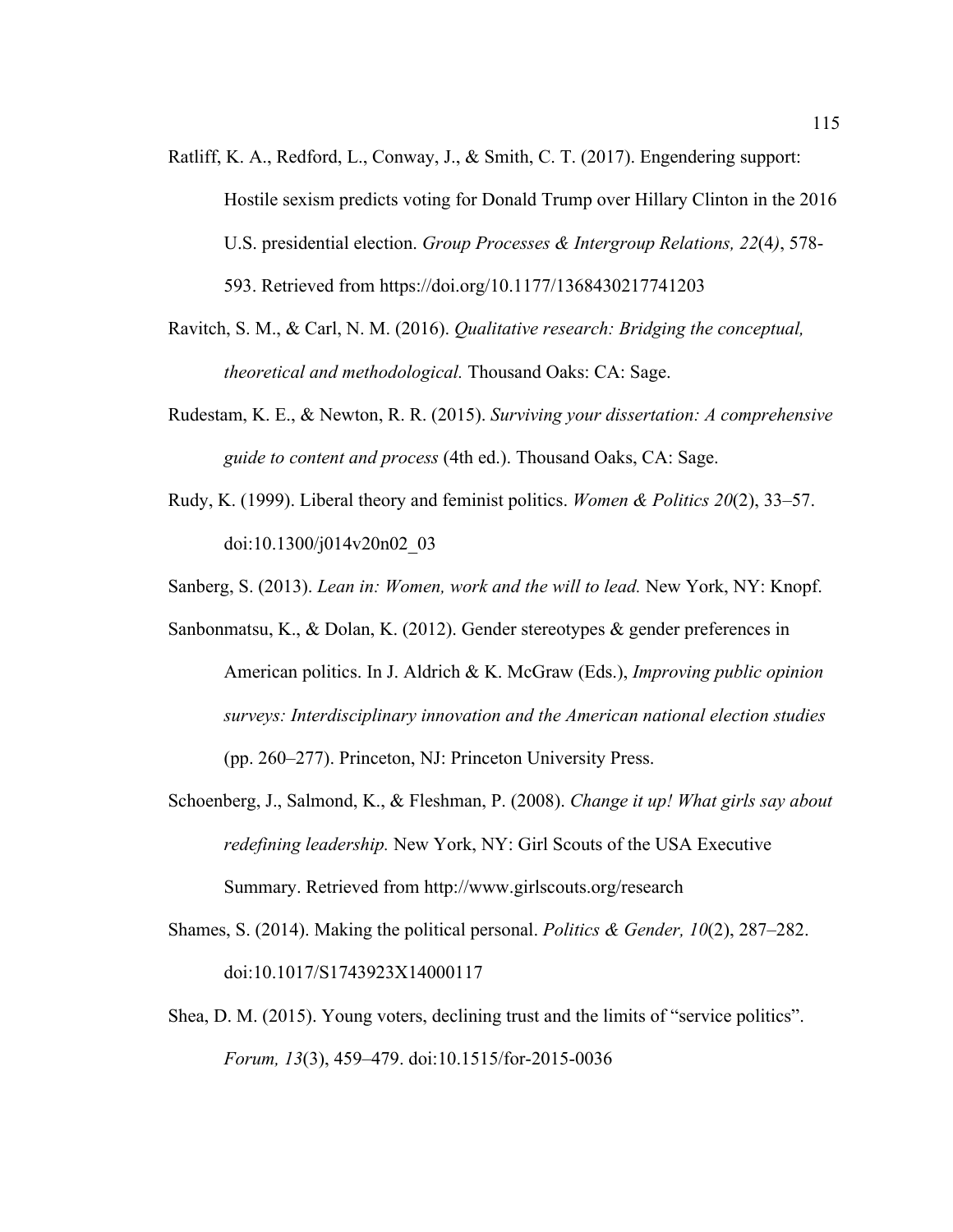- Ratliff, K. A., Redford, L., Conway, J., & Smith, C. T. (2017). Engendering support: Hostile sexism predicts voting for Donald Trump over Hillary Clinton in the 2016 U.S. presidential election. *Group Processes & Intergroup Relations, 22*(4*)*, 578- 593. Retrieved from https://doi.org/10.1177/1368430217741203
- Ravitch, S. M., & Carl, N. M. (2016). *Qualitative research: Bridging the conceptual, theoretical and methodological.* Thousand Oaks: CA: Sage.
- Rudestam, K. E., & Newton, R. R. (2015). *Surviving your dissertation: A comprehensive guide to content and process* (4th ed.). Thousand Oaks, CA: Sage.
- Rudy, K. (1999). Liberal theory and feminist politics. *Women & Politics 20*(2), 33–57. doi:10.1300/j014v20n02\_03
- Sanberg, S. (2013). *Lean in: Women, work and the will to lead.* New York, NY: Knopf.
- Sanbonmatsu, K., & Dolan, K. (2012). Gender stereotypes & gender preferences in American politics. In J. Aldrich & K. McGraw (Eds.), *Improving public opinion surveys: Interdisciplinary innovation and the American national election studies* (pp. 260–277). Princeton, NJ: Princeton University Press.
- Schoenberg, J., Salmond, K., & Fleshman, P. (2008). *Change it up! What girls say about redefining leadership.* New York, NY: Girl Scouts of the USA Executive Summary. Retrieved from http://www.girlscouts.org/research
- Shames, S. (2014). Making the political personal. *Politics & Gender, 10*(2), 287–282. doi:10.1017/S1743923X14000117
- Shea, D. M. (2015). Young voters, declining trust and the limits of "service politics". *Forum, 13*(3), 459–479. doi:10.1515/for-2015-0036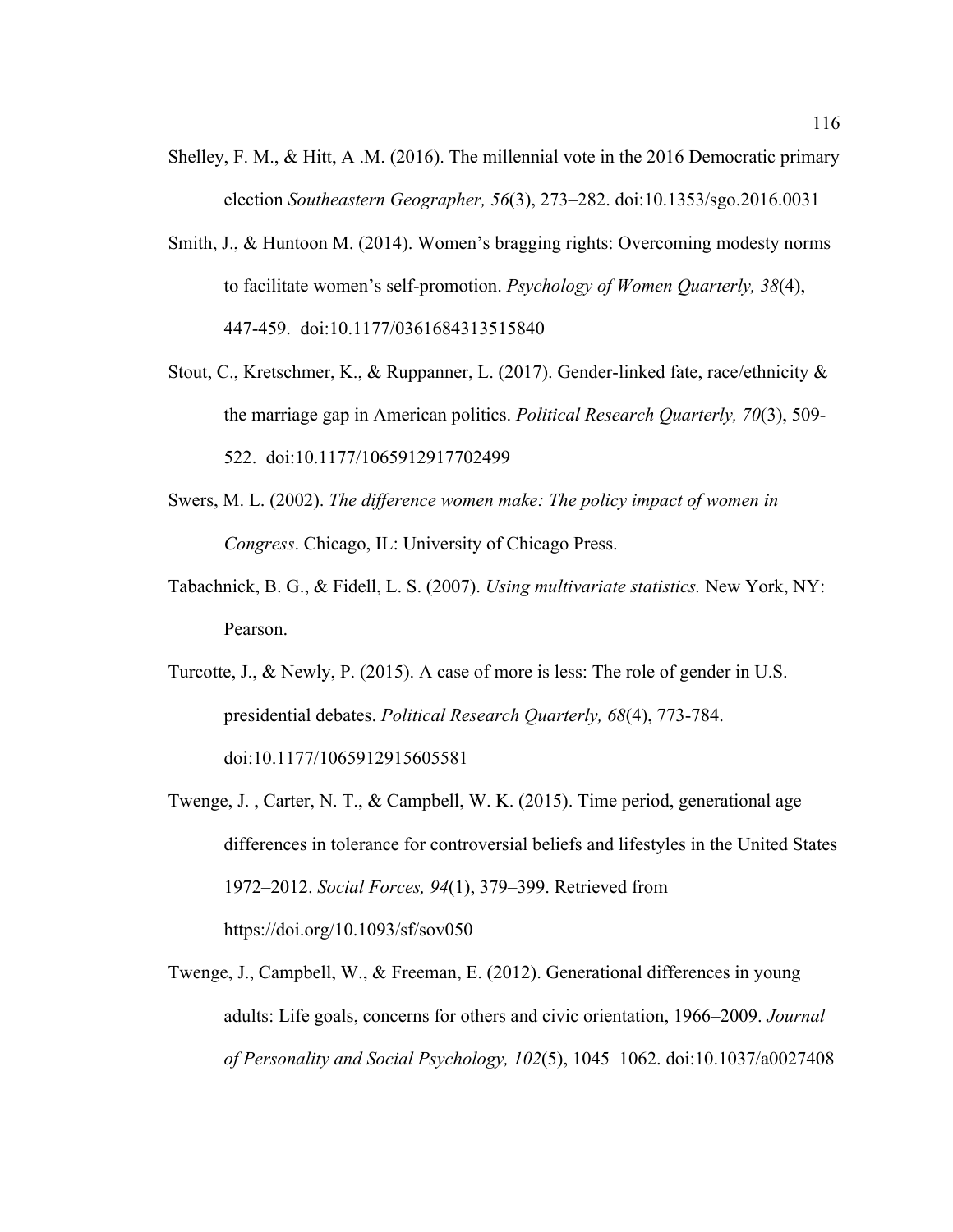- Shelley, F. M., & Hitt, A .M. (2016). The millennial vote in the 2016 Democratic primary election *Southeastern Geographer, 56*(3), 273–282. doi:10.1353/sgo.2016.0031
- Smith, J., & Huntoon M. (2014). Women's bragging rights: Overcoming modesty norms to facilitate women's self-promotion. *Psychology of Women Quarterly, 38*(4), 447-459. doi:10.1177/0361684313515840
- Stout, C., Kretschmer, K., & Ruppanner, L. (2017). Gender-linked fate, race/ethnicity & the marriage gap in American politics. *Political Research Quarterly, 70*(3), 509- 522. doi:10.1177/1065912917702499
- Swers, M. L. (2002). *The difference women make: The policy impact of women in Congress*. Chicago, IL: University of Chicago Press.
- Tabachnick, B. G., & Fidell, L. S. (2007). *Using multivariate statistics.* New York, NY: Pearson.
- Turcotte, J., & Newly, P. (2015). A case of more is less: The role of gender in U.S. presidential debates. *Political Research Quarterly, 68*(4), 773-784. doi:10.1177/1065912915605581
- Twenge, J. , Carter, N. T., & Campbell, W. K. (2015). Time period, generational age differences in tolerance for controversial beliefs and lifestyles in the United States 1972–2012. *Social Forces, 94*(1), 379–399. Retrieved from https://doi.org/10.1093/sf/sov050
- Twenge, J., Campbell, W., & Freeman, E. (2012). Generational differences in young adults: Life goals, concerns for others and civic orientation, 1966–2009. *Journal of Personality and Social Psychology, 102*(5), 1045–1062. doi:10.1037/a0027408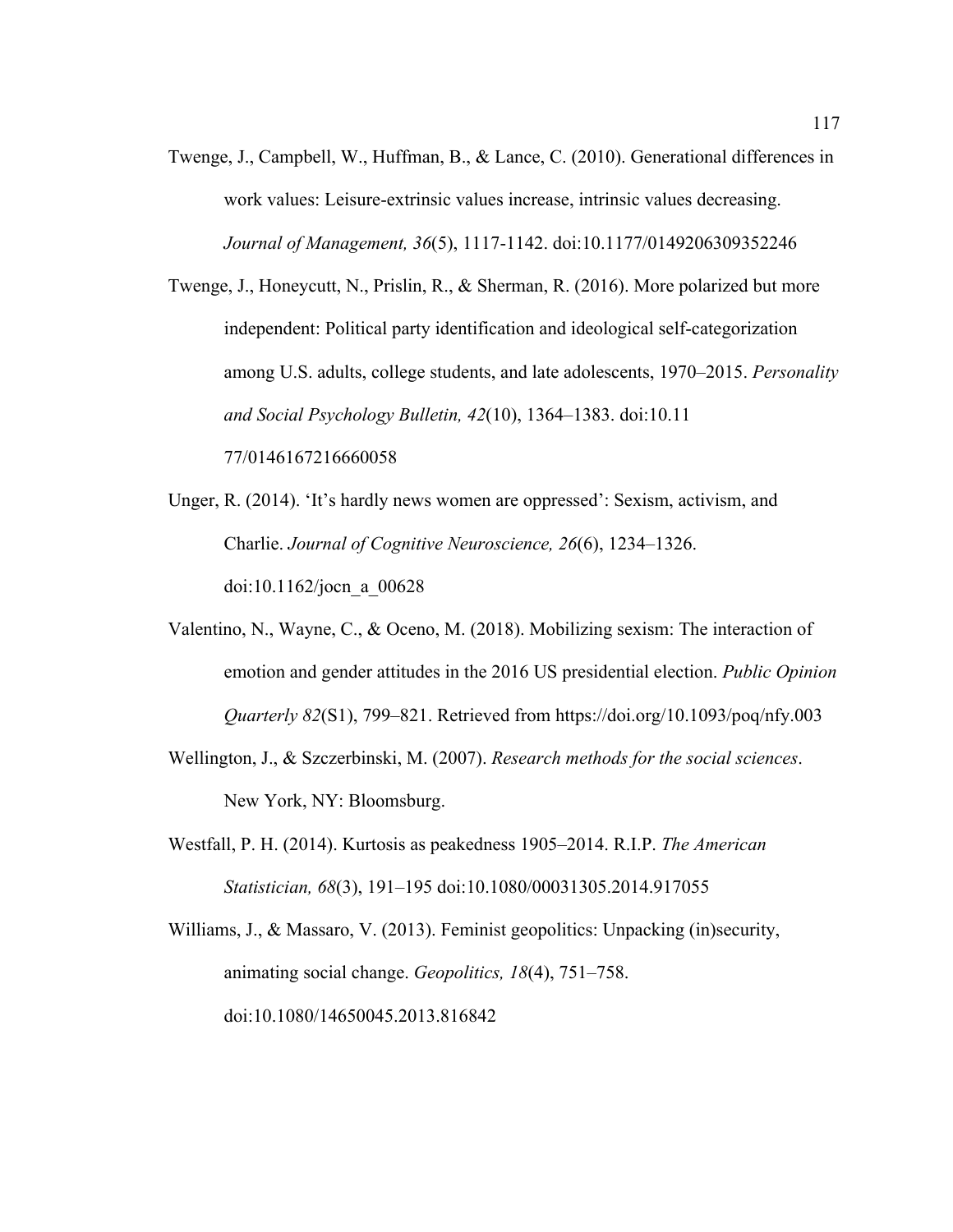Twenge, J., Campbell, W., Huffman, B., & Lance, C. (2010). Generational differences in work values: Leisure-extrinsic values increase, intrinsic values decreasing. *Journal of Management, 36*(5), 1117-1142. doi:10.1177/0149206309352246

Twenge, J., Honeycutt, N., Prislin, R., & Sherman, R. (2016). More polarized but more independent: Political party identification and ideological self-categorization among U.S. adults, college students, and late adolescents, 1970–2015. *Personality and Social Psychology Bulletin, 42*(10), 1364–1383. doi:10.11 77/0146167216660058

- Unger, R. (2014). 'It's hardly news women are oppressed': Sexism, activism, and Charlie. *Journal of Cognitive Neuroscience, 26*(6), 1234–1326. doi:10.1162/jocn\_a\_00628
- Valentino, N., Wayne, C., & Oceno, M. (2018). Mobilizing sexism: The interaction of emotion and gender attitudes in the 2016 US presidential election. *Public Opinion Quarterly 82*(S1), 799–821. Retrieved from https://doi.org/10.1093/poq/nfy.003
- Wellington, J., & Szczerbinski, M. (2007). *Research methods for the social sciences*. New York, NY: Bloomsburg.
- Westfall, P. H. (2014). Kurtosis as peakedness 1905–2014. R.I.P. *The American Statistician, 68*(3), 191–195 doi:10.1080/00031305.2014.917055

Williams, J., & Massaro, V. (2013). Feminist geopolitics: Unpacking (in)security, animating social change. *Geopolitics, 18*(4), 751–758. doi:10.1080/14650045.2013.816842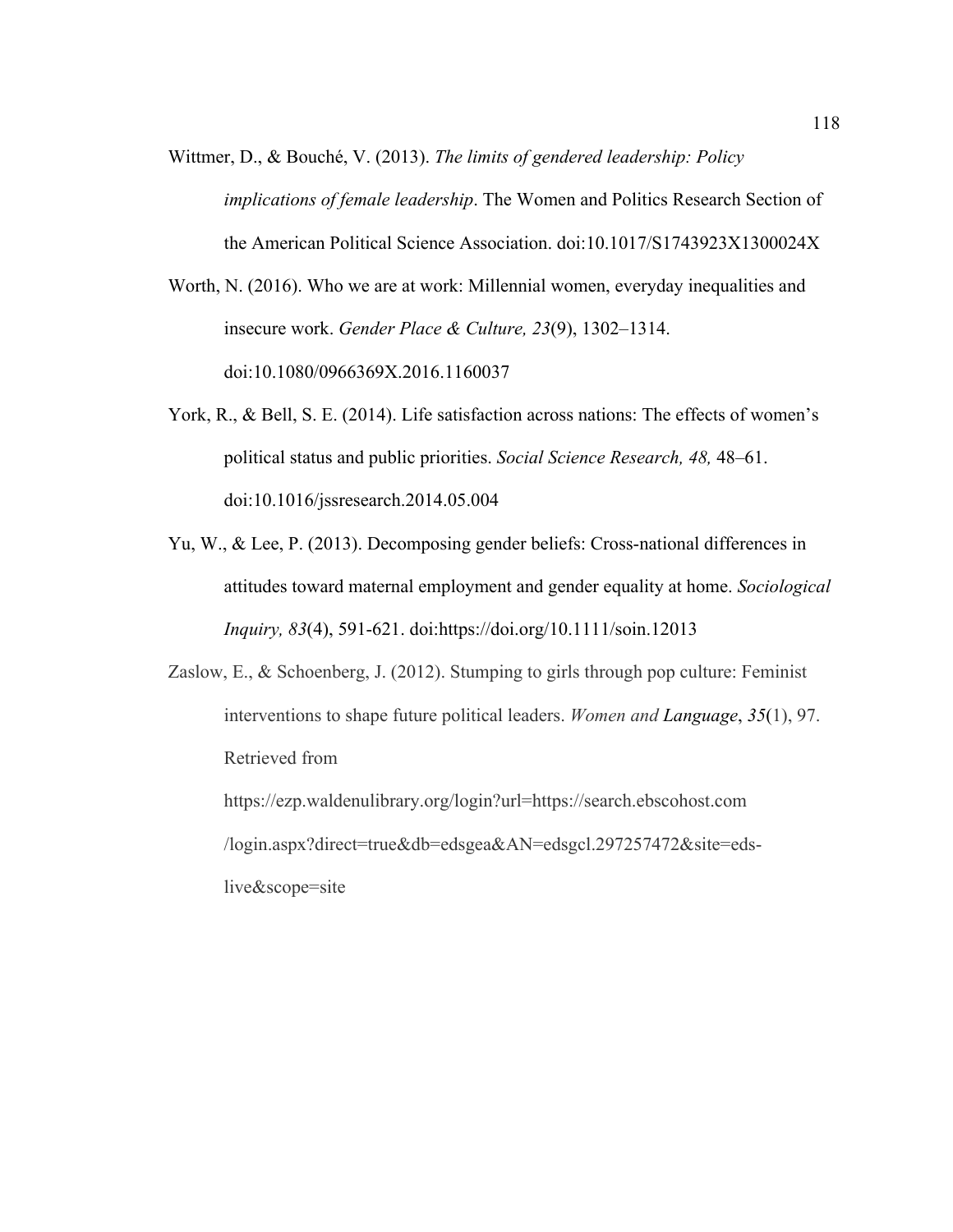Wittmer, D., & Bouché, V. (2013). *The limits of gendered leadership: Policy implications of female leadership*. The Women and Politics Research Section of the American Political Science Association. doi:10.1017/S1743923X1300024X

Worth, N. (2016). Who we are at work: Millennial women, everyday inequalities and insecure work. *Gender Place & Culture, 23*(9), 1302–1314. doi:10.1080/0966369X.2016.1160037

- York, R., & Bell, S. E. (2014). Life satisfaction across nations: The effects of women's political status and public priorities. *Social Science Research, 48,* 48–61. doi:10.1016/jssresearch.2014.05.004
- Yu, W., & Lee, P. (2013). Decomposing gender beliefs: Cross-national differences in attitudes toward maternal employment and gender equality at home. *Sociological Inquiry, 83*(4), 591-621. doi:https://doi.org/10.1111/soin.12013
- Zaslow, E., & Schoenberg, J. (2012). Stumping to girls through pop culture: Feminist interventions to shape future political leaders. *Women and Language*, *35*(1), 97. Retrieved from

https://ezp.waldenulibrary.org/login?url=https://search.ebscohost.com /login.aspx?direct=true&db=edsgea&AN=edsgcl.297257472&site=edslive&scope=site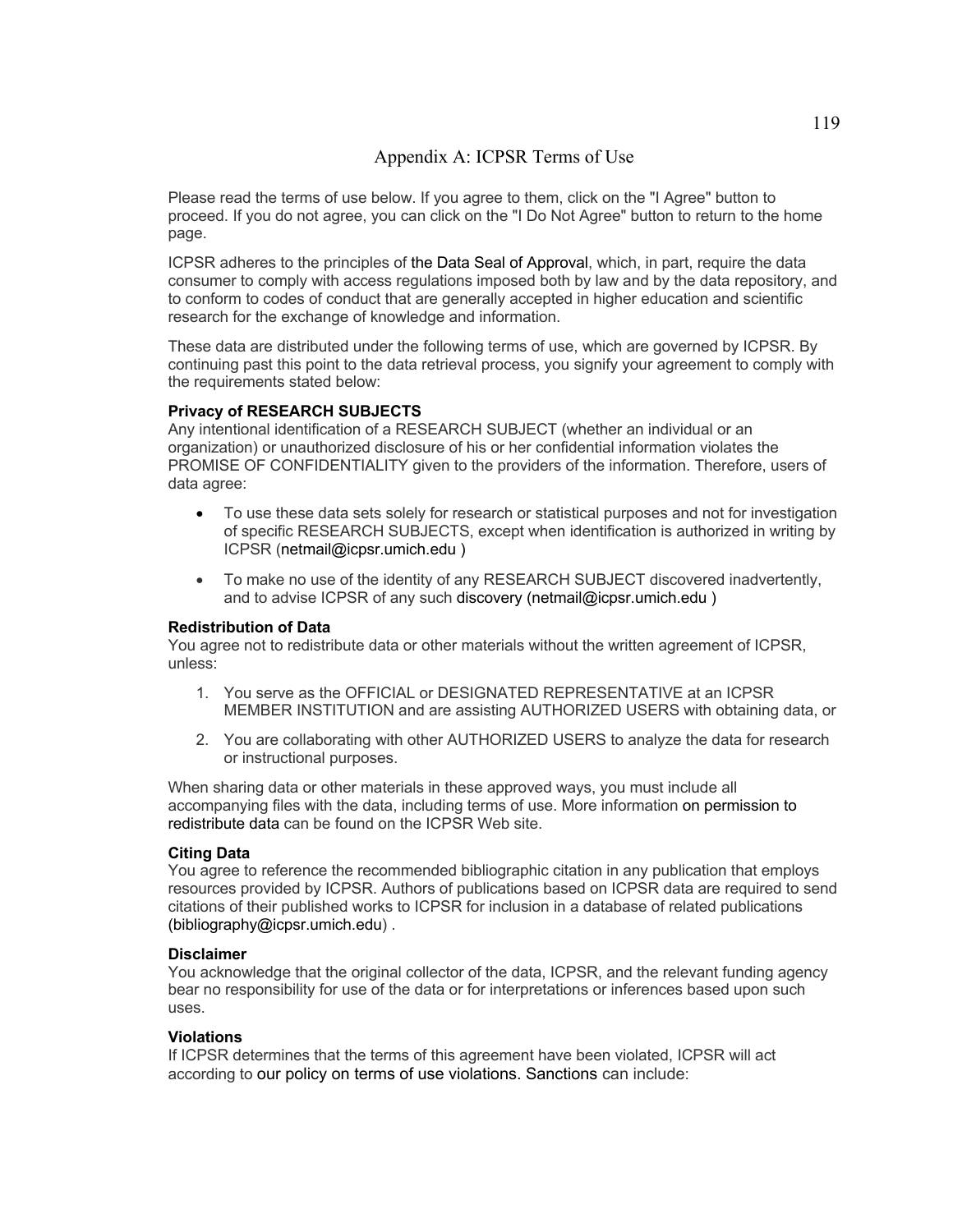# Appendix A: ICPSR Terms of Use

Please read the terms of use below. If you agree to them, click on the "I Agree" button to proceed. If you do not agree, you can click on the "I Do Not Agree" button to return to the home page.

ICPSR adheres to the principles of the Data Seal of Approval, which, in part, require the data consumer to comply with access regulations imposed both by law and by the data repository, and to conform to codes of conduct that are generally accepted in higher education and scientific research for the exchange of knowledge and information.

These data are distributed under the following terms of use, which are governed by ICPSR. By continuing past this point to the data retrieval process, you signify your agreement to comply with the requirements stated below:

## **Privacy of RESEARCH SUBJECTS**

Any intentional identification of a RESEARCH SUBJECT (whether an individual or an organization) or unauthorized disclosure of his or her confidential information violates the PROMISE OF CONFIDENTIALITY given to the providers of the information. Therefore, users of data agree:

- To use these data sets solely for research or statistical purposes and not for investigation of specific RESEARCH SUBJECTS, except when identification is authorized in writing by ICPSR (netmail@icpsr.umich.edu )
- To make no use of the identity of any RESEARCH SUBJECT discovered inadvertently, and to advise ICPSR of any such discovery (netmail@icpsr.umich.edu )

## **Redistribution of Data**

You agree not to redistribute data or other materials without the written agreement of ICPSR, unless:

- 1. You serve as the OFFICIAL or DESIGNATED REPRESENTATIVE at an ICPSR MEMBER INSTITUTION and are assisting AUTHORIZED USERS with obtaining data, or
- 2. You are collaborating with other AUTHORIZED USERS to analyze the data for research or instructional purposes.

When sharing data or other materials in these approved ways, you must include all accompanying files with the data, including terms of use. More information on permission to redistribute data can be found on the ICPSR Web site.

#### **Citing Data**

You agree to reference the recommended bibliographic citation in any publication that employs resources provided by ICPSR. Authors of publications based on ICPSR data are required to send citations of their published works to ICPSR for inclusion in a database of related publications (bibliography@icpsr.umich.edu) .

#### **Disclaimer**

You acknowledge that the original collector of the data, ICPSR, and the relevant funding agency bear no responsibility for use of the data or for interpretations or inferences based upon such uses.

## **Violations**

If ICPSR determines that the terms of this agreement have been violated, ICPSR will act according to our policy on terms of use violations. Sanctions can include: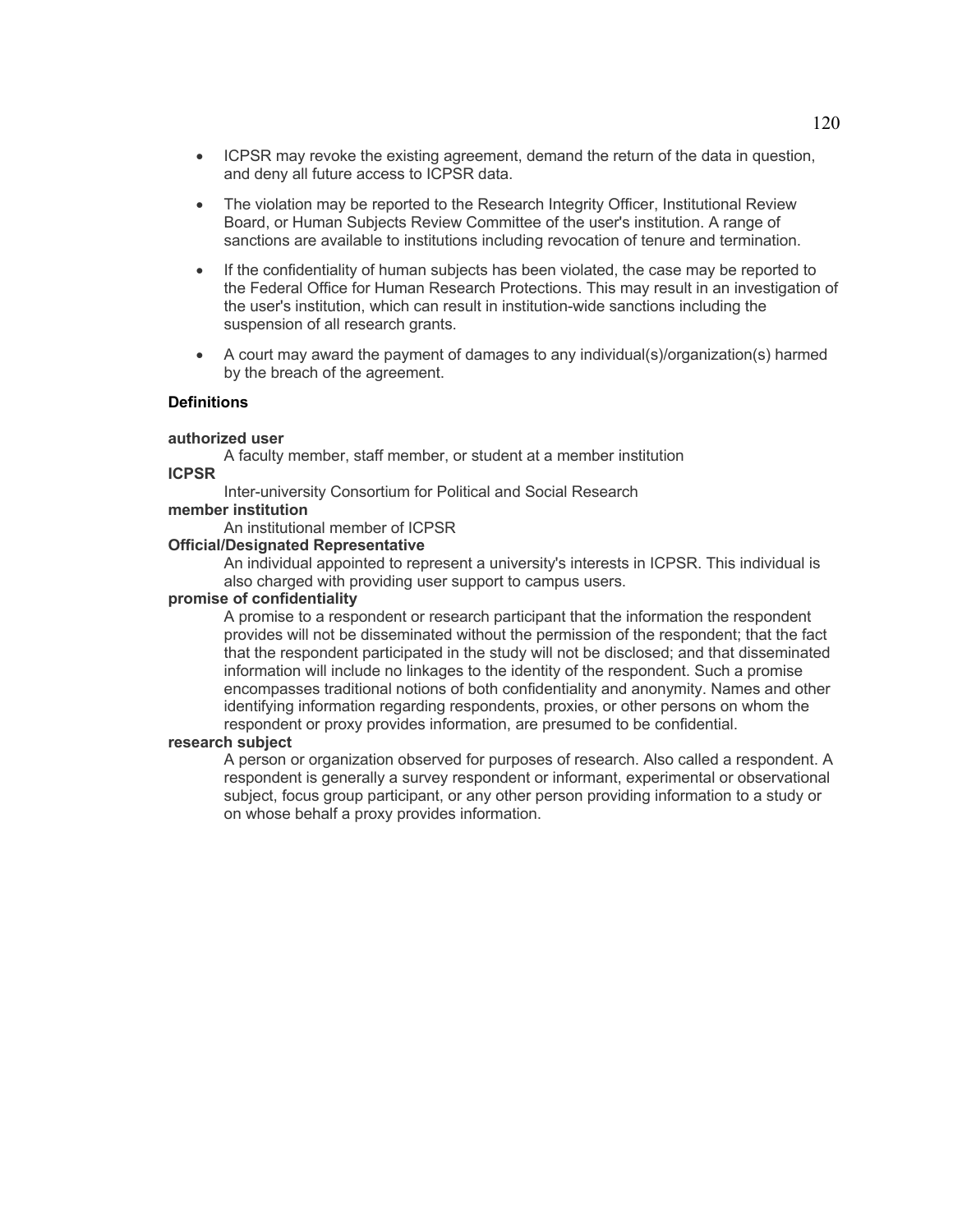- ICPSR may revoke the existing agreement, demand the return of the data in question, and deny all future access to ICPSR data.
- The violation may be reported to the Research Integrity Officer, Institutional Review Board, or Human Subjects Review Committee of the user's institution. A range of sanctions are available to institutions including revocation of tenure and termination.
- If the confidentiality of human subjects has been violated, the case may be reported to the Federal Office for Human Research Protections. This may result in an investigation of the user's institution, which can result in institution-wide sanctions including the suspension of all research grants.
- A court may award the payment of damages to any individual(s)/organization(s) harmed by the breach of the agreement.

# **Definitions**

#### **authorized user**

A faculty member, staff member, or student at a member institution **ICPSR**

Inter-university Consortium for Political and Social Research

#### **member institution**

An institutional member of ICPSR

#### **Official/Designated Representative**

An individual appointed to represent a university's interests in ICPSR. This individual is also charged with providing user support to campus users.

### **promise of confidentiality**

A promise to a respondent or research participant that the information the respondent provides will not be disseminated without the permission of the respondent; that the fact that the respondent participated in the study will not be disclosed; and that disseminated information will include no linkages to the identity of the respondent. Such a promise encompasses traditional notions of both confidentiality and anonymity. Names and other identifying information regarding respondents, proxies, or other persons on whom the respondent or proxy provides information, are presumed to be confidential.

#### **research subject**

A person or organization observed for purposes of research. Also called a respondent. A respondent is generally a survey respondent or informant, experimental or observational subject, focus group participant, or any other person providing information to a study or on whose behalf a proxy provides information.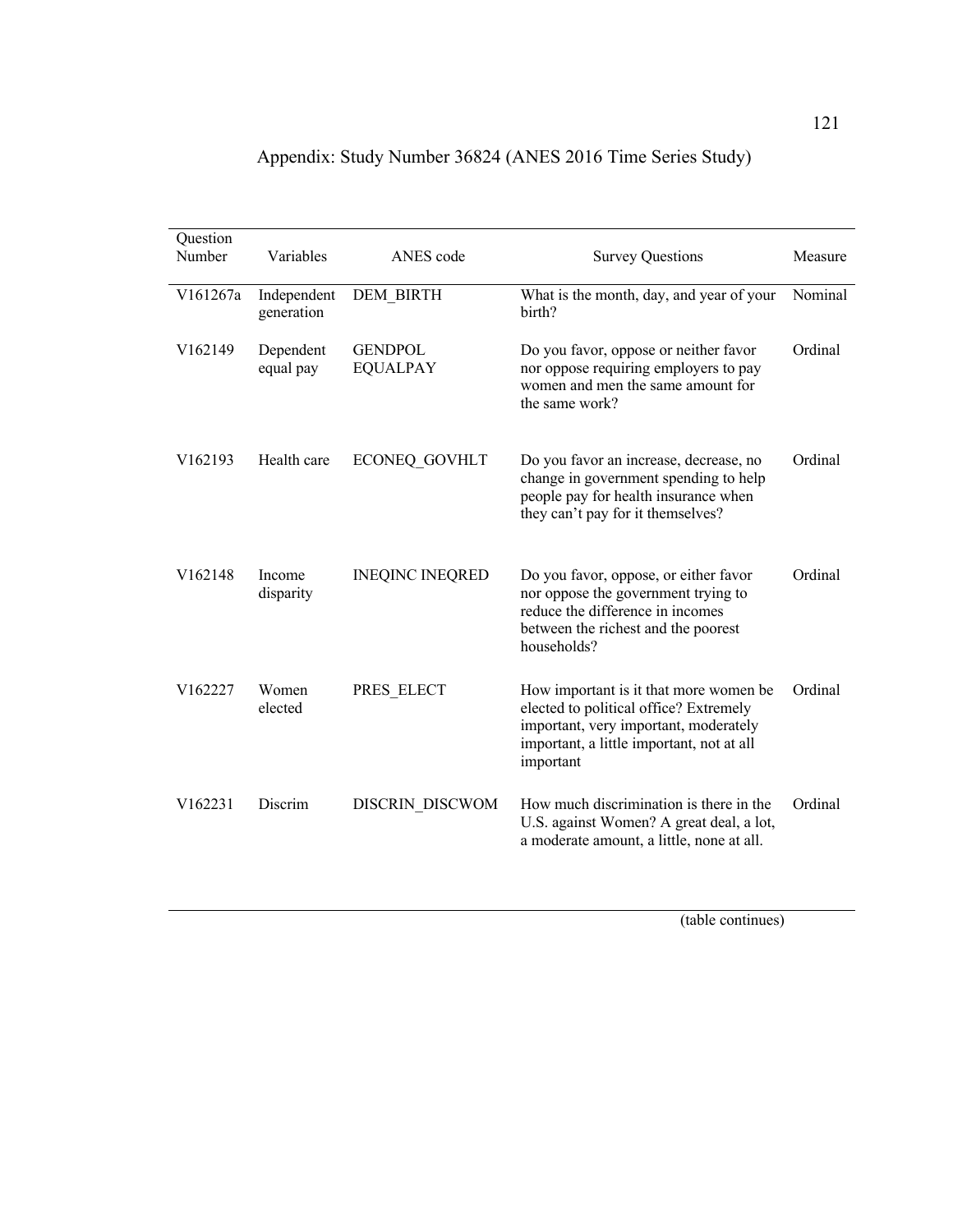| Question<br>Number  | Variables                 | ANES code                         | <b>Survey Questions</b>                                                                                                                                                             | Measure |
|---------------------|---------------------------|-----------------------------------|-------------------------------------------------------------------------------------------------------------------------------------------------------------------------------------|---------|
| V161267a            | Independent<br>generation | <b>DEM BIRTH</b>                  | What is the month, day, and year of your<br>birth?                                                                                                                                  | Nominal |
| V162149             | Dependent<br>equal pay    | <b>GENDPOL</b><br><b>EQUALPAY</b> | Do you favor, oppose or neither favor<br>nor oppose requiring employers to pay<br>women and men the same amount for<br>the same work?                                               | Ordinal |
| V <sub>162193</sub> | Health care               | <b>ECONEQ GOVHLT</b>              | Do you favor an increase, decrease, no<br>change in government spending to help<br>people pay for health insurance when<br>they can't pay for it themselves?                        | Ordinal |
| V162148             | Income<br>disparity       | <b>INEQINC INEQRED</b>            | Do you favor, oppose, or either favor<br>nor oppose the government trying to<br>reduce the difference in incomes<br>between the richest and the poorest<br>households?              | Ordinal |
| V162227             | Women<br>elected          | PRES ELECT                        | How important is it that more women be<br>elected to political office? Extremely<br>important, very important, moderately<br>important, a little important, not at all<br>important | Ordinal |
| V162231             | Discrim                   | DISCRIN DISCWOM                   | How much discrimination is there in the<br>U.S. against Women? A great deal, a lot,<br>a moderate amount, a little, none at all.                                                    | Ordinal |

|  | Appendix: Study Number 36824 (ANES 2016 Time Series Study) |
|--|------------------------------------------------------------|
|  |                                                            |

(table continues)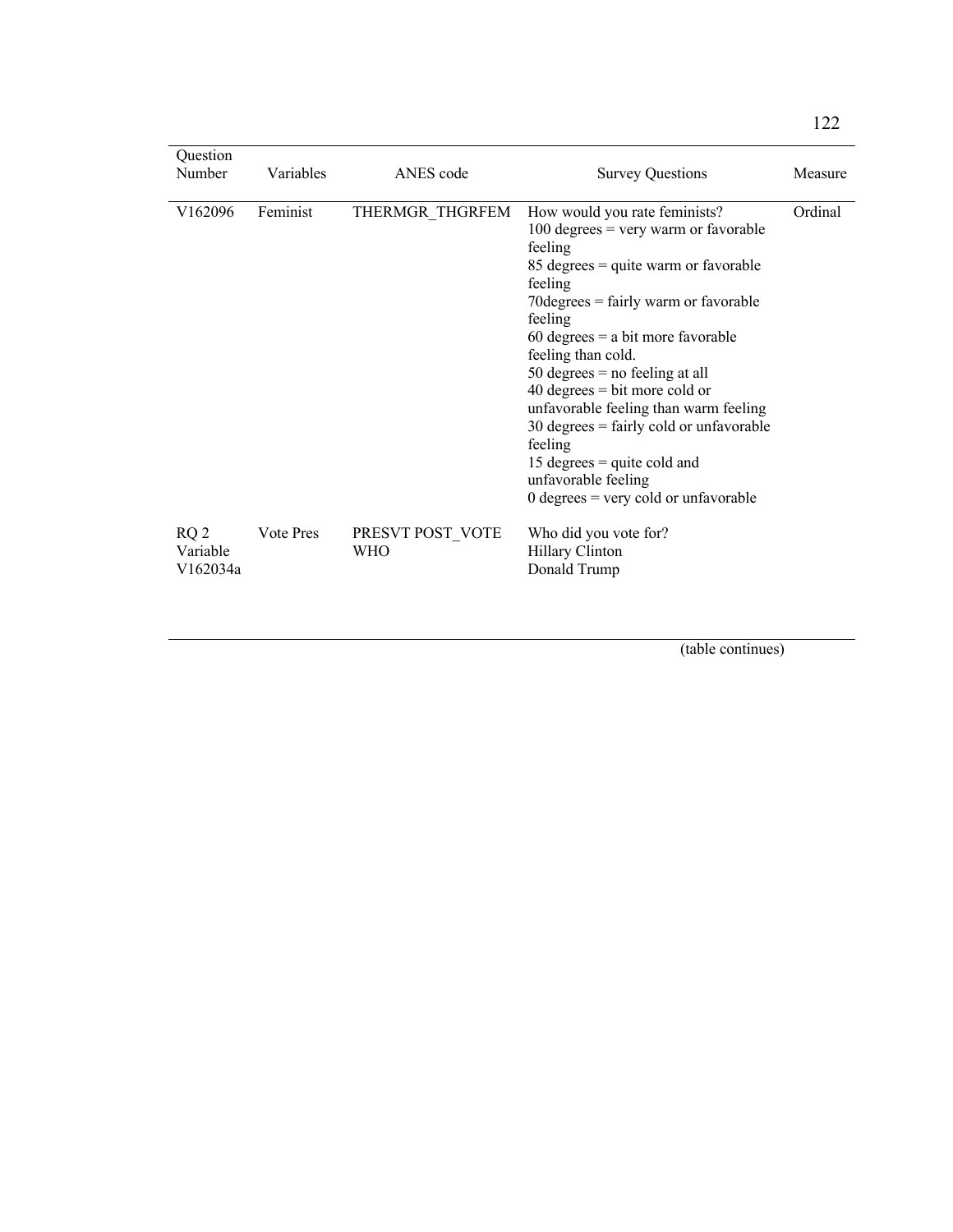| Question<br>Number                      | Variables | ANES code                      | <b>Survey Questions</b>                                                                                                                                                                                                                                                                                                                                                                                                                                                                                                                                                                         | Measure |
|-----------------------------------------|-----------|--------------------------------|-------------------------------------------------------------------------------------------------------------------------------------------------------------------------------------------------------------------------------------------------------------------------------------------------------------------------------------------------------------------------------------------------------------------------------------------------------------------------------------------------------------------------------------------------------------------------------------------------|---------|
| V162096                                 | Feminist  | THERMGR THGRFEM                | How would you rate feminists?<br>$100$ degrees = very warm or favorable<br>feeling<br>$85 \text{ degrees} = \text{quite warm or favorable}$<br>feeling<br>$70 \text{degrees} = \text{fairly warm or favorable}$<br>feeling<br>$60$ degrees = a bit more favorable<br>feeling than cold.<br>50 degrees $=$ no feeling at all<br>$40 \text{ degrees} = \text{bit more cold or}$<br>unfavorable feeling than warm feeling<br>$30 \text{ degrees} = \text{fairly cold or unfavorable}$<br>feeling<br>15 degrees $=$ quite cold and<br>unfavorable feeling<br>$0$ degrees = very cold or unfavorable | Ordinal |
| RQ <sub>2</sub><br>Variable<br>V162034a | Vote Pres | PRESVT POST VOTE<br><b>WHO</b> | Who did you vote for?<br>Hillary Clinton<br>Donald Trump                                                                                                                                                                                                                                                                                                                                                                                                                                                                                                                                        |         |

(table continues)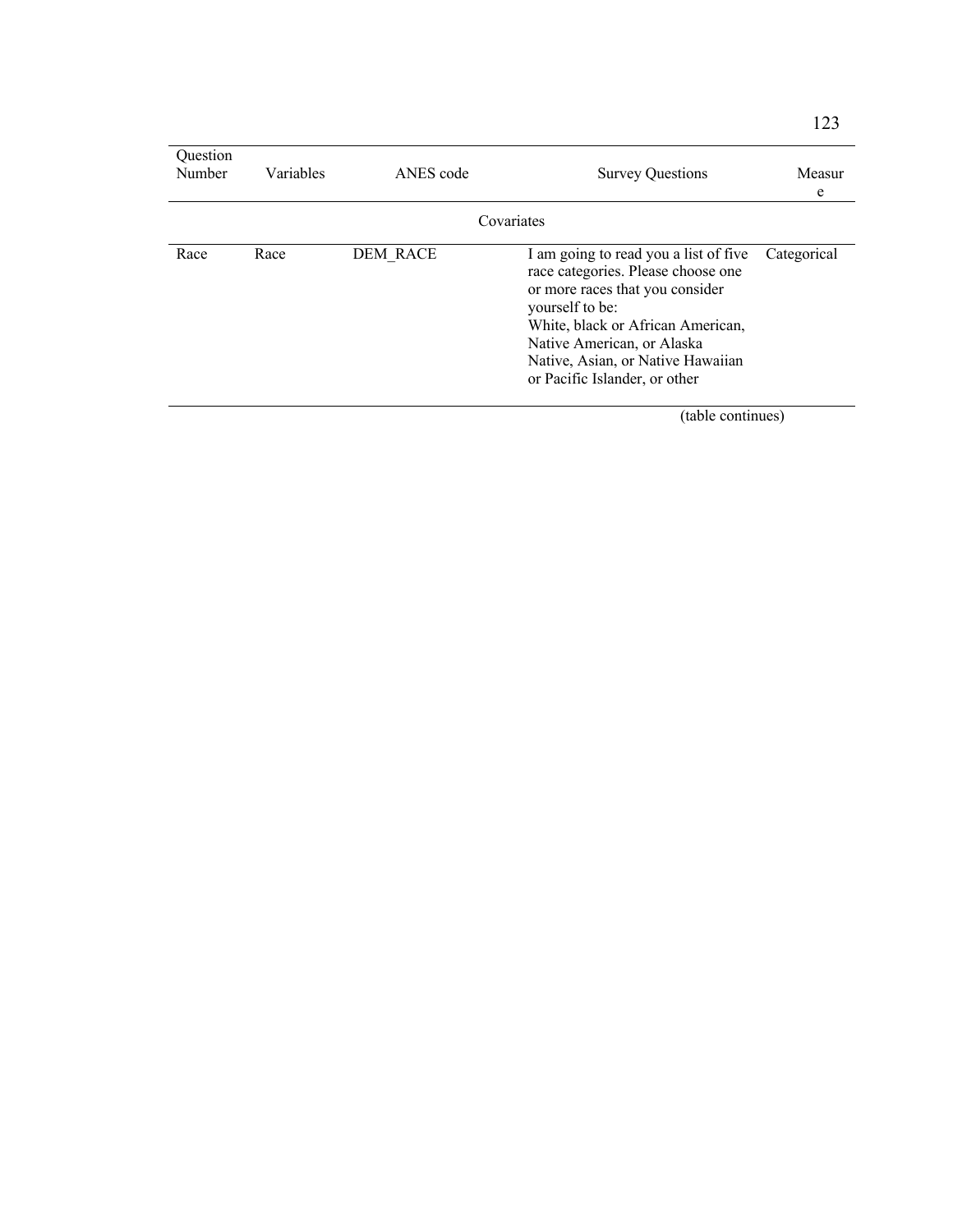| Ouestion<br>Number | <b>Variables</b> | ANES code | <b>Survey Questions</b>                                                                                                                                                                                                                                                    | Measur<br>e |
|--------------------|------------------|-----------|----------------------------------------------------------------------------------------------------------------------------------------------------------------------------------------------------------------------------------------------------------------------------|-------------|
| Covariates         |                  |           |                                                                                                                                                                                                                                                                            |             |
| Race               | Race             | DEM RACE  | I am going to read you a list of five<br>race categories. Please choose one<br>or more races that you consider<br>yourself to be:<br>White, black or African American,<br>Native American, or Alaska<br>Native, Asian, or Native Hawaiian<br>or Pacific Islander, or other | Categorical |

(table continues)